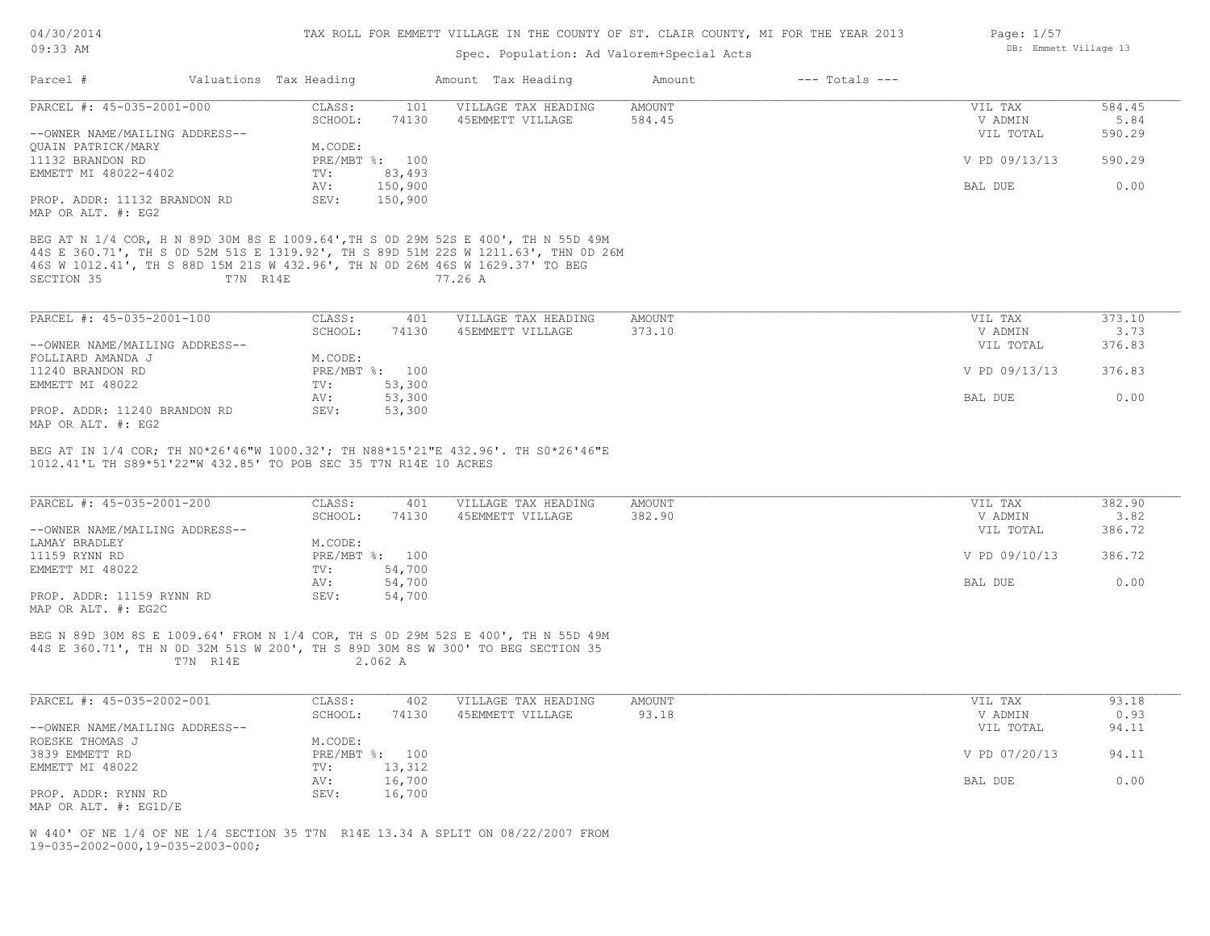### Spec. Population: Ad Valorem+Special Acts

| Parcel #                                                         | Valuations Tax Heading | Amount Tax Heading                                                                                                                                                             | Amount        | $---$ Totals $---$ |               |        |
|------------------------------------------------------------------|------------------------|--------------------------------------------------------------------------------------------------------------------------------------------------------------------------------|---------------|--------------------|---------------|--------|
| PARCEL #: 45-035-2001-000                                        | CLASS:                 | VILLAGE TAX HEADING<br>101                                                                                                                                                     | <b>AMOUNT</b> |                    | VIL TAX       | 584.45 |
|                                                                  | SCHOOL:                | 74130<br>45EMMETT VILLAGE                                                                                                                                                      | 584.45        |                    | V ADMIN       | 5.84   |
| --OWNER NAME/MAILING ADDRESS--                                   |                        |                                                                                                                                                                                |               |                    | VIL TOTAL     | 590.29 |
| <b>OUAIN PATRICK/MARY</b>                                        | M.CODE:                |                                                                                                                                                                                |               |                    |               |        |
| 11132 BRANDON RD                                                 | PRE/MBT %: 100         |                                                                                                                                                                                |               |                    | V PD 09/13/13 | 590.29 |
| EMMETT MI 48022-4402                                             | TV:                    | 83,493                                                                                                                                                                         |               |                    |               |        |
|                                                                  | AV:                    | 150,900                                                                                                                                                                        |               |                    | BAL DUE       | 0.00   |
| PROP. ADDR: 11132 BRANDON RD<br>MAP OR ALT. #: EG2               | SEV:                   | 150,900                                                                                                                                                                        |               |                    |               |        |
| SECTION 35                                                       | T7N R14E               | 44S E 360.71', TH S OD 52M 51S E 1319.92', TH S 89D 51M 22S W 1211.63', THN OD 26M<br>46S W 1012.41', TH S 88D 15M 21S W 432.96', TH N OD 26M 46S W 1629.37' TO BEG<br>77.26 A |               |                    |               |        |
| PARCEL #: 45-035-2001-100                                        | CLASS:                 | 401<br>VILLAGE TAX HEADING                                                                                                                                                     | <b>AMOUNT</b> |                    | VIL TAX       | 373.10 |
|                                                                  | SCHOOL:                | 74130<br>45EMMETT VILLAGE                                                                                                                                                      | 373.10        |                    | V ADMIN       | 3.73   |
| --OWNER NAME/MAILING ADDRESS--                                   |                        |                                                                                                                                                                                |               |                    | VIL TOTAL     | 376.83 |
| FOLLIARD AMANDA J                                                | M.CODE:                |                                                                                                                                                                                |               |                    |               |        |
| 11240 BRANDON RD                                                 | PRE/MBT %: 100         |                                                                                                                                                                                |               |                    | V PD 09/13/13 | 376.83 |
| EMMETT MI 48022                                                  | TV:                    | 53,300                                                                                                                                                                         |               |                    |               |        |
|                                                                  | AV:                    | 53,300                                                                                                                                                                         |               |                    | BAL DUE       | 0.00   |
| PROP. ADDR: 11240 BRANDON RD<br>MAP OR ALT. #: EG2               | SEV:                   | 53,300                                                                                                                                                                         |               |                    |               |        |
| 1012.41'L TH S89*51'22"W 432.85' TO POB SEC 35 T7N R14E 10 ACRES |                        | BEG AT IN 1/4 COR; TH N0*26'46"W 1000.32'; TH N88*15'21"E 432.96'. TH S0*26'46"E                                                                                               |               |                    |               |        |
| PARCEL #: 45-035-2001-200                                        | CLASS:                 | VILLAGE TAX HEADING<br>401                                                                                                                                                     | <b>AMOUNT</b> |                    | VIL TAX       | 382.90 |
|                                                                  | SCHOOL:                | 74130<br>45EMMETT VILLAGE                                                                                                                                                      | 382.90        |                    | V ADMIN       | 3.82   |
| --OWNER NAME/MAILING ADDRESS--                                   |                        |                                                                                                                                                                                |               |                    | VIL TOTAL     | 386.72 |
| LAMAY BRADLEY                                                    | M.CODE:                |                                                                                                                                                                                |               |                    |               |        |
| 11159 RYNN RD                                                    | PRE/MBT %: 100         |                                                                                                                                                                                |               |                    | V PD 09/10/13 | 386.72 |
| EMMETT MI 48022                                                  | TV:                    | 54,700                                                                                                                                                                         |               |                    |               |        |
|                                                                  | AV:                    | 54,700                                                                                                                                                                         |               |                    | BAL DUE       | 0.00   |
| PROP. ADDR: 11159 RYNN RD<br>MAP OR ALT. #: EG2C                 | SEV:                   | 54,700                                                                                                                                                                         |               |                    |               |        |

T7N R14E 2.062 A 44S E 360.71', TH N 0D 32M 51S W 200', TH S 89D 30M 8S W 300' TO BEG SECTION 35 BEG N 89D 30M 8S E 1009.64' FROM N 1/4 COR, TH S 0D 29M 52S E 400', TH N 55D 49M

| PARCEL #: 45-035-2002-001                    | CLASS:       | 402    | VILLAGE TAX HEADING | AMOUNT | VIL TAX       | 93.18 |
|----------------------------------------------|--------------|--------|---------------------|--------|---------------|-------|
|                                              | SCHOOL:      | 74130  | 45EMMETT VILLAGE    | 93.18  | V ADMIN       | 0.93  |
| --OWNER NAME/MAILING ADDRESS--               |              |        |                     |        | VIL TOTAL     | 94.11 |
| ROESKE THOMAS J                              | M.CODE:      |        |                     |        |               |       |
| 3839 EMMETT RD                               | $PRE/MBT$ %: | 100    |                     |        | V PD 07/20/13 | 94.11 |
| EMMETT MI 48022                              | TV:          | 13,312 |                     |        |               |       |
|                                              | AV:          | 16,700 |                     |        | BAL DUE       | 0.00  |
| PROP. ADDR: RYNN RD<br>MAP OR ALT. #: EG1D/E | SEV:         | 16,700 |                     |        |               |       |

19-035-2002-000,19-035-2003-000; W 440' OF NE 1/4 OF NE 1/4 SECTION 35 T7N R14E 13.34 A SPLIT ON 08/22/2007 FROM Page: 1/57 DB: Emmett Village 13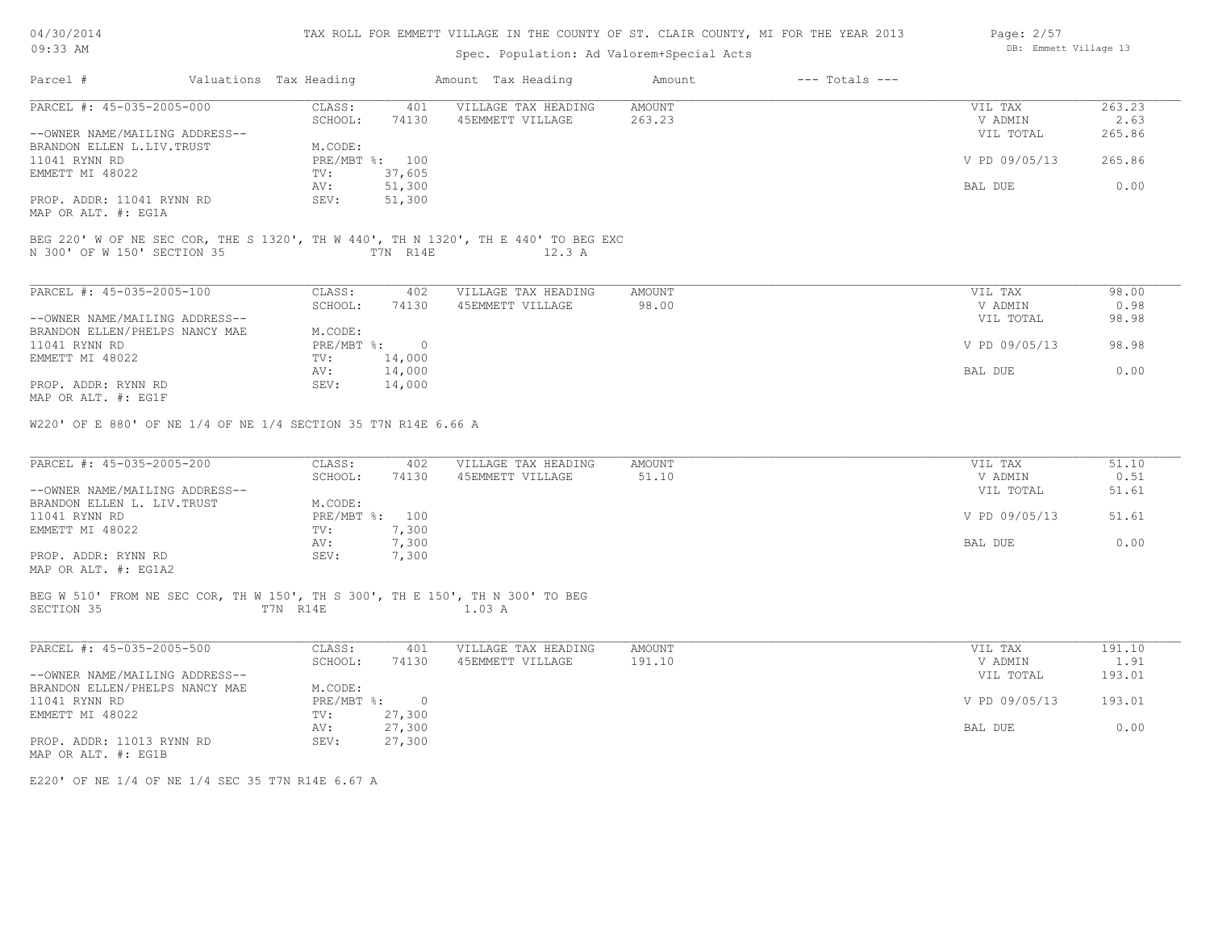| 04/30/2014 |  |
|------------|--|
| $09:33$ AM |  |

# TAX ROLL FOR EMMETT VILLAGE IN THE COUNTY OF ST. CLAIR COUNTY, MI FOR THE YEAR 2013

Page: 2/57

| 09:33 AM                                                                                                          |                                   | Spec. Population: Ad Valorem+Special Acts |                         |                    | DB: Emmett Village 13           |                        |
|-------------------------------------------------------------------------------------------------------------------|-----------------------------------|-------------------------------------------|-------------------------|--------------------|---------------------------------|------------------------|
| Parcel #<br>Valuations Tax Heading                                                                                |                                   | Amount Tax Heading                        | Amount                  | $---$ Totals $---$ |                                 |                        |
| PARCEL #: 45-035-2005-000                                                                                         | CLASS:<br>401<br>SCHOOL:<br>74130 | VILLAGE TAX HEADING<br>45EMMETT VILLAGE   | <b>AMOUNT</b><br>263.23 |                    | VIL TAX<br>V ADMIN              | 263.23<br>2.63         |
| --OWNER NAME/MAILING ADDRESS--                                                                                    |                                   |                                           |                         |                    | VIL TOTAL                       | 265.86                 |
| BRANDON ELLEN L.LIV. TRUST                                                                                        | M.CODE:                           |                                           |                         |                    |                                 |                        |
| 11041 RYNN RD                                                                                                     | PRE/MBT %: 100                    |                                           |                         |                    | V PD 09/05/13                   | 265.86                 |
| EMMETT MI 48022                                                                                                   | 37,605<br>TV:                     |                                           |                         |                    |                                 |                        |
|                                                                                                                   | 51,300<br>AV:                     |                                           |                         |                    | BAL DUE                         | 0.00                   |
| PROP. ADDR: 11041 RYNN RD                                                                                         | SEV:<br>51,300                    |                                           |                         |                    |                                 |                        |
| MAP OR ALT. #: EG1A                                                                                               |                                   |                                           |                         |                    |                                 |                        |
| BEG 220' W OF NE SEC COR, THE S 1320', TH W 440', TH N 1320', TH E 440' TO BEG EXC<br>N 300' OF W 150' SECTION 35 | T7N R14E                          | 12.3 A                                    |                         |                    |                                 |                        |
| PARCEL #: 45-035-2005-100                                                                                         | CLASS:<br>402                     | VILLAGE TAX HEADING                       | AMOUNT                  |                    | VIL TAX                         | 98.00                  |
|                                                                                                                   | SCHOOL:<br>74130                  | 45EMMETT VILLAGE                          | 98.00                   |                    | V ADMIN                         | 0.98                   |
| --OWNER NAME/MAILING ADDRESS--                                                                                    |                                   |                                           |                         |                    | VIL TOTAL                       | 98.98                  |
| BRANDON ELLEN/PHELPS NANCY MAE                                                                                    | M.CODE:                           |                                           |                         |                    |                                 |                        |
| 11041 RYNN RD                                                                                                     | PRE/MBT %: 0                      |                                           |                         |                    | V PD 09/05/13                   | 98.98                  |
| EMMETT MI 48022                                                                                                   | TV:<br>14,000                     |                                           |                         |                    |                                 |                        |
|                                                                                                                   | 14,000<br>AV:                     |                                           |                         |                    | BAL DUE                         | 0.00                   |
| PROP. ADDR: RYNN RD                                                                                               | SEV:<br>14,000                    |                                           |                         |                    |                                 |                        |
| MAP OR ALT. #: EG1F                                                                                               |                                   |                                           |                         |                    |                                 |                        |
| PARCEL #: 45-035-2005-200<br>--OWNER NAME/MAILING ADDRESS--                                                       | CLASS:<br>402<br>SCHOOL:<br>74130 | VILLAGE TAX HEADING<br>45EMMETT VILLAGE   | <b>AMOUNT</b><br>51.10  |                    | VIL TAX<br>V ADMIN<br>VIL TOTAL | 51.10<br>0.51<br>51.61 |
| BRANDON ELLEN L. LIV. TRUST                                                                                       | M.CODE:                           |                                           |                         |                    |                                 |                        |
| 11041 RYNN RD                                                                                                     | PRE/MBT %: 100                    |                                           |                         |                    | V PD 09/05/13                   | 51.61                  |
| EMMETT MI 48022                                                                                                   | 7,300<br>TV:                      |                                           |                         |                    |                                 |                        |
|                                                                                                                   | 7,300<br>AV:                      |                                           |                         |                    | BAL DUE                         | 0.00                   |
| PROP. ADDR: RYNN RD                                                                                               | SEV:<br>7,300                     |                                           |                         |                    |                                 |                        |
| MAP OR ALT. #: EG1A2                                                                                              |                                   |                                           |                         |                    |                                 |                        |
| BEG W 510' FROM NE SEC COR, TH W 150', TH S 300', TH E 150', TH N 300' TO BEG<br>SECTION 35                       | T7N R14E                          | 1.03 A                                    |                         |                    |                                 |                        |
|                                                                                                                   |                                   |                                           |                         |                    |                                 |                        |
| PARCEL #: 45-035-2005-500                                                                                         | CLASS:<br>401                     | VILLAGE TAX HEADING                       | AMOUNT                  |                    | VIL TAX                         | 191.10                 |
|                                                                                                                   | SCHOOL:<br>74130                  | 45EMMETT VILLAGE                          | 191.10                  |                    | V ADMIN                         | 1.91                   |
| --OWNER NAME/MAILING ADDRESS--                                                                                    |                                   |                                           |                         |                    | VIL TOTAL                       | 193.01                 |
| BRANDON ELLEN/PHELPS NANCY MAE                                                                                    | M.CODE:                           |                                           |                         |                    |                                 |                        |
| 11041 RYNN RD                                                                                                     | PRE/MBT %: 0                      |                                           |                         |                    | V PD 09/05/13                   | 193.01                 |
| EMMETT MI 48022                                                                                                   | 27,300<br>TV:                     |                                           |                         |                    |                                 |                        |
|                                                                                                                   | 27,300<br>AV:                     |                                           |                         |                    | BAL DUE                         | 0.00                   |
| PROP. ADDR: 11013 RYNN RD<br>MAP OR ALT. #: EG1B                                                                  | SEV:<br>27,300                    |                                           |                         |                    |                                 |                        |
|                                                                                                                   |                                   |                                           |                         |                    |                                 |                        |

E220' OF NE 1/4 OF NE 1/4 SEC 35 T7N R14E 6.67 A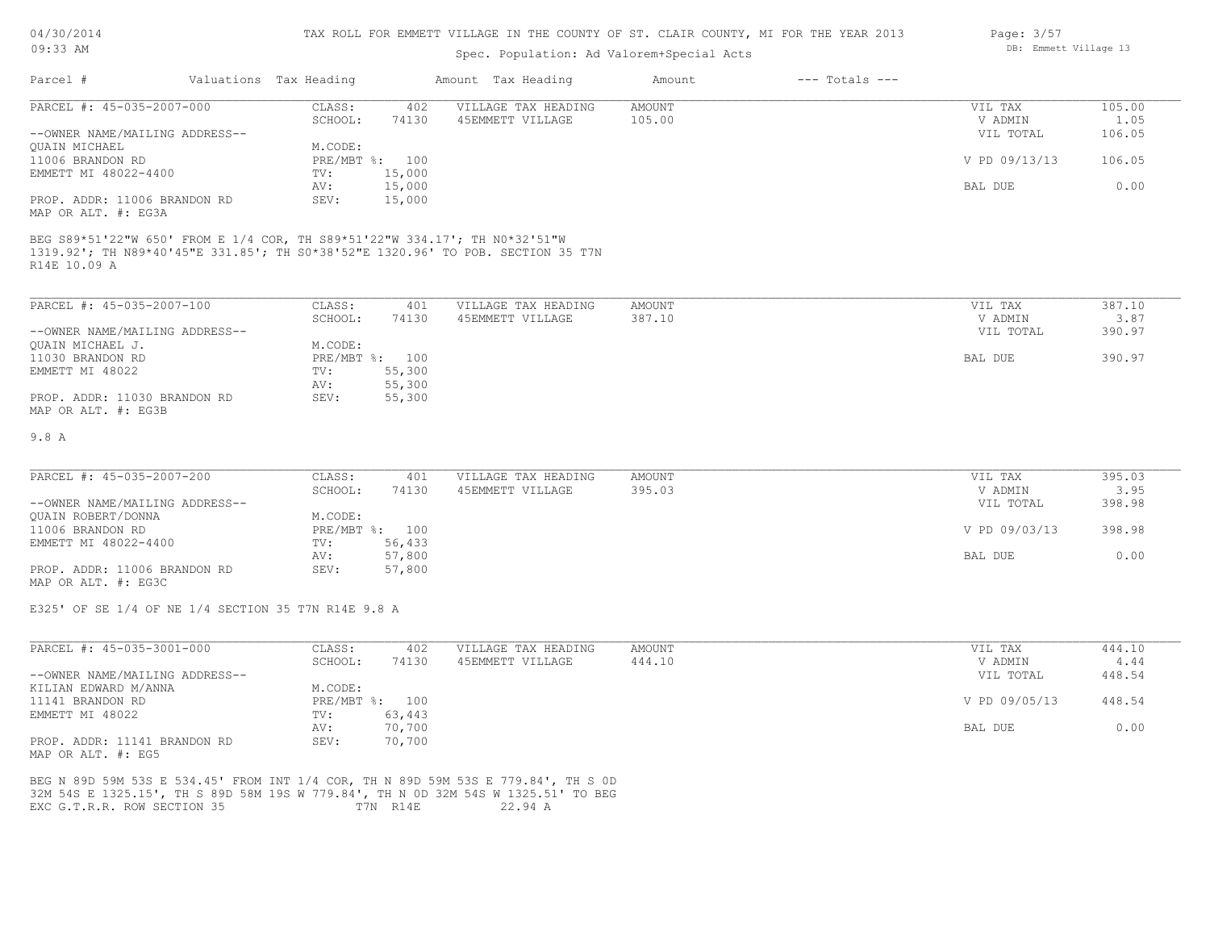# 04/30/2014

#### TAX ROLL FOR EMMETT VILLAGE IN THE COUNTY OF ST. CLAIR COUNTY, MI FOR THE YEAR 2013

| 09:33 AM                                            |                        |                | Spec. Population: Ad Valorem+Special Acts                                                                                                                     | DB: Emmett Village 13 |                    |               |        |
|-----------------------------------------------------|------------------------|----------------|---------------------------------------------------------------------------------------------------------------------------------------------------------------|-----------------------|--------------------|---------------|--------|
| Parcel #                                            | Valuations Tax Heading |                | Amount Tax Heading                                                                                                                                            | Amount                | $---$ Totals $---$ |               |        |
| PARCEL #: 45-035-2007-000                           | CLASS:                 | 402            | VILLAGE TAX HEADING                                                                                                                                           | <b>AMOUNT</b>         |                    | VIL TAX       | 105.00 |
|                                                     | SCHOOL:                | 74130          | 45EMMETT VILLAGE                                                                                                                                              | 105.00                |                    | V ADMIN       | 1.05   |
| --OWNER NAME/MAILING ADDRESS--                      |                        |                |                                                                                                                                                               |                       |                    | VIL TOTAL     | 106.05 |
| <b>OUAIN MICHAEL</b>                                | M.CODE:                |                |                                                                                                                                                               |                       |                    |               |        |
| 11006 BRANDON RD                                    |                        | PRE/MBT %: 100 |                                                                                                                                                               |                       |                    | V PD 09/13/13 | 106.05 |
| EMMETT MI 48022-4400                                | TV:                    | 15,000         |                                                                                                                                                               |                       |                    |               |        |
|                                                     | AV:                    | 15,000         |                                                                                                                                                               |                       |                    | BAL DUE       | 0.00   |
| PROP. ADDR: 11006 BRANDON RD<br>MAP OR ALT. #: EG3A | SEV:                   | 15,000         |                                                                                                                                                               |                       |                    |               |        |
| R14E 10.09 A                                        |                        |                | BEG S89*51'22"W 650' FROM E 1/4 COR, TH S89*51'22"W 334.17'; TH NO*32'51"W<br>1319.92'; TH N89*40'45"E 331.85'; TH S0*38'52"E 1320.96' TO POB. SECTION 35 T7N |                       |                    |               |        |
| PARCEL #: 45-035-2007-100                           | CLASS:                 | 401            | VILLAGE TAX HEADING                                                                                                                                           | <b>AMOUNT</b>         |                    | VIL TAX       | 387.10 |
|                                                     | SCHOOL:                | 74130          | 45EMMETT VILLAGE                                                                                                                                              | 387.10                |                    | V ADMIN       | 3.87   |
| --OWNER NAME/MAILING ADDRESS--                      |                        |                |                                                                                                                                                               |                       |                    | VIL TOTAL     | 390.97 |
| QUAIN MICHAEL J.                                    | M.CODE:                |                |                                                                                                                                                               |                       |                    |               |        |
| 11030 BRANDON RD                                    |                        | PRE/MBT %: 100 |                                                                                                                                                               |                       |                    | BAL DUE       | 390.97 |
| EMMETT MI 48022                                     | TV:                    | 55,300         |                                                                                                                                                               |                       |                    |               |        |
|                                                     | AV:                    | 55,300         |                                                                                                                                                               |                       |                    |               |        |
| PROP. ADDR: 11030 BRANDON RD<br>MAP OR ALT. #: EG3B | SEV:                   | 55,300         |                                                                                                                                                               |                       |                    |               |        |
| 9.8 A                                               |                        |                |                                                                                                                                                               |                       |                    |               |        |
| PARCEL #: 45-035-2007-200                           | CLASS:                 | 401            | VILLAGE TAX HEADING                                                                                                                                           | AMOUNT                |                    | VIL TAX       | 395.03 |
|                                                     | SCHOOL:                | 74130          | 45EMMETT VILLAGE                                                                                                                                              | 395.03                |                    | V ADMIN       | 3.95   |
| --OWNER NAME/MAILING ADDRESS--                      |                        |                |                                                                                                                                                               |                       |                    | VIL TOTAL     | 398.98 |
| <b>OUAIN ROBERT/DONNA</b>                           | M.CODE:                |                |                                                                                                                                                               |                       |                    |               |        |
| 11006 BRANDON RD                                    |                        | PRE/MBT %: 100 |                                                                                                                                                               |                       |                    | V PD 09/03/13 | 398.98 |
| EMMETT MI 48022-4400                                | TV:                    | 56,433         |                                                                                                                                                               |                       |                    |               |        |
|                                                     | AV:                    | 57,800         |                                                                                                                                                               |                       |                    | BAL DUE       | 0.00   |
| PROP. ADDR: 11006 BRANDON RD                        | SEV:                   | 57,800         |                                                                                                                                                               |                       |                    |               |        |

E325' OF SE 1/4 OF NE 1/4 SECTION 35 T7N R14E 9.8 A

MAP OR ALT. #: EG3C

| PARCEL #: 45-035-3001-000      | CLASS:     | 402    | VILLAGE TAX HEADING | AMOUNT | VIL TAX       | 444.10 |
|--------------------------------|------------|--------|---------------------|--------|---------------|--------|
|                                | SCHOOL:    | 74130  | 45EMMETT VILLAGE    | 444.10 | V ADMIN       | 4.44   |
| --OWNER NAME/MAILING ADDRESS-- |            |        |                     |        | VIL TOTAL     | 448.54 |
| KILIAN EDWARD M/ANNA           | M.CODE:    |        |                     |        |               |        |
| 11141 BRANDON RD               | PRE/MBT %: | 100    |                     |        | V PD 09/05/13 | 448.54 |
| EMMETT MI 48022                | TV:        | 63,443 |                     |        |               |        |
|                                | AV:        | 70,700 |                     |        | BAL DUE       | 0.00   |
| PROP. ADDR: 11141 BRANDON RD   | SEV:       | 70,700 |                     |        |               |        |
| MAP OR ALT. #: EG5             |            |        |                     |        |               |        |

EXC G.T.R.R. ROW SECTION 35 T7N R14E 22.94 A 32M 54S E 1325.15', TH S 89D 58M 19S W 779.84', TH N 0D 32M 54S W 1325.51' TO BEG BEG N 89D 59M 53S E 534.45' FROM INT 1/4 COR, TH N 89D 59M 53S E 779.84', TH S 0D Page: 3/57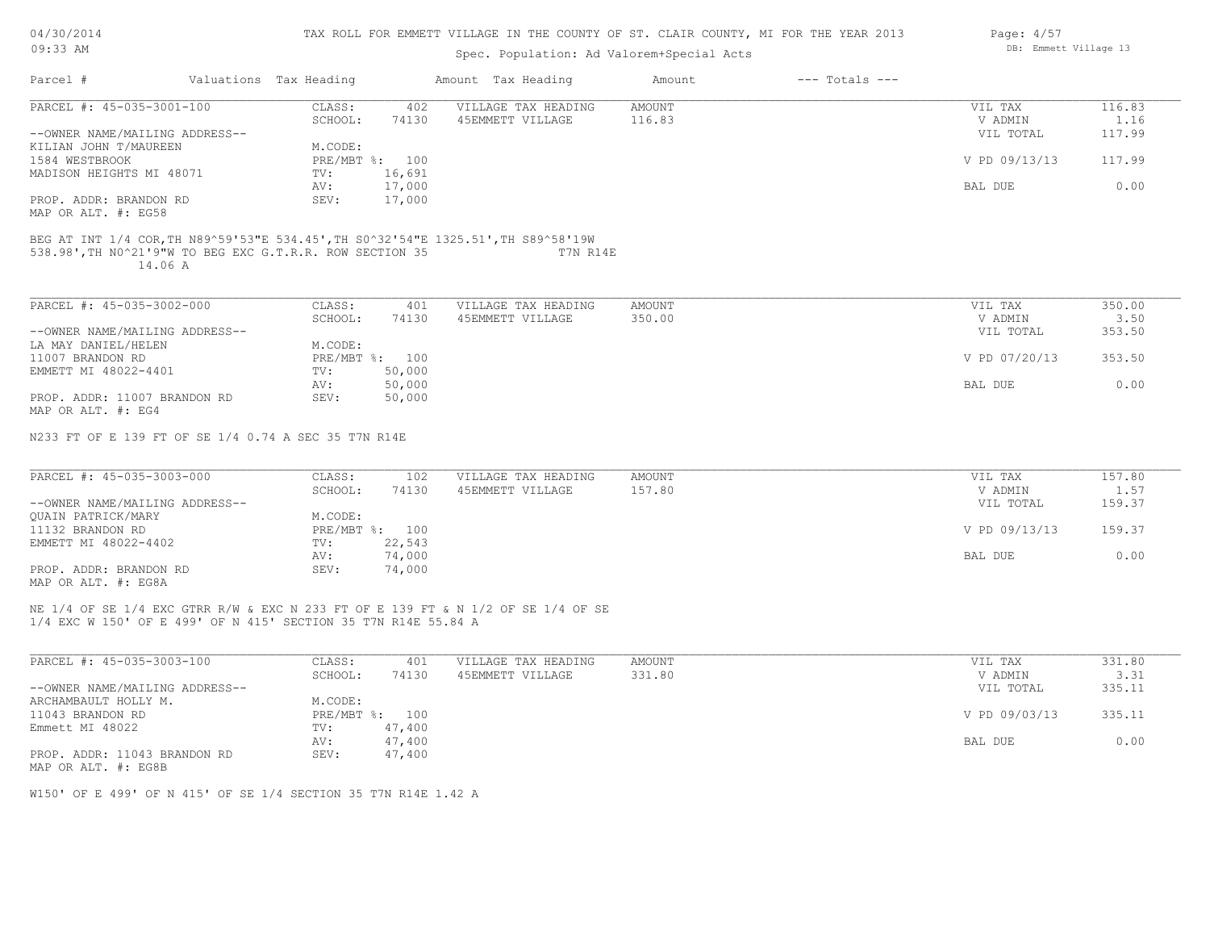| 04/30/2014 |  |
|------------|--|
|------------|--|

| 09:33 AM                                                            |  |                        |                | Spec. Population: Ad Valorem+Special Acts                                                     | DB: Emmett Village 13 |                    |               |        |
|---------------------------------------------------------------------|--|------------------------|----------------|-----------------------------------------------------------------------------------------------|-----------------------|--------------------|---------------|--------|
| Parcel #                                                            |  | Valuations Tax Heading |                | Amount Tax Heading                                                                            | Amount                | $---$ Totals $---$ |               |        |
| PARCEL #: 45-035-3001-100                                           |  | CLASS:                 | 402            | VILLAGE TAX HEADING                                                                           | AMOUNT                |                    | VIL TAX       | 116.83 |
|                                                                     |  | SCHOOL:                | 74130          | 45EMMETT VILLAGE                                                                              | 116.83                |                    | V ADMIN       | 1.16   |
| --OWNER NAME/MAILING ADDRESS--                                      |  |                        |                |                                                                                               |                       |                    | VIL TOTAL     | 117.99 |
| KILIAN JOHN T/MAUREEN                                               |  | M.CODE:                |                |                                                                                               |                       |                    |               |        |
| 1584 WESTBROOK                                                      |  |                        | PRE/MBT %: 100 |                                                                                               |                       |                    | V PD 09/13/13 | 117.99 |
| MADISON HEIGHTS MI 48071                                            |  | $TV$ :                 | 16,691         |                                                                                               |                       |                    |               |        |
|                                                                     |  | AV:                    | 17,000         |                                                                                               |                       |                    | BAL DUE       | 0.00   |
| PROP. ADDR: BRANDON RD                                              |  | SEV:                   | 17,000         |                                                                                               |                       |                    |               |        |
| MAP OR ALT. #: EG58                                                 |  |                        |                |                                                                                               |                       |                    |               |        |
| 538.98', TH NO^21'9"W TO BEG EXC G.T.R.R. ROW SECTION 35<br>14.06 A |  |                        |                | BEG AT INT 1/4 COR, TH N89^59'53"E 534.45', TH S0^32'54"E 1325.51', TH S89^58'19W<br>T7N R14E |                       |                    |               |        |
| PARCEL #: 45-035-3002-000                                           |  | CLASS:                 | 401            | VILLAGE TAX HEADING                                                                           | AMOUNT                |                    | VIL TAX       | 350.00 |
|                                                                     |  | SCHOOL:                | 74130          | 45EMMETT VILLAGE                                                                              | 350.00                |                    | V ADMIN       | 3.50   |
| --OWNER NAME/MAILING ADDRESS--                                      |  |                        |                |                                                                                               |                       |                    | VIL TOTAL     | 353.50 |
| LA MAY DANIEL/HELEN                                                 |  | M.CODE:                |                |                                                                                               |                       |                    |               |        |
| 11007 BRANDON RD                                                    |  |                        | PRE/MBT %: 100 |                                                                                               |                       |                    | V PD 07/20/13 | 353.50 |
| EMMETT MI 48022-4401                                                |  | $\texttt{TV}$ :        | 50,000         |                                                                                               |                       |                    |               |        |
|                                                                     |  | AV:                    | 50,000         |                                                                                               |                       |                    | BAL DUE       | 0.00   |
| PROP. ADDR: 11007 BRANDON RD<br>MAP OR ALT. #: EG4                  |  | SEV:                   | 50,000         |                                                                                               |                       |                    |               |        |
| N233 FT OF E 139 FT OF SE 1/4 0.74 A SEC 35 T7N R14E                |  |                        |                |                                                                                               |                       |                    |               |        |
| PARCEL #: 45-035-3003-000                                           |  | CLASS:                 | 102            | VILLAGE TAX HEADING                                                                           | <b>AMOUNT</b>         |                    | VIL TAX       | 157.80 |
|                                                                     |  | SCHOOL:                | 74130          | 45EMMETT VILLAGE                                                                              | 157.80                |                    | V ADMIN       | 1.57   |
| --OWNER NAME/MAILING ADDRESS--                                      |  |                        |                |                                                                                               |                       |                    | VIL TOTAL     | 159.37 |
| OUAIN PATRICK/MARY                                                  |  | M.CODE:                |                |                                                                                               |                       |                    |               |        |
| 11132 BRANDON RD                                                    |  |                        | PRE/MBT %: 100 |                                                                                               |                       |                    | V PD 09/13/13 | 159.37 |
| EMMETT MI 48022-4402                                                |  | $\text{TV}$ :          | 22,543         |                                                                                               |                       |                    |               |        |
|                                                                     |  | AV:                    | 74,000         |                                                                                               |                       |                    | BAL DUE       | 0.00   |
| PROP. ADDR: BRANDON RD                                              |  | SEV:                   | 74,000         |                                                                                               |                       |                    |               |        |
| MAP OR ALT. #: EG8A                                                 |  |                        |                |                                                                                               |                       |                    |               |        |
|                                                                     |  |                        |                |                                                                                               |                       |                    |               |        |

1/4 EXC W 150' OF E 499' OF N 415' SECTION 35 T7N R14E 55.84 A NE 1/4 OF SE 1/4 EXC GTRR R/W & EXC N 233 FT OF E 139 FT & N 1/2 OF SE 1/4 OF SE

| PARCEL #: 45-035-3003-100      | CLASS:  | 401            | VILLAGE TAX HEADING | AMOUNT | VIL TAX       | 331.80 |
|--------------------------------|---------|----------------|---------------------|--------|---------------|--------|
|                                | SCHOOL: | 74130          | 45EMMETT VILLAGE    | 331.80 | V ADMIN       | 3.31   |
| --OWNER NAME/MAILING ADDRESS-- |         |                |                     |        | VIL TOTAL     | 335.11 |
| ARCHAMBAULT HOLLY M.           | M.CODE: |                |                     |        |               |        |
| 11043 BRANDON RD               |         | PRE/MBT %: 100 |                     |        | V PD 09/03/13 | 335.11 |
| Emmett MI 48022                | TV:     | 47,400         |                     |        |               |        |
|                                | AV:     | 47,400         |                     |        | BAL DUE       | 0.00   |
| PROP. ADDR: 11043 BRANDON RD   | SEV:    | 47,400         |                     |        |               |        |
| MAP OR ALT. #: EG8B            |         |                |                     |        |               |        |

W150' OF E 499' OF N 415' OF SE 1/4 SECTION 35 T7N R14E 1.42 A

Page: 4/57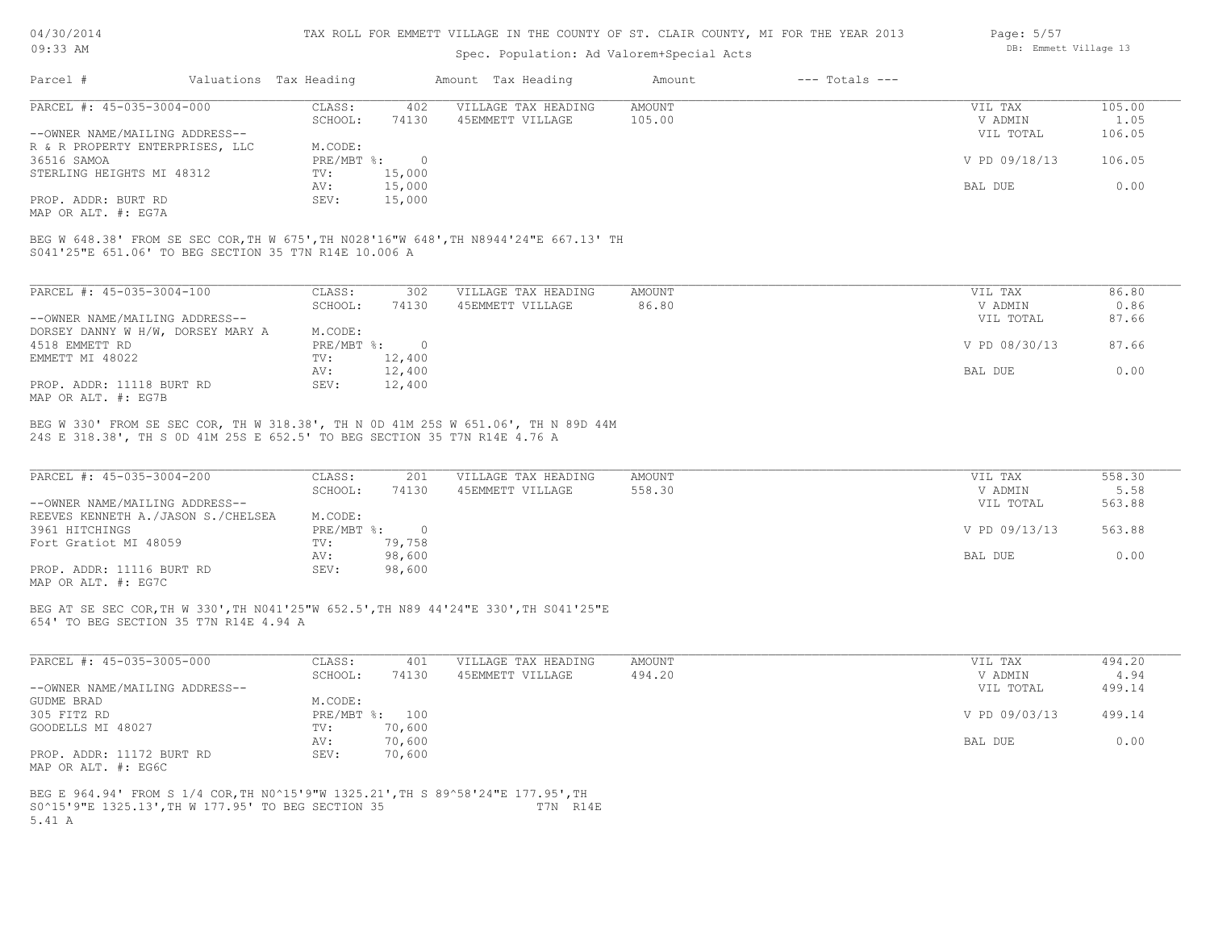### Spec. Population: Ad Valorem+Special

| 04/30/2014 |                        | TAX ROLL FOR EMMETT VILLAGE IN THE COUNTY OF ST. CLAIR COUNTY, MI FOR THE YEAR 2013 |        |                | Page: $5/57$          |
|------------|------------------------|-------------------------------------------------------------------------------------|--------|----------------|-----------------------|
| 09:33 AM   |                        | Spec. Population: Ad Valorem+Special Acts                                           |        |                | DB: Emmett Village 13 |
| Parcel     | Valuations Tax Heading | Amount Tax Heading                                                                  | Amount | --- Totals --- |                       |

| PARCEL #: 45-035-3004-000                                                                                       | CLASS:     | 402    | VILLAGE TAX HEADING | AMOUNT | VIL TAX       | 105.00 |
|-----------------------------------------------------------------------------------------------------------------|------------|--------|---------------------|--------|---------------|--------|
|                                                                                                                 | SCHOOL:    | 74130  | 45EMMETT VILLAGE    | 105.00 | V ADMIN       | 1.05   |
| --OWNER NAME/MAILING ADDRESS--                                                                                  |            |        |                     |        | VIL TOTAL     | 106.05 |
| R & R PROPERTY ENTERPRISES, LLC                                                                                 | M.CODE:    |        |                     |        |               |        |
| 36516 SAMOA                                                                                                     | PRE/MBT %: |        |                     |        | V PD 09/18/13 | 106.05 |
| STERLING HEIGHTS MI 48312                                                                                       | TV:        | 15,000 |                     |        |               |        |
|                                                                                                                 | AV:        | 15,000 |                     |        | BAL DUE       | 0.00   |
| PROP. ADDR: BURT RD                                                                                             | SEV:       | 15,000 |                     |        |               |        |
| the contract of the contract of the contract of the contract of the contract of the contract of the contract of |            |        |                     |        |               |        |

MAP OR ALT. #: EG7A

S041'25"E 651.06' TO BEG SECTION 35 T7N R14E 10.006 A BEG W 648.38' FROM SE SEC COR,TH W 675',TH N028'16"W 648',TH N8944'24"E 667.13' TH

| PARCEL #: 45-035-3004-100         | CLASS:     | 302      | VILLAGE TAX HEADING | AMOUNT | 86.80<br>VIL TAX       |  |
|-----------------------------------|------------|----------|---------------------|--------|------------------------|--|
|                                   | SCHOOL:    | 74130    | 45EMMETT VILLAGE    | 86.80  | 0.86<br>V ADMIN        |  |
| --OWNER NAME/MAILING ADDRESS--    |            |          |                     |        | 87.66<br>VIL TOTAL     |  |
| DORSEY DANNY W H/W, DORSEY MARY A | M.CODE:    |          |                     |        |                        |  |
| 4518 EMMETT RD                    | PRE/MBT %: | $\Omega$ |                     |        | V PD 08/30/13<br>87.66 |  |
| EMMETT MI 48022                   | TV:        | 12,400   |                     |        |                        |  |
|                                   | AV:        | 12,400   |                     |        | 0.00<br>BAL DUE        |  |
| PROP. ADDR: 11118 BURT RD         | SEV:       | 12,400   |                     |        |                        |  |
| MAP OR ALT. #: EG7B               |            |          |                     |        |                        |  |

24S E 318.38', TH S 0D 41M 25S E 652.5' TO BEG SECTION 35 T7N R14E 4.76 A BEG W 330' FROM SE SEC COR, TH W 318.38', TH N 0D 41M 25S W 651.06', TH N 89D 44M

| PARCEL #: 45-035-3004-200          | CLASS:     | 201    | VILLAGE TAX HEADING | AMOUNT | VIL TAX       | 558.30 |
|------------------------------------|------------|--------|---------------------|--------|---------------|--------|
|                                    | SCHOOL:    | 74130  | 45EMMETT VILLAGE    | 558.30 | V ADMIN       | 5.58   |
| --OWNER NAME/MAILING ADDRESS--     |            |        |                     |        | VIL TOTAL     | 563.88 |
| REEVES KENNETH A./JASON S./CHELSEA | M.CODE:    |        |                     |        |               |        |
| 3961 HITCHINGS                     | PRE/MBT %: |        |                     |        | V PD 09/13/13 | 563.88 |
| Fort Gratiot MI 48059              | TV:        | 79,758 |                     |        |               |        |
|                                    | AV:        | 98,600 |                     |        | BAL DUE       | 0.00   |
| PROP. ADDR: 11116 BURT RD          | SEV:       | 98,600 |                     |        |               |        |
|                                    |            |        |                     |        |               |        |

MAP OR ALT. #: EG7C

654' TO BEG SECTION 35 T7N R14E 4.94 A BEG AT SE SEC COR,TH W 330',TH N041'25"W 652.5',TH N89 44'24"E 330',TH S041'25"E

| PARCEL #: 45-035-3005-000      | CLASS:     | 401    | VILLAGE TAX HEADING | AMOUNT | VIL TAX       | 494.20 |
|--------------------------------|------------|--------|---------------------|--------|---------------|--------|
|                                | SCHOOL:    | 74130  | 45EMMETT VILLAGE    | 494.20 | V ADMIN       | 4.94   |
| --OWNER NAME/MAILING ADDRESS-- |            |        |                     |        | VIL TOTAL     | 499.14 |
| GUDME BRAD                     | M.CODE:    |        |                     |        |               |        |
| 305 FITZ RD                    | PRE/MBT %: | 100    |                     |        | V PD 09/03/13 | 499.14 |
| GOODELLS MI 48027              | TV:        | 70,600 |                     |        |               |        |
|                                | AV:        | 70,600 |                     |        | BAL DUE       | 0.00   |
| PROP. ADDR: 11172 BURT RD      | SEV:       | 70,600 |                     |        |               |        |
| MAP OR ALT. #: EG6C            |            |        |                     |        |               |        |

5.41 A S0^15'9"E 1325.13',TH W 177.95' TO BEG SECTION 35 T7N R14E BEG E 964.94' FROM S 1/4 COR,TH N0^15'9"W 1325.21',TH S 89^58'24"E 177.95',TH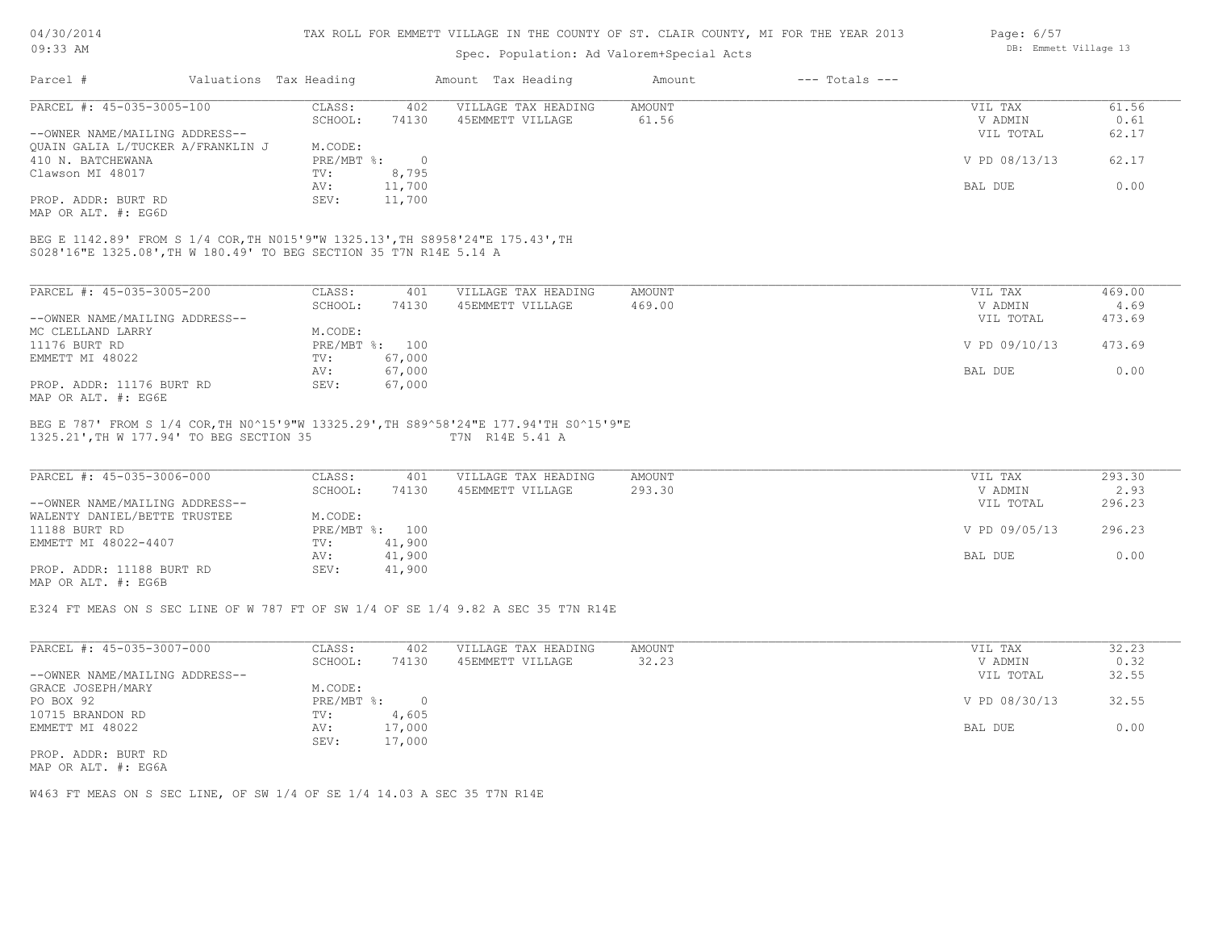Spec. Population: Ad Valorem+Special Acts

| Page: 6/57 |                       |  |
|------------|-----------------------|--|
|            | DB: Emmett Village 13 |  |

| Parcel #                                                           | Valuations Tax Heading |                | Amount Tax Heading                                                             | Amount | $---$ Totals $---$ |               |        |
|--------------------------------------------------------------------|------------------------|----------------|--------------------------------------------------------------------------------|--------|--------------------|---------------|--------|
| PARCEL #: 45-035-3005-100                                          | CLASS:                 | 402            | VILLAGE TAX HEADING                                                            | AMOUNT |                    | VIL TAX       | 61.56  |
|                                                                    | SCHOOL:                | 74130          | 45EMMETT VILLAGE                                                               | 61.56  |                    | V ADMIN       | 0.61   |
| --OWNER NAME/MAILING ADDRESS--                                     |                        |                |                                                                                |        |                    | VIL TOTAL     | 62.17  |
| OUAIN GALIA L/TUCKER A/FRANKLIN J                                  | M.CODE:                |                |                                                                                |        |                    |               |        |
| 410 N. BATCHEWANA                                                  | PRE/MBT %:             | $\overline{0}$ |                                                                                |        |                    | V PD 08/13/13 | 62.17  |
| Clawson MI 48017                                                   | TV:                    | 8,795          |                                                                                |        |                    |               |        |
|                                                                    | AV:                    | 11,700         |                                                                                |        |                    | BAL DUE       | 0.00   |
| PROP. ADDR: BURT RD                                                | SEV:                   | 11,700         |                                                                                |        |                    |               |        |
| MAP OR ALT. #: EG6D                                                |                        |                |                                                                                |        |                    |               |        |
|                                                                    |                        |                | BEG E 1142.89' FROM S 1/4 COR, TH N015'9"W 1325.13', TH S8958'24"E 175.43', TH |        |                    |               |        |
| S028'16"E 1325.08', TH W 180.49' TO BEG SECTION 35 T7N R14E 5.14 A |                        |                |                                                                                |        |                    |               |        |
|                                                                    |                        |                |                                                                                |        |                    |               |        |
| PARCEL #: 45-035-3005-200                                          | CLASS:                 | 401            | VILLAGE TAX HEADING                                                            | AMOUNT |                    | VIL TAX       | 469.00 |
|                                                                    | SCHOOL:                | 74130          | 45EMMETT VILLAGE                                                               | 469.00 |                    | V ADMIN       | 4.69   |
| --OWNER NAME/MAILING ADDRESS--                                     |                        |                |                                                                                |        |                    | VIL TOTAL     | 473.69 |
| MC CLELLAND LARRY                                                  | M.CODE:                |                |                                                                                |        |                    |               |        |
| 11176 BURT RD                                                      |                        | PRE/MBT %: 100 |                                                                                |        |                    | V PD 09/10/13 | 473.69 |
| EMMETT MI 48022                                                    | TV:                    | 67,000         |                                                                                |        |                    |               |        |
|                                                                    | AV:                    | 67,000         |                                                                                |        |                    | BAL DUE       | 0.00   |

MAP OR ALT. #: EG6E PROP. ADDR: 11176 BURT RD SEV: 67,000

#### 1325.21',TH W 177.94' TO BEG SECTION 35 T7N R14E 5.41 A BEG E 787' FROM S 1/4 COR,TH N0^15'9"W 13325.29',TH S89^58'24"E 177.94'TH S0^15'9"E

| PARCEL #: 45-035-3006-000      | CLASS:  | 401            | VILLAGE TAX HEADING | AMOUNT | VIL TAX       | 293.30 |
|--------------------------------|---------|----------------|---------------------|--------|---------------|--------|
|                                | SCHOOL: | 74130          | 45EMMETT VILLAGE    | 293.30 | V ADMIN       | 2.93   |
| --OWNER NAME/MAILING ADDRESS-- |         |                |                     |        | VIL TOTAL     | 296.23 |
| WALENTY DANIEL/BETTE TRUSTEE   | M.CODE: |                |                     |        |               |        |
| 11188 BURT RD                  |         | PRE/MBT %: 100 |                     |        | V PD 09/05/13 | 296.23 |
| EMMETT MI 48022-4407           | TV:     | 41,900         |                     |        |               |        |
|                                | AV:     | 41,900         |                     |        | BAL DUE       | 0.00   |
| PROP. ADDR: 11188 BURT RD      | SEV:    | 41,900         |                     |        |               |        |
| MAP OR ALT. #: EG6B            |         |                |                     |        |               |        |

AV: 67,000 BAL DUE 0.00

E324 FT MEAS ON S SEC LINE OF W 787 FT OF SW 1/4 OF SE 1/4 9.82 A SEC 35 T7N R14E

| PARCEL #: 45-035-3007-000      | CLASS:     | 402    | VILLAGE TAX HEADING | AMOUNT | 32.23<br>VIL TAX       |
|--------------------------------|------------|--------|---------------------|--------|------------------------|
|                                | SCHOOL:    | 74130  | 45EMMETT VILLAGE    | 32.23  | 0.32<br>V ADMIN        |
| --OWNER NAME/MAILING ADDRESS-- |            |        |                     |        | 32.55<br>VIL TOTAL     |
| GRACE JOSEPH/MARY              | M.CODE:    |        |                     |        |                        |
| PO BOX 92                      | PRE/MBT %: |        |                     |        | 32.55<br>V PD 08/30/13 |
| 10715 BRANDON RD               | TV:        | 4,605  |                     |        |                        |
| EMMETT MI 48022                | AV:        | 17,000 |                     |        | 0.00<br>BAL DUE        |
|                                | SEV:       | 17,000 |                     |        |                        |
| PROP. ADDR: BURT RD            |            |        |                     |        |                        |

MAP OR ALT. #: EG6A

W463 FT MEAS ON S SEC LINE, OF SW 1/4 OF SE 1/4 14.03 A SEC 35 T7N R14E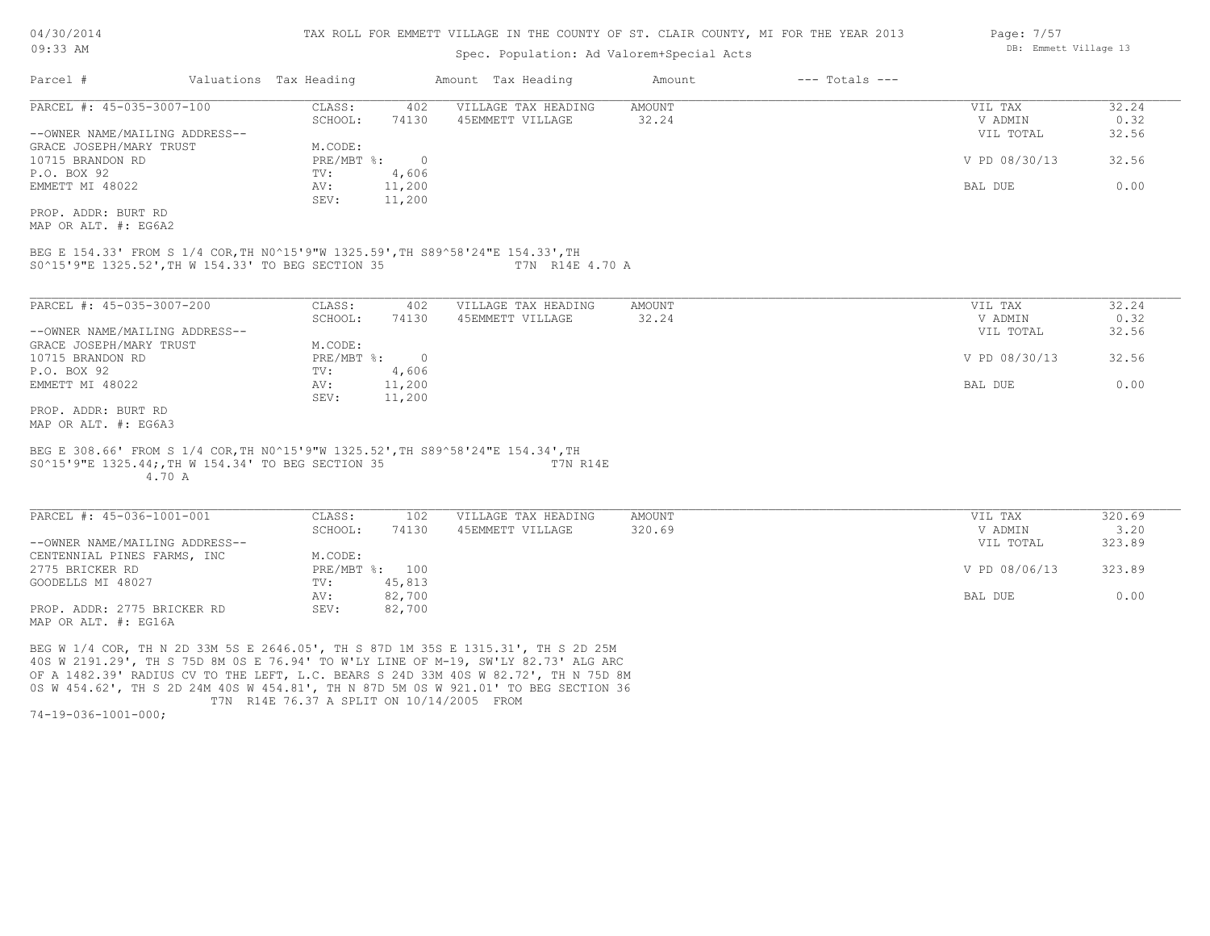### Spec. Population: Ad Valorem+Special Acts

| Parcel #                       | Valuations Tax Heading |        | Amount Tax Heading  | Amount | $---$ Totals $---$ |               |       |
|--------------------------------|------------------------|--------|---------------------|--------|--------------------|---------------|-------|
| PARCEL #: 45-035-3007-100      | CLASS:                 | 402    | VILLAGE TAX HEADING | AMOUNT |                    | VIL TAX       | 32.24 |
|                                | SCHOOL:                | 74130  | 45EMMETT VILLAGE    | 32.24  |                    | V ADMIN       | 0.32  |
| --OWNER NAME/MAILING ADDRESS-- |                        |        |                     |        |                    | VIL TOTAL     | 32.56 |
| GRACE JOSEPH/MARY TRUST        | M.CODE:                |        |                     |        |                    |               |       |
| 10715 BRANDON RD               | PRE/MBT %:             |        |                     |        |                    | V PD 08/30/13 | 32.56 |
| P.O. BOX 92                    | TV:                    | 4,606  |                     |        |                    |               |       |
| EMMETT MI 48022                | AV:                    | 11,200 |                     |        |                    | BAL DUE       | 0.00  |
|                                | SEV:                   | 11,200 |                     |        |                    |               |       |
| PROP, ADDR: BURT RD            |                        |        |                     |        |                    |               |       |

MAP OR ALT. #: EG6A2

S0^15'9"E 1325.52',TH W 154.33' TO BEG SECTION 35 T7N R14E 4.70 A BEG E 154.33' FROM S 1/4 COR,TH N0^15'9"W 1325.59',TH S89^58'24"E 154.33',TH

| PARCEL #: 45-035-3007-200      | CLASS:     | 402    | VILLAGE TAX HEADING | AMOUNT | VIL TAX       | 32.24 |
|--------------------------------|------------|--------|---------------------|--------|---------------|-------|
|                                | SCHOOL:    | 74130  | 45EMMETT VILLAGE    | 32.24  | V ADMIN       | 0.32  |
| --OWNER NAME/MAILING ADDRESS-- |            |        |                     |        | VIL TOTAL     | 32.56 |
| GRACE JOSEPH/MARY TRUST        | M.CODE:    |        |                     |        |               |       |
| 10715 BRANDON RD               | PRE/MBT %: |        |                     |        | V PD 08/30/13 | 32.56 |
| P.O. BOX 92                    | TV:        | 4,606  |                     |        |               |       |
| EMMETT MI 48022                | AV:        | 11,200 |                     |        | BAL DUE       | 0.00  |
|                                | SEV:       | 11,200 |                     |        |               |       |
| PROP, ADDR: BURT RD            |            |        |                     |        |               |       |

MAP OR ALT. #: EG6A3

#### 4.70 A S0^15'9"E 1325.44;,TH W 154.34' TO BEG SECTION 35 T7N R14E BEG E 308.66' FROM S 1/4 COR,TH N0^15'9"W 1325.52',TH S89^58'24"E 154.34',TH

MAP OR ALT. #: EG16A PROP. ADDR: 2775 BRICKER RD SEV: 82,700 AV: 82,700 BAL DUE 0.00 GOODELLS MI 48027 TV: 45,813<br>
AV: 82,700 2775 BRICKER RD PRE/MBT %: 100 V PD 08/06/13 323.89 CENTENNIAL PINES FARMS, INC<br>2775 BRICKER RD<br>PRE/MBT %: 100 --OWNER NAME/MAILING ADDRESS-- VIL TOTAL 323.89 SCHOOL: 74130 45EMMETT VILLAGE 320.69 320.00 320 320 5 320 320 5 320 5 320 5 320 5 320 5 320 5 320 5 320 5 320 PARCEL #: 45-036-1001-001 CLASS: 102 VILLAGE TAX HEADING AMOUNT VIL TAX 320.69  $\mathcal{L}_\mathcal{L} = \mathcal{L}_\mathcal{L} = \mathcal{L}_\mathcal{L} = \mathcal{L}_\mathcal{L} = \mathcal{L}_\mathcal{L} = \mathcal{L}_\mathcal{L} = \mathcal{L}_\mathcal{L} = \mathcal{L}_\mathcal{L} = \mathcal{L}_\mathcal{L} = \mathcal{L}_\mathcal{L} = \mathcal{L}_\mathcal{L} = \mathcal{L}_\mathcal{L} = \mathcal{L}_\mathcal{L} = \mathcal{L}_\mathcal{L} = \mathcal{L}_\mathcal{L} = \mathcal{L}_\mathcal{L} = \mathcal{L}_\mathcal{L}$ 

 T7N R14E 76.37 A SPLIT ON 10/14/2005 FROM 0S W 454.62', TH S 2D 24M 40S W 454.81', TH N 87D 5M 0S W 921.01' TO BEG SECTION 36 OF A 1482.39' RADIUS CV TO THE LEFT, L.C. BEARS S 24D 33M 40S W 82.72', TH N 75D 8M 40S W 2191.29', TH S 75D 8M 0S E 76.94' TO W'LY LINE OF M-19, SW'LY 82.73' ALG ARC BEG W 1/4 COR, TH N 2D 33M 5S E 2646.05', TH S 87D 1M 35S E 1315.31', TH S 2D 25M

74-19-036-1001-000;

Page: 7/57 DB: Emmett Village 13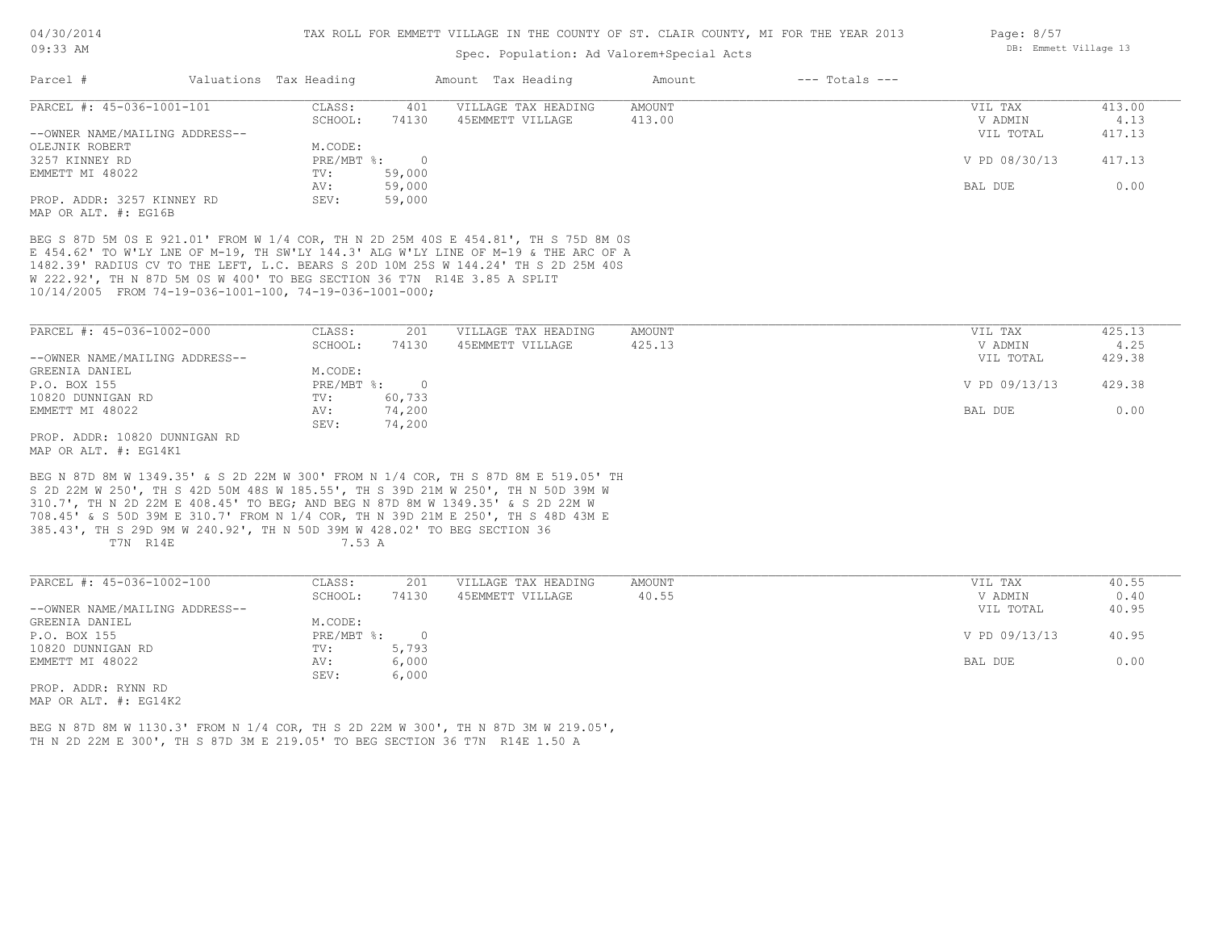## Spec. Population: Ad Valorem+Special Acts

| Parcel #                       | Valuations Tax Heading |        | Amount Tax Heading  | Amount | $---$ Totals $---$ |               |        |
|--------------------------------|------------------------|--------|---------------------|--------|--------------------|---------------|--------|
| PARCEL #: 45-036-1001-101      | CLASS:                 | 401    | VILLAGE TAX HEADING | AMOUNT |                    | VIL TAX       | 413.00 |
|                                | SCHOOL:                | 74130  | 45EMMETT VILLAGE    | 413.00 |                    | V ADMIN       | 4.13   |
| --OWNER NAME/MAILING ADDRESS-- |                        |        |                     |        |                    | VIL TOTAL     | 417.13 |
| OLEJNIK ROBERT                 | M.CODE:                |        |                     |        |                    |               |        |
| 3257 KINNEY RD                 | PRE/MBT %:             |        |                     |        |                    | V PD 08/30/13 | 417.13 |
| EMMETT MI 48022                | TV:                    | 59,000 |                     |        |                    |               |        |
|                                | AV:                    | 59,000 |                     |        |                    | BAL DUE       | 0.00   |
| PROP. ADDR: 3257 KINNEY RD     | SEV:                   | 59,000 |                     |        |                    |               |        |
| MAP OR ALT. #: EG16B           |                        |        |                     |        |                    |               |        |

10/14/2005 FROM 74-19-036-1001-100, 74-19-036-1001-000; W 222.92', TH N 87D 5M 0S W 400' TO BEG SECTION 36 T7N R14E 3.85 A SPLIT 1482.39' RADIUS CV TO THE LEFT, L.C. BEARS S 20D 10M 25S W 144.24' TH S 2D 25M 40S E 454.62' TO W'LY LNE OF M-19, TH SW'LY 144.3' ALG W'LY LINE OF M-19 & THE ARC OF A BEG S 87D 5M 0S E 921.01' FROM W 1/4 COR, TH N 2D 25M 40S E 454.81', TH S 75D 8M 0S

| PARCEL #: 45-036-1002-000      | CLASS:       | 201    | VILLAGE TAX HEADING | AMOUNT | VIL TAX       | 425.13 |
|--------------------------------|--------------|--------|---------------------|--------|---------------|--------|
|                                | SCHOOL:      | 74130  | 45EMMETT VILLAGE    | 425.13 | V ADMIN       | 4.25   |
| --OWNER NAME/MAILING ADDRESS-- |              |        |                     |        | VIL TOTAL     | 429.38 |
| GREENIA DANIEL                 | M.CODE:      |        |                     |        |               |        |
| P.O. BOX 155                   | $PRE/MBT$ %: |        |                     |        | V PD 09/13/13 | 429.38 |
| 10820 DUNNIGAN RD              | TV:          | 60,733 |                     |        |               |        |
| EMMETT MI 48022                | AV:          | 74,200 |                     |        | BAL DUE       | 0.00   |
|                                | SEV:         | 74,200 |                     |        |               |        |
| PROP. ADDR: 10820 DUNNIGAN RD  |              |        |                     |        |               |        |

MAP OR ALT. #: EG14K1

T7N R14E 7.53 A 385.43', TH S 29D 9M W 240.92', TH N 50D 39M W 428.02' TO BEG SECTION 36 708.45' & S 50D 39M E 310.7' FROM N 1/4 COR, TH N 39D 21M E 250', TH S 48D 43M E 310.7', TH N 2D 22M E 408.45' TO BEG; AND BEG N 87D 8M W 1349.35' & S 2D 22M W S 2D 22M W 250', TH S 42D 50M 48S W 185.55', TH S 39D 21M W 250', TH N 50D 39M W BEG N 87D 8M W 1349.35' & S 2D 22M W 300' FROM N 1/4 COR, TH S 87D 8M E 519.05' TH

| PARCEL #: 45-036-1002-100      | CLASS:     | 201      | VILLAGE TAX HEADING | AMOUNT | VIL TAX       | 40.55 |
|--------------------------------|------------|----------|---------------------|--------|---------------|-------|
|                                | SCHOOL:    | 74130    | 45EMMETT VILLAGE    | 40.55  | V ADMIN       | 0.40  |
| --OWNER NAME/MAILING ADDRESS-- |            |          |                     |        | VIL TOTAL     | 40.95 |
| GREENIA DANIEL                 | M.CODE:    |          |                     |        |               |       |
| P.O. BOX 155                   | PRE/MBT %: | $\Omega$ |                     |        | V PD 09/13/13 | 40.95 |
| 10820 DUNNIGAN RD              | TV:        | 5,793    |                     |        |               |       |
| EMMETT MI 48022                | AV:        | 6,000    |                     |        | BAL DUE       | 0.00  |
|                                | SEV:       | 6,000    |                     |        |               |       |
| PROP. ADDR: RYNN RD            |            |          |                     |        |               |       |

 $\mathcal{L}_\mathcal{L} = \mathcal{L}_\mathcal{L} = \mathcal{L}_\mathcal{L} = \mathcal{L}_\mathcal{L} = \mathcal{L}_\mathcal{L} = \mathcal{L}_\mathcal{L} = \mathcal{L}_\mathcal{L} = \mathcal{L}_\mathcal{L} = \mathcal{L}_\mathcal{L} = \mathcal{L}_\mathcal{L} = \mathcal{L}_\mathcal{L} = \mathcal{L}_\mathcal{L} = \mathcal{L}_\mathcal{L} = \mathcal{L}_\mathcal{L} = \mathcal{L}_\mathcal{L} = \mathcal{L}_\mathcal{L} = \mathcal{L}_\mathcal{L}$ 

MAP OR ALT. #: EG14K2

TH N 2D 22M E 300', TH S 87D 3M E 219.05' TO BEG SECTION 36 T7N R14E 1.50 A BEG N 87D 8M W 1130.3' FROM N 1/4 COR, TH S 2D 22M W 300', TH N 87D 3M W 219.05', Page: 8/57 DB: Emmett Village 13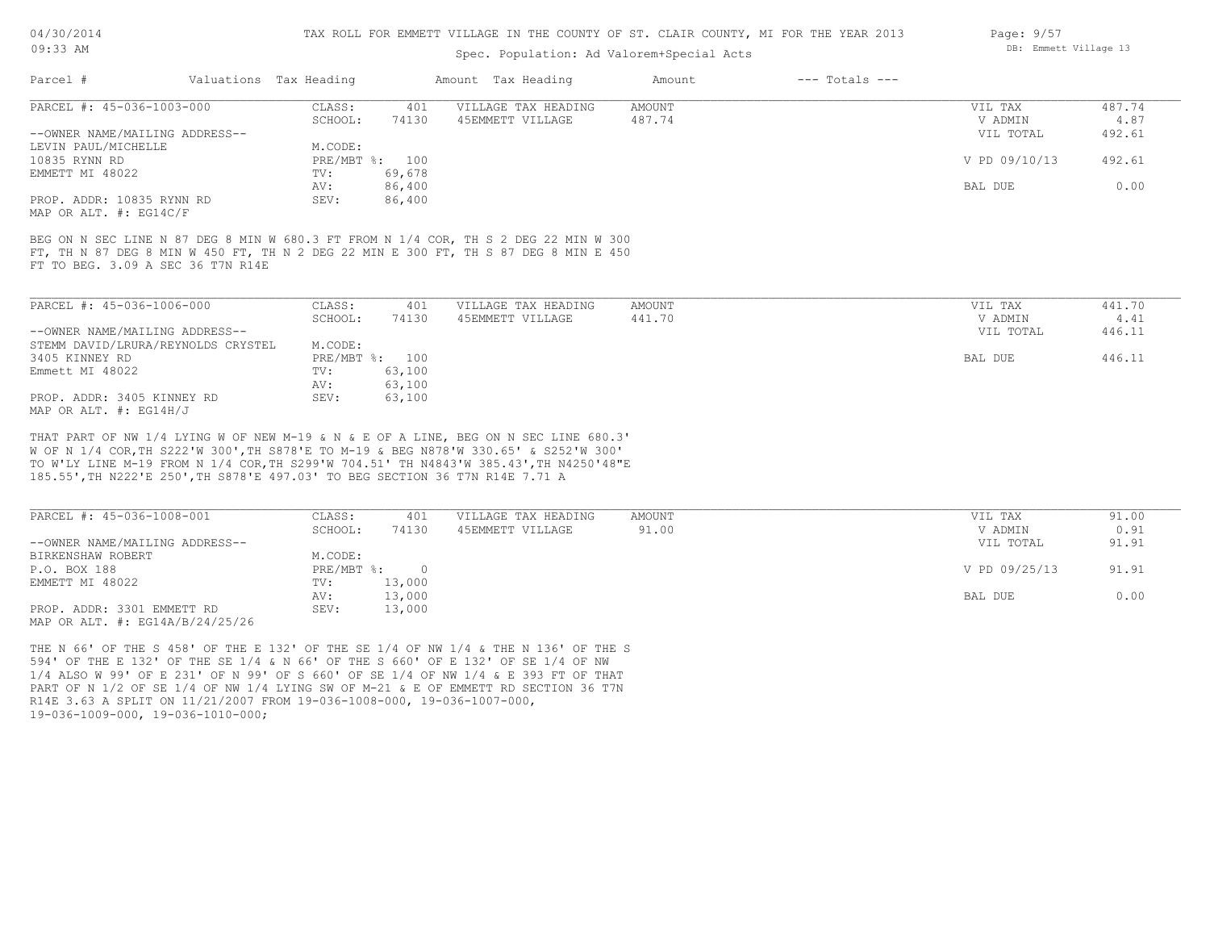#### TAX ROLL FOR EMMETT VILLAGE IN THE COUNTY OF ST. CLAIR COUNTY, MI FOR THE YEAR 2013

## Spec. Population: Ad Valorem+Special Acts

| Page: 9/57 |                       |  |
|------------|-----------------------|--|
|            | DB: Emmett Village 13 |  |

 $\sim$   $\sim$   $\sim$ 

| Parcel #                       | Valuations Tax Heading |                | Amount Tax Heading  | Amount | $---$ Totals $---$ |               |        |
|--------------------------------|------------------------|----------------|---------------------|--------|--------------------|---------------|--------|
| PARCEL #: 45-036-1003-000      | CLASS:                 | 401            | VILLAGE TAX HEADING | AMOUNT |                    | VIL TAX       | 487.74 |
|                                | SCHOOL:                | 74130          | 45EMMETT VILLAGE    | 487.74 |                    | V ADMIN       | 4.87   |
| --OWNER NAME/MAILING ADDRESS-- |                        |                |                     |        |                    | VIL TOTAL     | 492.61 |
| LEVIN PAUL/MICHELLE            | M.CODE:                |                |                     |        |                    |               |        |
| 10835 RYNN RD                  |                        | PRE/MBT %: 100 |                     |        |                    | V PD 09/10/13 | 492.61 |
| EMMETT MI 48022                | TV:                    | 69,678         |                     |        |                    |               |        |
|                                | AV:                    | 86,400         |                     |        |                    | BAL DUE       | 0.00   |
| PROP. ADDR: 10835 RYNN RD      | SEV:                   | 86,400         |                     |        |                    |               |        |
| MAP OR ALT. #: EG14C/F         |                        |                |                     |        |                    |               |        |
|                                |                        |                |                     |        |                    |               |        |

FT TO BEG. 3.09 A SEC 36 T7N R14E FT, TH N 87 DEG 8 MIN W 450 FT, TH N 2 DEG 22 MIN E 300 FT, TH S 87 DEG 8 MIN E 450 BEG ON N SEC LINE N 87 DEG 8 MIN W 680.3 FT FROM N 1/4 COR, TH S 2 DEG 22 MIN W 300

| PARCEL #: 45-036-1006-000          | CLASS:  | 401            | VILLAGE TAX HEADING | AMOUNT | VIL TAX   | 441.70 |
|------------------------------------|---------|----------------|---------------------|--------|-----------|--------|
|                                    | SCHOOL: | 74130          | 45EMMETT VILLAGE    | 441.70 | V ADMIN   | 4.41   |
| --OWNER NAME/MAILING ADDRESS--     |         |                |                     |        | VIL TOTAL | 446.11 |
| STEMM DAVID/LRURA/REYNOLDS CRYSTEL | M.CODE: |                |                     |        |           |        |
| 3405 KINNEY RD                     |         | PRE/MBT %: 100 |                     |        | BAL DUE   | 446.11 |
| Emmett MI 48022                    | TV:     | 63,100         |                     |        |           |        |
|                                    | AV:     | 63,100         |                     |        |           |        |
| PROP. ADDR: 3405 KINNEY RD         | SEV:    | 63,100         |                     |        |           |        |
| MAP OR ALT. $\#$ : EG14H/J         |         |                |                     |        |           |        |

185.55',TH N222'E 250',TH S878'E 497.03' TO BEG SECTION 36 T7N R14E 7.71 A TO W'LY LINE M-19 FROM N 1/4 COR,TH S299'W 704.51' TH N4843'W 385.43',TH N4250'48"E W OF N 1/4 COR,TH S222'W 300',TH S878'E TO M-19 & BEG N878'W 330.65' & S252'W 300' THAT PART OF NW 1/4 LYING W OF NEW M-19 & N & E OF A LINE, BEG ON N SEC LINE 680.3'

| PARCEL #: 45-036-1008-001           | CLASS:     | 401    | VILLAGE TAX HEADING | AMOUNT | VIL TAX       | 91.00 |
|-------------------------------------|------------|--------|---------------------|--------|---------------|-------|
|                                     | SCHOOL:    | 74130  | 45EMMETT VILLAGE    | 91.00  | V ADMIN       | 0.91  |
| --OWNER NAME/MAILING ADDRESS--      |            |        |                     |        | VIL TOTAL     | 91.91 |
| BIRKENSHAW ROBERT                   | M.CODE:    |        |                     |        |               |       |
| P.O. BOX 188                        | PRE/MBT %: |        |                     |        | V PD 09/25/13 | 91.91 |
| EMMETT MI 48022                     | TV:        | 13,000 |                     |        |               |       |
|                                     | AV:        | 13,000 |                     |        | BAL DUE       | 0.00  |
| PROP. ADDR: 3301 EMMETT RD          | SEV:       | 13,000 |                     |        |               |       |
| MAP OR ALT. $\#$ : EG14A/B/24/25/26 |            |        |                     |        |               |       |

19-036-1009-000, 19-036-1010-000; R14E 3.63 A SPLIT ON 11/21/2007 FROM 19-036-1008-000, 19-036-1007-000, PART OF N 1/2 OF SE 1/4 OF NW 1/4 LYING SW OF M-21 & E OF EMMETT RD SECTION 36 T7N 1/4 ALSO W 99' OF E 231' OF N 99' OF S 660' OF SE 1/4 OF NW 1/4 & E 393 FT OF THAT 594' OF THE E 132' OF THE SE 1/4 & N 66' OF THE S 660' OF E 132' OF SE 1/4 OF NW THE N 66' OF THE S 458' OF THE E 132' OF THE SE 1/4 OF NW 1/4 & THE N 136' OF THE S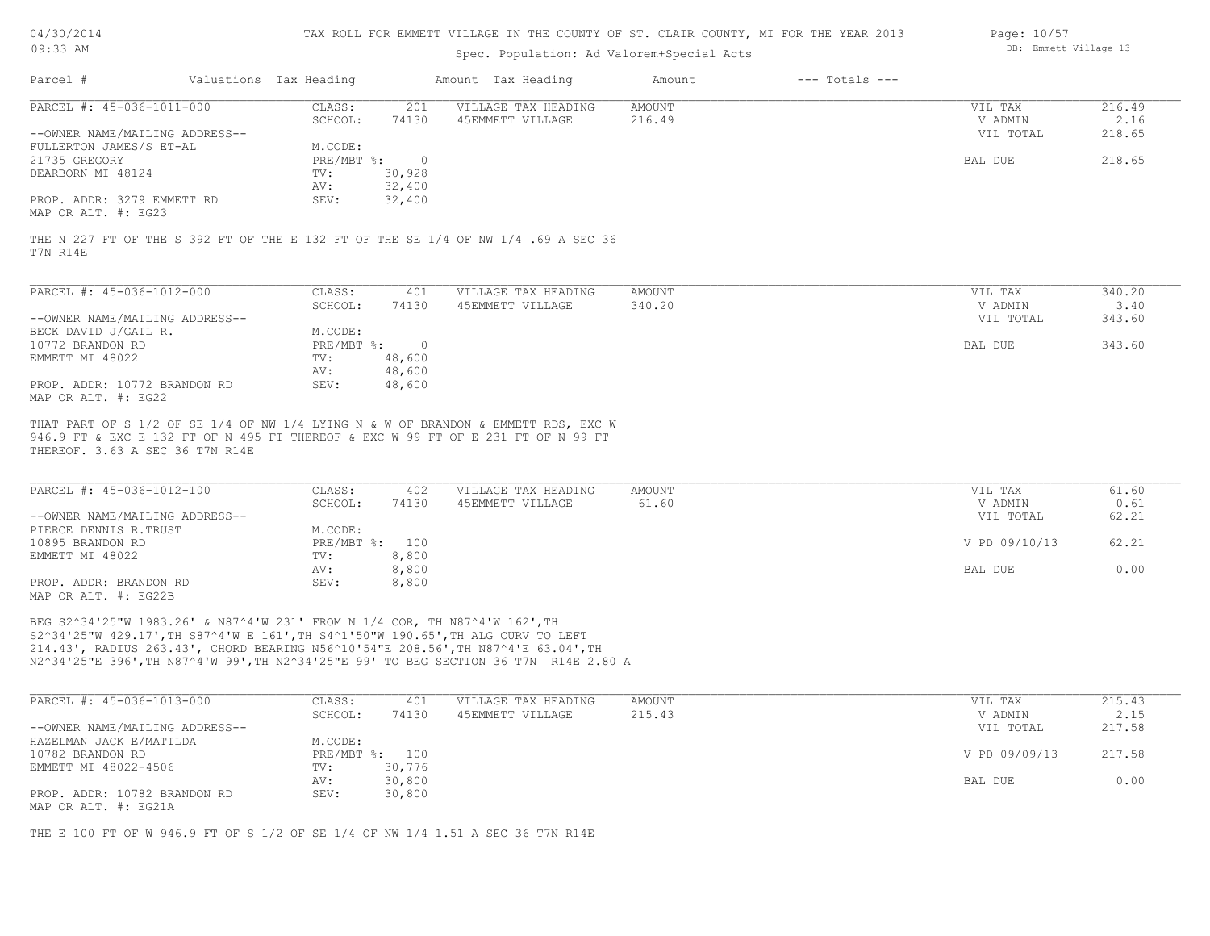| 04/30/201  |  |
|------------|--|
| $09:33$ AM |  |

### Spec. Population: Ad Valorem+Special Acts

| Page: 10/57 |                       |  |
|-------------|-----------------------|--|
|             | DB: Emmett Village 13 |  |

| Parcel #                       | Valuations Tax Heading |        | Amount Tax Heading  | Amount | $---$ Totals $---$ |           |        |
|--------------------------------|------------------------|--------|---------------------|--------|--------------------|-----------|--------|
| PARCEL #: 45-036-1011-000      | CLASS:                 | 201    | VILLAGE TAX HEADING | AMOUNT |                    | VIL TAX   | 216.49 |
|                                | SCHOOL:                | 74130  | 45EMMETT VILLAGE    | 216.49 |                    | V ADMIN   | 2.16   |
| --OWNER NAME/MAILING ADDRESS-- |                        |        |                     |        |                    | VIL TOTAL | 218.65 |
| FULLERTON JAMES/S ET-AL        | M.CODE:                |        |                     |        |                    |           |        |
| 21735 GREGORY                  | PRE/MBT %:             |        |                     |        |                    | BAL DUE   | 218.65 |
| DEARBORN MI 48124              | TV:                    | 30,928 |                     |        |                    |           |        |
|                                | AV:                    | 32,400 |                     |        |                    |           |        |
| PROP. ADDR: 3279 EMMETT RD     | SEV:                   | 32,400 |                     |        |                    |           |        |
| $\frac{1}{2}$                  |                        |        |                     |        |                    |           |        |

MAP OR ALT. #: EG23

T7N R14E THE N 227 FT OF THE S 392 FT OF THE E 132 FT OF THE SE 1/4 OF NW 1/4 .69 A SEC 36

| PARCEL #: 45-036-1012-000      | CLASS:     | 401    | VILLAGE TAX HEADING | AMOUNT | VIL TAX   | 340.20 |
|--------------------------------|------------|--------|---------------------|--------|-----------|--------|
|                                | SCHOOL:    | 74130  | 45EMMETT VILLAGE    | 340.20 | V ADMIN   | 3.40   |
| --OWNER NAME/MAILING ADDRESS-- |            |        |                     |        | VIL TOTAL | 343.60 |
| BECK DAVID J/GAIL R.           | M.CODE:    |        |                     |        |           |        |
| 10772 BRANDON RD               | PRE/MBT %: |        |                     |        | BAL DUE   | 343.60 |
| EMMETT MI 48022                | TV:        | 48,600 |                     |        |           |        |
|                                | AV:        | 48,600 |                     |        |           |        |
| PROP. ADDR: 10772 BRANDON RD   | SEV:       | 48,600 |                     |        |           |        |
| MAP OR ALT. #: EG22            |            |        |                     |        |           |        |

THEREOF. 3.63 A SEC 36 T7N R14E 946.9 FT & EXC E 132 FT OF N 495 FT THEREOF & EXC W 99 FT OF E 231 FT OF N 99 FT THAT PART OF S 1/2 OF SE 1/4 OF NW 1/4 LYING N & W OF BRANDON & EMMETT RDS, EXC W

| PARCEL #: 45-036-1012-100                                                      | CLASS:  | 402            | VILLAGE TAX HEADING | AMOUNT | VIL TAX       | 61.60 |
|--------------------------------------------------------------------------------|---------|----------------|---------------------|--------|---------------|-------|
|                                                                                | SCHOOL: | 74130          | 45EMMETT VILLAGE    | 61.60  | V ADMIN       | 0.61  |
| --OWNER NAME/MAILING ADDRESS--                                                 |         |                |                     |        | VIL TOTAL     | 62.21 |
| PIERCE DENNIS R.TRUST                                                          | M.CODE: |                |                     |        |               |       |
| 10895 BRANDON RD                                                               |         | PRE/MBT %: 100 |                     |        | V PD 09/10/13 | 62.21 |
| EMMETT MI 48022                                                                | TV:     | 8,800          |                     |        |               |       |
|                                                                                | AV:     | 8,800          |                     |        | BAL DUE       | 0.00  |
| PROP. ADDR: BRANDON RD                                                         | SEV:    | 8,800          |                     |        |               |       |
| $M \wedge D$ $\wedge D$ $\wedge T$ $\wedge T$ $\wedge T$ $\wedge T$ $\wedge T$ |         |                |                     |        |               |       |

MAP OR ALT. #: EG22B

N2^34'25"E 396',TH N87^4'W 99',TH N2^34'25"E 99' TO BEG SECTION 36 T7N R14E 2.80 A 214.43', RADIUS 263.43', CHORD BEARING N56^10'54"E 208.56',TH N87^4'E 63.04',TH S2^34'25"W 429.17',TH S87^4'W E 161',TH S4^1'50"W 190.65',TH ALG CURV TO LEFT BEG S2^34'25"W 1983.26' & N87^4'W 231' FROM N 1/4 COR, TH N87^4'W 162',TH

| PARCEL #: 45-036-1013-000      | CLASS:  | 401            | VILLAGE TAX HEADING | AMOUNT | VIL TAX       | 215.43 |
|--------------------------------|---------|----------------|---------------------|--------|---------------|--------|
|                                | SCHOOL: | 74130          | 45EMMETT VILLAGE    | 215.43 | V ADMIN       | 2.15   |
| --OWNER NAME/MAILING ADDRESS-- |         |                |                     |        | VIL TOTAL     | 217.58 |
| HAZELMAN JACK E/MATILDA        | M.CODE: |                |                     |        |               |        |
| 10782 BRANDON RD               |         | PRE/MBT %: 100 |                     |        | V PD 09/09/13 | 217.58 |
| EMMETT MI 48022-4506           | TV:     | 30,776         |                     |        |               |        |
|                                | AV:     | 30,800         |                     |        | BAL DUE       | 0.00   |
| PROP. ADDR: 10782 BRANDON RD   | SEV:    | 30,800         |                     |        |               |        |
| MAP OR ALT. #: EG21A           |         |                |                     |        |               |        |

THE E 100 FT OF W 946.9 FT OF S 1/2 OF SE 1/4 OF NW 1/4 1.51 A SEC 36 T7N R14E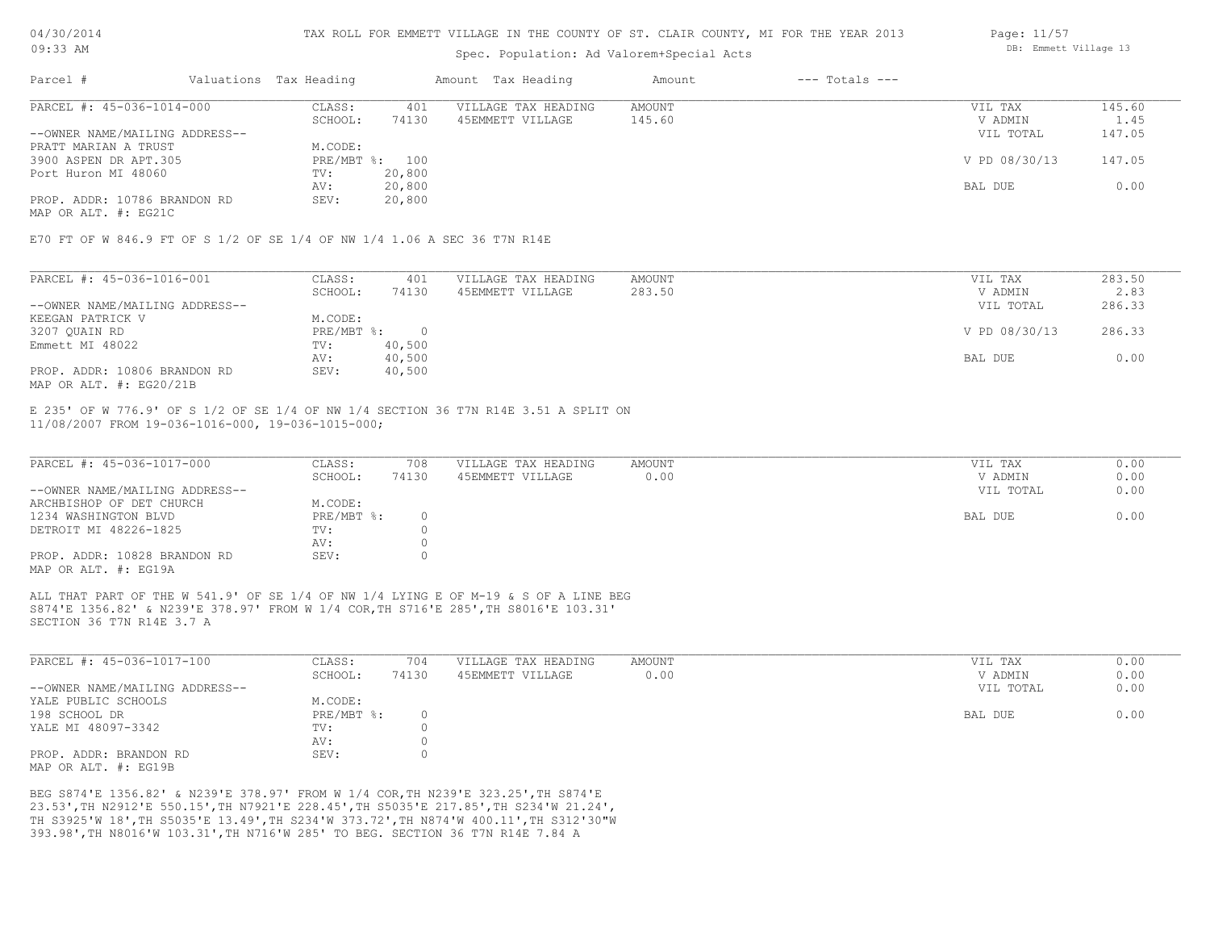### Spec. Population: Ad Valorem+Special Acts

| Parcel #                       | Valuations Tax Heading |        | Amount Tax Heading  | Amount | $---$ Totals $---$ |               |        |
|--------------------------------|------------------------|--------|---------------------|--------|--------------------|---------------|--------|
| PARCEL #: 45-036-1014-000      | CLASS:                 | 401    | VILLAGE TAX HEADING | AMOUNT |                    | VIL TAX       | 145.60 |
|                                | SCHOOL:                | 74130  | 45EMMETT VILLAGE    | 145.60 |                    | V ADMIN       | 1.45   |
| --OWNER NAME/MAILING ADDRESS-- |                        |        |                     |        |                    | VIL TOTAL     | 147.05 |
| PRATT MARIAN A TRUST           | M.CODE:                |        |                     |        |                    |               |        |
| 3900 ASPEN DR APT.305          | PRE/MBT %: 100         |        |                     |        |                    | V PD 08/30/13 | 147.05 |
| Port Huron MI 48060            | TV:                    | 20,800 |                     |        |                    |               |        |
|                                | AV:                    | 20,800 |                     |        |                    | BAL DUE       | 0.00   |
| PROP. ADDR: 10786 BRANDON RD   | SEV:                   | 20,800 |                     |        |                    |               |        |
|                                |                        |        |                     |        |                    |               |        |

MAP OR ALT. #: EG21C

E70 FT OF W 846.9 FT OF S 1/2 OF SE 1/4 OF NW 1/4 1.06 A SEC 36 T7N R14E

| PARCEL #: 45-036-1016-001      | CLASS:     | 401    | VILLAGE TAX HEADING | AMOUNT | VIL TAX       | 283.50 |
|--------------------------------|------------|--------|---------------------|--------|---------------|--------|
|                                | SCHOOL:    | 74130  | 45EMMETT VILLAGE    | 283.50 | V ADMIN       | 2.83   |
| --OWNER NAME/MAILING ADDRESS-- |            |        |                     |        | VIL TOTAL     | 286.33 |
| KEEGAN PATRICK V               | M.CODE:    |        |                     |        |               |        |
| 3207 QUAIN RD                  | PRE/MBT %: |        |                     |        | V PD 08/30/13 | 286.33 |
| Emmett MI 48022                | TV:        | 40,500 |                     |        |               |        |
|                                | AV:        | 40,500 |                     |        | BAL DUE       | 0.00   |
| PROP. ADDR: 10806 BRANDON RD   | SEV:       | 40,500 |                     |        |               |        |
| MAP OR ALT. $\#$ : EG20/21B    |            |        |                     |        |               |        |

11/08/2007 FROM 19-036-1016-000, 19-036-1015-000; E 235' OF W 776.9' OF S 1/2 OF SE 1/4 OF NW 1/4 SECTION 36 T7N R14E 3.51 A SPLIT ON

| PARCEL #: 45-036-1017-000                            | CLASS:     | 708   | VILLAGE TAX HEADING | AMOUNT | VIL TAX   | 0.00 |
|------------------------------------------------------|------------|-------|---------------------|--------|-----------|------|
|                                                      | SCHOOL:    | 74130 | 45EMMETT VILLAGE    | 0.00   | V ADMIN   | 0.00 |
| --OWNER NAME/MAILING ADDRESS--                       |            |       |                     |        | VIL TOTAL | 0.00 |
| ARCHBISHOP OF DET CHURCH                             | M.CODE:    |       |                     |        |           |      |
| 1234 WASHINGTON BLVD                                 | PRE/MBT %: |       |                     |        | BAL DUE   | 0.00 |
| DETROIT MI 48226-1825                                | TV:        |       |                     |        |           |      |
|                                                      | AV:        |       |                     |        |           |      |
| PROP. ADDR: 10828 BRANDON RD<br>MAP OR ALT. #: EG19A | SEV:       |       |                     |        |           |      |

SECTION 36 T7N R14E 3.7 A S874'E 1356.82' & N239'E 378.97' FROM W 1/4 COR,TH S716'E 285',TH S8016'E 103.31' ALL THAT PART OF THE W 541.9' OF SE 1/4 OF NW 1/4 LYING E OF M-19 & S OF A LINE BEG

| PARCEL #: 45-036-1017-100      | CLASS:     | 704   | VILLAGE TAX HEADING | AMOUNT | VIL TAX   | 0.00 |
|--------------------------------|------------|-------|---------------------|--------|-----------|------|
|                                | SCHOOL:    | 74130 | 45EMMETT VILLAGE    | 0.00   | V ADMIN   | 0.00 |
| --OWNER NAME/MAILING ADDRESS-- |            |       |                     |        | VIL TOTAL | 0.00 |
| YALE PUBLIC SCHOOLS            | M.CODE:    |       |                     |        |           |      |
| 198 SCHOOL DR                  | PRE/MBT %: |       |                     |        | BAL DUE   | 0.00 |
| YALE MI 48097-3342             | TV:        |       |                     |        |           |      |
|                                | AV:        |       |                     |        |           |      |
| PROP. ADDR: BRANDON RD         | SEV:       |       |                     |        |           |      |
| MAP OR ALT. #: EG19B           |            |       |                     |        |           |      |

393.98',TH N8016'W 103.31',TH N716'W 285' TO BEG. SECTION 36 T7N R14E 7.84 A TH S3925'W 18',TH S5035'E 13.49',TH S234'W 373.72',TH N874'W 400.11',TH S312'30"W 23.53',TH N2912'E 550.15',TH N7921'E 228.45',TH S5035'E 217.85',TH S234'W 21.24', BEG S874'E 1356.82' & N239'E 378.97' FROM W 1/4 COR,TH N239'E 323.25',TH S874'E

Page: 11/57 DB: Emmett Village 13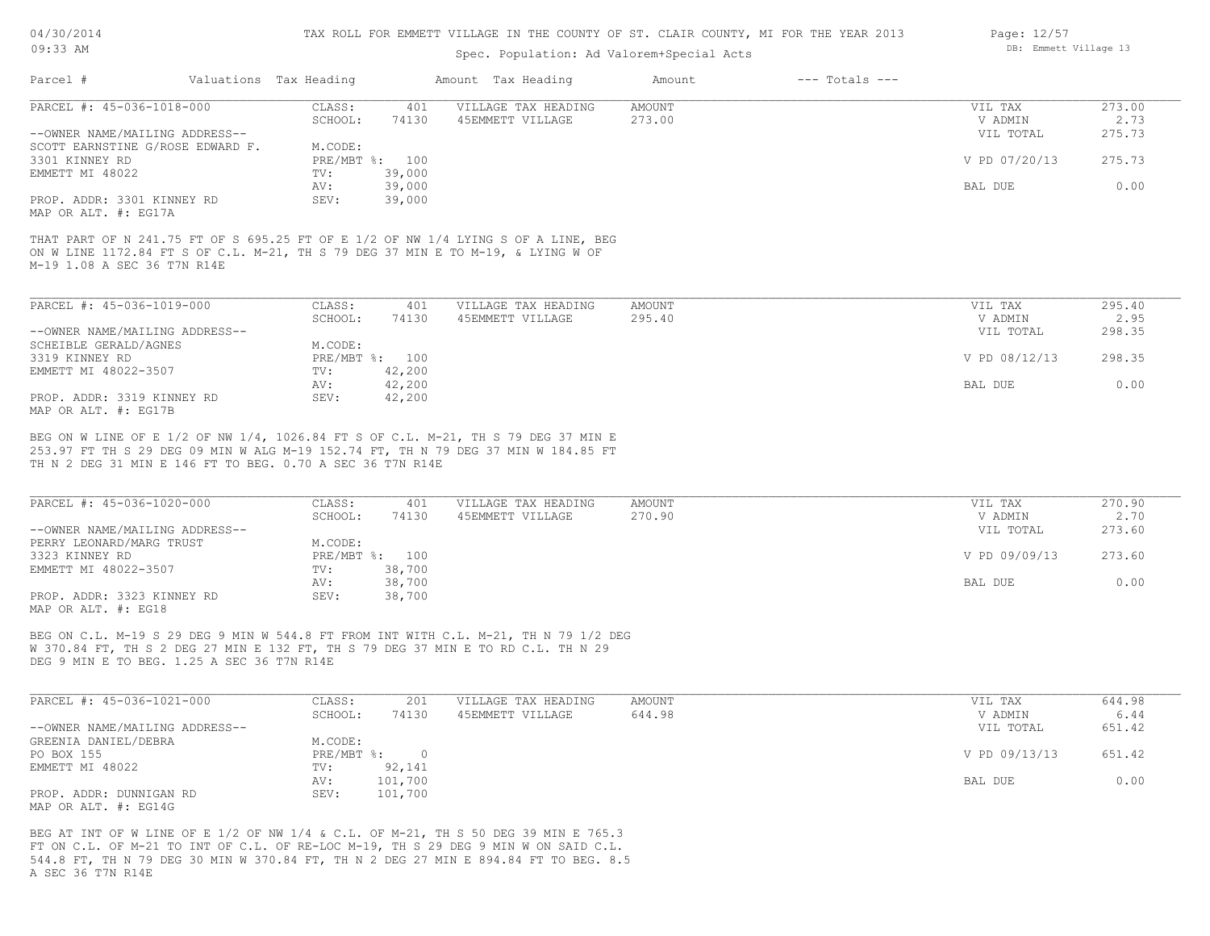## Spec. Population: Ad Valorem+Special Acts

| Parcel #                                           | Valuations Tax Heading |        | Amount Tax Heading  | Amount | $---$ Totals $---$ |               |        |
|----------------------------------------------------|------------------------|--------|---------------------|--------|--------------------|---------------|--------|
| PARCEL #: 45-036-1018-000                          | CLASS:                 | 401    | VILLAGE TAX HEADING | AMOUNT |                    | VIL TAX       | 273.00 |
|                                                    | SCHOOL:                | 74130  | 45EMMETT VILLAGE    | 273.00 |                    | V ADMIN       | 2.73   |
| --OWNER NAME/MAILING ADDRESS--                     |                        |        |                     |        |                    | VIL TOTAL     | 275.73 |
| SCOTT EARNSTINE G/ROSE EDWARD F.                   | M.CODE:                |        |                     |        |                    |               |        |
| 3301 KINNEY RD                                     | PRE/MBT %: 100         |        |                     |        |                    | V PD 07/20/13 | 275.73 |
| EMMETT MI 48022                                    | TV:                    | 39,000 |                     |        |                    |               |        |
|                                                    | AV:                    | 39,000 |                     |        |                    | BAL DUE       | 0.00   |
| PROP. ADDR: 3301 KINNEY RD<br>MAP OR ALT. #: EG17A | SEV:                   | 39,000 |                     |        |                    |               |        |

M-19 1.08 A SEC 36 T7N R14E ON W LINE 1172.84 FT S OF C.L. M-21, TH S 79 DEG 37 MIN E TO M-19, & LYING W OF THAT PART OF N 241.75 FT OF S 695.25 FT OF E 1/2 OF NW 1/4 LYING S OF A LINE, BEG

| PARCEL #: 45-036-1019-000      | CLASS:  | 401            | VILLAGE TAX HEADING | AMOUNT | VIL TAX       | 295.40 |
|--------------------------------|---------|----------------|---------------------|--------|---------------|--------|
|                                | SCHOOL: | 74130          | 45EMMETT VILLAGE    | 295.40 | V ADMIN       | 2.95   |
| --OWNER NAME/MAILING ADDRESS-- |         |                |                     |        | VIL TOTAL     | 298.35 |
| SCHEIBLE GERALD/AGNES          | M.CODE: |                |                     |        |               |        |
| 3319 KINNEY RD                 |         | PRE/MBT %: 100 |                     |        | V PD 08/12/13 | 298.35 |
| EMMETT MI 48022-3507           | TV:     | 42,200         |                     |        |               |        |
|                                | AV:     | 42,200         |                     |        | BAL DUE       | 0.00   |
| PROP. ADDR: 3319 KINNEY RD     | SEV:    | 42,200         |                     |        |               |        |
| MAP OR ALT. #: EG17B           |         |                |                     |        |               |        |

TH N 2 DEG 31 MIN E 146 FT TO BEG. 0.70 A SEC 36 T7N R14E 253.97 FT TH S 29 DEG 09 MIN W ALG M-19 152.74 FT, TH N 79 DEG 37 MIN W 184.85 FT BEG ON W LINE OF E 1/2 OF NW 1/4, 1026.84 FT S OF C.L. M-21, TH S 79 DEG 37 MIN E

| PARCEL #: 45-036-1020-000      | CLASS:  | 401            | VILLAGE TAX HEADING | AMOUNT | VIL TAX       | 270.90 |
|--------------------------------|---------|----------------|---------------------|--------|---------------|--------|
|                                | SCHOOL: | 74130          | 45EMMETT VILLAGE    | 270.90 | V ADMIN       | 2.70   |
| --OWNER NAME/MAILING ADDRESS-- |         |                |                     |        | VIL TOTAL     | 273.60 |
| PERRY LEONARD/MARG TRUST       | M.CODE: |                |                     |        |               |        |
| 3323 KINNEY RD                 |         | PRE/MBT %: 100 |                     |        | V PD 09/09/13 | 273.60 |
| EMMETT MI 48022-3507           | TV:     | 38,700         |                     |        |               |        |
|                                | AV:     | 38,700         |                     |        | BAL DUE       | 0.00   |
| PROP. ADDR: 3323 KINNEY RD     | SEV:    | 38,700         |                     |        |               |        |
| MAP OR ALT. #: EG18            |         |                |                     |        |               |        |

DEG 9 MIN E TO BEG. 1.25 A SEC 36 T7N R14E W 370.84 FT, TH S 2 DEG 27 MIN E 132 FT, TH S 79 DEG 37 MIN E TO RD C.L. TH N 29 BEG ON C.L. M-19 S 29 DEG 9 MIN W 544.8 FT FROM INT WITH C.L. M-21, TH N 79 1/2 DEG

| PARCEL #: 45-036-1021-000      | CLASS:       | 201     | VILLAGE TAX HEADING | AMOUNT | VIL TAX       | 644.98 |
|--------------------------------|--------------|---------|---------------------|--------|---------------|--------|
|                                | SCHOOL:      | 74130   | 45EMMETT VILLAGE    | 644.98 | V ADMIN       | 6.44   |
| --OWNER NAME/MAILING ADDRESS-- |              |         |                     |        | VIL TOTAL     | 651.42 |
| GREENIA DANIEL/DEBRA           | M.CODE:      |         |                     |        |               |        |
| PO BOX 155                     | $PRE/MBT$ %: |         |                     |        | V PD 09/13/13 | 651.42 |
| EMMETT MI 48022                | TV:          | 92,141  |                     |        |               |        |
|                                | AV:          | 101,700 |                     |        | BAL DUE       | 0.00   |
| PROP. ADDR: DUNNIGAN RD        | SEV:         | 101,700 |                     |        |               |        |
| MAP OR ALT. $\#$ : EG14G       |              |         |                     |        |               |        |

A SEC 36 T7N R14E 544.8 FT, TH N 79 DEG 30 MIN W 370.84 FT, TH N 2 DEG 27 MIN E 894.84 FT TO BEG. 8.5 FT ON C.L. OF M-21 TO INT OF C.L. OF RE-LOC M-19, TH S 29 DEG 9 MIN W ON SAID C.L. BEG AT INT OF W LINE OF E 1/2 OF NW 1/4 & C.L. OF M-21, TH S 50 DEG 39 MIN E 765.3

Page: 12/57 DB: Emmett Village 13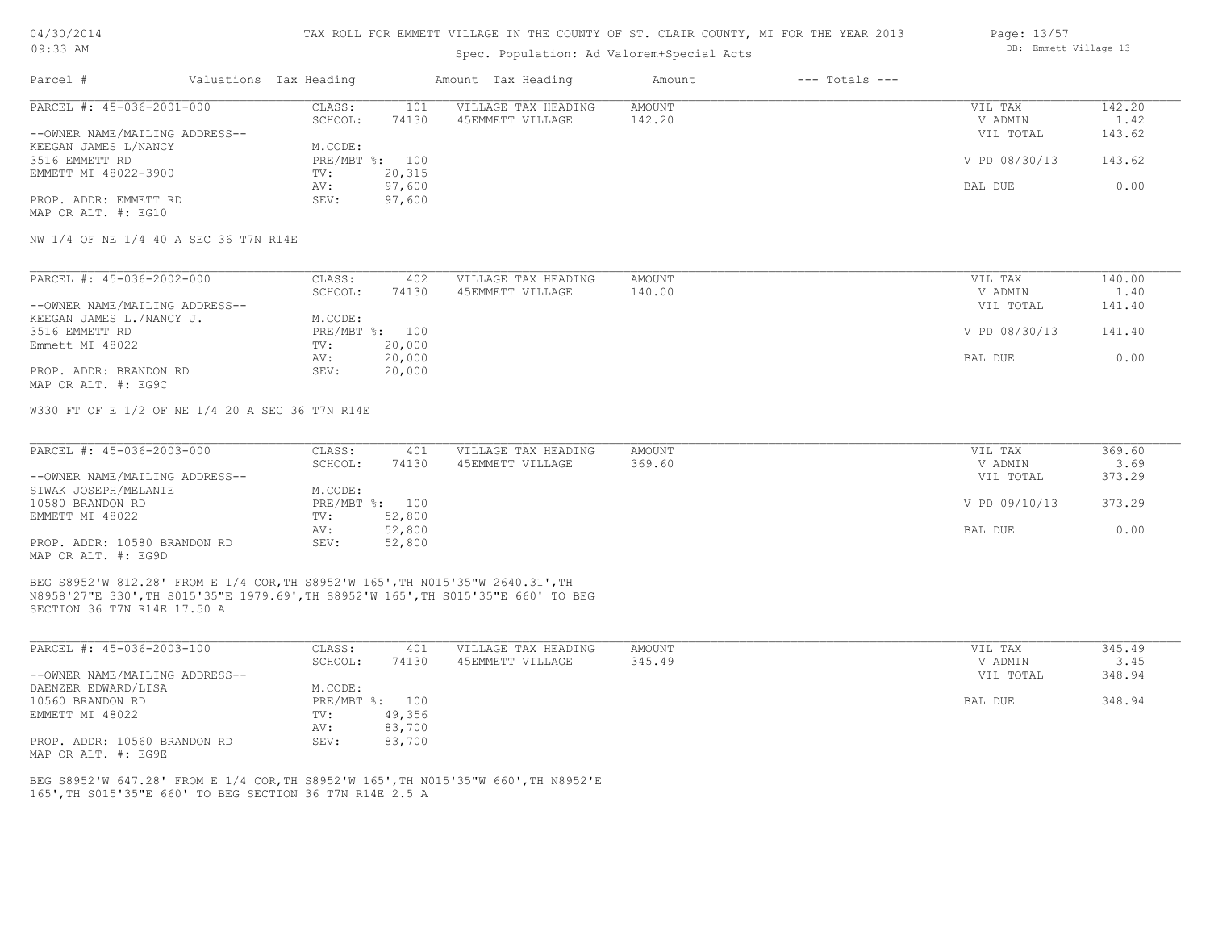#### TAX ROLL FOR EMMETT VILLAGE IN THE COUNTY OF ST. CLAIR COUNTY, MI FOR THE YEAR 2013

Spec. Population: Ad Valorem+Special Acts

| Parcel #                       | Valuations Tax Heading |        | Amount Tax Heading  | Amount | $---$ Totals $---$ |               |        |
|--------------------------------|------------------------|--------|---------------------|--------|--------------------|---------------|--------|
| PARCEL #: 45-036-2001-000      | CLASS:                 | 101    | VILLAGE TAX HEADING | AMOUNT |                    | VIL TAX       | 142.20 |
|                                | SCHOOL:                | 74130  | 45EMMETT VILLAGE    | 142.20 |                    | V ADMIN       | 1.42   |
| --OWNER NAME/MAILING ADDRESS-- |                        |        |                     |        |                    | VIL TOTAL     | 143.62 |
| KEEGAN JAMES L/NANCY           | M.CODE:                |        |                     |        |                    |               |        |
| 3516 EMMETT RD                 | PRE/MBT %: 100         |        |                     |        |                    | V PD 08/30/13 | 143.62 |
| EMMETT MI 48022-3900           | TV:                    | 20,315 |                     |        |                    |               |        |
|                                | AV:                    | 97,600 |                     |        |                    | BAL DUE       | 0.00   |
| PROP. ADDR: EMMETT RD          | SEV:                   | 97,600 |                     |        |                    |               |        |
| MAP OR ALT. #: EG10            |                        |        |                     |        |                    |               |        |

NW 1/4 OF NE 1/4 40 A SEC 36 T7N R14E

| PARCEL #: 45-036-2002-000      | CLASS:  | 402            | VILLAGE TAX HEADING | AMOUNT | VIL TAX       | 140.00 |
|--------------------------------|---------|----------------|---------------------|--------|---------------|--------|
|                                | SCHOOL: | 74130          | 45EMMETT VILLAGE    | 140.00 | V ADMIN       | 1.40   |
| --OWNER NAME/MAILING ADDRESS-- |         |                |                     |        | VIL TOTAL     | 141.40 |
| KEEGAN JAMES L./NANCY J.       | M.CODE: |                |                     |        |               |        |
| 3516 EMMETT RD                 |         | PRE/MBT %: 100 |                     |        | V PD 08/30/13 | 141.40 |
| Emmett MI 48022                | TV:     | 20,000         |                     |        |               |        |
|                                | AV:     | 20,000         |                     |        | BAL DUE       | 0.00   |
| PROP. ADDR: BRANDON RD         | SEV:    | 20,000         |                     |        |               |        |
| MAP OR ALT. #: EG9C            |         |                |                     |        |               |        |

W330 FT OF E 1/2 OF NE 1/4 20 A SEC 36 T7N R14E

| PARCEL #: 45-036-2003-000      | CLASS:  | 401            | VILLAGE TAX HEADING | AMOUNT | VIL TAX       | 369.60 |
|--------------------------------|---------|----------------|---------------------|--------|---------------|--------|
|                                | SCHOOL: | 74130          | 45EMMETT VILLAGE    | 369.60 | V ADMIN       | 3.69   |
| --OWNER NAME/MAILING ADDRESS-- |         |                |                     |        | VIL TOTAL     | 373.29 |
| SIWAK JOSEPH/MELANIE           | M.CODE: |                |                     |        |               |        |
| 10580 BRANDON RD               |         | PRE/MBT %: 100 |                     |        | V PD 09/10/13 | 373.29 |
| EMMETT MI 48022                | TV:     | 52,800         |                     |        |               |        |
|                                | AV:     | 52,800         |                     |        | BAL DUE       | 0.00   |
| PROP. ADDR: 10580 BRANDON RD   | SEV:    | 52,800         |                     |        |               |        |
| MAP OR ALT. #: EG9D            |         |                |                     |        |               |        |

SECTION 36 T7N R14E 17.50 A N8958'27"E 330',TH S015'35"E 1979.69',TH S8952'W 165',TH S015'35"E 660' TO BEG BEG S8952'W 812.28' FROM E 1/4 COR,TH S8952'W 165',TH N015'35"W 2640.31',TH

| PARCEL #: 45-036-2003-100      | CLASS:     | 401    | VILLAGE TAX HEADING | AMOUNT | VIL TAX   | 345.49 |
|--------------------------------|------------|--------|---------------------|--------|-----------|--------|
|                                | SCHOOL:    | 74130  | 45EMMETT VILLAGE    | 345.49 | V ADMIN   | 3.45   |
| --OWNER NAME/MAILING ADDRESS-- |            |        |                     |        | VIL TOTAL | 348.94 |
| DAENZER EDWARD/LISA            | M.CODE:    |        |                     |        |           |        |
| 10560 BRANDON RD               | PRE/MBT %: | 100    |                     |        | BAL DUE   | 348.94 |
| EMMETT MI 48022                | TV:        | 49,356 |                     |        |           |        |
|                                | AV:        | 83,700 |                     |        |           |        |
| PROP. ADDR: 10560 BRANDON RD   | SEV:       | 83,700 |                     |        |           |        |
| MAP OR ALT. #: EG9E            |            |        |                     |        |           |        |

165',TH S015'35"E 660' TO BEG SECTION 36 T7N R14E 2.5 A BEG S8952'W 647.28' FROM E 1/4 COR,TH S8952'W 165',TH N015'35"W 660',TH N8952'E Page: 13/57 DB: Emmett Village 13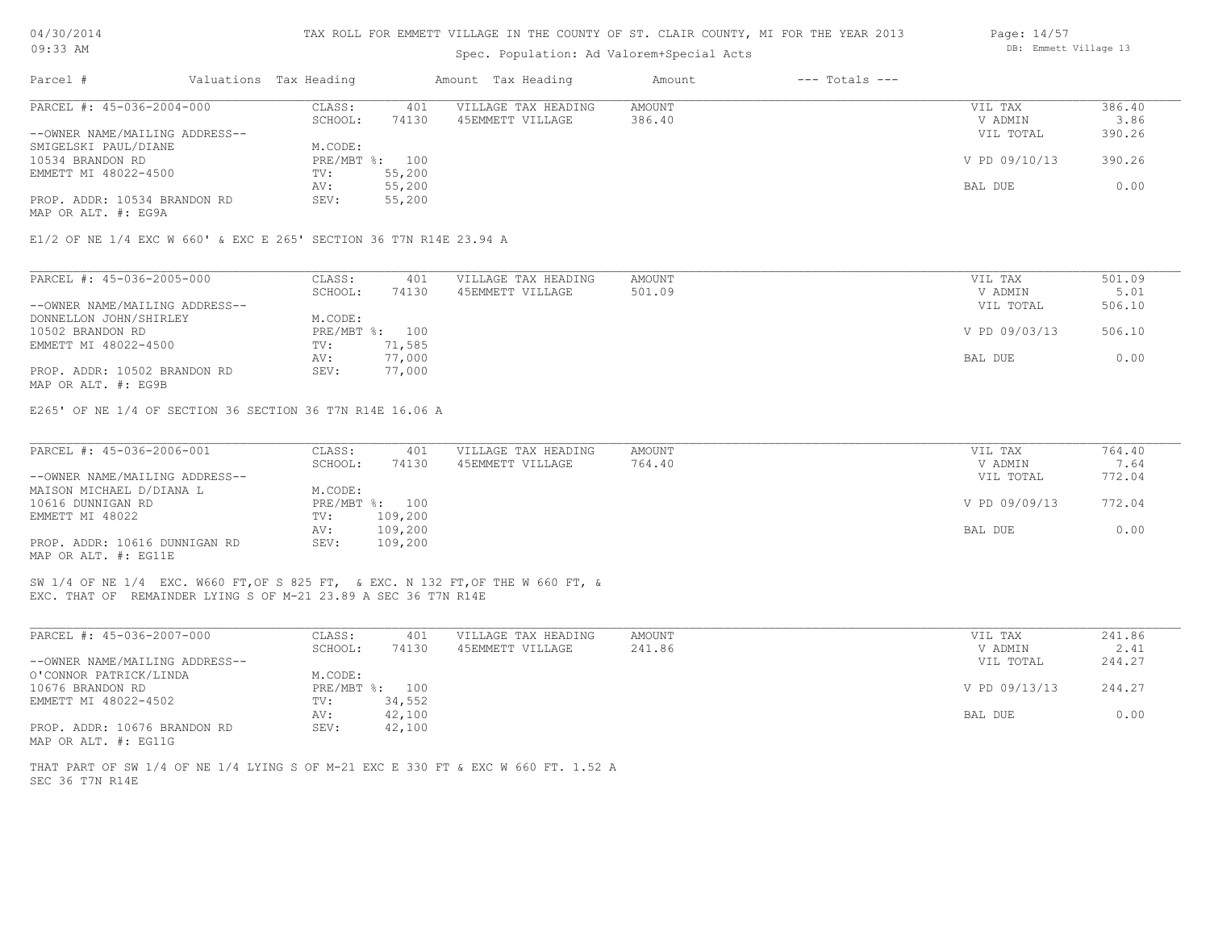#### TAX ROLL FOR EMMETT VILLAGE IN THE COUNTY OF ST. CLAIR COUNTY, MI FOR THE YEAR 2013

### Spec. Population: Ad Valorem+Special Acts

| Parcel #                       | Valuations Tax Heading |                | Amount Tax Heading  | Amount | $---$ Totals $---$ |               |        |
|--------------------------------|------------------------|----------------|---------------------|--------|--------------------|---------------|--------|
| PARCEL #: 45-036-2004-000      | CLASS:                 | 401            | VILLAGE TAX HEADING | AMOUNT |                    | VIL TAX       | 386.40 |
|                                | SCHOOL:                | 74130          | 45EMMETT VILLAGE    | 386.40 |                    | V ADMIN       | 3.86   |
| --OWNER NAME/MAILING ADDRESS-- |                        |                |                     |        |                    | VIL TOTAL     | 390.26 |
| SMIGELSKI PAUL/DIANE           | M.CODE:                |                |                     |        |                    |               |        |
| 10534 BRANDON RD               |                        | PRE/MBT %: 100 |                     |        |                    | V PD 09/10/13 | 390.26 |
| EMMETT MI 48022-4500           | TV:                    | 55,200         |                     |        |                    |               |        |
|                                | AV:                    | 55,200         |                     |        |                    | BAL DUE       | 0.00   |
| PROP. ADDR: 10534 BRANDON RD   | SEV:                   | 55,200         |                     |        |                    |               |        |
| MAP OR ALT. #: EG9A            |                        |                |                     |        |                    |               |        |

E1/2 OF NE 1/4 EXC W 660' & EXC E 265' SECTION 36 T7N R14E 23.94 A

| PARCEL #: 45-036-2005-000      | CLASS:  | 401            | VILLAGE TAX HEADING | AMOUNT | VIL TAX       | 501.09 |
|--------------------------------|---------|----------------|---------------------|--------|---------------|--------|
|                                | SCHOOL: | 74130          | 45EMMETT VILLAGE    | 501.09 | V ADMIN       | 5.01   |
| --OWNER NAME/MAILING ADDRESS-- |         |                |                     |        | VIL TOTAL     | 506.10 |
| DONNELLON JOHN/SHIRLEY         | M.CODE: |                |                     |        |               |        |
| 10502 BRANDON RD               |         | PRE/MBT %: 100 |                     |        | V PD 09/03/13 | 506.10 |
| EMMETT MI 48022-4500           | TV:     | 71,585         |                     |        |               |        |
|                                | AV:     | 77,000         |                     |        | BAL DUE       | 0.00   |
| PROP. ADDR: 10502 BRANDON RD   | SEV:    | 77,000         |                     |        |               |        |
| MAP OR ALT. #: EG9B            |         |                |                     |        |               |        |

E265' OF NE 1/4 OF SECTION 36 SECTION 36 T7N R14E 16.06 A

| PARCEL #: 45-036-2006-001      | CLASS:  | 401            | VILLAGE TAX HEADING | AMOUNT | VIL TAX       | 764.40 |
|--------------------------------|---------|----------------|---------------------|--------|---------------|--------|
|                                | SCHOOL: | 74130          | 45EMMETT VILLAGE    | 764.40 | V ADMIN       | 7.64   |
| --OWNER NAME/MAILING ADDRESS-- |         |                |                     |        | VIL TOTAL     | 772.04 |
| MAISON MICHAEL D/DIANA L       | M.CODE: |                |                     |        |               |        |
| 10616 DUNNIGAN RD              |         | PRE/MBT %: 100 |                     |        | V PD 09/09/13 | 772.04 |
| EMMETT MI 48022                | TV:     | 109,200        |                     |        |               |        |
|                                | AV:     | 109,200        |                     |        | BAL DUE       | 0.00   |
| PROP. ADDR: 10616 DUNNIGAN RD  | SEV:    | 109,200        |                     |        |               |        |
| MAP OR ALT. #: EG11E           |         |                |                     |        |               |        |

EXC. THAT OF REMAINDER LYING S OF M-21 23.89 A SEC 36 T7N R14E SW 1/4 OF NE 1/4 EXC. W660 FT,OF S 825 FT, & EXC. N 132 FT,OF THE W 660 FT, &

| PARCEL #: 45-036-2007-000      | CLASS:  | 401            | VILLAGE TAX HEADING | AMOUNT | VIL TAX       | 241.86 |
|--------------------------------|---------|----------------|---------------------|--------|---------------|--------|
|                                | SCHOOL: | 74130          | 45EMMETT VILLAGE    | 241.86 | V ADMIN       | 2.41   |
| --OWNER NAME/MAILING ADDRESS-- |         |                |                     |        | VIL TOTAL     | 244.27 |
| O'CONNOR PATRICK/LINDA         | M.CODE: |                |                     |        |               |        |
| 10676 BRANDON RD               |         | PRE/MBT %: 100 |                     |        | V PD 09/13/13 | 244.27 |
| EMMETT MI 48022-4502           | TV:     | 34,552         |                     |        |               |        |
|                                | AV:     | 42,100         |                     |        | BAL DUE       | 0.00   |
| PROP. ADDR: 10676 BRANDON RD   | SEV:    | 42,100         |                     |        |               |        |
| MAP OR ALT. #: EG11G           |         |                |                     |        |               |        |

SEC 36 T7N R14E THAT PART OF SW 1/4 OF NE 1/4 LYING S OF M-21 EXC E 330 FT & EXC W 660 FT. 1.52 A Page: 14/57 DB: Emmett Village 13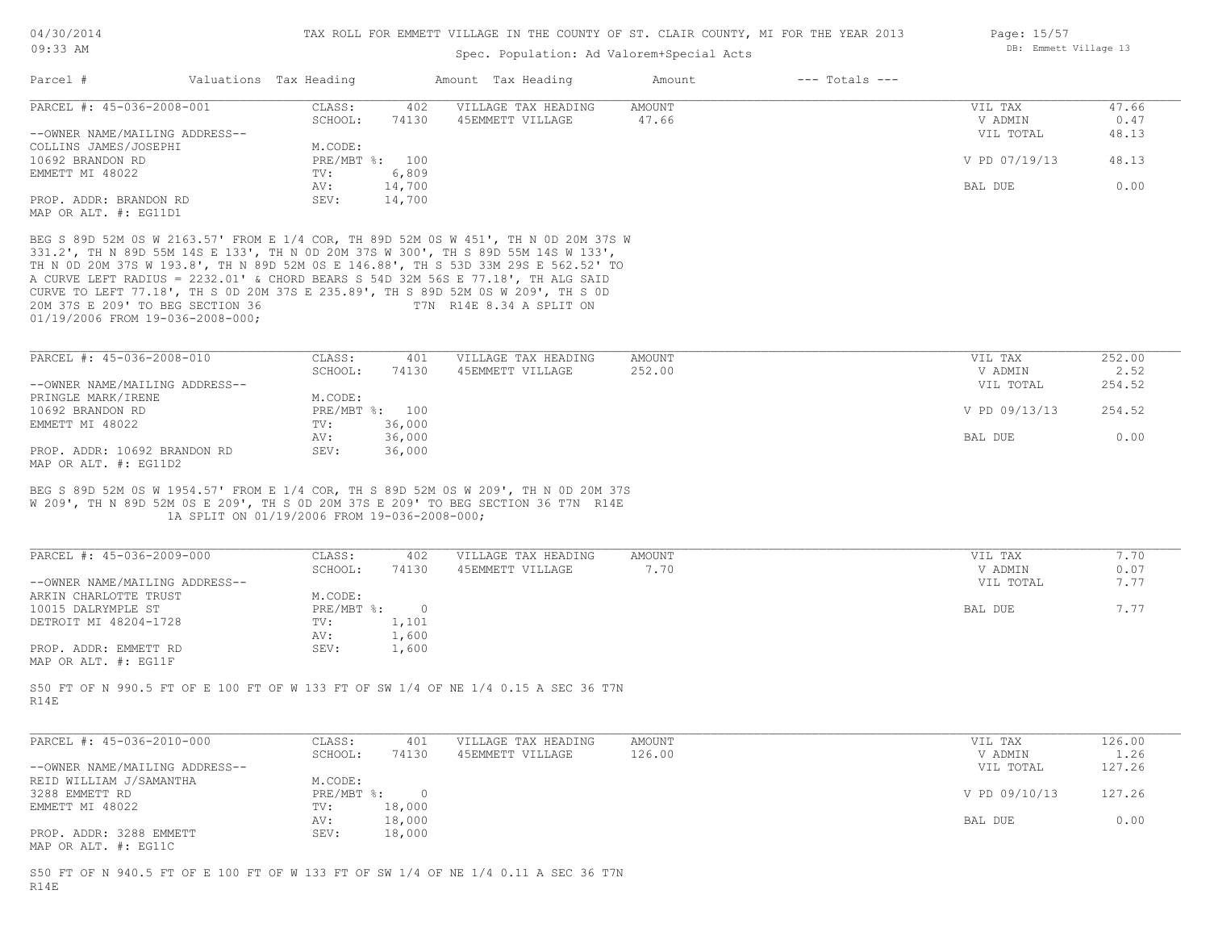Page: 15/57

DB: Emmett Village 13

# Spec. Population: Ad Valorem+Special Acts

| Parcel #                                                                                                                                                                                                                                                                                                                                                                                                                                                                                                       | Valuations Tax Heading                                                            | Amount Tax Heading                      | Amount          | $---$ Totals $---$ |                                 |                      |
|----------------------------------------------------------------------------------------------------------------------------------------------------------------------------------------------------------------------------------------------------------------------------------------------------------------------------------------------------------------------------------------------------------------------------------------------------------------------------------------------------------------|-----------------------------------------------------------------------------------|-----------------------------------------|-----------------|--------------------|---------------------------------|----------------------|
| PARCEL #: 45-036-2008-001                                                                                                                                                                                                                                                                                                                                                                                                                                                                                      | CLASS:<br>402<br>SCHOOL:<br>74130                                                 | VILLAGE TAX HEADING<br>45EMMETT VILLAGE | AMOUNT<br>47.66 |                    | VIL TAX<br>V ADMIN              | 47.66<br>0.47        |
| --OWNER NAME/MAILING ADDRESS--<br>COLLINS JAMES/JOSEPHI                                                                                                                                                                                                                                                                                                                                                                                                                                                        | M.CODE:                                                                           |                                         |                 |                    | VIL TOTAL                       | 48.13                |
| 10692 BRANDON RD                                                                                                                                                                                                                                                                                                                                                                                                                                                                                               | PRE/MBT %: 100                                                                    |                                         |                 |                    | V PD 07/19/13                   | 48.13                |
| EMMETT MI 48022                                                                                                                                                                                                                                                                                                                                                                                                                                                                                                | 6,809<br>TV:<br>14,700<br>AV:                                                     |                                         |                 |                    | BAL DUE                         | 0.00                 |
| PROP. ADDR: BRANDON RD<br>MAP OR ALT. #: EG11D1                                                                                                                                                                                                                                                                                                                                                                                                                                                                | SEV:<br>14,700                                                                    |                                         |                 |                    |                                 |                      |
| BEG S 89D 52M 0S W 2163.57' FROM E 1/4 COR, TH 89D 52M 0S W 451', TH N 0D 20M 37S W<br>331.2', TH N 89D 55M 14S E 133', TH N 0D 20M 37S W 300', TH S 89D 55M 14S W 133',<br>TH N OD 20M 37S W 193.8', TH N 89D 52M OS E 146.88', TH S 53D 33M 29S E 562.52' TO<br>A CURVE LEFT RADIUS = 2232.01' & CHORD BEARS S 54D 32M 56S E 77.18', TH ALG SAID<br>CURVE TO LEFT 77.18', TH S OD 20M 37S E 235.89', TH S 89D 52M OS W 209', TH S OD<br>20M 37S E 209' TO BEG SECTION 36<br>01/19/2006 FROM 19-036-2008-000; |                                                                                   | T7N R14E 8.34 A SPLIT ON                |                 |                    |                                 |                      |
| PARCEL #: 45-036-2008-010                                                                                                                                                                                                                                                                                                                                                                                                                                                                                      | CLASS:<br>401                                                                     | VILLAGE TAX HEADING                     | AMOUNT          |                    | VIL TAX                         | 252.00               |
| --OWNER NAME/MAILING ADDRESS--                                                                                                                                                                                                                                                                                                                                                                                                                                                                                 | SCHOOL:<br>74130                                                                  | 45EMMETT VILLAGE                        | 252.00          |                    | V ADMIN<br>VIL TOTAL            | 2.52<br>254.52       |
| PRINGLE MARK/IRENE                                                                                                                                                                                                                                                                                                                                                                                                                                                                                             | M.CODE:                                                                           |                                         |                 |                    |                                 |                      |
| 10692 BRANDON RD<br>EMMETT MI 48022                                                                                                                                                                                                                                                                                                                                                                                                                                                                            | PRE/MBT %: 100<br>TV:<br>36,000                                                   |                                         |                 |                    | V PD 09/13/13                   | 254.52               |
|                                                                                                                                                                                                                                                                                                                                                                                                                                                                                                                | 36,000<br>AV:                                                                     |                                         |                 |                    | BAL DUE                         | 0.00                 |
|                                                                                                                                                                                                                                                                                                                                                                                                                                                                                                                |                                                                                   |                                         |                 |                    |                                 |                      |
|                                                                                                                                                                                                                                                                                                                                                                                                                                                                                                                | SEV:<br>36,000                                                                    |                                         |                 |                    |                                 |                      |
| PROP. ADDR: 10692 BRANDON RD<br>PARCEL #: 45-036-2009-000<br>--OWNER NAME/MAILING ADDRESS--                                                                                                                                                                                                                                                                                                                                                                                                                    | 1A SPLIT ON 01/19/2006 FROM 19-036-2008-000;<br>CLASS:<br>402<br>SCHOOL:<br>74130 | VILLAGE TAX HEADING<br>45EMMETT VILLAGE | AMOUNT<br>7.70  |                    | VIL TAX<br>V ADMIN<br>VIL TOTAL | 7.70<br>0.07<br>7.77 |
|                                                                                                                                                                                                                                                                                                                                                                                                                                                                                                                | M.CODE:<br>PRE/MBT %: 0                                                           |                                         |                 |                    | BAL DUE                         | 7.77                 |
|                                                                                                                                                                                                                                                                                                                                                                                                                                                                                                                | 1,101<br>TV:                                                                      |                                         |                 |                    |                                 |                      |
|                                                                                                                                                                                                                                                                                                                                                                                                                                                                                                                | 1,600<br>AV:<br>SEV:<br>1,600                                                     |                                         |                 |                    |                                 |                      |
| DETROIT MI 48204-1728                                                                                                                                                                                                                                                                                                                                                                                                                                                                                          |                                                                                   |                                         |                 |                    |                                 |                      |
|                                                                                                                                                                                                                                                                                                                                                                                                                                                                                                                | CLASS:<br>401                                                                     | VILLAGE TAX HEADING                     | AMOUNT          |                    | VIL TAX                         | 126.00               |
| PARCEL #: 45-036-2010-000                                                                                                                                                                                                                                                                                                                                                                                                                                                                                      | SCHOOL:<br>74130                                                                  | 45EMMETT VILLAGE                        | 126.00          |                    | V ADMIN                         | 1.26                 |
| --OWNER NAME/MAILING ADDRESS--                                                                                                                                                                                                                                                                                                                                                                                                                                                                                 | M.CODE:                                                                           |                                         |                 |                    | VIL TOTAL                       | 127.26               |
| MAP OR ALT. #: EG11D2<br>BEG S 89D 52M 0S W 1954.57' FROM E 1/4 COR, TH S 89D 52M 0S W 209', TH N 0D 20M 37S<br>W 209', TH N 89D 52M OS E 209', TH S OD 20M 37S E 209' TO BEG SECTION 36 T7N R14E<br>ARKIN CHARLOTTE TRUST<br>10015 DALRYMPLE ST<br>PROP. ADDR: EMMETT RD<br>MAP OR ALT. #: EG11F<br>S50 FT OF N 990.5 FT OF E 100 FT OF W 133 FT OF SW 1/4 OF NE 1/4 0.15 A SEC 36 T7N<br>R14E<br>REID WILLIAM J/SAMANTHA<br>3288 EMMETT RD                                                                   | $PRE/MBT$ $\div$ 0                                                                |                                         |                 |                    | V PD 09/10/13                   | 127.26               |
| EMMETT MI 48022                                                                                                                                                                                                                                                                                                                                                                                                                                                                                                | 18,000<br>TV:<br>18,000<br>AV:                                                    |                                         |                 |                    | BAL DUE                         | 0.00                 |

R14E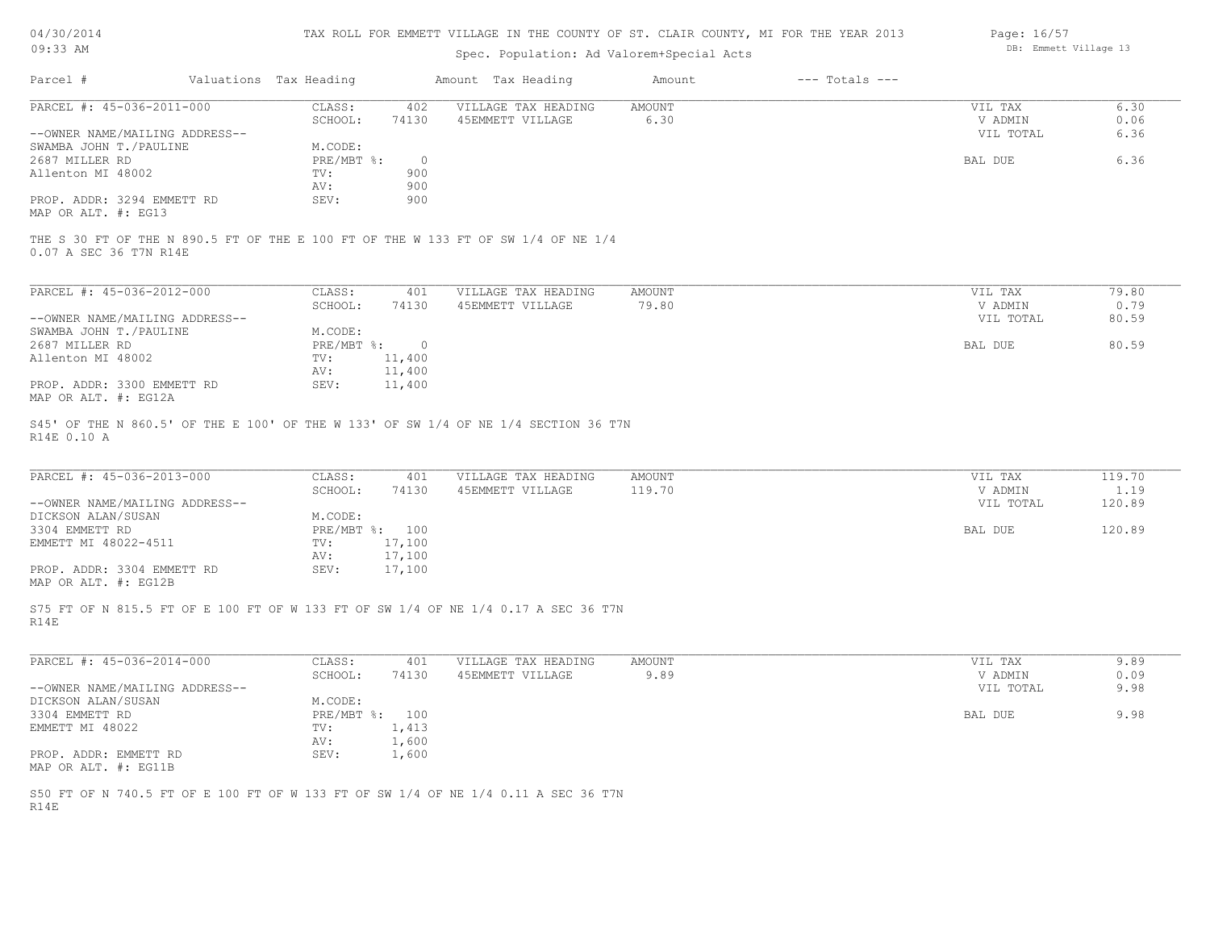| 04/30/2014 |  |
|------------|--|
| $09:33$ AM |  |

# Spec. Population: Ad Valorem+Special Acts

| Page: 16/57 |                       |  |
|-------------|-----------------------|--|
|             | DB: Emmett Village 13 |  |

| Parcel #                       | Valuations Tax Heading |         | Amount Tax Heading  | Amount | $---$ Totals $---$ |           |       |
|--------------------------------|------------------------|---------|---------------------|--------|--------------------|-----------|-------|
| PARCEL #: 45-036-2011-000      | CLASS:                 | 402     | VILLAGE TAX HEADING | AMOUNT |                    | VIL TAX   | 6.30  |
|                                | SCHOOL:                | 74130   | 45EMMETT VILLAGE    | 6.30   |                    | V ADMIN   | 0.06  |
| --OWNER NAME/MAILING ADDRESS-- |                        |         |                     |        |                    | VIL TOTAL | 6.36  |
| SWAMBA JOHN T. / PAULINE       | M.CODE:                |         |                     |        |                    |           |       |
| 2687 MILLER RD                 | PRE/MBT %:             | $\circ$ |                     |        |                    | BAL DUE   | 6.36  |
| Allenton MI 48002              | TV:                    | 900     |                     |        |                    |           |       |
|                                | AV:                    | 900     |                     |        |                    |           |       |
| PROP. ADDR: 3294 EMMETT RD     | SEV:                   | 900     |                     |        |                    |           |       |
| MAP OR ALT. #: EG13            |                        |         |                     |        |                    |           |       |
| 0.07 A SEC 36 T7N R14E         |                        |         |                     |        |                    |           |       |
| PARCEL #: 45-036-2012-000      | CLASS:                 | 401     | VILLAGE TAX HEADING | AMOUNT |                    | VIL TAX   | 79.80 |
|                                | SCHOOL:                | 74130   | 45EMMETT VILLAGE    | 79.80  |                    | V ADMIN   | 0.79  |
| --OWNER NAME/MAILING ADDRESS-- |                        |         |                     |        |                    | VIL TOTAL | 80.59 |
| SWAMBA JOHN T. / PAULINE       | M.CODE:                |         |                     |        |                    |           |       |
| 2687 MILLER RD                 | $PRE/MBT$ $\div$       | $\circ$ |                     |        |                    | BAL DUE   | 80.59 |
| Allenton MI 48002              | TV:                    | 11,400  |                     |        |                    |           |       |
|                                | AV:                    | 11,400  |                     |        |                    |           |       |
| PROP. ADDR: 3300 EMMETT RD     | SEV:                   | 11,400  |                     |        |                    |           |       |

MAP OR ALT. #: EG12A

R14E 0.10 A S45' OF THE N 860.5' OF THE E 100' OF THE W 133' OF SW 1/4 OF NE 1/4 SECTION 36 T7N

| PARCEL #: 45-036-2013-000      | CLASS:  | 401            | VILLAGE TAX HEADING | AMOUNT | VIL TAX   | 119.70 |
|--------------------------------|---------|----------------|---------------------|--------|-----------|--------|
|                                | SCHOOL: | 74130          | 45EMMETT VILLAGE    | 119.70 | V ADMIN   | 1.19   |
| --OWNER NAME/MAILING ADDRESS-- |         |                |                     |        | VIL TOTAL | 120.89 |
| DICKSON ALAN/SUSAN             | M.CODE: |                |                     |        |           |        |
| 3304 EMMETT RD                 |         | PRE/MBT %: 100 |                     |        | BAL DUE   | 120.89 |
| EMMETT MI 48022-4511           | TV:     | 17,100         |                     |        |           |        |
|                                | AV:     | 17,100         |                     |        |           |        |
| PROP. ADDR: 3304 EMMETT RD     | SEV:    | 17,100         |                     |        |           |        |
| MAP OR ALT. #: EG12B           |         |                |                     |        |           |        |

R14E S75 FT OF N 815.5 FT OF E 100 FT OF W 133 FT OF SW 1/4 OF NE 1/4 0.17 A SEC 36 T7N

| PARCEL #: 45-036-2014-000      | CLASS:       | 401   | VILLAGE TAX HEADING | AMOUNT | VIL TAX   | 9.89 |
|--------------------------------|--------------|-------|---------------------|--------|-----------|------|
|                                | SCHOOL:      | 74130 | 45EMMETT VILLAGE    | 9.89   | V ADMIN   | 0.09 |
| --OWNER NAME/MAILING ADDRESS-- |              |       |                     |        | VIL TOTAL | 9.98 |
| DICKSON ALAN/SUSAN             | M.CODE:      |       |                     |        |           |      |
| 3304 EMMETT RD                 | $PRE/MBT$ %: | 100   |                     |        | BAL DUE   | 9.98 |
| EMMETT MI 48022                | TV:          | 1,413 |                     |        |           |      |
|                                | AV:          | 1,600 |                     |        |           |      |
| PROP. ADDR: EMMETT RD          | SEV:         | 1,600 |                     |        |           |      |
| MAP OR ALT. #: EG11B           |              |       |                     |        |           |      |

R14E S50 FT OF N 740.5 FT OF E 100 FT OF W 133 FT OF SW 1/4 OF NE 1/4 0.11 A SEC 36 T7N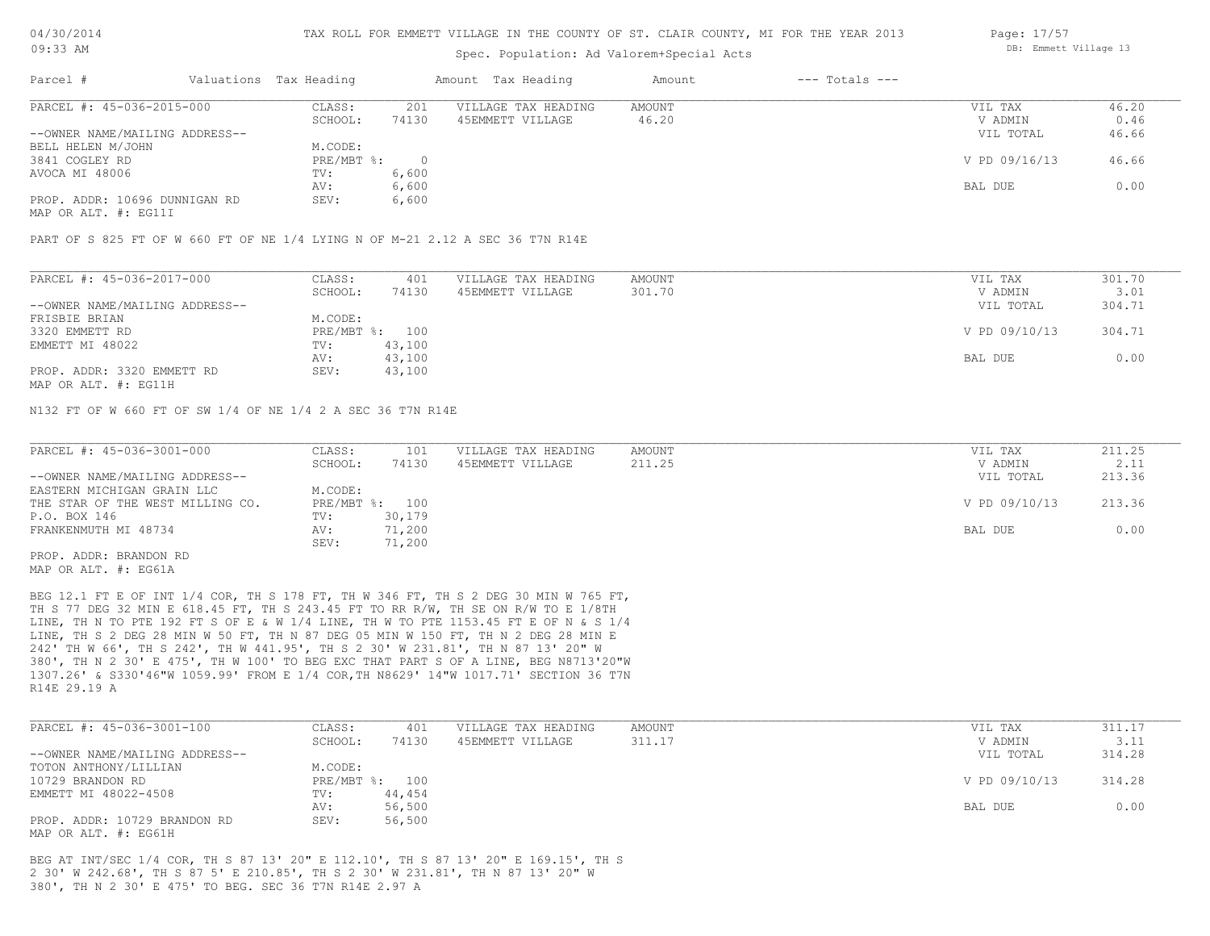### Spec. Population: Ad Valorem+Special Acts

| Parcel #                       | Valuations Tax Heading |       | Amount Tax Heading  | Amount | $---$ Totals $---$ |               |       |
|--------------------------------|------------------------|-------|---------------------|--------|--------------------|---------------|-------|
| PARCEL #: 45-036-2015-000      | CLASS:                 | 201   | VILLAGE TAX HEADING | AMOUNT |                    | VIL TAX       | 46.20 |
|                                | SCHOOL:                | 74130 | 45EMMETT VILLAGE    | 46.20  |                    | V ADMIN       | 0.46  |
| --OWNER NAME/MAILING ADDRESS-- |                        |       |                     |        |                    | VIL TOTAL     | 46.66 |
| BELL HELEN M/JOHN              | M.CODE:                |       |                     |        |                    |               |       |
| 3841 COGLEY RD                 | PRE/MBT %:             |       |                     |        |                    | V PD 09/16/13 | 46.66 |
| AVOCA MI 48006                 | TV:                    | 6,600 |                     |        |                    |               |       |
|                                | AV:                    | 6,600 |                     |        |                    | BAL DUE       | 0.00  |
| PROP. ADDR: 10696 DUNNIGAN RD  | SEV:                   | 6,600 |                     |        |                    |               |       |

MAP OR ALT. #: EG11I

PART OF S 825 FT OF W 660 FT OF NE 1/4 LYING N OF M-21 2.12 A SEC 36 T7N R14E

| PARCEL #: 45-036-2017-000      | CLASS:  | 401            | VILLAGE TAX HEADING | AMOUNT | VIL TAX       | 301.70 |
|--------------------------------|---------|----------------|---------------------|--------|---------------|--------|
|                                | SCHOOL: | 74130          | 45EMMETT VILLAGE    | 301.70 | V ADMIN       | 3.01   |
| --OWNER NAME/MAILING ADDRESS-- |         |                |                     |        | VIL TOTAL     | 304.71 |
| FRISBIE BRIAN                  | M.CODE: |                |                     |        |               |        |
| 3320 EMMETT RD                 |         | PRE/MBT %: 100 |                     |        | V PD 09/10/13 | 304.71 |
| EMMETT MI 48022                | TV:     | 43,100         |                     |        |               |        |
|                                | AV:     | 43,100         |                     |        | BAL DUE       | 0.00   |
| PROP. ADDR: 3320 EMMETT RD     | SEV:    | 43,100         |                     |        |               |        |
|                                |         |                |                     |        |               |        |

MAP OR ALT. #: EG11H

N132 FT OF W 660 FT OF SW 1/4 OF NE 1/4 2 A SEC 36 T7N R14E

| PARCEL #: 45-036-3001-000        | CLASS:  | 101            | VILLAGE TAX HEADING | AMOUNT | VIL TAX       | 211.25 |
|----------------------------------|---------|----------------|---------------------|--------|---------------|--------|
|                                  | SCHOOL: | 74130          | 45EMMETT VILLAGE    | 211.25 | V ADMIN       | 2.11   |
| --OWNER NAME/MAILING ADDRESS--   |         |                |                     |        | VIL TOTAL     | 213.36 |
| EASTERN MICHIGAN GRAIN LLC       | M.CODE: |                |                     |        |               |        |
| THE STAR OF THE WEST MILLING CO. |         | PRE/MBT %: 100 |                     |        | V PD 09/10/13 | 213.36 |
| P.O. BOX 146                     | TV:     | 30,179         |                     |        |               |        |
| FRANKENMUTH MI 48734             | AV:     | 71,200         |                     |        | BAL DUE       | 0.00   |
|                                  | SEV:    | 71,200         |                     |        |               |        |
| PROP. ADDR: BRANDON RD           |         |                |                     |        |               |        |

MAP OR ALT. #: EG61A

R14E 29.19 A 1307.26' & S330'46"W 1059.99' FROM E 1/4 COR,TH N8629' 14"W 1017.71' SECTION 36 T7N 380', TH N 2 30' E 475', TH W 100' TO BEG EXC THAT PART S OF A LINE, BEG N8713'20"W 242' TH W 66', TH S 242', TH W 441.95', TH S 2 30' W 231.81', TH N 87 13' 20" W LINE, TH S 2 DEG 28 MIN W 50 FT, TH N 87 DEG 05 MIN W 150 FT, TH N 2 DEG 28 MIN E LINE, TH N TO PTE 192 FT S OF E & W 1/4 LINE, TH W TO PTE 1153.45 FT E OF N & S 1/4 TH S 77 DEG 32 MIN E 618.45 FT, TH S 243.45 FT TO RR R/W, TH SE ON R/W TO E 1/8TH BEG 12.1 FT E OF INT 1/4 COR, TH S 178 FT, TH W 346 FT, TH S 2 DEG 30 MIN W 765 FT,

| PARCEL #: 45-036-3001-100      | CLASS:       | 401    | VILLAGE TAX HEADING | AMOUNT | VIL TAX       | 311.17 |
|--------------------------------|--------------|--------|---------------------|--------|---------------|--------|
|                                | SCHOOL:      | 74130  | 45EMMETT VILLAGE    | 311.17 | V ADMIN       | 3.11   |
| --OWNER NAME/MAILING ADDRESS-- |              |        |                     |        | VIL TOTAL     | 314.28 |
| TOTON ANTHONY/LILLIAN          | M.CODE:      |        |                     |        |               |        |
| 10729 BRANDON RD               | $PRE/MBT$ %: | 100    |                     |        | V PD 09/10/13 | 314.28 |
| EMMETT MI 48022-4508           | TV:          | 44,454 |                     |        |               |        |
|                                | AV:          | 56,500 |                     |        | BAL DUE       | 0.00   |
| PROP. ADDR: 10729 BRANDON RD   | SEV:         | 56,500 |                     |        |               |        |
| MAP OR ALT. #: EG61H           |              |        |                     |        |               |        |

380', TH N 2 30' E 475' TO BEG. SEC 36 T7N R14E 2.97 A 2 30' W 242.68', TH S 87 5' E 210.85', TH S 2 30' W 231.81', TH N 87 13' 20" W BEG AT INT/SEC 1/4 COR, TH S 87 13' 20" E 112.10', TH S 87 13' 20" E 169.15', TH S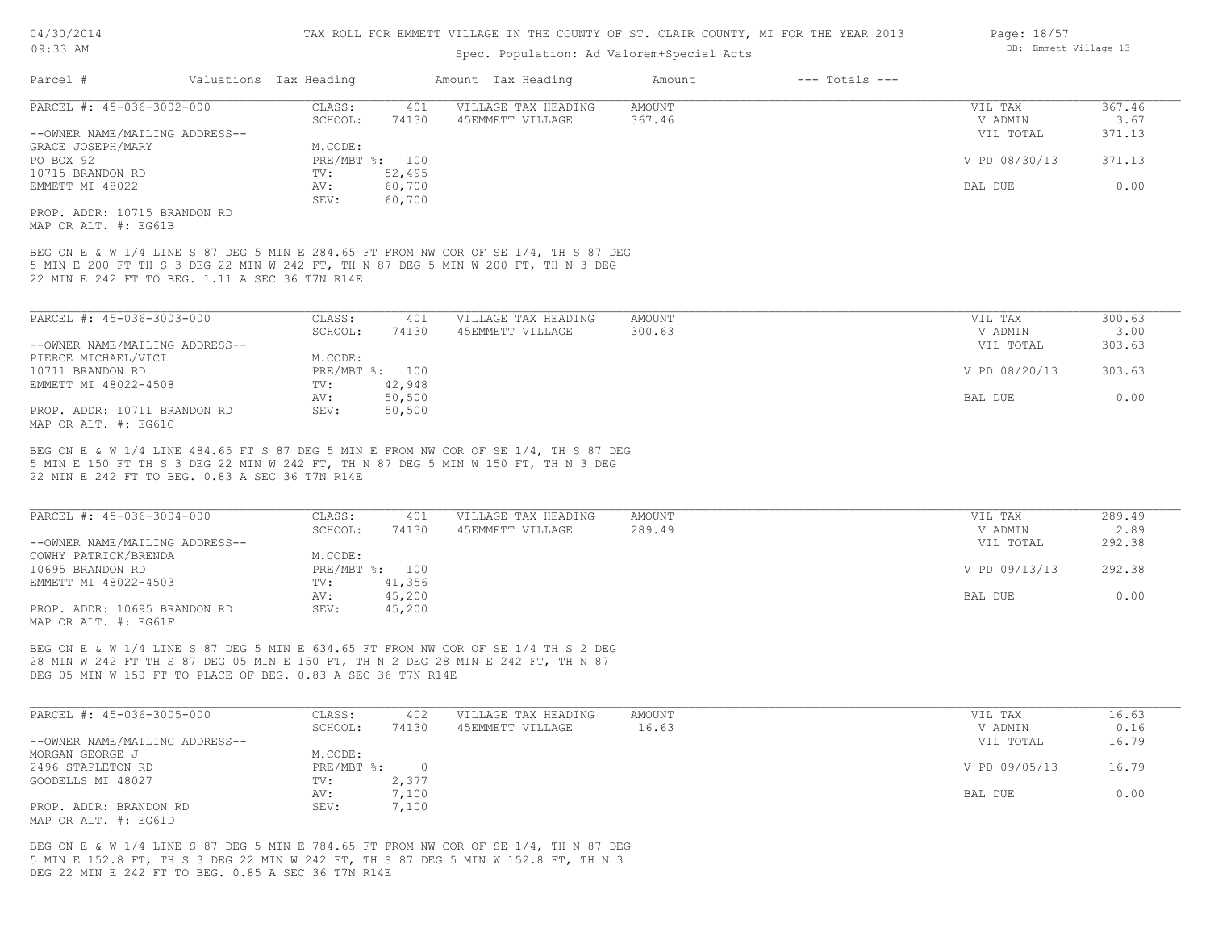| 04/30/2014                                           |                                                             |                        | TAX ROLL FOR EMMETT VILLAGE IN THE COUNTY OF ST. CLAIR COUNTY, MI FOR THE YEAR 2013 | Page: 18/57                                                                                                                                                              |               |                    |                       |        |
|------------------------------------------------------|-------------------------------------------------------------|------------------------|-------------------------------------------------------------------------------------|--------------------------------------------------------------------------------------------------------------------------------------------------------------------------|---------------|--------------------|-----------------------|--------|
| $09:33$ AM                                           |                                                             |                        |                                                                                     | Spec. Population: Ad Valorem+Special Acts                                                                                                                                |               |                    | DB: Emmett Village 13 |        |
| Parcel #                                             |                                                             | Valuations Tax Heading |                                                                                     | Amount Tax Heading                                                                                                                                                       | Amount        | $---$ Totals $---$ |                       |        |
| PARCEL #: 45-036-3002-000                            |                                                             | CLASS:                 | 401                                                                                 | VILLAGE TAX HEADING                                                                                                                                                      | <b>AMOUNT</b> |                    | VIL TAX               | 367.46 |
|                                                      |                                                             | SCHOOL:                | 74130                                                                               | 45EMMETT VILLAGE                                                                                                                                                         | 367.46        |                    | V ADMIN               | 3.67   |
| --OWNER NAME/MAILING ADDRESS--                       |                                                             |                        |                                                                                     |                                                                                                                                                                          |               |                    | VIL TOTAL             | 371.13 |
| GRACE JOSEPH/MARY                                    |                                                             | M.CODE:                |                                                                                     |                                                                                                                                                                          |               |                    |                       |        |
| PO BOX 92                                            |                                                             |                        | PRE/MBT %: 100                                                                      |                                                                                                                                                                          |               |                    | V PD 08/30/13         | 371.13 |
| 10715 BRANDON RD                                     |                                                             | TV:                    | 52,495                                                                              |                                                                                                                                                                          |               |                    |                       |        |
| EMMETT MI 48022                                      |                                                             | AV:                    | 60,700                                                                              |                                                                                                                                                                          |               |                    | BAL DUE               | 0.00   |
|                                                      |                                                             | SEV:                   | 60,700                                                                              |                                                                                                                                                                          |               |                    |                       |        |
| PROP. ADDR: 10715 BRANDON RD<br>MAP OR ALT. #: EG61B |                                                             |                        |                                                                                     |                                                                                                                                                                          |               |                    |                       |        |
|                                                      | 22 MIN E 242 FT TO BEG. 1.11 A SEC 36 T7N R14E              |                        |                                                                                     | 5 MIN E 200 FT TH S 3 DEG 22 MIN W 242 FT, TH N 87 DEG 5 MIN W 200 FT, TH N 3 DEG                                                                                        |               |                    |                       |        |
| PARCEL #: 45-036-3003-000                            |                                                             | CLASS:                 | 401                                                                                 | VILLAGE TAX HEADING                                                                                                                                                      | <b>AMOUNT</b> |                    | VIL TAX               | 300.63 |
|                                                      |                                                             | SCHOOL:                | 74130                                                                               | 45EMMETT VILLAGE                                                                                                                                                         | 300.63        |                    | V ADMIN               | 3.00   |
| --OWNER NAME/MAILING ADDRESS--                       |                                                             |                        |                                                                                     |                                                                                                                                                                          |               |                    | VIL TOTAL             | 303.63 |
| PIERCE MICHAEL/VICI                                  |                                                             | M.CODE:                |                                                                                     |                                                                                                                                                                          |               |                    |                       |        |
| 10711 BRANDON RD                                     |                                                             |                        | PRE/MBT %: 100                                                                      |                                                                                                                                                                          |               |                    | V PD 08/20/13         | 303.63 |
| EMMETT MI 48022-4508                                 |                                                             | TV:                    | 42,948                                                                              |                                                                                                                                                                          |               |                    |                       |        |
|                                                      |                                                             | AV:                    | 50,500                                                                              |                                                                                                                                                                          |               |                    | BAL DUE               | 0.00   |
| PROP. ADDR: 10711 BRANDON RD<br>MAP OR ALT. #: EG61C |                                                             | SEV:                   | 50,500                                                                              |                                                                                                                                                                          |               |                    |                       |        |
|                                                      | 22 MIN E 242 FT TO BEG. 0.83 A SEC 36 T7N R14E              |                        |                                                                                     | BEG ON E & W 1/4 LINE 484.65 FT S 87 DEG 5 MIN E FROM NW COR OF SE 1/4, TH S 87 DEG<br>5 MIN E 150 FT TH S 3 DEG 22 MIN W 242 FT, TH N 87 DEG 5 MIN W 150 FT, TH N 3 DEG |               |                    |                       |        |
| PARCEL #: 45-036-3004-000                            |                                                             | CLASS:                 | 401                                                                                 | VILLAGE TAX HEADING                                                                                                                                                      | AMOUNT        |                    | VIL TAX               | 289.49 |
|                                                      |                                                             | SCHOOL:                | 74130                                                                               | 45EMMETT VILLAGE                                                                                                                                                         | 289.49        |                    | V ADMIN               | 2.89   |
| --OWNER NAME/MAILING ADDRESS--                       |                                                             |                        |                                                                                     |                                                                                                                                                                          |               |                    | VIL TOTAL             | 292.38 |
| COWHY PATRICK/BRENDA                                 |                                                             | M.CODE:                |                                                                                     |                                                                                                                                                                          |               |                    |                       |        |
| 10695 BRANDON RD                                     |                                                             |                        | PRE/MBT %: 100                                                                      |                                                                                                                                                                          |               |                    | V PD 09/13/13         | 292.38 |
| EMMETT MI 48022-4503                                 |                                                             | TV:                    | 41,356                                                                              |                                                                                                                                                                          |               |                    |                       |        |
|                                                      |                                                             | AV:                    | 45,200                                                                              |                                                                                                                                                                          |               |                    | BAL DUE               | 0.00   |
| PROP. ADDR: 10695 BRANDON RD                         |                                                             | SEV:                   | 45,200                                                                              |                                                                                                                                                                          |               |                    |                       |        |
| MAP OR ALT. #: EG61F                                 |                                                             |                        |                                                                                     |                                                                                                                                                                          |               |                    |                       |        |
|                                                      |                                                             |                        |                                                                                     | BEG ON E & W 1/4 LINE S 87 DEG 5 MIN E 634.65 FT FROM NW COR OF SE 1/4 TH S 2 DEG<br>28 MIN W 242 FT TH S 87 DEG 05 MIN E 150 FT, TH N 2 DEG 28 MIN E 242 FT, TH N 87    |               |                    |                       |        |
|                                                      | DEG 05 MIN W 150 FT TO PLACE OF BEG. 0.83 A SEC 36 T7N R14E |                        |                                                                                     |                                                                                                                                                                          |               |                    |                       |        |
|                                                      |                                                             |                        |                                                                                     |                                                                                                                                                                          |               |                    |                       |        |
| PARCEL #: 45-036-3005-000                            |                                                             | CLASS:                 | 402                                                                                 | VILLAGE TAX HEADING                                                                                                                                                      | AMOUNT        |                    | VIL TAX               | 16.63  |
|                                                      |                                                             |                        |                                                                                     |                                                                                                                                                                          |               |                    |                       |        |

| PARCEL #: 45-036-3005-000      | JLASS :    | 4 U Z | VILLAGE TAX HEADING | AMOUN'I | VIL TAX       | 10.03 |
|--------------------------------|------------|-------|---------------------|---------|---------------|-------|
|                                | SCHOOL:    | 74130 | 45EMMETT VILLAGE    | 16.63   | V ADMIN       | 0.16  |
| --OWNER NAME/MAILING ADDRESS-- |            |       |                     |         | VIL TOTAL     | 16.79 |
| MORGAN GEORGE J                | M.CODE:    |       |                     |         |               |       |
| 2496 STAPLETON RD              | PRE/MBT %: | 0.    |                     |         | V PD 09/05/13 | 16.79 |
| GOODELLS MI 48027              | TV:        | 2,377 |                     |         |               |       |
|                                | AV:        | 7,100 |                     |         | BAL DUE       | 0.00  |
| PROP. ADDR: BRANDON RD         | SEV:       | 7,100 |                     |         |               |       |
| MAP OR ALT. #: EG61D           |            |       |                     |         |               |       |

DEG 22 MIN E 242 FT TO BEG. 0.85 A SEC 36 T7N R14E 5 MIN E 152.8 FT, TH S 3 DEG 22 MIN W 242 FT, TH S 87 DEG 5 MIN W 152.8 FT, TH N 3 BEG ON E & W 1/4 LINE S 87 DEG 5 MIN E 784.65 FT FROM NW COR OF SE 1/4, TH N 87 DEG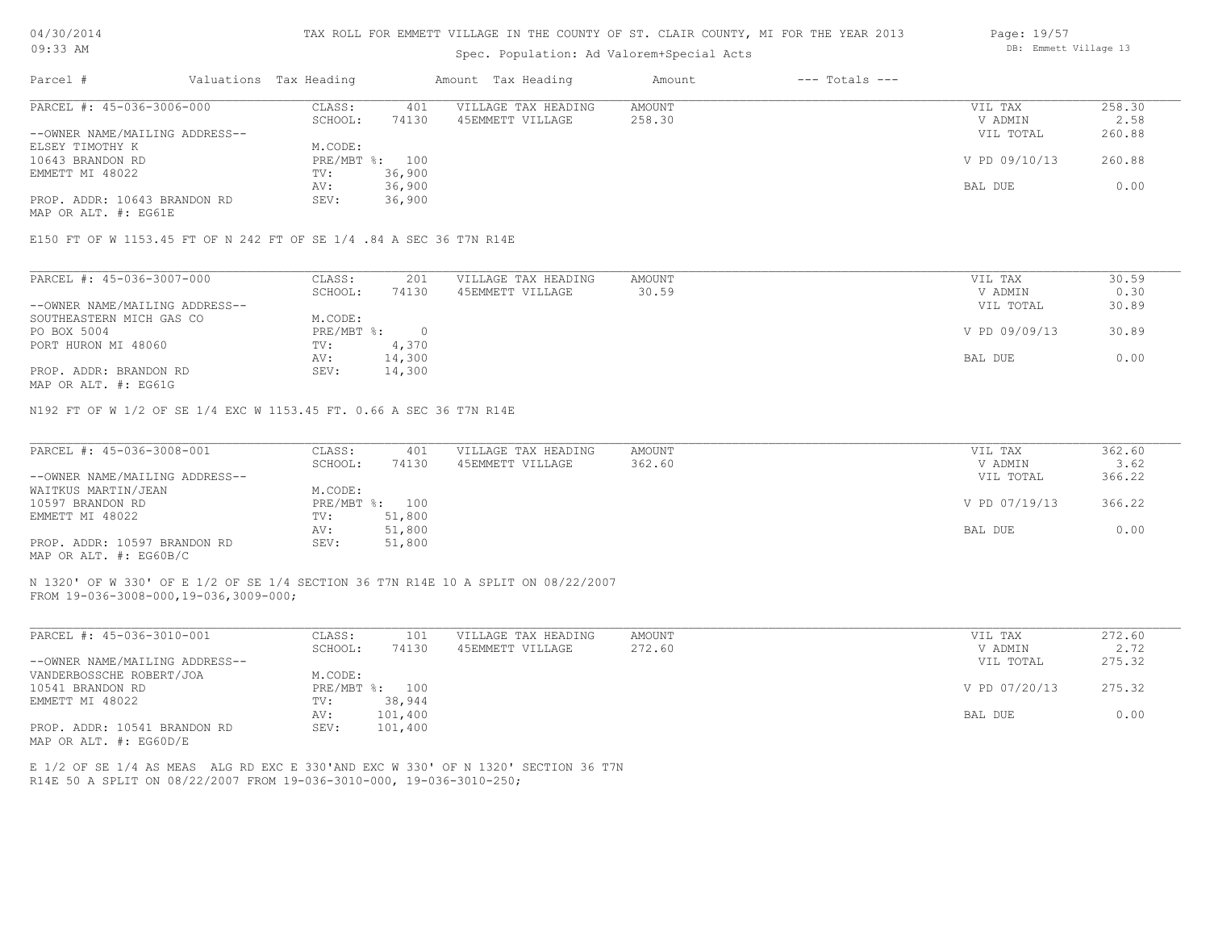#### TAX ROLL FOR EMMETT VILLAGE IN THE COUNTY OF ST. CLAIR COUNTY, MI FOR THE YEAR 2013

### Spec. Population: Ad Valorem+Special Acts

| Parcel #                       | Valuations Tax Heading |        | Amount Tax Heading  | Amount | $---$ Totals $---$ |               |        |
|--------------------------------|------------------------|--------|---------------------|--------|--------------------|---------------|--------|
| PARCEL #: 45-036-3006-000      | CLASS:                 | 401    | VILLAGE TAX HEADING | AMOUNT |                    | VIL TAX       | 258.30 |
|                                | SCHOOL:                | 74130  | 45EMMETT VILLAGE    | 258.30 |                    | V ADMIN       | 2.58   |
| --OWNER NAME/MAILING ADDRESS-- |                        |        |                     |        |                    | VIL TOTAL     | 260.88 |
| ELSEY TIMOTHY K                | M.CODE:                |        |                     |        |                    |               |        |
| 10643 BRANDON RD               | PRE/MBT %: 100         |        |                     |        |                    | V PD 09/10/13 | 260.88 |
| EMMETT MI 48022                | TV:                    | 36,900 |                     |        |                    |               |        |
|                                | AV:                    | 36,900 |                     |        |                    | BAL DUE       | 0.00   |
| PROP. ADDR: 10643 BRANDON RD   | SEV:                   | 36,900 |                     |        |                    |               |        |
|                                |                        |        |                     |        |                    |               |        |

MAP OR ALT. #: EG61E

#### E150 FT OF W 1153.45 FT OF N 242 FT OF SE 1/4 .84 A SEC 36 T7N R14E

| PARCEL #: 45-036-3007-000      | CLASS:     | 201    | VILLAGE TAX HEADING | AMOUNT | VIL TAX       | 30.59 |
|--------------------------------|------------|--------|---------------------|--------|---------------|-------|
|                                | SCHOOL:    | 74130  | 45EMMETT VILLAGE    | 30.59  | V ADMIN       | 0.30  |
| --OWNER NAME/MAILING ADDRESS-- |            |        |                     |        | VIL TOTAL     | 30.89 |
| SOUTHEASTERN MICH GAS CO       | M.CODE:    |        |                     |        |               |       |
| PO BOX 5004                    | PRE/MBT %: |        |                     |        | V PD 09/09/13 | 30.89 |
| PORT HURON MI 48060            | TV:        | 4,370  |                     |        |               |       |
|                                | AV:        | 14,300 |                     |        | BAL DUE       | 0.00  |
| PROP. ADDR: BRANDON RD         | SEV:       | 14,300 |                     |        |               |       |
|                                |            |        |                     |        |               |       |

MAP OR ALT. #: EG61G

N192 FT OF W 1/2 OF SE 1/4 EXC W 1153.45 FT. 0.66 A SEC 36 T7N R14E

| PARCEL #: 45-036-3008-001      | CLASS:  | 401            | VILLAGE TAX HEADING | AMOUNT | VIL TAX       | 362.60 |
|--------------------------------|---------|----------------|---------------------|--------|---------------|--------|
|                                | SCHOOL: | 74130          | 45EMMETT VILLAGE    | 362.60 | V ADMIN       | 3.62   |
| --OWNER NAME/MAILING ADDRESS-- |         |                |                     |        | VIL TOTAL     | 366.22 |
| WAITKUS MARTIN/JEAN            | M.CODE: |                |                     |        |               |        |
| 10597 BRANDON RD               |         | PRE/MBT %: 100 |                     |        | V PD 07/19/13 | 366.22 |
| EMMETT MI 48022                | TV:     | 51,800         |                     |        |               |        |
|                                | AV:     | 51,800         |                     |        | BAL DUE       | 0.00   |
| PROP. ADDR: 10597 BRANDON RD   | SEV:    | 51,800         |                     |        |               |        |
| MAP OR ALT. #: EG60B/C         |         |                |                     |        |               |        |

N 1320' OF W 330' OF E 1/2 OF SE 1/4 SECTION 36 T7N R14E 10 A SPLIT ON 08/22/2007

FROM 19-036-3008-000,19-036,3009-000;

| PARCEL #: 45-036-3010-001      | CLASS:  | 101            | VILLAGE TAX HEADING | AMOUNT | VIL TAX       | 272.60 |
|--------------------------------|---------|----------------|---------------------|--------|---------------|--------|
|                                | SCHOOL: | 74130          | 45EMMETT VILLAGE    | 272.60 | V ADMIN       | 2.72   |
| --OWNER NAME/MAILING ADDRESS-- |         |                |                     |        | VIL TOTAL     | 275.32 |
| VANDERBOSSCHE ROBERT/JOA       | M.CODE: |                |                     |        |               |        |
| 10541 BRANDON RD               |         | PRE/MBT %: 100 |                     |        | V PD 07/20/13 | 275.32 |
| EMMETT MI 48022                | TV:     | 38,944         |                     |        |               |        |
|                                | AV:     | 101,400        |                     |        | BAL DUE       | 0.00   |
| PROP. ADDR: 10541 BRANDON RD   | SEV:    | 101,400        |                     |        |               |        |
| MAP OR ALT. $\#$ : EG60D/E     |         |                |                     |        |               |        |

R14E 50 A SPLIT ON 08/22/2007 FROM 19-036-3010-000, 19-036-3010-250; E 1/2 OF SE 1/4 AS MEAS ALG RD EXC E 330'AND EXC W 330' OF N 1320' SECTION 36 T7N Page: 19/57 DB: Emmett Village 13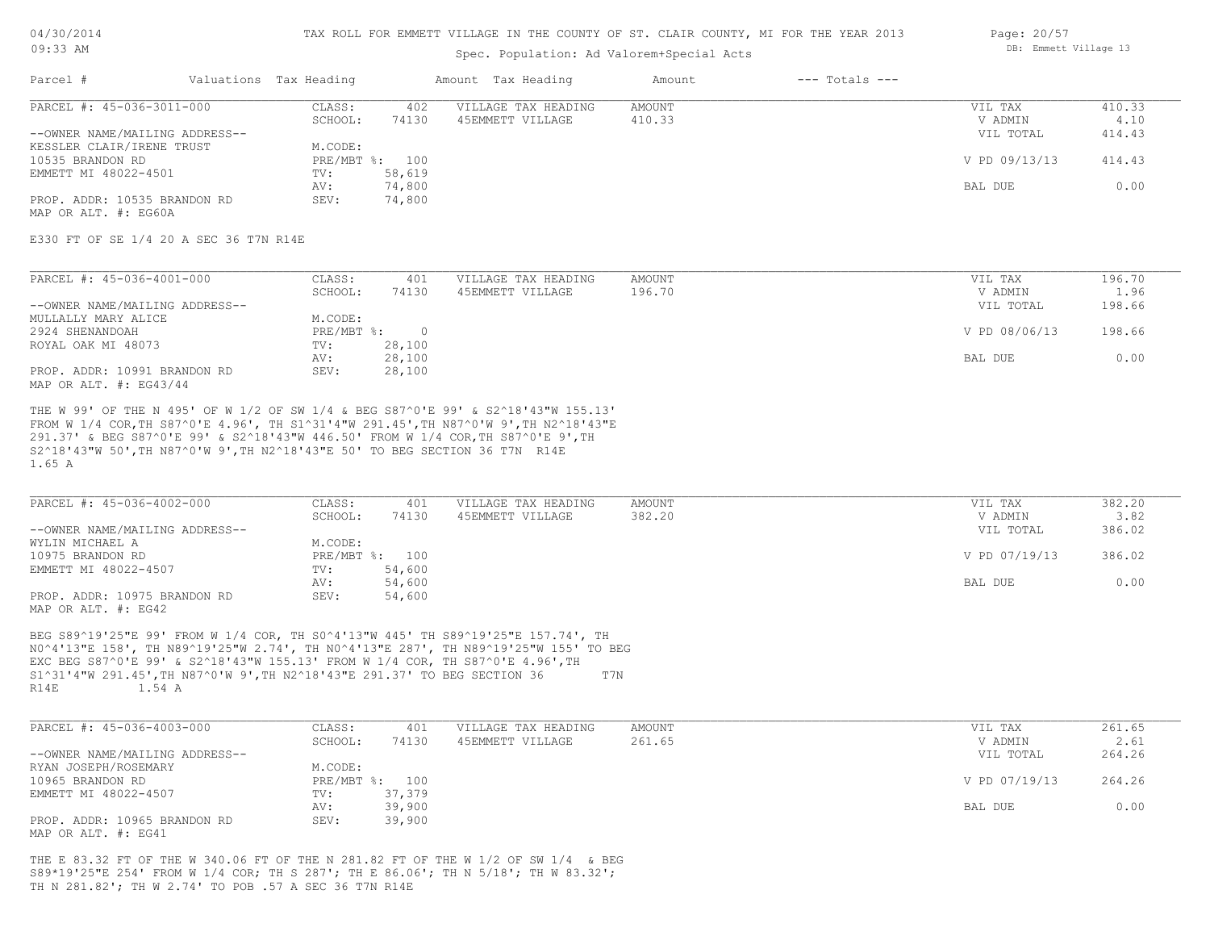#### TAX ROLL FOR EMMETT VILLAGE IN THE COUNTY OF ST. CLAIR COUNTY, MI FOR THE YEAR 2013

# Spec. Population: Ad Valorem+Special Acts

|                                |         |                        |                     | Amount             | $---$ Totals $---$ |               |        |
|--------------------------------|---------|------------------------|---------------------|--------------------|--------------------|---------------|--------|
| PARCEL #: 45-036-3011-000      | CLASS:  | 402                    | VILLAGE TAX HEADING | AMOUNT             |                    | VIL TAX       | 410.33 |
|                                | SCHOOL: | 74130                  | 45EMMETT VILLAGE    | 410.33             |                    | V ADMIN       | 4.10   |
| --OWNER NAME/MAILING ADDRESS-- |         |                        |                     |                    |                    | VIL TOTAL     | 414.43 |
| KESSLER CLAIR/IRENE TRUST      | M.CODE: |                        |                     |                    |                    |               |        |
|                                |         |                        |                     |                    |                    | V PD 09/13/13 | 414.43 |
| EMMETT MI 48022-4501           | TV:     | 58,619                 |                     |                    |                    |               |        |
|                                | AV:     | 74,800                 |                     |                    |                    | BAL DUE       | 0.00   |
| PROP. ADDR: 10535 BRANDON RD   | SEV:    | 74,800                 |                     |                    |                    |               |        |
|                                |         | Valuations Tax Heading | PRE/MBT %: 100      | Amount Tax Heading |                    |               |        |

MAP OR ALT. #: EG60A

E330 FT OF SE 1/4 20 A SEC 36 T7N R14E

| PARCEL #: 45-036-4001-000      | CLASS:     | 401    | VILLAGE TAX HEADING | AMOUNT | VIL TAX       | 196.70 |
|--------------------------------|------------|--------|---------------------|--------|---------------|--------|
|                                | SCHOOL:    | 74130  | 45EMMETT VILLAGE    | 196.70 | V ADMIN       | 1.96   |
| --OWNER NAME/MAILING ADDRESS-- |            |        |                     |        | VIL TOTAL     | 198.66 |
| MULLALLY MARY ALICE            | M.CODE:    |        |                     |        |               |        |
| 2924 SHENANDOAH                | PRE/MBT %: |        |                     |        | V PD 08/06/13 | 198.66 |
| ROYAL OAK MI 48073             | TV:        | 28,100 |                     |        |               |        |
|                                | AV:        | 28,100 |                     |        | BAL DUE       | 0.00   |
| PROP. ADDR: 10991 BRANDON RD   | SEV:       | 28,100 |                     |        |               |        |
| MAP OR ALT. $\#$ : EG43/44     |            |        |                     |        |               |        |

1.65 A S2^18'43"W 50',TH N87^0'W 9',TH N2^18'43"E 50' TO BEG SECTION 36 T7N R14E 291.37' & BEG S87^0'E 99' & S2^18'43"W 446.50' FROM W 1/4 COR,TH S87^0'E 9',TH FROM W 1/4 COR,TH S87^0'E 4.96', TH S1^31'4"W 291.45',TH N87^0'W 9',TH N2^18'43"E THE W 99' OF THE N 495' OF W 1/2 OF SW 1/4 & BEG S87^0'E 99' & S2^18'43"W 155.13'

| PARCEL #: 45-036-4002-000      | CLASS:  | 401            | VILLAGE TAX HEADING | AMOUNT | VIL TAX       | 382.20 |
|--------------------------------|---------|----------------|---------------------|--------|---------------|--------|
|                                | SCHOOL: | 74130          | 45EMMETT VILLAGE    | 382.20 | V ADMIN       | 3.82   |
| --OWNER NAME/MAILING ADDRESS-- |         |                |                     |        | VIL TOTAL     | 386.02 |
| WYLIN MICHAEL A                | M.CODE: |                |                     |        |               |        |
| 10975 BRANDON RD               |         | PRE/MBT %: 100 |                     |        | V PD 07/19/13 | 386.02 |
| EMMETT MI 48022-4507           | TV:     | 54,600         |                     |        |               |        |
|                                | AV:     | 54,600         |                     |        | BAL DUE       | 0.00   |
| PROP. ADDR: 10975 BRANDON RD   | SEV:    | 54,600         |                     |        |               |        |
| MAP OR ALT. #: EG42            |         |                |                     |        |               |        |

R14E 1.54 A S1^31'4"W 291.45',TH N87^0'W 9',TH N2^18'43"E 291.37' TO BEG SECTION 36 T7N EXC BEG S87^0'E 99' & S2^18'43"W 155.13' FROM W 1/4 COR, TH S87^0'E 4.96',TH N0^4'13"E 158', TH N89^19'25"W 2.74', TH N0^4'13"E 287', TH N89^19'25"W 155' TO BEG BEG S89^19'25"E 99' FROM W 1/4 COR, TH S0^4'13"W 445' TH S89^19'25"E 157.74', TH

| PARCEL #: 45-036-4003-000      | CLASS:  | 401            | VILLAGE TAX HEADING | AMOUNT | VIL TAX       | 261.65 |
|--------------------------------|---------|----------------|---------------------|--------|---------------|--------|
|                                | SCHOOL: | 74130          | 45EMMETT VILLAGE    | 261.65 | V ADMIN       | 2.61   |
| --OWNER NAME/MAILING ADDRESS-- |         |                |                     |        | VIL TOTAL     | 264.26 |
| RYAN JOSEPH/ROSEMARY           | M.CODE: |                |                     |        |               |        |
| 10965 BRANDON RD               |         | PRE/MBT %: 100 |                     |        | V PD 07/19/13 | 264.26 |
| EMMETT MI 48022-4507           | TV:     | 37,379         |                     |        |               |        |
|                                | AV:     | 39,900         |                     |        | BAL DUE       | 0.00   |
| PROP. ADDR: 10965 BRANDON RD   | SEV:    | 39,900         |                     |        |               |        |
| MAP OR ALT. #: EG41            |         |                |                     |        |               |        |

TH N 281.82'; TH W 2.74' TO POB .57 A SEC 36 T7N R14E S89\*19'25"E 254' FROM W 1/4 COR; TH S 287'; TH E 86.06'; TH N 5/18'; TH W 83.32'; THE E 83.32 FT OF THE W 340.06 FT OF THE N 281.82 FT OF THE W 1/2 OF SW 1/4 & BEG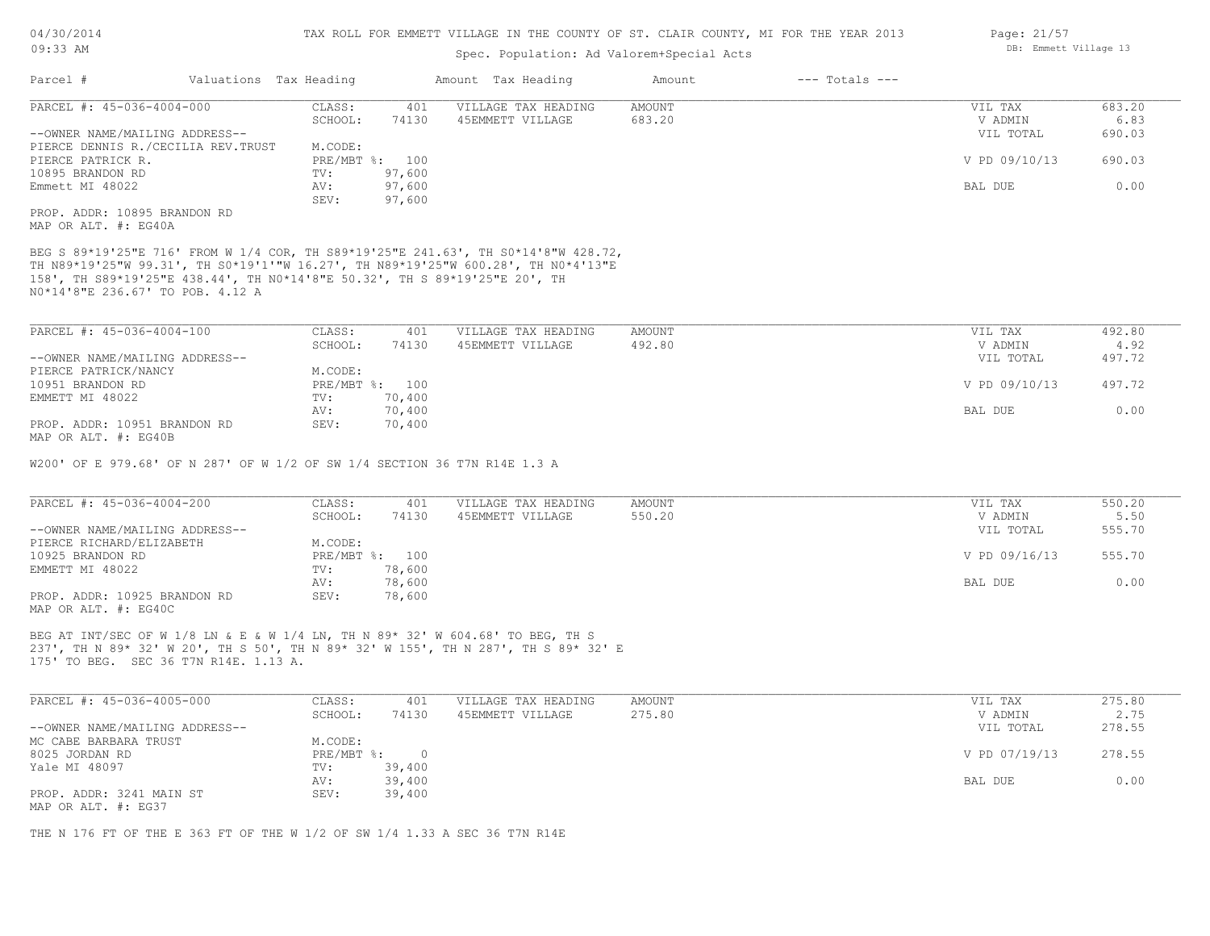## Spec. Population: Ad Valorem+Special Acts

| Parcel #                       |                                    | Valuations Tax Heading |                | Amount Tax Heading  | Amount | $---$ Totals $---$ |               |        |
|--------------------------------|------------------------------------|------------------------|----------------|---------------------|--------|--------------------|---------------|--------|
| PARCEL #: 45-036-4004-000      |                                    | CLASS:                 | 401            | VILLAGE TAX HEADING | AMOUNT |                    | VIL TAX       | 683.20 |
|                                |                                    | SCHOOL:                | 74130          | 45EMMETT VILLAGE    | 683.20 |                    | V ADMIN       | 6.83   |
| --OWNER NAME/MAILING ADDRESS-- |                                    |                        |                |                     |        |                    | VIL TOTAL     | 690.03 |
|                                | PIERCE DENNIS R./CECILIA REV.TRUST | M.CODE:                |                |                     |        |                    |               |        |
| PIERCE PATRICK R.              |                                    |                        | PRE/MBT %: 100 |                     |        |                    | V PD 09/10/13 | 690.03 |
| 10895 BRANDON RD               |                                    | TV:                    | 97,600         |                     |        |                    |               |        |
| Emmett MI 48022                |                                    | AV:                    | 97,600         |                     |        |                    | BAL DUE       | 0.00   |
|                                |                                    | SEV:                   | 97,600         |                     |        |                    |               |        |
| PROP. ADDR: 10895 BRANDON RD   |                                    |                        |                |                     |        |                    |               |        |
|                                |                                    |                        |                |                     |        |                    |               |        |

MAP OR ALT. #: EG40A

N0\*14'8"E 236.67' TO POB. 4.12 A 158', TH S89\*19'25"E 438.44', TH N0\*14'8"E 50.32', TH S 89\*19'25"E 20', TH TH N89\*19'25"W 99.31', TH S0\*19'1'"W 16.27', TH N89\*19'25"W 600.28', TH N0\*4'13"E BEG S 89\*19'25"E 716' FROM W 1/4 COR, TH S89\*19'25"E 241.63', TH S0\*14'8"W 428.72,

| PARCEL #: 45-036-4004-100      | CLASS:  | 401            | VILLAGE TAX HEADING | AMOUNT | VIL TAX       | 492.80 |
|--------------------------------|---------|----------------|---------------------|--------|---------------|--------|
|                                | SCHOOL: | 74130          | 45EMMETT VILLAGE    | 492.80 | V ADMIN       | 4.92   |
| --OWNER NAME/MAILING ADDRESS-- |         |                |                     |        | VIL TOTAL     | 497.72 |
| PIERCE PATRICK/NANCY           | M.CODE: |                |                     |        |               |        |
| 10951 BRANDON RD               |         | PRE/MBT %: 100 |                     |        | V PD 09/10/13 | 497.72 |
| EMMETT MI 48022                | TV:     | 70,400         |                     |        |               |        |
|                                | AV:     | 70,400         |                     |        | BAL DUE       | 0.00   |
| PROP. ADDR: 10951 BRANDON RD   | SEV:    | 70,400         |                     |        |               |        |
| MAP OR ALT. #: EG40B           |         |                |                     |        |               |        |

W200' OF E 979.68' OF N 287' OF W 1/2 OF SW 1/4 SECTION 36 T7N R14E 1.3 A

| PARCEL #: 45-036-4004-200      | CLASS:  | 401            | VILLAGE TAX HEADING | AMOUNT | VIL TAX       | 550.20 |
|--------------------------------|---------|----------------|---------------------|--------|---------------|--------|
|                                | SCHOOL: | 74130          | 45EMMETT VILLAGE    | 550.20 | V ADMIN       | 5.50   |
| --OWNER NAME/MAILING ADDRESS-- |         |                |                     |        | VIL TOTAL     | 555.70 |
| PIERCE RICHARD/ELIZABETH       | M.CODE: |                |                     |        |               |        |
| 10925 BRANDON RD               |         | PRE/MBT %: 100 |                     |        | V PD 09/16/13 | 555.70 |
| EMMETT MI 48022                | TV:     | 78,600         |                     |        |               |        |
|                                | AV:     | 78,600         |                     |        | BAL DUE       | 0.00   |
| PROP. ADDR: 10925 BRANDON RD   | SEV:    | 78,600         |                     |        |               |        |
| MAP OR ALT. #: EG40C           |         |                |                     |        |               |        |

175' TO BEG. SEC 36 T7N R14E. 1.13 A. 237', TH N 89\* 32' W 20', TH S 50', TH N 89\* 32' W 155', TH N 287', TH S 89\* 32' E BEG AT INT/SEC OF W 1/8 LN & E & W 1/4 LN, TH N 89\* 32' W 604.68' TO BEG, TH S

| PARCEL #: 45-036-4005-000      | CLASS:     | 401    | VILLAGE TAX HEADING | AMOUNT | VIL TAX       | 275.80 |
|--------------------------------|------------|--------|---------------------|--------|---------------|--------|
|                                | SCHOOL:    | 74130  | 45EMMETT VILLAGE    | 275.80 | V ADMIN       | 2.75   |
| --OWNER NAME/MAILING ADDRESS-- |            |        |                     |        | VIL TOTAL     | 278.55 |
| MC CABE BARBARA TRUST          | M.CODE:    |        |                     |        |               |        |
| 8025 JORDAN RD                 | PRE/MBT %: |        |                     |        | V PD 07/19/13 | 278.55 |
| Yale MI 48097                  | TV:        | 39,400 |                     |        |               |        |
|                                | AV:        | 39,400 |                     |        | BAL DUE       | 0.00   |
| PROP. ADDR: 3241 MAIN ST       | SEV:       | 39,400 |                     |        |               |        |
| MAP OR ALT. #: EG37            |            |        |                     |        |               |        |

THE N 176 FT OF THE E 363 FT OF THE W 1/2 OF SW 1/4 1.33 A SEC 36 T7N R14E

Page: 21/57 DB: Emmett Village 13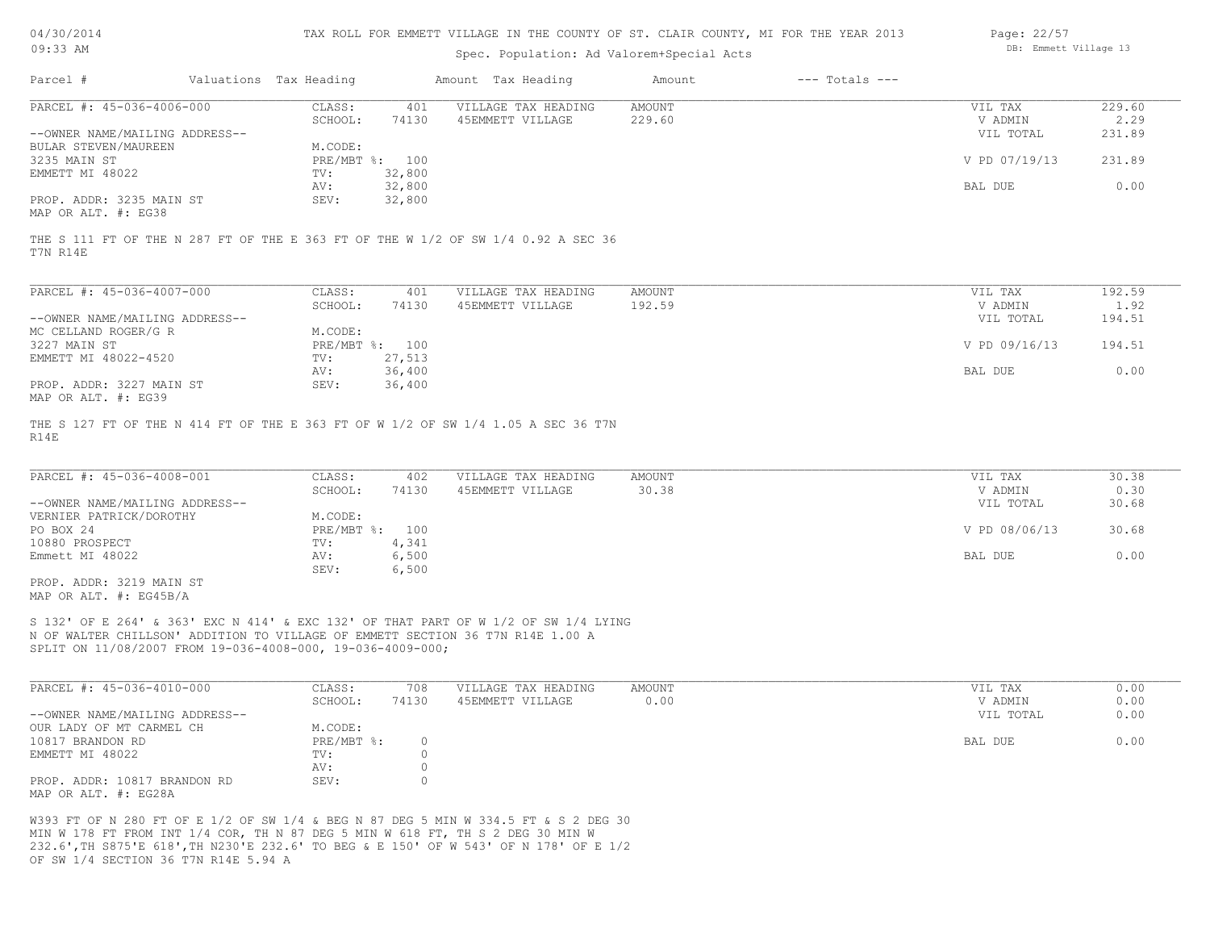| 04/30/201 |  |
|-----------|--|
| 09:33     |  |

Spec. Population: Ad Valorem+Special Acts

| Page: 22/57 |                       |  |
|-------------|-----------------------|--|
|             | DB: Emmett Village 13 |  |

| Parcel #                       | Valuations Tax Heading |        | Amount Tax Heading  | Amount | $---$ Totals $---$ |               |        |
|--------------------------------|------------------------|--------|---------------------|--------|--------------------|---------------|--------|
| PARCEL #: 45-036-4006-000      | CLASS:                 | 401    | VILLAGE TAX HEADING | AMOUNT |                    | VIL TAX       | 229.60 |
|                                | SCHOOL:                | 74130  | 45EMMETT VILLAGE    | 229.60 |                    | V ADMIN       | 2.29   |
| --OWNER NAME/MAILING ADDRESS-- |                        |        |                     |        |                    | VIL TOTAL     | 231.89 |
| BULAR STEVEN/MAUREEN           | M.CODE:                |        |                     |        |                    |               |        |
| 3235 MAIN ST                   | PRE/MBT %: 100         |        |                     |        |                    | V PD 07/19/13 | 231.89 |
| EMMETT MI 48022                | TV:                    | 32,800 |                     |        |                    |               |        |
|                                | AV:                    | 32,800 |                     |        |                    | BAL DUE       | 0.00   |
| PROP. ADDR: 3235 MAIN ST       | SEV:                   | 32,800 |                     |        |                    |               |        |
| MAP OR ALT. #: EG38            |                        |        |                     |        |                    |               |        |

T7N R14E THE S 111 FT OF THE N 287 FT OF THE E 363 FT OF THE W 1/2 OF SW 1/4 0.92 A SEC 36

| PARCEL #: 45-036-4007-000      | CLASS:  | 401            | VILLAGE TAX HEADING | AMOUNT | VIL TAX       | 192.59 |
|--------------------------------|---------|----------------|---------------------|--------|---------------|--------|
|                                | SCHOOL: | 74130          | 45EMMETT VILLAGE    | 192.59 | V ADMIN       | 1.92   |
| --OWNER NAME/MAILING ADDRESS-- |         |                |                     |        | VIL TOTAL     | 194.51 |
| MC CELLAND ROGER/G R           | M.CODE: |                |                     |        |               |        |
| 3227 MAIN ST                   |         | PRE/MBT %: 100 |                     |        | V PD 09/16/13 | 194.51 |
| EMMETT MI 48022-4520           | TV:     | 27,513         |                     |        |               |        |
|                                | AV:     | 36,400         |                     |        | BAL DUE       | 0.00   |
| PROP. ADDR: 3227 MAIN ST       | SEV:    | 36,400         |                     |        |               |        |
| MAP OR ALT. #: EG39            |         |                |                     |        |               |        |

R14E THE S 127 FT OF THE N 414 FT OF THE E 363 FT OF W 1/2 OF SW 1/4 1.05 A SEC 36 T7N

| PARCEL #: 45-036-4008-001      | CLASS:         | 402   | VILLAGE TAX HEADING | AMOUNT | VIL TAX       | 30.38 |
|--------------------------------|----------------|-------|---------------------|--------|---------------|-------|
|                                | SCHOOL:        | 74130 | 45EMMETT VILLAGE    | 30.38  | V ADMIN       | 0.30  |
| --OWNER NAME/MAILING ADDRESS-- |                |       |                     |        | VIL TOTAL     | 30.68 |
| VERNIER PATRICK/DOROTHY        | M.CODE:        |       |                     |        |               |       |
| PO BOX 24                      | PRE/MBT %: 100 |       |                     |        | V PD 08/06/13 | 30.68 |
| 10880 PROSPECT                 | TV:            | 4,341 |                     |        |               |       |
| Emmett MI 48022                | AV:            | 6,500 |                     |        | BAL DUE       | 0.00  |
|                                | SEV:           | 6,500 |                     |        |               |       |
| PROP. ADDR: 3219 MAIN ST       |                |       |                     |        |               |       |

MAP OR ALT. #: EG45B/A

SPLIT ON 11/08/2007 FROM 19-036-4008-000, 19-036-4009-000; N OF WALTER CHILLSON' ADDITION TO VILLAGE OF EMMETT SECTION 36 T7N R14E 1.00 A S 132' OF E 264' & 363' EXC N 414' & EXC 132' OF THAT PART OF W 1/2 OF SW 1/4 LYING

| PARCEL #: 45-036-4010-000      | CLASS:       | 708   | VILLAGE TAX HEADING | AMOUNT | VIL TAX   | 0.00 |
|--------------------------------|--------------|-------|---------------------|--------|-----------|------|
|                                | SCHOOL:      | 74130 | 45EMMETT VILLAGE    | 0.00   | V ADMIN   | 0.00 |
| --OWNER NAME/MAILING ADDRESS-- |              |       |                     |        | VIL TOTAL | 0.00 |
| OUR LADY OF MT CARMEL CH       | M.CODE:      |       |                     |        |           |      |
| 10817 BRANDON RD               | $PRE/MBT$ %: |       |                     |        | BAL DUE   | 0.00 |
| EMMETT MI 48022                | TV:          |       |                     |        |           |      |
|                                | AV:          |       |                     |        |           |      |
| PROP. ADDR: 10817 BRANDON RD   | SEV:         |       |                     |        |           |      |
| MAP OR ALT. #: EG28A           |              |       |                     |        |           |      |

OF SW 1/4 SECTION 36 T7N R14E 5.94 A 232.6',TH S875'E 618',TH N230'E 232.6' TO BEG & E 150' OF W 543' OF N 178' OF E 1/2 MIN W 178 FT FROM INT 1/4 COR, TH N 87 DEG 5 MIN W 618 FT, TH S 2 DEG 30 MIN W W393 FT OF N 280 FT OF E 1/2 OF SW 1/4 & BEG N 87 DEG 5 MIN W 334.5 FT & S 2 DEG 30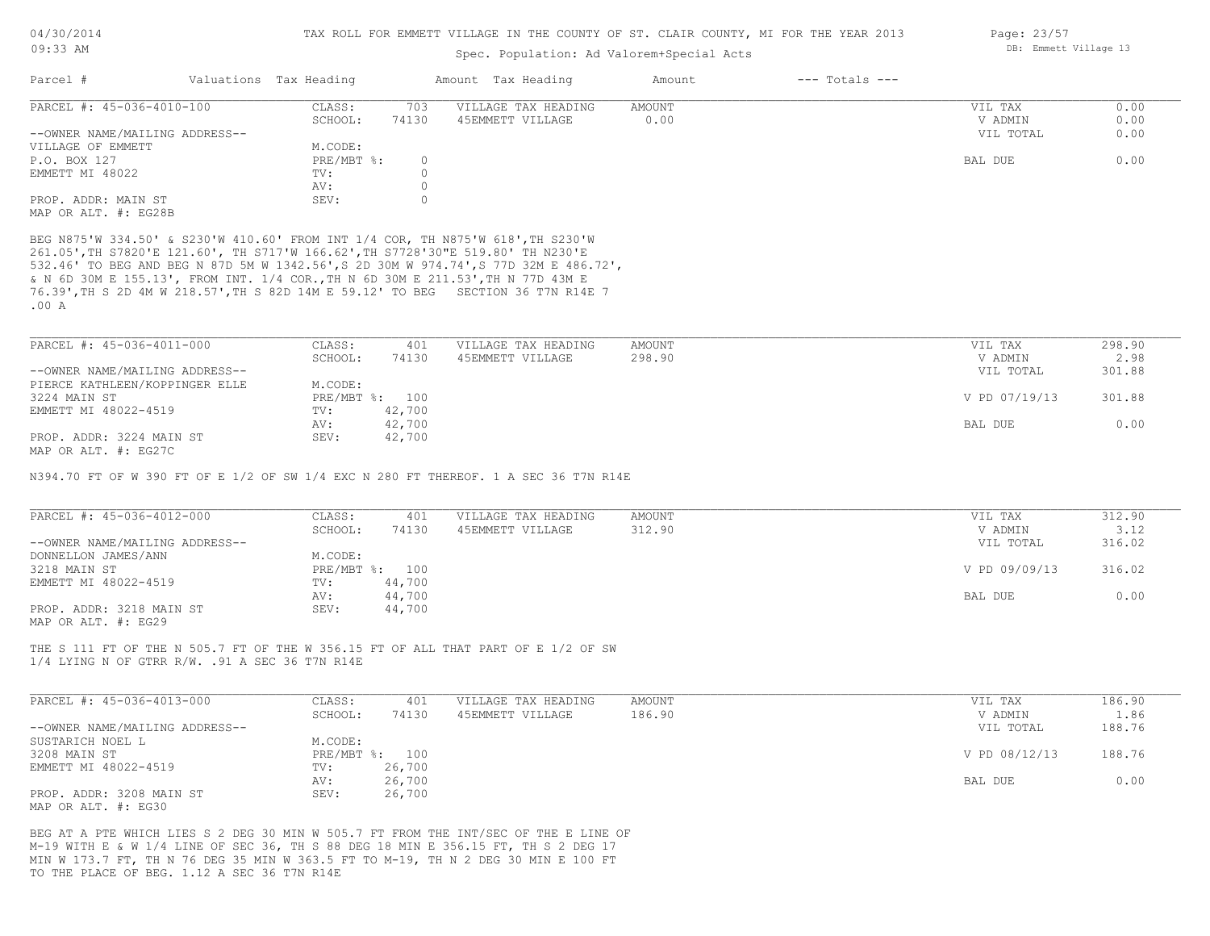## Spec. Population: Ad Valorem+Special Acts

| Parcel #                       | Valuations Tax Heading |          | Amount Tax Heading  | Amount | $---$ Totals $---$ |           |      |
|--------------------------------|------------------------|----------|---------------------|--------|--------------------|-----------|------|
| PARCEL #: 45-036-4010-100      | CLASS:                 | 703      | VILLAGE TAX HEADING | AMOUNT |                    | VIL TAX   | 0.00 |
|                                | SCHOOL:                | 74130    | 45EMMETT VILLAGE    | 0.00   |                    | V ADMIN   | 0.00 |
| --OWNER NAME/MAILING ADDRESS-- |                        |          |                     |        |                    | VIL TOTAL | 0.00 |
| VILLAGE OF EMMETT              | M.CODE:                |          |                     |        |                    |           |      |
| P.O. BOX 127                   | $PRE/MBT$ %:           | $\Omega$ |                     |        |                    | BAL DUE   | 0.00 |
| EMMETT MI 48022                | TV:                    |          |                     |        |                    |           |      |
|                                | AV:                    |          |                     |        |                    |           |      |
| PROP. ADDR: MAIN ST            | SEV:                   |          |                     |        |                    |           |      |
| MAP OR ALT. #: EG28B           |                        |          |                     |        |                    |           |      |

.00 A 76.39',TH S 2D 4M W 218.57',TH S 82D 14M E 59.12' TO BEG SECTION 36 T7N R14E 7 & N 6D 30M E 155.13', FROM INT. 1/4 COR.,TH N 6D 30M E 211.53',TH N 77D 43M E 532.46' TO BEG AND BEG N 87D 5M W 1342.56',S 2D 30M W 974.74',S 77D 32M E 486.72', 261.05',TH S7820'E 121.60', TH S717'W 166.62',TH S7728'30"E 519.80' TH N230'E BEG N875'W 334.50' & S230'W 410.60' FROM INT 1/4 COR, TH N875'W 618',TH S230'W

| PARCEL #: 45-036-4011-000      | CLASS:         | 401    | VILLAGE TAX HEADING | AMOUNT | VIL TAX       | 298.90 |
|--------------------------------|----------------|--------|---------------------|--------|---------------|--------|
|                                | SCHOOL:        | 74130  | 45EMMETT VILLAGE    | 298.90 | V ADMIN       | 2.98   |
| --OWNER NAME/MAILING ADDRESS-- |                |        |                     |        | VIL TOTAL     | 301.88 |
| PIERCE KATHLEEN/KOPPINGER ELLE | M.CODE:        |        |                     |        |               |        |
| 3224 MAIN ST                   | PRE/MBT %: 100 |        |                     |        | V PD 07/19/13 | 301.88 |
| EMMETT MI 48022-4519           | TV:            | 42,700 |                     |        |               |        |
|                                | AV:            | 42,700 |                     |        | BAL DUE       | 0.00   |
| PROP. ADDR: 3224 MAIN ST       | SEV:           | 42,700 |                     |        |               |        |
| MAP OR ALT. #: EG27C           |                |        |                     |        |               |        |

N394.70 FT OF W 390 FT OF E 1/2 OF SW 1/4 EXC N 280 FT THEREOF. 1 A SEC 36 T7N R14E

| PARCEL #: 45-036-4012-000      | CLASS:  | 401            | VILLAGE TAX HEADING | AMOUNT | VIL TAX       | 312.90 |
|--------------------------------|---------|----------------|---------------------|--------|---------------|--------|
|                                | SCHOOL: | 74130          | 45EMMETT VILLAGE    | 312.90 | V ADMIN       | 3.12   |
| --OWNER NAME/MAILING ADDRESS-- |         |                |                     |        | VIL TOTAL     | 316.02 |
| DONNELLON JAMES/ANN            | M.CODE: |                |                     |        |               |        |
| 3218 MAIN ST                   |         | PRE/MBT %: 100 |                     |        | V PD 09/09/13 | 316.02 |
| EMMETT MI 48022-4519           | TV:     | 44,700         |                     |        |               |        |
|                                | AV:     | 44,700         |                     |        | BAL DUE       | 0.00   |
| PROP. ADDR: 3218 MAIN ST       | SEV:    | 44,700         |                     |        |               |        |
| MAP OR ALT. #: EG29            |         |                |                     |        |               |        |

1/4 LYING N OF GTRR R/W. .91 A SEC 36 T7N R14E THE S 111 FT OF THE N 505.7 FT OF THE W 356.15 FT OF ALL THAT PART OF E 1/2 OF SW

| PARCEL #: 45-036-4013-000      | CLASS:  | 401            | VILLAGE TAX HEADING | AMOUNT | VIL TAX       | 186.90 |
|--------------------------------|---------|----------------|---------------------|--------|---------------|--------|
|                                | SCHOOL: | 74130          | 45EMMETT VILLAGE    | 186.90 | V ADMIN       | 1.86   |
| --OWNER NAME/MAILING ADDRESS-- |         |                |                     |        | VIL TOTAL     | 188.76 |
| SUSTARICH NOEL L               | M.CODE: |                |                     |        |               |        |
| 3208 MAIN ST                   |         | PRE/MBT %: 100 |                     |        | V PD 08/12/13 | 188.76 |
| EMMETT MI 48022-4519           | TV:     | 26,700         |                     |        |               |        |
|                                | AV:     | 26,700         |                     |        | BAL DUE       | 0.00   |
| PROP. ADDR: 3208 MAIN ST       | SEV:    | 26,700         |                     |        |               |        |
| MAP OR ALT. #: EG30            |         |                |                     |        |               |        |

TO THE PLACE OF BEG. 1.12 A SEC 36 T7N R14E MIN W 173.7 FT, TH N 76 DEG 35 MIN W 363.5 FT TO M-19, TH N 2 DEG 30 MIN E 100 FT M-19 WITH E & W 1/4 LINE OF SEC 36, TH S 88 DEG 18 MIN E 356.15 FT, TH S 2 DEG 17 BEG AT A PTE WHICH LIES S 2 DEG 30 MIN W 505.7 FT FROM THE INT/SEC OF THE E LINE OF Page: 23/57 DB: Emmett Village 13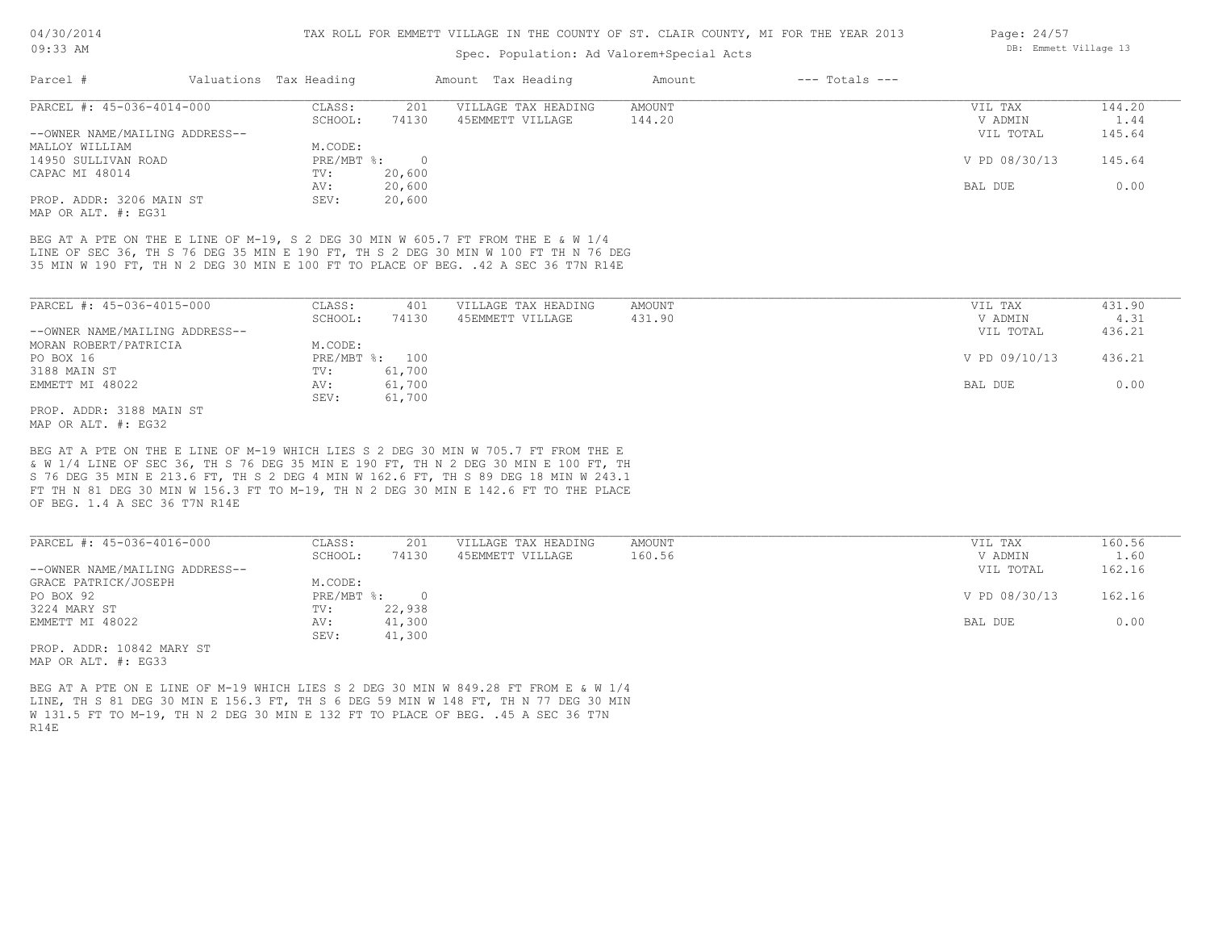## Spec. Population: Ad Valorem+Special Acts

| Parcel #                       | Valuations Tax Heading |        | Amount Tax Heading  | Amount | $---$ Totals $---$ |               |        |
|--------------------------------|------------------------|--------|---------------------|--------|--------------------|---------------|--------|
| PARCEL #: 45-036-4014-000      | CLASS:                 | 201    | VILLAGE TAX HEADING | AMOUNT |                    | VIL TAX       | 144.20 |
|                                | SCHOOL:                | 74130  | 45EMMETT VILLAGE    | 144.20 |                    | V ADMIN       | 1.44   |
| --OWNER NAME/MAILING ADDRESS-- |                        |        |                     |        |                    | VIL TOTAL     | 145.64 |
| MALLOY WILLIAM                 | M.CODE:                |        |                     |        |                    |               |        |
| 14950 SULLIVAN ROAD            | $PRE/MBT$ %:           |        |                     |        |                    | V PD 08/30/13 | 145.64 |
| CAPAC MI 48014                 | TV:                    | 20,600 |                     |        |                    |               |        |
|                                | AV:                    | 20,600 |                     |        |                    | BAL DUE       | 0.00   |
| PROP. ADDR: 3206 MAIN ST       | SEV:                   | 20,600 |                     |        |                    |               |        |
|                                |                        |        |                     |        |                    |               |        |

MAP OR ALT. #: EG31

35 MIN W 190 FT, TH N 2 DEG 30 MIN E 100 FT TO PLACE OF BEG. .42 A SEC 36 T7N R14E LINE OF SEC 36, TH S 76 DEG 35 MIN E 190 FT, TH S 2 DEG 30 MIN W 100 FT TH N 76 DEG BEG AT A PTE ON THE E LINE OF M-19, S 2 DEG 30 MIN W 605.7 FT FROM THE E & W 1/4

| PARCEL #: 45-036-4015-000      | CLASS:  | 401            | VILLAGE TAX HEADING | AMOUNT | VIL TAX       | 431.90 |
|--------------------------------|---------|----------------|---------------------|--------|---------------|--------|
|                                | SCHOOL: | 74130          | 45EMMETT VILLAGE    | 431.90 | V ADMIN       | 4.31   |
| --OWNER NAME/MAILING ADDRESS-- |         |                |                     |        | VIL TOTAL     | 436.21 |
| MORAN ROBERT/PATRICIA          | M.CODE: |                |                     |        |               |        |
| PO BOX 16                      |         | PRE/MBT %: 100 |                     |        | V PD 09/10/13 | 436.21 |
| 3188 MAIN ST                   | TV:     | 61,700         |                     |        |               |        |
| EMMETT MI 48022                | AV:     | 61,700         |                     |        | BAL DUE       | 0.00   |
|                                | SEV:    | 61,700         |                     |        |               |        |
| PROP. ADDR: 3188 MAIN ST       |         |                |                     |        |               |        |

MAP OR ALT. #: EG32

OF BEG. 1.4 A SEC 36 T7N R14E FT TH N 81 DEG 30 MIN W 156.3 FT TO M-19, TH N 2 DEG 30 MIN E 142.6 FT TO THE PLACE S 76 DEG 35 MIN E 213.6 FT, TH S 2 DEG 4 MIN W 162.6 FT, TH S 89 DEG 18 MIN W 243.1 & W 1/4 LINE OF SEC 36, TH S 76 DEG 35 MIN E 190 FT, TH N 2 DEG 30 MIN E 100 FT, TH BEG AT A PTE ON THE E LINE OF M-19 WHICH LIES S 2 DEG 30 MIN W 705.7 FT FROM THE E

| PARCEL #: 45-036-4016-000      | CLASS:     | 201      | VILLAGE TAX HEADING | AMOUNT | VIL TAX       | 160.56 |
|--------------------------------|------------|----------|---------------------|--------|---------------|--------|
|                                | SCHOOL:    | 74130    | 45EMMETT VILLAGE    | 160.56 | V ADMIN       | 1.60   |
| --OWNER NAME/MAILING ADDRESS-- |            |          |                     |        | VIL TOTAL     | 162.16 |
| GRACE PATRICK/JOSEPH           | M.CODE:    |          |                     |        |               |        |
| PO BOX 92                      | PRE/MBT %: | $\Omega$ |                     |        | V PD 08/30/13 | 162.16 |
| 3224 MARY ST                   | TV:        | 22,938   |                     |        |               |        |
| EMMETT MI 48022                | AV:        | 41,300   |                     |        | BAL DUE       | 0.00   |
|                                | SEV:       | 41,300   |                     |        |               |        |
| PROP. ADDR: 10842 MARY ST      |            |          |                     |        |               |        |

MAP OR ALT. #: EG33

R14E W 131.5 FT TO M-19, TH N 2 DEG 30 MIN E 132 FT TO PLACE OF BEG. .45 A SEC 36 T7N LINE, TH S 81 DEG 30 MIN E 156.3 FT, TH S 6 DEG 59 MIN W 148 FT, TH N 77 DEG 30 MIN BEG AT A PTE ON E LINE OF M-19 WHICH LIES S 2 DEG 30 MIN W 849.28 FT FROM E & W 1/4

Page: 24/57 DB: Emmett Village 13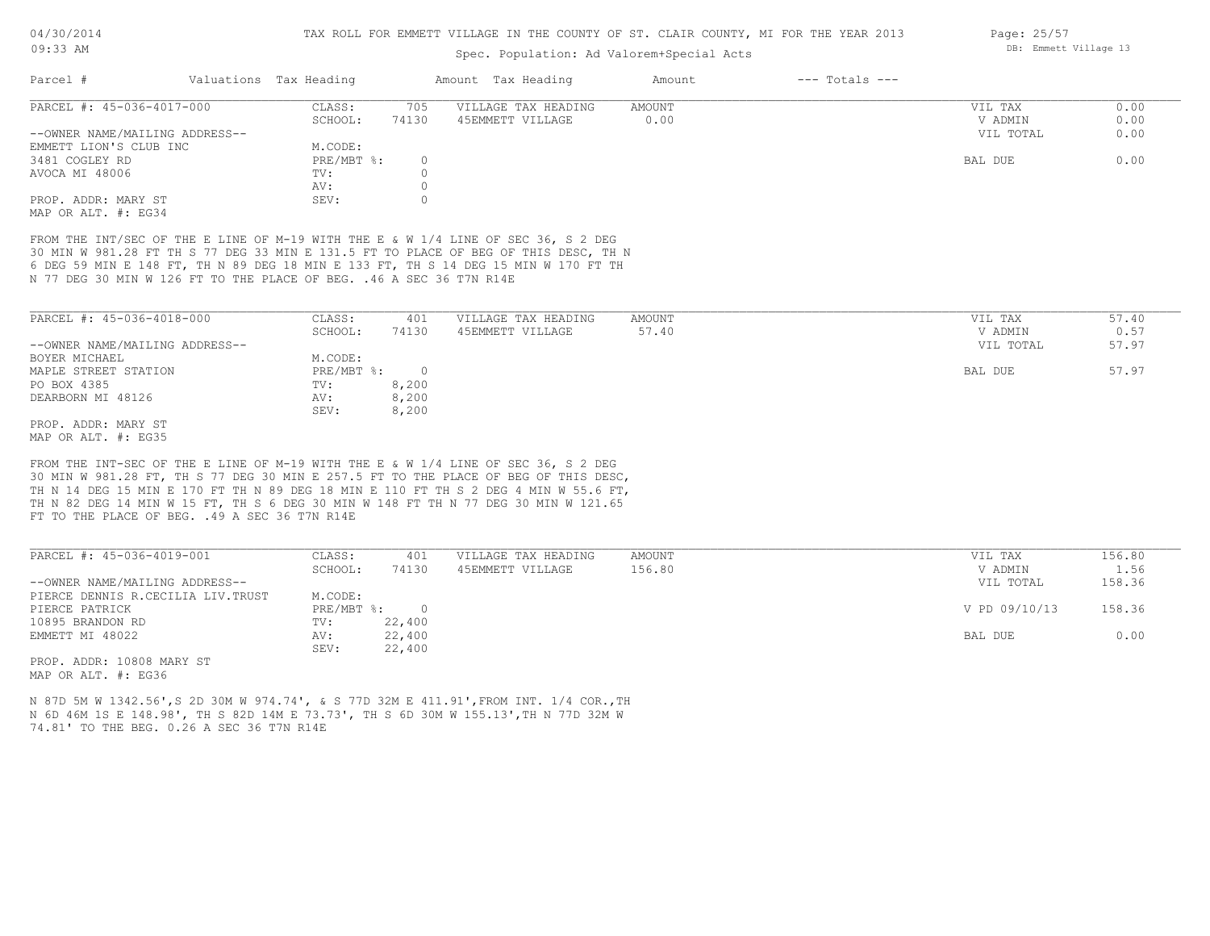### Spec. Population: Ad Valorem+Special Acts

| Parcel #                       | Valuations Tax Heading |       | Amount Tax Heading  | Amount | $---$ Totals $---$ |           |      |
|--------------------------------|------------------------|-------|---------------------|--------|--------------------|-----------|------|
| PARCEL #: 45-036-4017-000      | CLASS:                 | 705   | VILLAGE TAX HEADING | AMOUNT |                    | VIL TAX   | 0.00 |
|                                | SCHOOL:                | 74130 | 45EMMETT VILLAGE    | 0.00   |                    | V ADMIN   | 0.00 |
| --OWNER NAME/MAILING ADDRESS-- |                        |       |                     |        |                    | VIL TOTAL | 0.00 |
| EMMETT LION'S CLUB INC         | M.CODE:                |       |                     |        |                    |           |      |
| 3481 COGLEY RD                 | $PRE/MBT$ %:           |       |                     |        |                    | BAL DUE   | 0.00 |
| AVOCA MI 48006                 | TV:                    |       |                     |        |                    |           |      |
|                                | AV:                    |       |                     |        |                    |           |      |
| PROP. ADDR: MARY ST            | SEV:                   |       |                     |        |                    |           |      |
| MAP OR ALT. #: EG34            |                        |       |                     |        |                    |           |      |

N 77 DEG 30 MIN W 126 FT TO THE PLACE OF BEG. .46 A SEC 36 T7N R14E 6 DEG 59 MIN E 148 FT, TH N 89 DEG 18 MIN E 133 FT, TH S 14 DEG 15 MIN W 170 FT TH 30 MIN W 981.28 FT TH S 77 DEG 33 MIN E 131.5 FT TO PLACE OF BEG OF THIS DESC, TH N FROM THE INT/SEC OF THE E LINE OF M-19 WITH THE E & W 1/4 LINE OF SEC 36, S 2 DEG

| PARCEL #: 45-036-4018-000      | CLASS:     | 401   | VILLAGE TAX HEADING | AMOUNT | 57.40<br>VIL TAX   |
|--------------------------------|------------|-------|---------------------|--------|--------------------|
|                                | SCHOOL:    | 74130 | 45EMMETT VILLAGE    | 57.40  | 0.57<br>V ADMIN    |
| --OWNER NAME/MAILING ADDRESS-- |            |       |                     |        | 57.97<br>VIL TOTAL |
| BOYER MICHAEL                  | M.CODE:    |       |                     |        |                    |
| MAPLE STREET STATION           | PRE/MBT %: |       |                     |        | 57.97<br>BAL DUE   |
| PO BOX 4385                    | TV:        | 8,200 |                     |        |                    |
| DEARBORN MI 48126              | AV:        | 8,200 |                     |        |                    |
|                                | SEV:       | 8,200 |                     |        |                    |
| PROP. ADDR: MARY ST            |            |       |                     |        |                    |

MAP OR ALT. #: EG35

FT TO THE PLACE OF BEG. . 49 A SEC 36 T7N R14E TH N 82 DEG 14 MIN W 15 FT, TH S 6 DEG 30 MIN W 148 FT TH N 77 DEG 30 MIN W 121.65 TH N 14 DEG 15 MIN E 170 FT TH N 89 DEG 18 MIN E 110 FT TH S 2 DEG 4 MIN W 55.6 FT, 30 MIN W 981.28 FT, TH S 77 DEG 30 MIN E 257.5 FT TO THE PLACE OF BEG OF THIS DESC, FROM THE INT-SEC OF THE E LINE OF M-19 WITH THE E & W 1/4 LINE OF SEC 36, S 2 DEG

| PARCEL #: 45-036-4019-001          | CLASS:     | 401    | VILLAGE TAX HEADING | AMOUNT | VIL TAX       | 156.80 |
|------------------------------------|------------|--------|---------------------|--------|---------------|--------|
|                                    | SCHOOL:    | 74130  | 45EMMETT VILLAGE    | 156.80 | V ADMIN       | 1.56   |
| --OWNER NAME/MAILING ADDRESS--     |            |        |                     |        | VIL TOTAL     | 158.36 |
| PIERCE DENNIS R.CECILIA LIV. TRUST | M.CODE:    |        |                     |        |               |        |
| PIERCE PATRICK                     | PRE/MBT %: | $\cap$ |                     |        | V PD 09/10/13 | 158.36 |
| 10895 BRANDON RD                   | TV:        | 22,400 |                     |        |               |        |
| EMMETT MI 48022                    | AV:        | 22,400 |                     |        | BAL DUE       | 0.00   |
|                                    | SEV:       | 22,400 |                     |        |               |        |
| ים אסגוע 1000 - סחתג מהסמ          |            |        |                     |        |               |        |

 $\mathcal{L}_\mathcal{L} = \mathcal{L}_\mathcal{L} = \mathcal{L}_\mathcal{L} = \mathcal{L}_\mathcal{L} = \mathcal{L}_\mathcal{L} = \mathcal{L}_\mathcal{L} = \mathcal{L}_\mathcal{L} = \mathcal{L}_\mathcal{L} = \mathcal{L}_\mathcal{L} = \mathcal{L}_\mathcal{L} = \mathcal{L}_\mathcal{L} = \mathcal{L}_\mathcal{L} = \mathcal{L}_\mathcal{L} = \mathcal{L}_\mathcal{L} = \mathcal{L}_\mathcal{L} = \mathcal{L}_\mathcal{L} = \mathcal{L}_\mathcal{L}$ 

MAP OR ALT. #: EG36 PROP. ADDR: 10808 MARY ST

74.81' TO THE BEG. 0.26 A SEC 36 T7N R14E N 6D 46M 1S E 148.98', TH S 82D 14M E 73.73', TH S 6D 30M W 155.13',TH N 77D 32M W N 87D 5M W 1342.56',S 2D 30M W 974.74', & S 77D 32M E 411.91',FROM INT. 1/4 COR.,TH Page: 25/57 DB: Emmett Village 13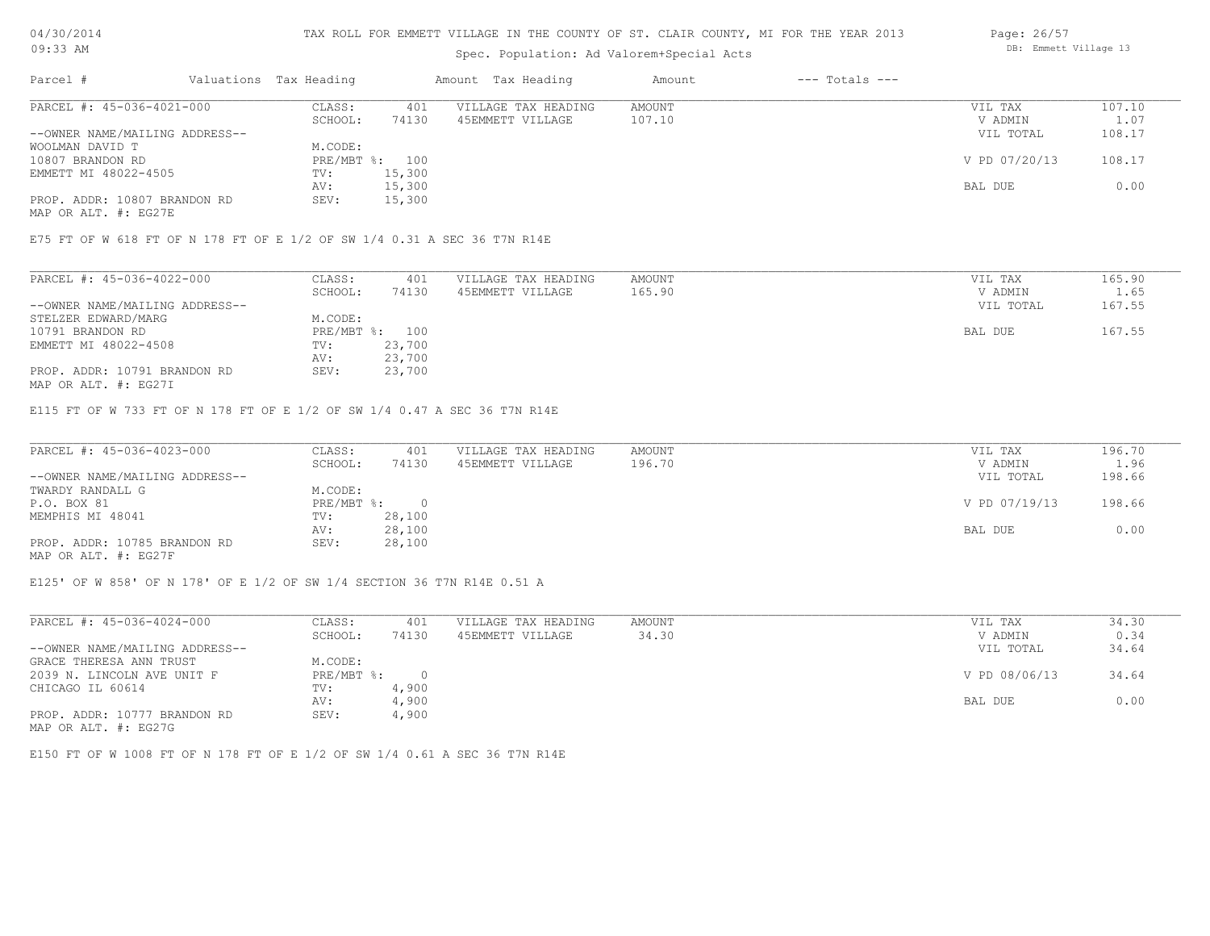## TAX ROLL FOR EMMETT VILLAGE IN THE COUNTY OF ST. CLAIR COUNTY, MI FOR THE YEAR 2013

# Spec. Population: Ad Valorem+Special Acts

| Parcel #                       | Valuations Tax Heading |        | Amount Tax Heading  | Amount | $---$ Totals $---$ |               |        |
|--------------------------------|------------------------|--------|---------------------|--------|--------------------|---------------|--------|
| PARCEL #: 45-036-4021-000      | CLASS:                 | 401    | VILLAGE TAX HEADING | AMOUNT |                    | VIL TAX       | 107.10 |
|                                | SCHOOL:                | 74130  | 45EMMETT VILLAGE    | 107.10 |                    | V ADMIN       | 1.07   |
| --OWNER NAME/MAILING ADDRESS-- |                        |        |                     |        |                    | VIL TOTAL     | 108.17 |
| WOOLMAN DAVID T                | M.CODE:                |        |                     |        |                    |               |        |
| 10807 BRANDON RD               | PRE/MBT %: 100         |        |                     |        |                    | V PD 07/20/13 | 108.17 |
| EMMETT MI 48022-4505           | TV:                    | 15,300 |                     |        |                    |               |        |
|                                | AV:                    | 15,300 |                     |        |                    | BAL DUE       | 0.00   |
| PROP. ADDR: 10807 BRANDON RD   | SEV:                   | 15,300 |                     |        |                    |               |        |
|                                |                        |        |                     |        |                    |               |        |

MAP OR ALT. #: EG27E

E75 FT OF W 618 FT OF N 178 FT OF E 1/2 OF SW 1/4 0.31 A SEC 36 T7N R14E

| PARCEL #: 45-036-4022-000      | CLASS:     | 401    | VILLAGE TAX HEADING | AMOUNT | VIL TAX   | 165.90 |
|--------------------------------|------------|--------|---------------------|--------|-----------|--------|
|                                | SCHOOL:    | 74130  | 45EMMETT VILLAGE    | 165.90 | V ADMIN   | 1.65   |
| --OWNER NAME/MAILING ADDRESS-- |            |        |                     |        | VIL TOTAL | 167.55 |
| STELZER EDWARD/MARG            | M.CODE:    |        |                     |        |           |        |
| 10791 BRANDON RD               | PRE/MBT %: | 100    |                     |        | BAL DUE   | 167.55 |
| EMMETT MI 48022-4508           | TV:        | 23,700 |                     |        |           |        |
|                                | AV:        | 23,700 |                     |        |           |        |
| PROP. ADDR: 10791 BRANDON RD   | SEV:       | 23,700 |                     |        |           |        |

MAP OR ALT. #: EG27I

E115 FT OF W 733 FT OF N 178 FT OF E 1/2 OF SW 1/4 0.47 A SEC 36 T7N R14E

| PARCEL #: 45-036-4023-000      | CLASS:     | 401    | VILLAGE TAX HEADING | AMOUNT | VIL TAX       | 196.70 |
|--------------------------------|------------|--------|---------------------|--------|---------------|--------|
|                                | SCHOOL:    | 74130  | 45EMMETT VILLAGE    | 196.70 | V ADMIN       | 1.96   |
| --OWNER NAME/MAILING ADDRESS-- |            |        |                     |        | VIL TOTAL     | 198.66 |
| TWARDY RANDALL G               | M.CODE:    |        |                     |        |               |        |
| P.O. BOX 81                    | PRE/MBT %: |        |                     |        | V PD 07/19/13 | 198.66 |
| MEMPHIS MI 48041               | TV:        | 28,100 |                     |        |               |        |
|                                | AV:        | 28,100 |                     |        | BAL DUE       | 0.00   |
| PROP. ADDR: 10785 BRANDON RD   | SEV:       | 28,100 |                     |        |               |        |
|                                |            |        |                     |        |               |        |

MAP OR ALT. #: EG27F

E125' OF W 858' OF N 178' OF E 1/2 OF SW 1/4 SECTION 36 T7N R14E 0.51 A

| PARCEL #: 45-036-4024-000      | CLASS:     | 401   | VILLAGE TAX HEADING | AMOUNT | VIL TAX       | 34.30 |
|--------------------------------|------------|-------|---------------------|--------|---------------|-------|
|                                | SCHOOL:    | 74130 | 45EMMETT VILLAGE    | 34.30  | V ADMIN       | 0.34  |
| --OWNER NAME/MAILING ADDRESS-- |            |       |                     |        | VIL TOTAL     | 34.64 |
| GRACE THERESA ANN TRUST        | M.CODE:    |       |                     |        |               |       |
| 2039 N. LINCOLN AVE UNIT F     | PRE/MBT %: |       |                     |        | V PD 08/06/13 | 34.64 |
| CHICAGO IL 60614               | TV:        | 4,900 |                     |        |               |       |
|                                | AV:        | 4,900 |                     |        | BAL DUE       | 0.00  |
| PROP. ADDR: 10777 BRANDON RD   | SEV:       | 4,900 |                     |        |               |       |
| MAP OR ALT. #: EG27G           |            |       |                     |        |               |       |

E150 FT OF W 1008 FT OF N 178 FT OF E 1/2 OF SW 1/4 0.61 A SEC 36 T7N R14E

Page: 26/57 DB: Emmett Village 13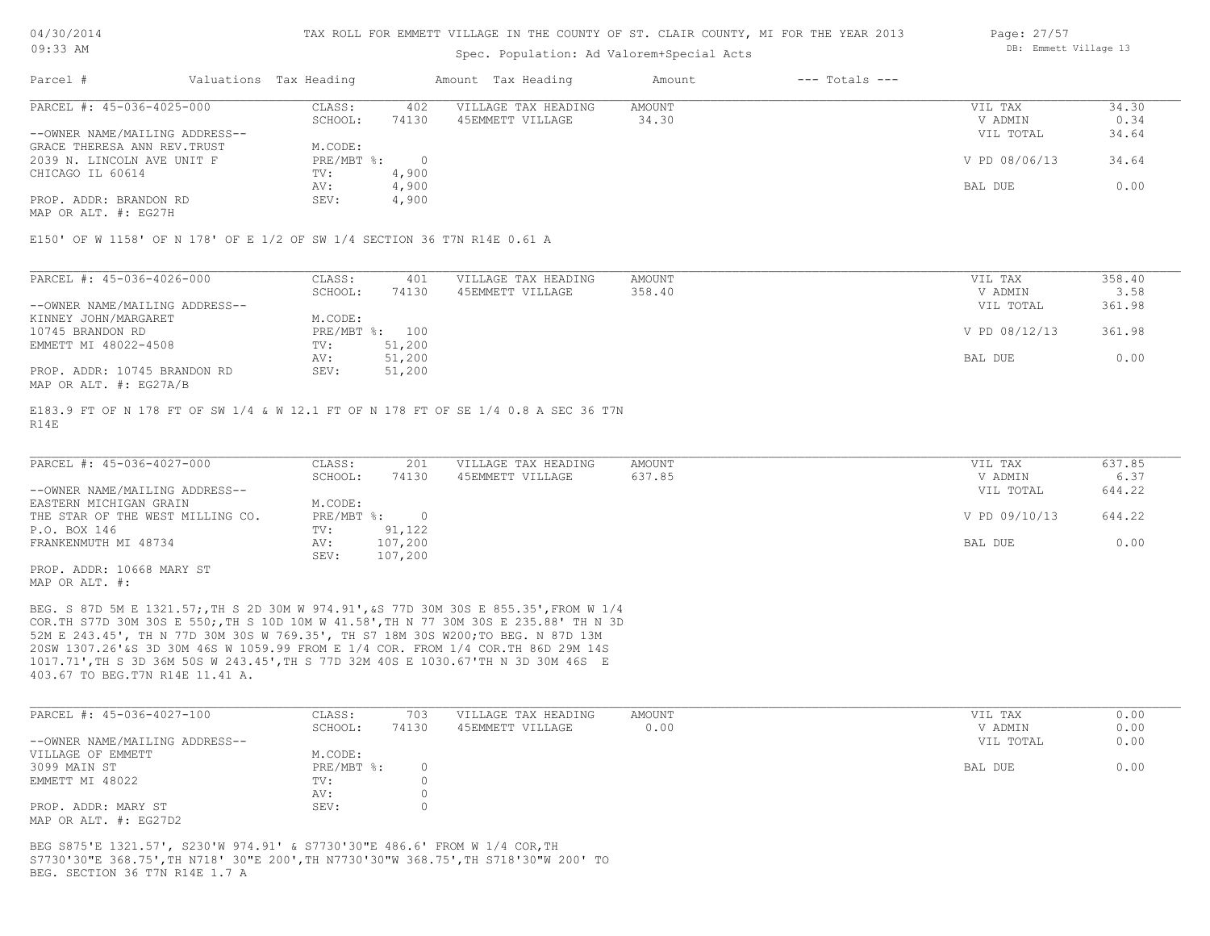### Spec. Population: Ad Valorem+Special Acts

| Parcel #                       | Valuations Tax Heading |       | Amount Tax Heading  | Amount | $---$ Totals $---$ |               |       |
|--------------------------------|------------------------|-------|---------------------|--------|--------------------|---------------|-------|
| PARCEL #: 45-036-4025-000      | CLASS:                 | 402   | VILLAGE TAX HEADING | AMOUNT |                    | VIL TAX       | 34.30 |
|                                | SCHOOL:                | 74130 | 45EMMETT VILLAGE    | 34.30  |                    | V ADMIN       | 0.34  |
| --OWNER NAME/MAILING ADDRESS-- |                        |       |                     |        |                    | VIL TOTAL     | 34.64 |
| GRACE THERESA ANN REV.TRUST    | M.CODE:                |       |                     |        |                    |               |       |
| 2039 N. LINCOLN AVE UNIT F     | PRE/MBT %:             |       |                     |        |                    | V PD 08/06/13 | 34.64 |
| CHICAGO IL 60614               | TV:                    | 4,900 |                     |        |                    |               |       |
|                                | AV:                    | 4,900 |                     |        |                    | BAL DUE       | 0.00  |
| PROP. ADDR: BRANDON RD         | SEV:                   | 4,900 |                     |        |                    |               |       |
|                                |                        |       |                     |        |                    |               |       |

MAP OR ALT. #: EG27H

E150' OF W 1158' OF N 178' OF E 1/2 OF SW 1/4 SECTION 36 T7N R14E 0.61 A

| PARCEL #: 45-036-4026-000      | CLASS:  | 401            | VILLAGE TAX HEADING | AMOUNT | VIL TAX       | 358.40 |
|--------------------------------|---------|----------------|---------------------|--------|---------------|--------|
|                                | SCHOOL: | 74130          | 45EMMETT VILLAGE    | 358.40 | V ADMIN       | 3.58   |
| --OWNER NAME/MAILING ADDRESS-- |         |                |                     |        | VIL TOTAL     | 361.98 |
| KINNEY JOHN/MARGARET           | M.CODE: |                |                     |        |               |        |
| 10745 BRANDON RD               |         | PRE/MBT %: 100 |                     |        | V PD 08/12/13 | 361.98 |
| EMMETT MI 48022-4508           | TV:     | 51,200         |                     |        |               |        |
|                                | AV:     | 51,200         |                     |        | BAL DUE       | 0.00   |
| PROP. ADDR: 10745 BRANDON RD   | SEV:    | 51,200         |                     |        |               |        |
| MAP OR ALT. #: EG27A/B         |         |                |                     |        |               |        |

R14E E183.9 FT OF N 178 FT OF SW 1/4 & W 12.1 FT OF N 178 FT OF SE 1/4 0.8 A SEC 36 T7N

| PARCEL #: 45-036-4027-000        | CLASS:     | 201     | VILLAGE TAX HEADING | AMOUNT | VIL TAX       | 637.85 |
|----------------------------------|------------|---------|---------------------|--------|---------------|--------|
|                                  | SCHOOL:    | 74130   | 45EMMETT VILLAGE    | 637.85 | V ADMIN       | 6.37   |
| --OWNER NAME/MAILING ADDRESS--   |            |         |                     |        | VIL TOTAL     | 644.22 |
| EASTERN MICHIGAN GRAIN           | M.CODE:    |         |                     |        |               |        |
| THE STAR OF THE WEST MILLING CO. | PRE/MBT %: |         |                     |        | V PD 09/10/13 | 644.22 |
| P.O. BOX 146                     | TV:        | 91,122  |                     |        |               |        |
| FRANKENMUTH MI 48734             | AV:        | 107,200 |                     |        | BAL DUE       | 0.00   |
|                                  | SEV:       | 107,200 |                     |        |               |        |
| PROP. ADDR: 10668 MARY ST        |            |         |                     |        |               |        |

MAP OR ALT. #:

403.67 TO BEG.T7N R14E 11.41 A. 1017.71',TH S 3D 36M 50S W 243.45',TH S 77D 32M 40S E 1030.67'TH N 3D 30M 46S E 20SW 1307.26'&S 3D 30M 46S W 1059.99 FROM E 1/4 COR. FROM 1/4 COR.TH 86D 29M 14S 52M E 243.45', TH N 77D 30M 30S W 769.35', TH S7 18M 30S W200;TO BEG. N 87D 13M COR.TH S77D 30M 30S E 550;,TH S 10D 10M W 41.58',TH N 77 30M 30S E 235.88' TH N 3D BEG. S 87D 5M E 1321.57;,TH S 2D 30M W 974.91',&S 77D 30M 30S E 855.35',FROM W 1/4

| PARCEL #: 45-036-4027-100      | CLASS:       | 703   | VILLAGE TAX HEADING | AMOUNT | VIL TAX   | 0.00 |
|--------------------------------|--------------|-------|---------------------|--------|-----------|------|
|                                | SCHOOL:      | 74130 | 45EMMETT VILLAGE    | 0.00   | V ADMIN   | 0.00 |
| --OWNER NAME/MAILING ADDRESS-- |              |       |                     |        | VIL TOTAL | 0.00 |
| VILLAGE OF EMMETT              | M.CODE:      |       |                     |        |           |      |
| 3099 MAIN ST                   | $PRE/MBT$ %: |       |                     |        | BAL DUE   | 0.00 |
| EMMETT MI 48022                | TV:          |       |                     |        |           |      |
|                                | AV:          |       |                     |        |           |      |
| PROP. ADDR: MARY ST            | SEV:         |       |                     |        |           |      |
| MAP OR ALT. #: EG27D2          |              |       |                     |        |           |      |

BEG. SECTION 36 T7N R14E 1.7 A S7730'30"E 368.75',TH N718' 30"E 200',TH N7730'30"W 368.75',TH S718'30"W 200' TO BEG S875'E 1321.57', S230'W 974.91' & S7730'30"E 486.6' FROM W 1/4 COR,TH

Page: 27/57 DB: Emmett Village 13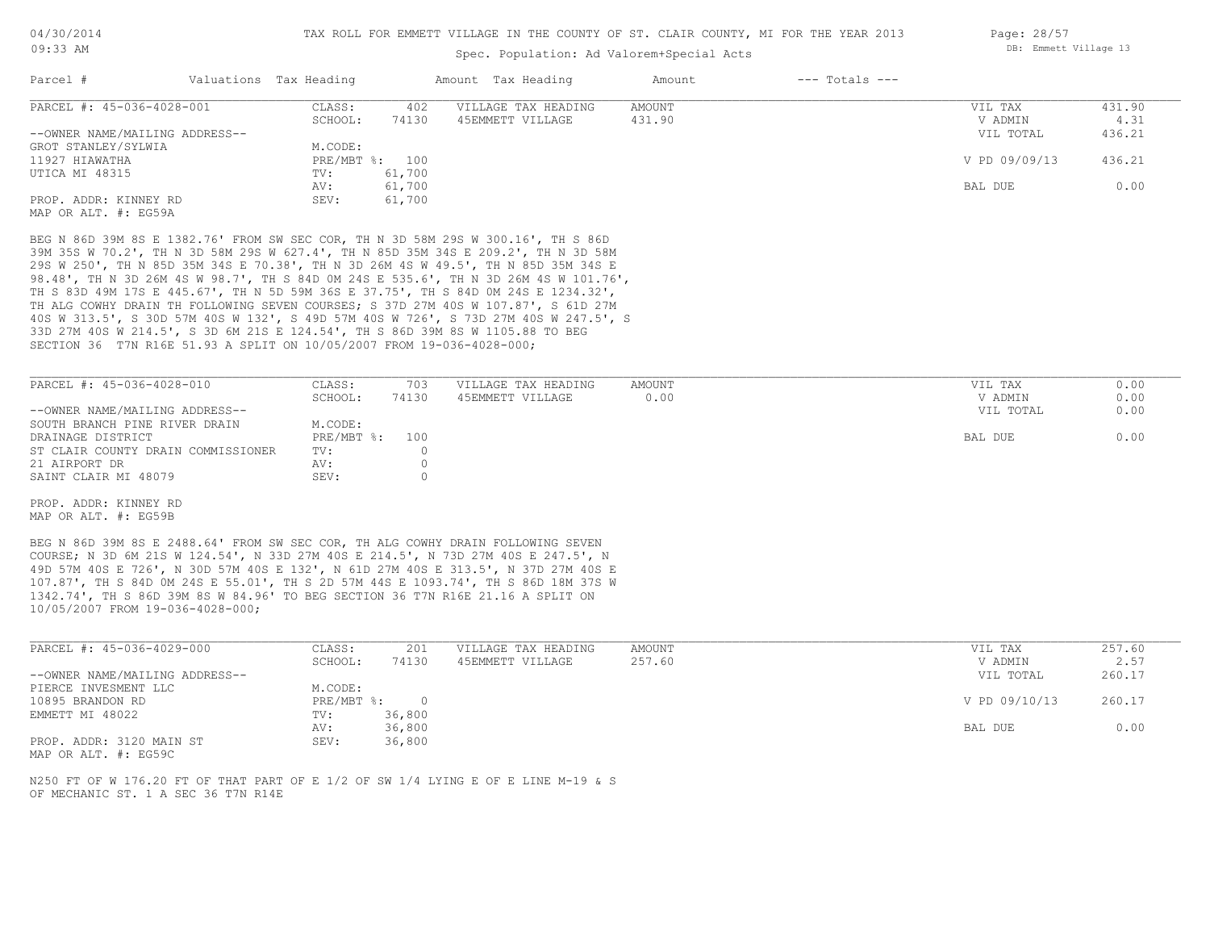## Spec. Population: Ad Valorem+Special Acts

| Parcel #                       | Valuations Tax Heading |        | Amount Tax Heading  | Amount | $---$ Totals $---$ |               |        |
|--------------------------------|------------------------|--------|---------------------|--------|--------------------|---------------|--------|
| PARCEL #: 45-036-4028-001      | CLASS:                 | 402    | VILLAGE TAX HEADING | AMOUNT |                    | VIL TAX       | 431.90 |
|                                | SCHOOL:                | 74130  | 45EMMETT VILLAGE    | 431.90 |                    | V ADMIN       | 4.31   |
| --OWNER NAME/MAILING ADDRESS-- |                        |        |                     |        |                    | VIL TOTAL     | 436.21 |
| GROT STANLEY/SYLWIA            | M.CODE:                |        |                     |        |                    |               |        |
| 11927 HIAWATHA                 | PRE/MBT %: 100         |        |                     |        |                    | V PD 09/09/13 | 436.21 |
| UTICA MI 48315                 | TV:                    | 61,700 |                     |        |                    |               |        |
|                                | AV:                    | 61,700 |                     |        |                    | BAL DUE       | 0.00   |
| PROP. ADDR: KINNEY RD          | SEV:                   | 61,700 |                     |        |                    |               |        |
| MAP OR ALT. #: EG59A           |                        |        |                     |        |                    |               |        |

SECTION 36 T7N R16E 51.93 A SPLIT ON 10/05/2007 FROM 19-036-4028-000; 33D 27M 40S W 214.5', S 3D 6M 21S E 124.54', TH S 86D 39M 8S W 1105.88 TO BEG 40S W 313.5', S 30D 57M 40S W 132', S 49D 57M 40S W 726', S 73D 27M 40S W 247.5', S TH ALG COWHY DRAIN TH FOLLOWING SEVEN COURSES; S 37D 27M 40S W 107.87', S 61D 27M TH S 83D 49M 17S E 445.67', TH N 5D 59M 36S E 37.75', TH S 84D 0M 24S E 1234.32', 98.48', TH N 3D 26M 4S W 98.7', TH S 84D 0M 24S E 535.6', TH N 3D 26M 4S W 101.76', 29S W 250', TH N 85D 35M 34S E 70.38', TH N 3D 26M 4S W 49.5', TH N 85D 35M 34S E 39M 35S W 70.2', TH N 3D 58M 29S W 627.4', TH N 85D 35M 34S E 209.2', TH N 3D 58M BEG N 86D 39M 8S E 1382.76' FROM SW SEC COR, TH N 3D 58M 29S W 300.16', TH S 86D

| PARCEL #: 45-036-4028-010          | CLASS:         | 703   | VILLAGE TAX HEADING | AMOUNT | VIL TAX   | 0.00 |
|------------------------------------|----------------|-------|---------------------|--------|-----------|------|
|                                    | SCHOOL:        | 74130 | 45EMMETT VILLAGE    | 0.00   | V ADMIN   | 0.00 |
| --OWNER NAME/MAILING ADDRESS--     |                |       |                     |        | VIL TOTAL | 0.00 |
| SOUTH BRANCH PINE RIVER DRAIN      | M.CODE:        |       |                     |        |           |      |
| DRAINAGE DISTRICT                  | PRE/MBT %: 100 |       |                     |        | BAL DUE   | 0.00 |
| ST CLAIR COUNTY DRAIN COMMISSIONER | TV:            |       |                     |        |           |      |
| 21 AIRPORT DR                      | AV:            |       |                     |        |           |      |
| SAINT CLAIR MI 48079               | SEV:           |       |                     |        |           |      |

MAP OR ALT. #: EG59B PROP. ADDR: KINNEY RD

10/05/2007 FROM 19-036-4028-000; 1342.74', TH S 86D 39M 8S W 84.96' TO BEG SECTION 36 T7N R16E 21.16 A SPLIT ON 107.87', TH S 84D 0M 24S E 55.01', TH S 2D 57M 44S E 1093.74', TH S 86D 18M 37S W 49D 57M 40S E 726', N 30D 57M 40S E 132', N 61D 27M 40S E 313.5', N 37D 27M 40S E COURSE; N 3D 6M 21S W 124.54', N 33D 27M 40S E 214.5', N 73D 27M 40S E 247.5', N BEG N 86D 39M 8S E 2488.64' FROM SW SEC COR, TH ALG COWHY DRAIN FOLLOWING SEVEN

| PARCEL #: 45-036-4029-000      | CLASS:     | 201    | VILLAGE TAX HEADING | AMOUNT | VIL TAX       | 257.60 |
|--------------------------------|------------|--------|---------------------|--------|---------------|--------|
|                                | SCHOOL:    | 74130  | 45EMMETT VILLAGE    | 257.60 | V ADMIN       | 2.57   |
| --OWNER NAME/MAILING ADDRESS-- |            |        |                     |        | VIL TOTAL     | 260.17 |
| PIERCE INVESMENT LLC           | M.CODE:    |        |                     |        |               |        |
| 10895 BRANDON RD               | PRE/MBT %: |        |                     |        | V PD 09/10/13 | 260.17 |
| EMMETT MI 48022                | TV:        | 36,800 |                     |        |               |        |
|                                | AV:        | 36,800 |                     |        | BAL DUE       | 0.00   |
| PROP. ADDR: 3120 MAIN ST       | SEV:       | 36,800 |                     |        |               |        |

MAP OR ALT. #: EG59C

OF MECHANIC ST. 1 A SEC 36 T7N R14E N250 FT OF W 176.20 FT OF THAT PART OF E 1/2 OF SW 1/4 LYING E OF E LINE M-19 & S Page: 28/57 DB: Emmett Village 13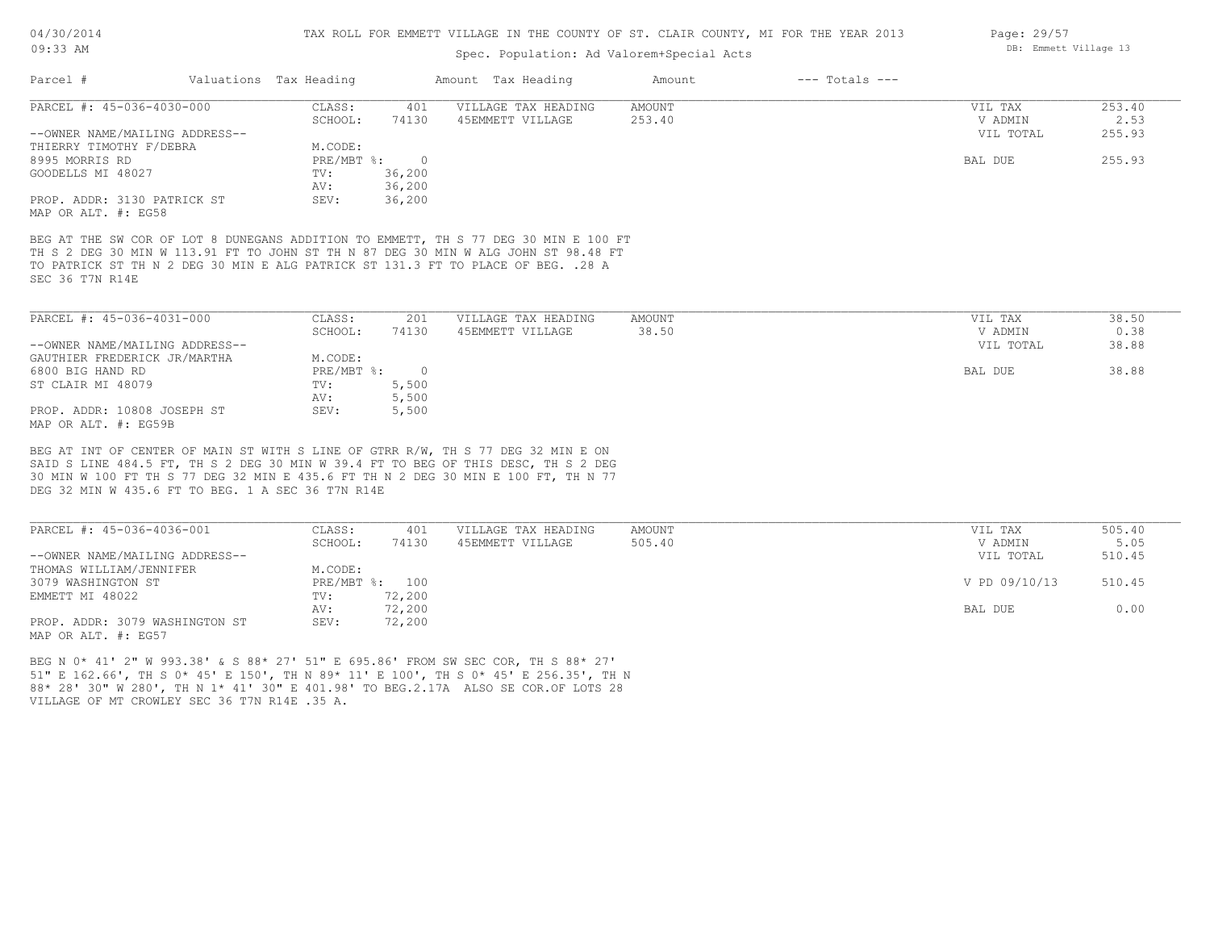## Spec. Population: Ad Valorem+Special Acts

| Parcel #                                                                                                                                                                                   | Valuations Tax Heading |                | Amount Tax Heading  | Amount | $---$ Totals $---$ |           |        |
|--------------------------------------------------------------------------------------------------------------------------------------------------------------------------------------------|------------------------|----------------|---------------------|--------|--------------------|-----------|--------|
| PARCEL #: 45-036-4030-000                                                                                                                                                                  | CLASS:                 | 401            | VILLAGE TAX HEADING | AMOUNT |                    | VIL TAX   | 253.40 |
|                                                                                                                                                                                            | SCHOOL:                | 74130          | 45EMMETT VILLAGE    | 253.40 |                    | V ADMIN   | 2.53   |
| --OWNER NAME/MAILING ADDRESS--                                                                                                                                                             |                        |                |                     |        |                    | VIL TOTAL | 255.93 |
| THIERRY TIMOTHY F/DEBRA                                                                                                                                                                    | M.CODE:                |                |                     |        |                    |           |        |
| 8995 MORRIS RD                                                                                                                                                                             | $PRE/MBT$ %:           | $\Omega$       |                     |        |                    | BAL DUE   | 255.93 |
| GOODELLS MI 48027                                                                                                                                                                          | TV:                    | 36,200         |                     |        |                    |           |        |
|                                                                                                                                                                                            | AV:                    | 36,200         |                     |        |                    |           |        |
| PROP. ADDR: 3130 PATRICK ST                                                                                                                                                                | SEV:                   | 36,200         |                     |        |                    |           |        |
| MAP OR ALT. #: EG58                                                                                                                                                                        |                        |                |                     |        |                    |           |        |
| TH S 2 DEG 30 MIN W 113.91 FT TO JOHN ST TH N 87 DEG 30 MIN W ALG JOHN ST 98.48 FT<br>TO PATRICK ST TH N 2 DEG 30 MIN E ALG PATRICK ST 131.3 FT TO PLACE OF BEG. . 28 A<br>SEC 36 T7N R14E |                        |                |                     |        |                    |           |        |
| PARCEL #: 45-036-4031-000                                                                                                                                                                  | CLASS:                 | 201            | VILLAGE TAX HEADING | AMOUNT |                    | VIL TAX   | 38.50  |
|                                                                                                                                                                                            | SCHOOL:                | 74130          | 45EMMETT VILLAGE    | 38.50  |                    | V ADMIN   | 0.38   |
| --OWNER NAME/MAILING ADDRESS--                                                                                                                                                             |                        |                |                     |        |                    | VIL TOTAL | 38.88  |
|                                                                                                                                                                                            |                        |                |                     |        |                    |           |        |
| GAUTHIER FREDERICK JR/MARTHA                                                                                                                                                               | M.CODE:                |                |                     |        |                    |           |        |
| 6800 BIG HAND RD                                                                                                                                                                           | $PRE/MBT$ %:           | $\overline{0}$ |                     |        |                    | BAL DUE   | 38.88  |
| ST CLAIR MI 48079                                                                                                                                                                          | TV:                    | 5,500          |                     |        |                    |           |        |
|                                                                                                                                                                                            | AV:                    | 5,500          |                     |        |                    |           |        |

MAP OR ALT. #: EG59B PROP. ADDR: 10808 JOSEPH ST SEV: 5,500

DEG 32 MIN W 435.6 FT TO BEG. 1 A SEC 36 T7N R14E 30 MIN W 100 FT TH S 77 DEG 32 MIN E 435.6 FT TH N 2 DEG 30 MIN E 100 FT, TH N 77 SAID S LINE 484.5 FT, TH S 2 DEG 30 MIN W 39.4 FT TO BEG OF THIS DESC, TH S 2 DEG BEG AT INT OF CENTER OF MAIN ST WITH S LINE OF GTRR R/W, TH S 77 DEG 32 MIN E ON

| PARCEL #: 45-036-4036-001      | CLASS:  | 401            | VILLAGE TAX HEADING | AMOUNT | VIL TAX       | 505.40 |
|--------------------------------|---------|----------------|---------------------|--------|---------------|--------|
|                                | SCHOOL: | 74130          | 45EMMETT VILLAGE    | 505.40 | V ADMIN       | 5.05   |
| --OWNER NAME/MAILING ADDRESS-- |         |                |                     |        | VIL TOTAL     | 510.45 |
| THOMAS WILLIAM/JENNIFER        | M.CODE: |                |                     |        |               |        |
| 3079 WASHINGTON ST             |         | PRE/MBT %: 100 |                     |        | V PD 09/10/13 | 510.45 |
| EMMETT MI 48022                | TV:     | 72,200         |                     |        |               |        |
|                                | AV:     | 72,200         |                     |        | BAL DUE       | 0.00   |
| PROP. ADDR: 3079 WASHINGTON ST | SEV:    | 72,200         |                     |        |               |        |
| MAP OR ALT. #: EG57            |         |                |                     |        |               |        |

VILLAGE OF MT CROWLEY SEC 36 T7N R14E .35 A. 88\* 28' 30" W 280', TH N 1\* 41' 30" E 401.98' TO BEG.2.17A ALSO SE COR.OF LOTS 28 51" E 162.66', TH S 0\* 45' E 150', TH N 89\* 11' E 100', TH S 0\* 45' E 256.35', TH N BEG N 0\* 41' 2" W 993.38' & S 88\* 27' 51" E 695.86' FROM SW SEC COR, TH S 88\* 27'

Page: 29/57 DB: Emmett Village 13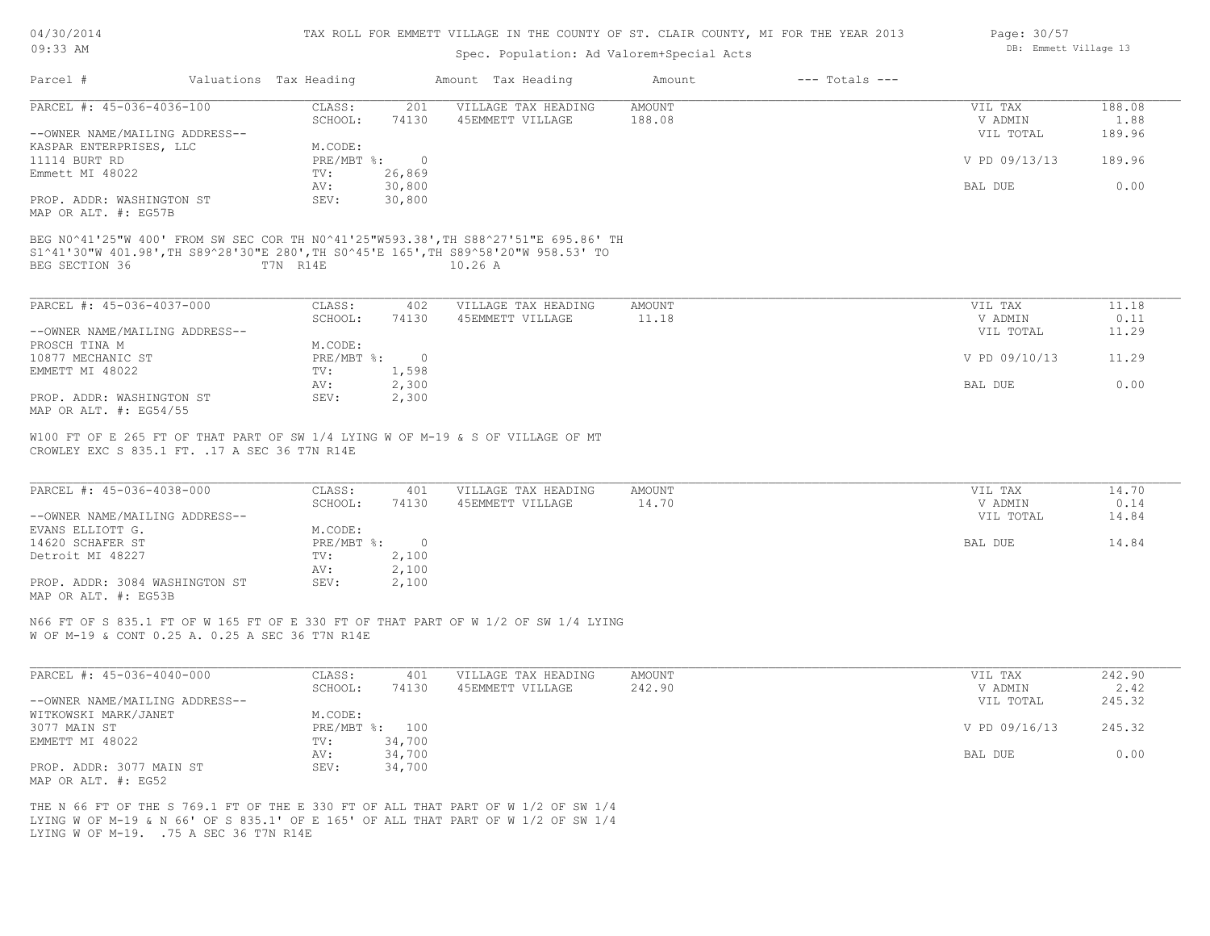| 04/30/2014 |  |
|------------|--|
| $09:33$ AM |  |

### Spec. Population: Ad Valorem+Special Acts

| Page: 30/57 |                       |  |
|-------------|-----------------------|--|
|             | DB: Emmett Village 13 |  |

| Parcel #                                                                                                                                                                                     | Valuations Tax Heading |                              | Amount Tax Heading  | Amount | $---$ Totals $---$ |                |        |
|----------------------------------------------------------------------------------------------------------------------------------------------------------------------------------------------|------------------------|------------------------------|---------------------|--------|--------------------|----------------|--------|
| PARCEL #: 45-036-4036-100                                                                                                                                                                    | CLASS:                 | 201                          | VILLAGE TAX HEADING | AMOUNT |                    | VIL TAX        | 188.08 |
|                                                                                                                                                                                              | SCHOOL:                | 74130                        | 45EMMETT VILLAGE    | 188.08 |                    | V ADMIN        | 1.88   |
| --OWNER NAME/MAILING ADDRESS--                                                                                                                                                               |                        |                              |                     |        |                    | VIL TOTAL      | 189.96 |
| KASPAR ENTERPRISES, LLC                                                                                                                                                                      | M.CODE:                |                              |                     |        |                    |                |        |
| 11114 BURT RD                                                                                                                                                                                |                        | $PRE/MBT$ $\frac{1}{6}$ : 0  |                     |        |                    | V PD 09/13/13  | 189.96 |
| Emmett MI 48022                                                                                                                                                                              | TV:                    | 26,869                       |                     |        |                    |                |        |
|                                                                                                                                                                                              | AV:                    | 30,800                       |                     |        |                    | BAL DUE        | 0.00   |
| PROP. ADDR: WASHINGTON ST<br>MAP OR ALT. #: EG57B                                                                                                                                            | SEV:                   | 30,800                       |                     |        |                    |                |        |
| BEG N0^41'25"W 400' FROM SW SEC COR TH N0^41'25"W593.38', TH S88^27'51"E 695.86' TH<br>S1^41'30"W 401.98', TH S89^28'30"E 280', TH S0^45'E 165', TH S89^58'20"W 958.53' TO<br>BEG SECTION 36 | T7N R14E               |                              | 10.26A              |        |                    |                |        |
|                                                                                                                                                                                              |                        |                              |                     |        |                    |                |        |
| PARCEL #: 45-036-4037-000                                                                                                                                                                    | CLASS:                 | 402                          | VILLAGE TAX HEADING | AMOUNT |                    | VIL TAX        | 11.18  |
|                                                                                                                                                                                              | SCHOOL:                | 74130                        | 45EMMETT VILLAGE    | 11.18  |                    | V ADMIN        | 0.11   |
| --OWNER NAME/MAILING ADDRESS--                                                                                                                                                               |                        |                              |                     |        |                    | VIL TOTAL      | 11.29  |
| PROSCH TINA M                                                                                                                                                                                | M.CODE:                |                              |                     |        |                    |                |        |
| 10877 MECHANIC ST                                                                                                                                                                            |                        | PRE/MBT %:<br>$\overline{0}$ |                     |        |                    | V PD 09/10/13  | 11.29  |
| EMMETT MI 48022                                                                                                                                                                              | TV:                    | 1,598                        |                     |        |                    |                |        |
|                                                                                                                                                                                              | AV:                    | 2,300                        |                     |        |                    | <b>BAL DUE</b> | 0.00   |
| PROP. ADDR: WASHINGTON ST<br>MAP OR ALT. #: EG54/55                                                                                                                                          | SEV:                   | 2,300                        |                     |        |                    |                |        |
| W100 FT OF E 265 FT OF THAT PART OF SW 1/4 LYING W OF M-19 & S OF VILLAGE OF MT                                                                                                              |                        |                              |                     |        |                    |                |        |
| CROWLEY EXC S 835.1 FT. . 17 A SEC 36 T7N R14E                                                                                                                                               |                        |                              |                     |        |                    |                |        |
| PARCEL #: 45-036-4038-000                                                                                                                                                                    | CLASS:                 | 401                          | VILLAGE TAX HEADING | AMOUNT |                    | VIL TAX        | 14.70  |
|                                                                                                                                                                                              | SCHOOL:                | 74130                        | 45EMMETT VILLAGE    | 14.70  |                    | V ADMIN        | 0.14   |
| --OWNER NAME/MAILING ADDRESS--                                                                                                                                                               |                        |                              |                     |        |                    | VIL TOTAL      | 14.84  |

| --OWNER NAME/MAILING ADDRESS-- |              |        | VIL TOTAL | 14.84 |
|--------------------------------|--------------|--------|-----------|-------|
| EVANS ELLIOTT G.               | M.CODE:      |        |           |       |
| 14620 SCHAFER ST               | $PRE/MBT$ %: | $\cap$ | BAL DUE   | 14.84 |
| Detroit MI 48227               | TV:          | 2,100  |           |       |
|                                | AV:          | 2,100  |           |       |
| PROP. ADDR: 3084 WASHINGTON ST | SEV:         | 2,100  |           |       |

MAP OR ALT. #: EG53B

W OF M-19 & CONT 0.25 A. 0.25 A SEC 36 T7N R14E N66 FT OF S 835.1 FT OF W 165 FT OF E 330 FT OF THAT PART OF W 1/2 OF SW 1/4 LYING

| PARCEL #: 45-036-4040-000      | CLASS:  | 401            | VILLAGE TAX HEADING | AMOUNT | VIL TAX       | 242.90 |
|--------------------------------|---------|----------------|---------------------|--------|---------------|--------|
|                                | SCHOOL: | 74130          | 45EMMETT VILLAGE    | 242.90 | V ADMIN       | 2.42   |
| --OWNER NAME/MAILING ADDRESS-- |         |                |                     |        | VIL TOTAL     | 245.32 |
| WITKOWSKI MARK/JANET           | M.CODE: |                |                     |        |               |        |
| 3077 MAIN ST                   |         | PRE/MBT %: 100 |                     |        | V PD 09/16/13 | 245.32 |
| EMMETT MI 48022                | TV:     | 34,700         |                     |        |               |        |
|                                | AV:     | 34,700         |                     |        | BAL DUE       | 0.00   |
| PROP. ADDR: 3077 MAIN ST       | SEV:    | 34,700         |                     |        |               |        |
| MAP OR ALT. #: EG52            |         |                |                     |        |               |        |

LYING W OF M-19. .75 A SEC 36 T7N R14E LYING W OF M-19 & N 66' OF S 835.1' OF E 165' OF ALL THAT PART OF W 1/2 OF SW 1/4 THE N 66 FT OF THE S 769.1 FT OF THE E 330 FT OF ALL THAT PART OF W 1/2 OF SW 1/4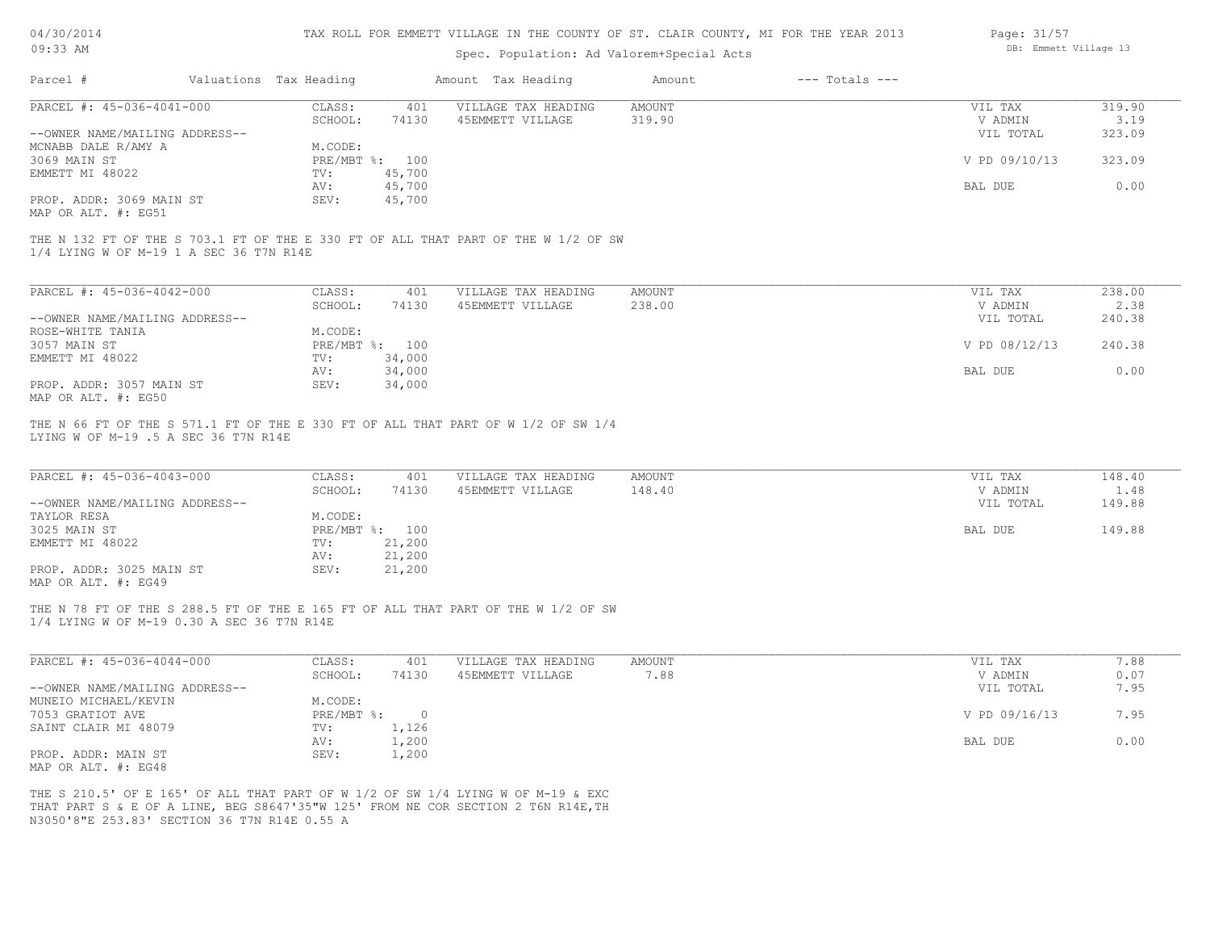| 04/30/2014 |  |
|------------|--|
|            |  |

| Page: 31/57 |                       |  |
|-------------|-----------------------|--|
|             | DB: Emmett Village 13 |  |

| 09:33 AM                                                                                   |                                                                                                                                                                       | Spec. Population: Ad Valorem+Special Acts               |                              | DB: Emmett Village 13                      |                                    |  |  |
|--------------------------------------------------------------------------------------------|-----------------------------------------------------------------------------------------------------------------------------------------------------------------------|---------------------------------------------------------|------------------------------|--------------------------------------------|------------------------------------|--|--|
| Parcel #                                                                                   | Valuations Tax Heading                                                                                                                                                | Amount Tax Heading                                      | $---$ Totals $---$<br>Amount |                                            |                                    |  |  |
| PARCEL #: 45-036-4041-000                                                                  | CLASS:                                                                                                                                                                | 401<br>VILLAGE TAX HEADING                              | <b>AMOUNT</b>                | VIL TAX                                    | 319.90                             |  |  |
|                                                                                            | SCHOOL:                                                                                                                                                               | 74130<br>45EMMETT VILLAGE                               | 319.90                       | V ADMIN                                    | 3.19                               |  |  |
| --OWNER NAME/MAILING ADDRESS--                                                             |                                                                                                                                                                       |                                                         |                              | VIL TOTAL                                  | 323.09                             |  |  |
| MCNABB DALE R/AMY A                                                                        | M.CODE:                                                                                                                                                               |                                                         |                              |                                            |                                    |  |  |
| 3069 MAIN ST                                                                               | PRE/MBT %: 100                                                                                                                                                        |                                                         |                              | V PD 09/10/13                              | 323.09                             |  |  |
| EMMETT MI 48022                                                                            | TV:                                                                                                                                                                   | 45,700                                                  |                              |                                            |                                    |  |  |
|                                                                                            | AV:                                                                                                                                                                   | 45,700                                                  |                              | BAL DUE                                    | 0.00                               |  |  |
| PROP. ADDR: 3069 MAIN ST<br>MAP OR ALT. #: EG51                                            | SEV:                                                                                                                                                                  | 45,700                                                  |                              |                                            |                                    |  |  |
| 1/4 LYING W OF M-19 1 A SEC 36 T7N R14E                                                    | THE N 132 FT OF THE S 703.1 FT OF THE E 330 FT OF ALL THAT PART OF THE W 1/2 OF SW                                                                                    |                                                         |                              |                                            |                                    |  |  |
| PARCEL #: 45-036-4042-000                                                                  | CLASS:                                                                                                                                                                | 401<br>VILLAGE TAX HEADING                              | <b>AMOUNT</b>                | VIL TAX                                    | 238.00                             |  |  |
|                                                                                            | SCHOOL:                                                                                                                                                               | 74130<br>45EMMETT VILLAGE                               | 238.00                       | V ADMIN                                    | 2.38                               |  |  |
| --OWNER NAME/MAILING ADDRESS--                                                             |                                                                                                                                                                       |                                                         |                              | VIL TOTAL                                  | 240.38                             |  |  |
| ROSE-WHITE TANIA                                                                           | M.CODE:                                                                                                                                                               |                                                         |                              |                                            |                                    |  |  |
| 3057 MAIN ST                                                                               | PRE/MBT %: 100                                                                                                                                                        |                                                         |                              | V PD 08/12/13                              | 240.38                             |  |  |
| EMMETT MI 48022                                                                            | TV:                                                                                                                                                                   | 34,000                                                  |                              |                                            |                                    |  |  |
|                                                                                            | AV:                                                                                                                                                                   | 34,000                                                  |                              | BAL DUE                                    | 0.00                               |  |  |
| PROP. ADDR: 3057 MAIN ST<br>MAP OR ALT. #: EG50                                            | SEV:                                                                                                                                                                  | 34,000                                                  |                              |                                            |                                    |  |  |
| PARCEL #: 45-036-4043-000<br>--OWNER NAME/MAILING ADDRESS--<br>TAYLOR RESA<br>3025 MAIN ST | CLASS:<br>SCHOOL:<br>M.CODE:<br>PRE/MBT %: 100                                                                                                                        | 401<br>VILLAGE TAX HEADING<br>45EMMETT VILLAGE<br>74130 | <b>AMOUNT</b><br>148.40      | VIL TAX<br>V ADMIN<br>VIL TOTAL<br>BAL DUE | 148.40<br>1.48<br>149.88<br>149.88 |  |  |
| EMMETT MI 48022                                                                            | TV:                                                                                                                                                                   | 21,200                                                  |                              |                                            |                                    |  |  |
|                                                                                            | AV:                                                                                                                                                                   | 21,200                                                  |                              |                                            |                                    |  |  |
| PROP. ADDR: 3025 MAIN ST<br>MAP OR ALT. #: EG49                                            | SEV:                                                                                                                                                                  | 21,200                                                  |                              |                                            |                                    |  |  |
| 1/4 LYING W OF M-19 0.30 A SEC 36 T7N R14E                                                 | THE N 78 FT OF THE S 288.5 FT OF THE E 165 FT OF ALL THAT PART OF THE W 1/2 OF SW                                                                                     |                                                         |                              |                                            |                                    |  |  |
| PARCEL #: 45-036-4044-000                                                                  | CLASS:<br>SCHOOL:                                                                                                                                                     | 401<br>VILLAGE TAX HEADING<br>74130<br>45EMMETT VILLAGE | <b>AMOUNT</b><br>7.88        | VIL TAX<br>V ADMIN                         | 7.88<br>0.07                       |  |  |
| --OWNER NAME/MAILING ADDRESS--                                                             |                                                                                                                                                                       |                                                         |                              | VIL TOTAL                                  | 7.95                               |  |  |
| MUNEIO MICHAEL/KEVIN                                                                       | M.CODE:                                                                                                                                                               |                                                         |                              |                                            |                                    |  |  |
| 7053 GRATIOT AVE                                                                           | PRE/MBT %:                                                                                                                                                            | $\overline{0}$                                          |                              | V PD 09/16/13                              | 7.95                               |  |  |
| SAINT CLAIR MI 48079                                                                       | TV:                                                                                                                                                                   | 1,126                                                   |                              |                                            |                                    |  |  |
|                                                                                            | AV:                                                                                                                                                                   | 1,200                                                   |                              | BAL DUE                                    | 0.00                               |  |  |
| PROP. ADDR: MAIN ST<br>MAP OR ALT. #: EG48                                                 | SEV:                                                                                                                                                                  | 1,200                                                   |                              |                                            |                                    |  |  |
| N3050'8"E 253.83' SECTION 36 T7N R14E 0.55 A                                               | THE S 210.5' OF E 165' OF ALL THAT PART OF W 1/2 OF SW 1/4 LYING W OF M-19 & EXC<br>THAT PART S & E OF A LINE, BEG S8647'35"W 125' FROM NE COR SECTION 2 T6N R14E, TH |                                                         |                              |                                            |                                    |  |  |
|                                                                                            |                                                                                                                                                                       |                                                         |                              |                                            |                                    |  |  |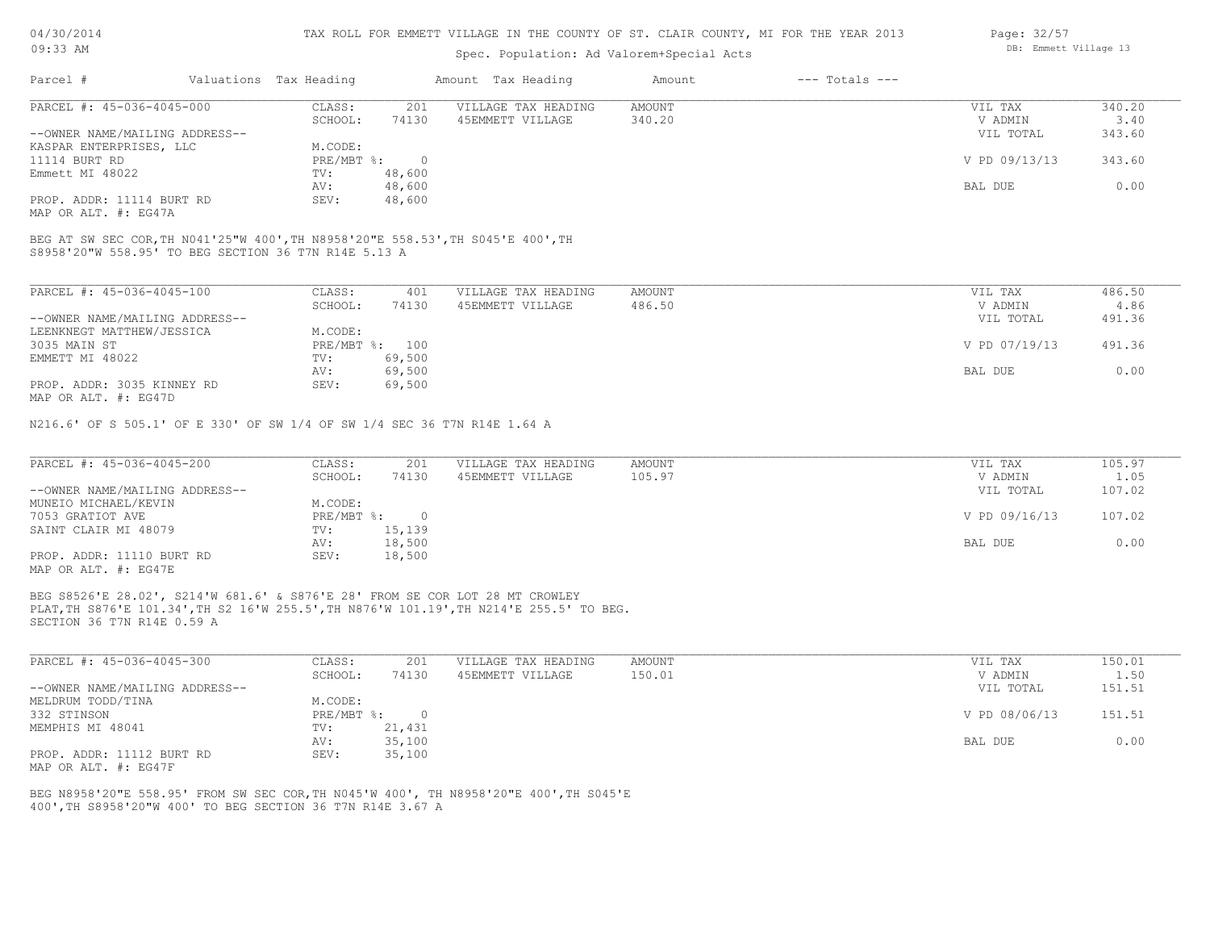### Spec. Population: Ad Valorem+Special Acts

|                                |         |                        |                     | Amount             | $---$ Totals $---$ |               |        |
|--------------------------------|---------|------------------------|---------------------|--------------------|--------------------|---------------|--------|
| PARCEL #: 45-036-4045-000      | CLASS:  | 201                    | VILLAGE TAX HEADING | AMOUNT             |                    | VIL TAX       | 340.20 |
|                                | SCHOOL: | 74130                  | 45EMMETT VILLAGE    | 340.20             |                    | V ADMIN       | 3.40   |
| --OWNER NAME/MAILING ADDRESS-- |         |                        |                     |                    |                    | VIL TOTAL     | 343.60 |
| KASPAR ENTERPRISES, LLC        | M.CODE: |                        |                     |                    |                    |               |        |
|                                |         |                        |                     |                    |                    | V PD 09/13/13 | 343.60 |
|                                | TV:     | 48,600                 |                     |                    |                    |               |        |
|                                | AV:     | 48,600                 |                     |                    |                    | BAL DUE       | 0.00   |
| PROP. ADDR: 11114 BURT RD      | SEV:    | 48,600                 |                     |                    |                    |               |        |
|                                |         | Valuations Tax Heading | PRE/MBT %:          | Amount Tax Heading |                    |               |        |

MAP OR ALT. #: EG47A

S8958'20"W 558.95' TO BEG SECTION 36 T7N R14E 5.13 A BEG AT SW SEC COR,TH N041'25"W 400',TH N8958'20"E 558.53',TH S045'E 400',TH

| PARCEL #: 45-036-4045-100      | CLASS:     | 401    | VILLAGE TAX HEADING | AMOUNT | VIL TAX       | 486.50 |
|--------------------------------|------------|--------|---------------------|--------|---------------|--------|
|                                | SCHOOL:    | 74130  | 45EMMETT VILLAGE    | 486.50 | V ADMIN       | 4.86   |
| --OWNER NAME/MAILING ADDRESS-- |            |        |                     |        | VIL TOTAL     | 491.36 |
| LEENKNEGT MATTHEW/JESSICA      | M.CODE:    |        |                     |        |               |        |
| 3035 MAIN ST                   | PRE/MBT %: | 100    |                     |        | V PD 07/19/13 | 491.36 |
| EMMETT MI 48022                | TV:        | 69,500 |                     |        |               |        |
|                                | AV:        | 69,500 |                     |        | BAL DUE       | 0.00   |
| PROP. ADDR: 3035 KINNEY RD     | SEV:       | 69,500 |                     |        |               |        |
| MAP OR ALT. #: EG47D           |            |        |                     |        |               |        |

N216.6' OF S 505.1' OF E 330' OF SW 1/4 OF SW 1/4 SEC 36 T7N R14E 1.64 A

| PARCEL #: 45-036-4045-200      | CLASS:     | 201    | VILLAGE TAX HEADING | AMOUNT | VIL TAX       | 105.97 |
|--------------------------------|------------|--------|---------------------|--------|---------------|--------|
|                                | SCHOOL:    | 74130  | 45EMMETT VILLAGE    | 105.97 | V ADMIN       | 1.05   |
| --OWNER NAME/MAILING ADDRESS-- |            |        |                     |        | VIL TOTAL     | 107.02 |
| MUNEIO MICHAEL/KEVIN           | M.CODE:    |        |                     |        |               |        |
| 7053 GRATIOT AVE               | PRE/MBT %: |        |                     |        | V PD 09/16/13 | 107.02 |
| SAINT CLAIR MI 48079           | TV:        | 15,139 |                     |        |               |        |
|                                | AV:        | 18,500 |                     |        | BAL DUE       | 0.00   |
| PROP. ADDR: 11110 BURT RD      | SEV:       | 18,500 |                     |        |               |        |
| MAP OR ALT. #: EG47E           |            |        |                     |        |               |        |

SECTION 36 T7N R14E 0.59 A PLAT,TH S876'E 101.34',TH S2 16'W 255.5',TH N876'W 101.19',TH N214'E 255.5' TO BEG. BEG S8526'E 28.02', S214'W 681.6' & S876'E 28' FROM SE COR LOT 28 MT CROWLEY

| PARCEL #: 45-036-4045-300      | CLASS:     | 201    | VILLAGE TAX HEADING | AMOUNT | VIL TAX       | 150.01 |
|--------------------------------|------------|--------|---------------------|--------|---------------|--------|
|                                | SCHOOL:    | 74130  | 45EMMETT VILLAGE    | 150.01 | V ADMIN       | 1.50   |
| --OWNER NAME/MAILING ADDRESS-- |            |        |                     |        | VIL TOTAL     | 151.51 |
| MELDRUM TODD/TINA              | M.CODE:    |        |                     |        |               |        |
| 332 STINSON                    | PRE/MBT %: |        |                     |        | V PD 08/06/13 | 151.51 |
| MEMPHIS MI 48041               | TV:        | 21,431 |                     |        |               |        |
|                                | AV:        | 35,100 |                     |        | BAL DUE       | 0.00   |
| PROP. ADDR: 11112 BURT RD      | SEV:       | 35,100 |                     |        |               |        |
| MAP OR ALT. #: EG47F           |            |        |                     |        |               |        |

400',TH S8958'20"W 400' TO BEG SECTION 36 T7N R14E 3.67 A BEG N8958'20"E 558.95' FROM SW SEC COR,TH N045'W 400', TH N8958'20"E 400',TH S045'E Page: 32/57 DB: Emmett Village 13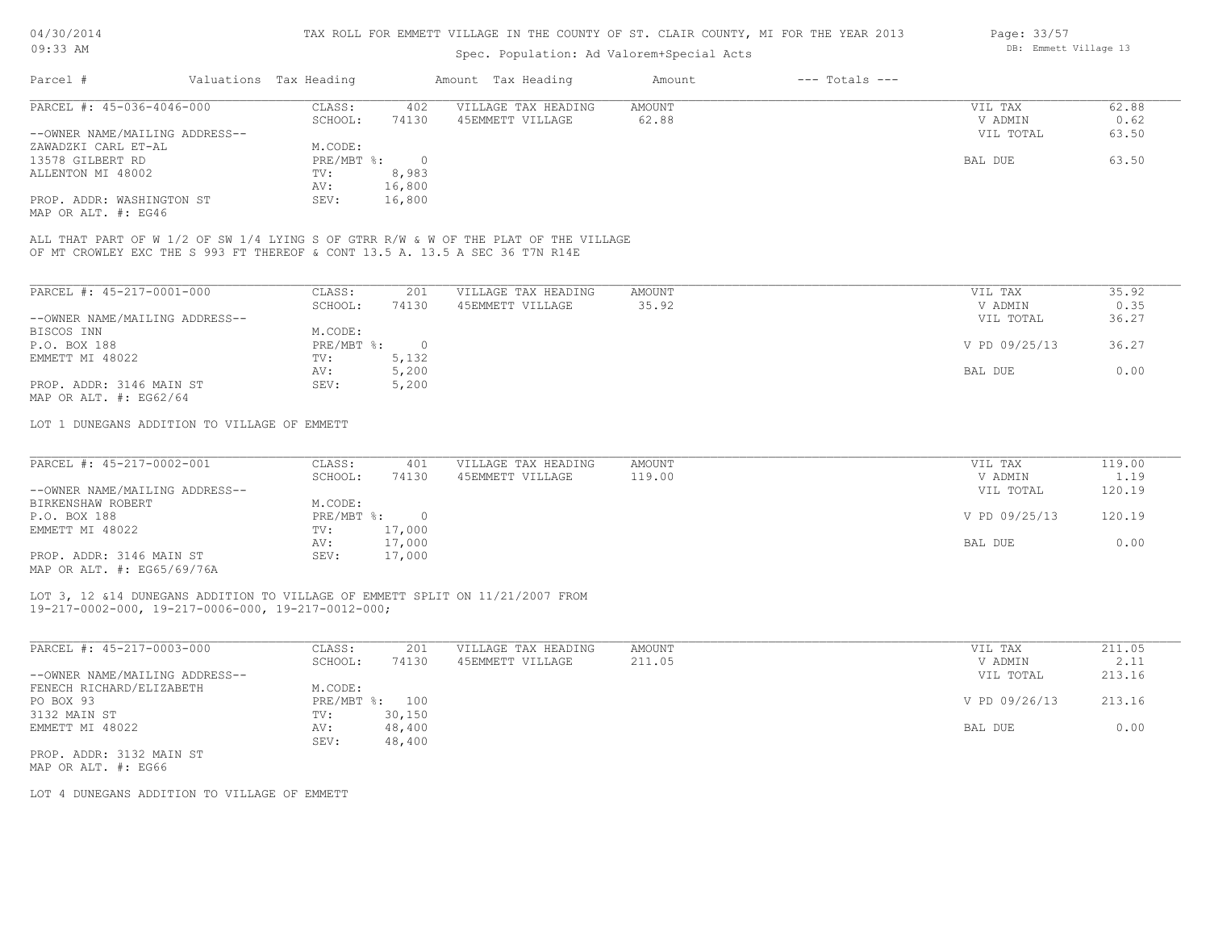# Spec. Population: Ad Valorem+Special Acts

| Parcel #                       | Valuations Tax Heading |        | Amount Tax Heading  | Amount | $---$ Totals $---$ |           |       |
|--------------------------------|------------------------|--------|---------------------|--------|--------------------|-----------|-------|
| PARCEL #: 45-036-4046-000      | CLASS:                 | 402    | VILLAGE TAX HEADING | AMOUNT |                    | VIL TAX   | 62.88 |
|                                | SCHOOL:                | 74130  | 45EMMETT VILLAGE    | 62.88  |                    | V ADMIN   | 0.62  |
| --OWNER NAME/MAILING ADDRESS-- |                        |        |                     |        |                    | VIL TOTAL | 63.50 |
| ZAWADZKI CARL ET-AL            | M.CODE:                |        |                     |        |                    |           |       |
| 13578 GILBERT RD               | PRE/MBT %:             |        |                     |        |                    | BAL DUE   | 63.50 |
| ALLENTON MI 48002              | TV:                    | 8,983  |                     |        |                    |           |       |
|                                | AV:                    | 16,800 |                     |        |                    |           |       |
| PROP. ADDR: WASHINGTON ST      | SEV:                   | 16,800 |                     |        |                    |           |       |
|                                |                        |        |                     |        |                    |           |       |

MAP OR ALT. #: EG46

OF MT CROWLEY EXC THE S 993 FT THEREOF & CONT 13.5 A. 13.5 A SEC 36 T7N R14E ALL THAT PART OF W 1/2 OF SW 1/4 LYING S OF GTRR R/W & W OF THE PLAT OF THE VILLAGE

| PARCEL #: 45-217-0001-000      | CLASS:       | 201    | VILLAGE TAX HEADING | AMOUNT | 35.92<br>VIL TAX       |
|--------------------------------|--------------|--------|---------------------|--------|------------------------|
|                                | SCHOOL:      | 74130  | 45EMMETT VILLAGE    | 35.92  | 0.35<br>V ADMIN        |
| --OWNER NAME/MAILING ADDRESS-- |              |        |                     |        | 36.27<br>VIL TOTAL     |
| BISCOS INN                     | M.CODE:      |        |                     |        |                        |
| P.O. BOX 188                   | $PRE/MBT$ %: | $\cap$ |                     |        | V PD 09/25/13<br>36.27 |
| EMMETT MI 48022                | TV:          | 5,132  |                     |        |                        |
|                                | AV:          | 5,200  |                     |        | 0.00<br>BAL DUE        |
| PROP. ADDR: 3146 MAIN ST       | SEV:         | 5,200  |                     |        |                        |
| MAP OR ALT. $\#$ : EG62/64     |              |        |                     |        |                        |

LOT 1 DUNEGANS ADDITION TO VILLAGE OF EMMETT

| PARCEL #: 45-217-0002-001      | CLASS:     | 401    | VILLAGE TAX HEADING | AMOUNT | VIL TAX       | 119.00 |
|--------------------------------|------------|--------|---------------------|--------|---------------|--------|
|                                | SCHOOL:    | 74130  | 45EMMETT VILLAGE    | 119.00 | V ADMIN       | 1.19   |
| --OWNER NAME/MAILING ADDRESS-- |            |        |                     |        | VIL TOTAL     | 120.19 |
| BIRKENSHAW ROBERT              | M.CODE:    |        |                     |        |               |        |
| P.O. BOX 188                   | PRE/MBT %: |        |                     |        | V PD 09/25/13 | 120.19 |
| EMMETT MI 48022                | TV:        | 17,000 |                     |        |               |        |
|                                | AV:        | 17,000 |                     |        | BAL DUE       | 0.00   |
| PROP. ADDR: 3146 MAIN ST       | SEV:       | 17,000 |                     |        |               |        |
| MAP OR ALT. #: EG65/69/76A     |            |        |                     |        |               |        |

19-217-0002-000, 19-217-0006-000, 19-217-0012-000; LOT 3, 12 &14 DUNEGANS ADDITION TO VILLAGE OF EMMETT SPLIT ON 11/21/2007 FROM

| PARCEL #: 45-217-0003-000      | CLASS:       | 201    | VILLAGE TAX HEADING | AMOUNT | VIL TAX       | 211.05 |
|--------------------------------|--------------|--------|---------------------|--------|---------------|--------|
|                                | SCHOOL:      | 74130  | 45EMMETT VILLAGE    | 211.05 | V ADMIN       | 2.11   |
| --OWNER NAME/MAILING ADDRESS-- |              |        |                     |        | VIL TOTAL     | 213.16 |
| FENECH RICHARD/ELIZABETH       | M.CODE:      |        |                     |        |               |        |
| PO BOX 93                      | $PRE/MBT$ %: | 100    |                     |        | V PD 09/26/13 | 213.16 |
| 3132 MAIN ST                   | TV:          | 30,150 |                     |        |               |        |
| EMMETT MI 48022                | AV:          | 48,400 |                     |        | BAL DUE       | 0.00   |
|                                | SEV:         | 48,400 |                     |        |               |        |
| PROP. ADDR: 3132 MAIN ST       |              |        |                     |        |               |        |

MAP OR ALT. #: EG66

LOT 4 DUNEGANS ADDITION TO VILLAGE OF EMMETT

Page: 33/57 DB: Emmett Village 13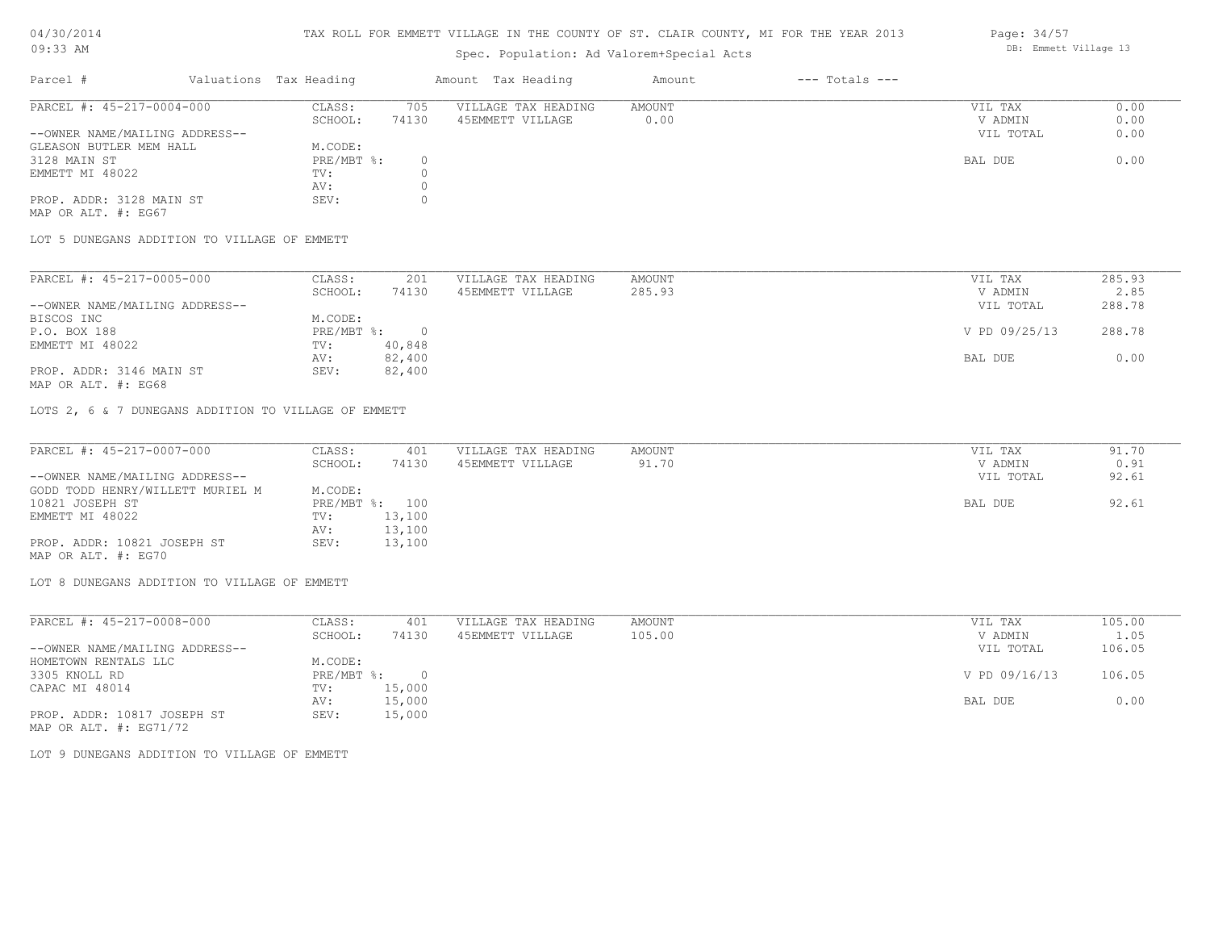# TAX ROLL FOR EMMETT VILLAGE IN THE COUNTY OF ST. CLAIR COUNTY, MI FOR THE YEAR 2013

Spec. Population: Ad Valorem+Special Acts

| Parcel #                       | Valuations Tax Heading |       | Amount Tax Heading  | Amount | $---$ Totals $---$ |           |      |
|--------------------------------|------------------------|-------|---------------------|--------|--------------------|-----------|------|
| PARCEL #: 45-217-0004-000      | CLASS:                 | 705   | VILLAGE TAX HEADING | AMOUNT |                    | VIL TAX   | 0.00 |
|                                | SCHOOL:                | 74130 | 45EMMETT VILLAGE    | 0.00   |                    | V ADMIN   | 0.00 |
| --OWNER NAME/MAILING ADDRESS-- |                        |       |                     |        |                    | VIL TOTAL | 0.00 |
| GLEASON BUTLER MEM HALL        | M.CODE:                |       |                     |        |                    |           |      |
| 3128 MAIN ST                   | PRE/MBT %:             |       |                     |        |                    | BAL DUE   | 0.00 |
| EMMETT MI 48022                | TV:                    |       |                     |        |                    |           |      |
|                                | AV:                    |       |                     |        |                    |           |      |
| PROP. ADDR: 3128 MAIN ST       | SEV:                   |       |                     |        |                    |           |      |
|                                |                        |       |                     |        |                    |           |      |

MAP OR ALT. #: EG67

LOT 5 DUNEGANS ADDITION TO VILLAGE OF EMMETT

| PARCEL #: 45-217-0005-000      | CLASS:     | 201    | VILLAGE TAX HEADING | AMOUNT | VIL TAX       | 285.93 |
|--------------------------------|------------|--------|---------------------|--------|---------------|--------|
|                                | SCHOOL:    | 74130  | 45EMMETT VILLAGE    | 285.93 | V ADMIN       | 2.85   |
| --OWNER NAME/MAILING ADDRESS-- |            |        |                     |        | VIL TOTAL     | 288.78 |
| BISCOS INC                     | M.CODE:    |        |                     |        |               |        |
| P.O. BOX 188                   | PRE/MBT %: |        |                     |        | V PD 09/25/13 | 288.78 |
| EMMETT MI 48022                | TV:        | 40,848 |                     |        |               |        |
|                                | AV:        | 82,400 |                     |        | BAL DUE       | 0.00   |
| PROP. ADDR: 3146 MAIN ST       | SEV:       | 82,400 |                     |        |               |        |

MAP OR ALT. #: EG68

LOTS 2, 6 & 7 DUNEGANS ADDITION TO VILLAGE OF EMMETT

| PARCEL #: 45-217-0007-000        | CLASS:  | 401            | VILLAGE TAX HEADING | AMOUNT | VIL TAX   | 91.70 |
|----------------------------------|---------|----------------|---------------------|--------|-----------|-------|
|                                  | SCHOOL: | 74130          | 45EMMETT VILLAGE    | 91.70  | V ADMIN   | 0.91  |
| --OWNER NAME/MAILING ADDRESS--   |         |                |                     |        | VIL TOTAL | 92.61 |
| GODD TODD HENRY/WILLETT MURIEL M | M.CODE: |                |                     |        |           |       |
| 10821 JOSEPH ST                  |         | PRE/MBT %: 100 |                     |        | BAL DUE   | 92.61 |
| EMMETT MI 48022                  | TV:     | 13,100         |                     |        |           |       |
|                                  | AV:     | 13,100         |                     |        |           |       |
| PROP. ADDR: 10821 JOSEPH ST      | SEV:    | 13,100         |                     |        |           |       |
| MAP OR ALT. #: EG70              |         |                |                     |        |           |       |

LOT 8 DUNEGANS ADDITION TO VILLAGE OF EMMETT

| PARCEL #: 45-217-0008-000      | CLASS:     | 401    | VILLAGE TAX HEADING | AMOUNT | VIL TAX       | 105.00 |
|--------------------------------|------------|--------|---------------------|--------|---------------|--------|
|                                | SCHOOL:    | 74130  | 45EMMETT VILLAGE    | 105.00 | V ADMIN       | 1.05   |
| --OWNER NAME/MAILING ADDRESS-- |            |        |                     |        | VIL TOTAL     | 106.05 |
| HOMETOWN RENTALS LLC           | M.CODE:    |        |                     |        |               |        |
| 3305 KNOLL RD                  | PRE/MBT %: |        |                     |        | V PD 09/16/13 | 106.05 |
| CAPAC MI 48014                 | TV:        | 15,000 |                     |        |               |        |
|                                | AV:        | 15,000 |                     |        | BAL DUE       | 0.00   |
| PROP. ADDR: 10817 JOSEPH ST    | SEV:       | 15,000 |                     |        |               |        |
| MAP OR ALT. $\#$ : EG71/72     |            |        |                     |        |               |        |

LOT 9 DUNEGANS ADDITION TO VILLAGE OF EMMETT

Page: 34/57 DB: Emmett Village 13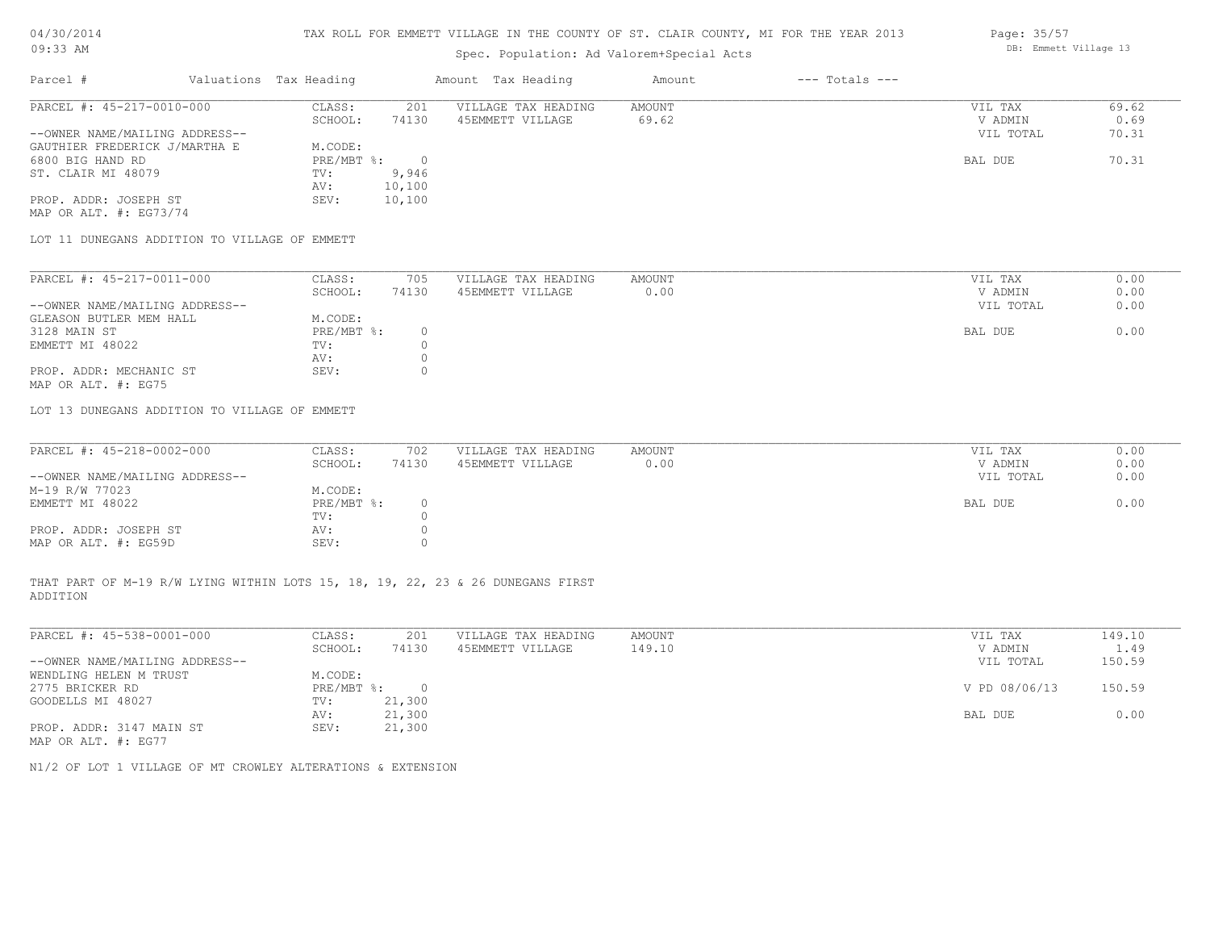# TAX ROLL FOR EMMETT VILLAGE IN THE COUNTY OF ST. CLAIR COUNTY, MI FOR THE YEAR 2013

# Spec. Population: Ad Valorem+Special Acts

| Parcel #                       | Valuations Tax Heading |        | Amount Tax Heading  | Amount | $---$ Totals $---$ |           |       |
|--------------------------------|------------------------|--------|---------------------|--------|--------------------|-----------|-------|
| PARCEL #: 45-217-0010-000      | CLASS:                 | 201    | VILLAGE TAX HEADING | AMOUNT |                    | VIL TAX   | 69.62 |
|                                | SCHOOL:                | 74130  | 45EMMETT VILLAGE    | 69.62  |                    | V ADMIN   | 0.69  |
| --OWNER NAME/MAILING ADDRESS-- |                        |        |                     |        |                    | VIL TOTAL | 70.31 |
| GAUTHIER FREDERICK J/MARTHA E  | M.CODE:                |        |                     |        |                    |           |       |
| 6800 BIG HAND RD               | PRE/MBT %:             |        |                     |        |                    | BAL DUE   | 70.31 |
| ST. CLAIR MI 48079             | TV:                    | 9,946  |                     |        |                    |           |       |
|                                | AV:                    | 10,100 |                     |        |                    |           |       |
| PROP. ADDR: JOSEPH ST          | SEV:                   | 10,100 |                     |        |                    |           |       |
|                                |                        |        |                     |        |                    |           |       |

MAP OR ALT. #: EG73/74

LOT 11 DUNEGANS ADDITION TO VILLAGE OF EMMETT

| PARCEL #: 45-217-0011-000      | CLASS:     | 705   | VILLAGE TAX HEADING | AMOUNT |         | VIL TAX   | 0.00 |
|--------------------------------|------------|-------|---------------------|--------|---------|-----------|------|
|                                | SCHOOL:    | 74130 | 45EMMETT VILLAGE    | 0.00   |         | V ADMIN   | 0.00 |
| --OWNER NAME/MAILING ADDRESS-- |            |       |                     |        |         | VIL TOTAL | 0.00 |
| GLEASON BUTLER MEM HALL        | M.CODE:    |       |                     |        |         |           |      |
| 3128 MAIN ST                   | PRE/MBT %: |       |                     |        | BAL DUE |           | 0.00 |
| EMMETT MI 48022                | TV:        |       |                     |        |         |           |      |
|                                | AV:        |       |                     |        |         |           |      |
| PROP. ADDR: MECHANIC ST        | SEV:       |       |                     |        |         |           |      |
| MAP OR ALT. #: EG75            |            |       |                     |        |         |           |      |

LOT 13 DUNEGANS ADDITION TO VILLAGE OF EMMETT

| PARCEL #: 45-218-0002-000      | CLASS:       | 702   | VILLAGE TAX HEADING | AMOUNT | VIL TAX |           | 0.00 |
|--------------------------------|--------------|-------|---------------------|--------|---------|-----------|------|
|                                | SCHOOL:      | 74130 | 45EMMETT VILLAGE    | 0.00   | V ADMIN |           | 0.00 |
| --OWNER NAME/MAILING ADDRESS-- |              |       |                     |        |         | VIL TOTAL | 0.00 |
| M-19 R/W 77023                 | M.CODE:      |       |                     |        |         |           |      |
| EMMETT MI 48022                | $PRE/MBT$ %: |       |                     |        | BAL DUE |           | 0.00 |
|                                | TV:          |       |                     |        |         |           |      |
| PROP. ADDR: JOSEPH ST          | AV:          |       |                     |        |         |           |      |
| MAP OR ALT. #: EG59D           | SEV:         |       |                     |        |         |           |      |

ADDITION THAT PART OF M-19 R/W LYING WITHIN LOTS 15, 18, 19, 22, 23 & 26 DUNEGANS FIRST

| PARCEL #: 45-538-0001-000      | CLASS:     | 201    | VILLAGE TAX HEADING | AMOUNT | VIL TAX       | 149.10 |
|--------------------------------|------------|--------|---------------------|--------|---------------|--------|
|                                | SCHOOL:    | 74130  | 45EMMETT VILLAGE    | 149.10 | V ADMIN       | 1.49   |
| --OWNER NAME/MAILING ADDRESS-- |            |        |                     |        | VIL TOTAL     | 150.59 |
| WENDLING HELEN M TRUST         | M.CODE:    |        |                     |        |               |        |
| 2775 BRICKER RD                | PRE/MBT %: | $\Box$ |                     |        | V PD 08/06/13 | 150.59 |
| GOODELLS MI 48027              | TV:        | 21,300 |                     |        |               |        |
|                                | AV:        | 21,300 |                     |        | BAL DUE       | 0.00   |
| PROP. ADDR: 3147 MAIN ST       | SEV:       | 21,300 |                     |        |               |        |
| MAP OR ALT. #: EG77            |            |        |                     |        |               |        |

 $\mathcal{L}_\mathcal{L} = \mathcal{L}_\mathcal{L} = \mathcal{L}_\mathcal{L} = \mathcal{L}_\mathcal{L} = \mathcal{L}_\mathcal{L} = \mathcal{L}_\mathcal{L} = \mathcal{L}_\mathcal{L} = \mathcal{L}_\mathcal{L} = \mathcal{L}_\mathcal{L} = \mathcal{L}_\mathcal{L} = \mathcal{L}_\mathcal{L} = \mathcal{L}_\mathcal{L} = \mathcal{L}_\mathcal{L} = \mathcal{L}_\mathcal{L} = \mathcal{L}_\mathcal{L} = \mathcal{L}_\mathcal{L} = \mathcal{L}_\mathcal{L}$ 

N1/2 OF LOT 1 VILLAGE OF MT CROWLEY ALTERATIONS & EXTENSION

Page: 35/57 DB: Emmett Village 13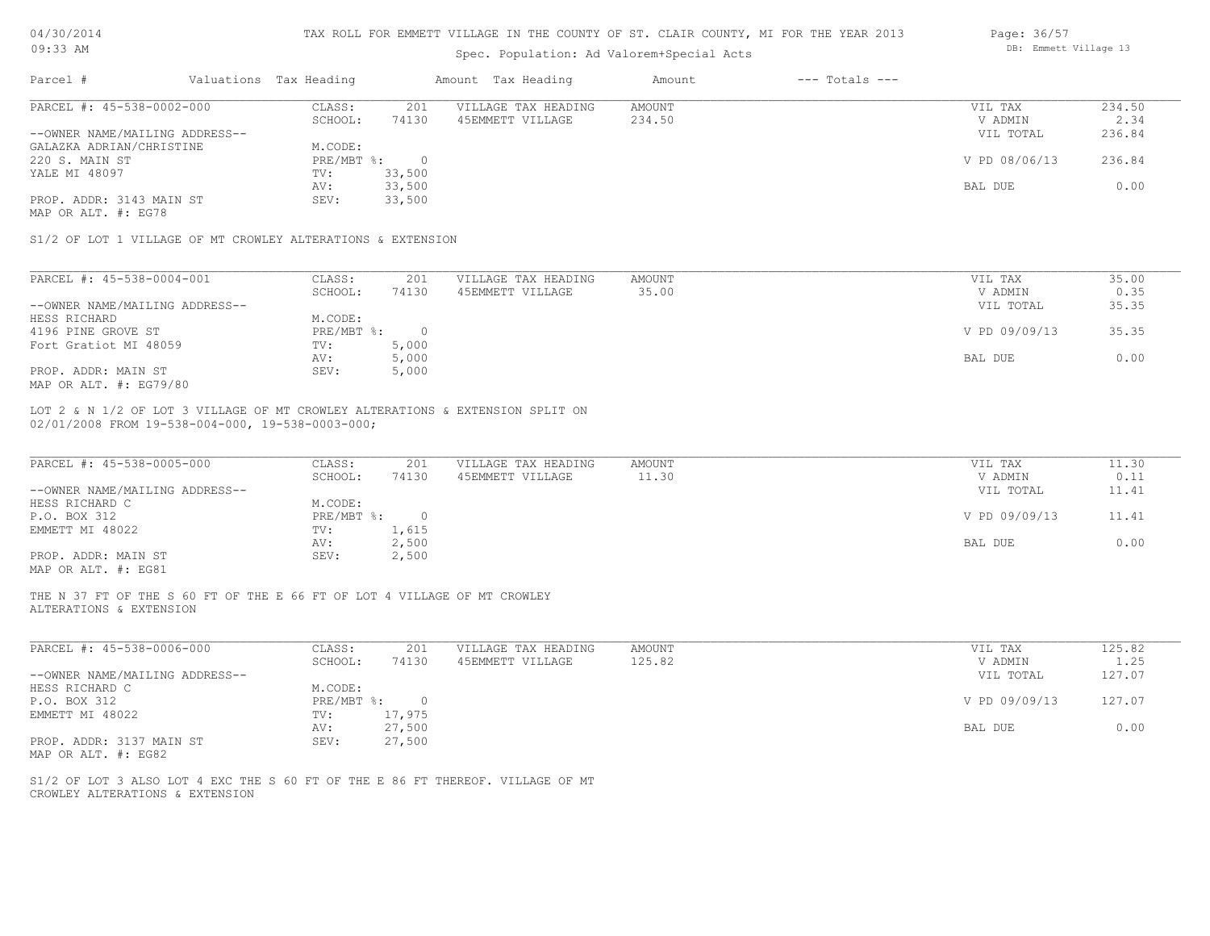| 04/30/2014 |  |
|------------|--|
| $09:33$ AM |  |

### Spec. Population: Ad Valorem+Special Acts

| Page: 36/57 |                       |  |
|-------------|-----------------------|--|
|             | DB: Emmett Village 13 |  |

| Parcel #                                                    | Valuations Tax Heading |          | Amount Tax Heading  | Amount | $---$ Totals $---$ |               |        |
|-------------------------------------------------------------|------------------------|----------|---------------------|--------|--------------------|---------------|--------|
| PARCEL #: 45-538-0002-000                                   | CLASS:                 | 201      | VILLAGE TAX HEADING | AMOUNT |                    | VIL TAX       | 234.50 |
|                                                             | SCHOOL:                | 74130    | 45EMMETT VILLAGE    | 234.50 |                    | V ADMIN       | 2.34   |
| --OWNER NAME/MAILING ADDRESS--                              |                        |          |                     |        |                    | VIL TOTAL     | 236.84 |
| GALAZKA ADRIAN/CHRISTINE                                    | M.CODE:                |          |                     |        |                    |               |        |
| 220 S. MAIN ST                                              | PRE/MBT %:             | $\Omega$ |                     |        |                    | V PD 08/06/13 | 236.84 |
| YALE MI 48097                                               | TV:                    | 33,500   |                     |        |                    |               |        |
|                                                             | AV:                    | 33,500   |                     |        |                    | BAL DUE       | 0.00   |
| PROP. ADDR: 3143 MAIN ST                                    | SEV:                   | 33,500   |                     |        |                    |               |        |
| MAP OR ALT. #: EG78                                         |                        |          |                     |        |                    |               |        |
| S1/2 OF LOT 1 VILLAGE OF MT CROWLEY ALTERATIONS & EXTENSION |                        |          |                     |        |                    |               |        |
|                                                             |                        |          |                     |        |                    |               |        |
| PARCEL #: 45-538-0004-001                                   | CLASS:                 | 201      | VILLAGE TAX HEADING | AMOUNT |                    | VIL TAX       | 35.00  |

| PARUBL #: 4J-JJ6-0004-001      | - CCATA      | ZUI   | ATTAGE TAV UEVATIMA | <b>AMOON L</b> | VIL IAA       | JJ.UU |
|--------------------------------|--------------|-------|---------------------|----------------|---------------|-------|
|                                | SCHOOL:      | 74130 | 45EMMETT VILLAGE    | 35.00          | V ADMIN       | 0.35  |
| --OWNER NAME/MAILING ADDRESS-- |              |       |                     |                | VIL TOTAL     | 35.35 |
| HESS RICHARD                   | M.CODE:      |       |                     |                |               |       |
| 4196 PINE GROVE ST             | $PRE/MBT$ %: |       |                     |                | V PD 09/09/13 | 35.35 |
| Fort Gratiot MI 48059          | TV:          | 5,000 |                     |                |               |       |
|                                | AV:          | 5,000 |                     |                | BAL DUE       | 0.00  |
| PROP. ADDR: MAIN ST            | SEV:         | 5,000 |                     |                |               |       |
| MAP OR ALT. #: EG79/80         |              |       |                     |                |               |       |

02/01/2008 FROM 19-538-004-000, 19-538-0003-000; LOT 2 & N 1/2 OF LOT 3 VILLAGE OF MT CROWLEY ALTERATIONS & EXTENSION SPLIT ON

| PARCEL #: 45-538-0005-000      | CLASS:     | 201   | VILLAGE TAX HEADING | AMOUNT | VIL TAX       | 11.30 |
|--------------------------------|------------|-------|---------------------|--------|---------------|-------|
|                                | SCHOOL:    | 74130 | 45EMMETT VILLAGE    | 11.30  | V ADMIN       | 0.11  |
| --OWNER NAME/MAILING ADDRESS-- |            |       |                     |        | VIL TOTAL     | 11.41 |
| HESS RICHARD C                 | M.CODE:    |       |                     |        |               |       |
| P.O. BOX 312                   | PRE/MBT %: |       |                     |        | V PD 09/09/13 | 11.41 |
| EMMETT MI 48022                | TV:        | 1,615 |                     |        |               |       |
|                                | AV:        | 2,500 |                     |        | BAL DUE       | 0.00  |
| PROP. ADDR: MAIN ST            | SEV:       | 2,500 |                     |        |               |       |
| MAP OR ALT. #: EG81            |            |       |                     |        |               |       |

THE N 37 FT OF THE S 60 FT OF THE E 66 FT OF LOT 4 VILLAGE OF MT CROWLEY

ALTERATIONS & EXTENSION

| PARCEL #: 45-538-0006-000      | CLASS:     | 201    | VILLAGE TAX HEADING | AMOUNT | VIL TAX       | 125.82 |  |
|--------------------------------|------------|--------|---------------------|--------|---------------|--------|--|
|                                | SCHOOL:    | 74130  | 45EMMETT VILLAGE    | 125.82 | V ADMIN       | 1.25   |  |
| --OWNER NAME/MAILING ADDRESS-- |            |        |                     |        | VIL TOTAL     | 127.07 |  |
| HESS RICHARD C                 | M.CODE:    |        |                     |        |               |        |  |
| P.O. BOX 312                   | PRE/MBT %: |        |                     |        | V PD 09/09/13 | 127.07 |  |
| EMMETT MI 48022                | TV:        | 17,975 |                     |        |               |        |  |
|                                | AV:        | 27,500 |                     |        | BAL DUE       | 0.00   |  |
| PROP. ADDR: 3137 MAIN ST       | SEV:       | 27,500 |                     |        |               |        |  |
|                                |            |        |                     |        |               |        |  |

MAP OR ALT. #: EG82

CROWLEY ALTERATIONS & EXTENSION S1/2 OF LOT 3 ALSO LOT 4 EXC THE S 60 FT OF THE E 86 FT THEREOF. VILLAGE OF MT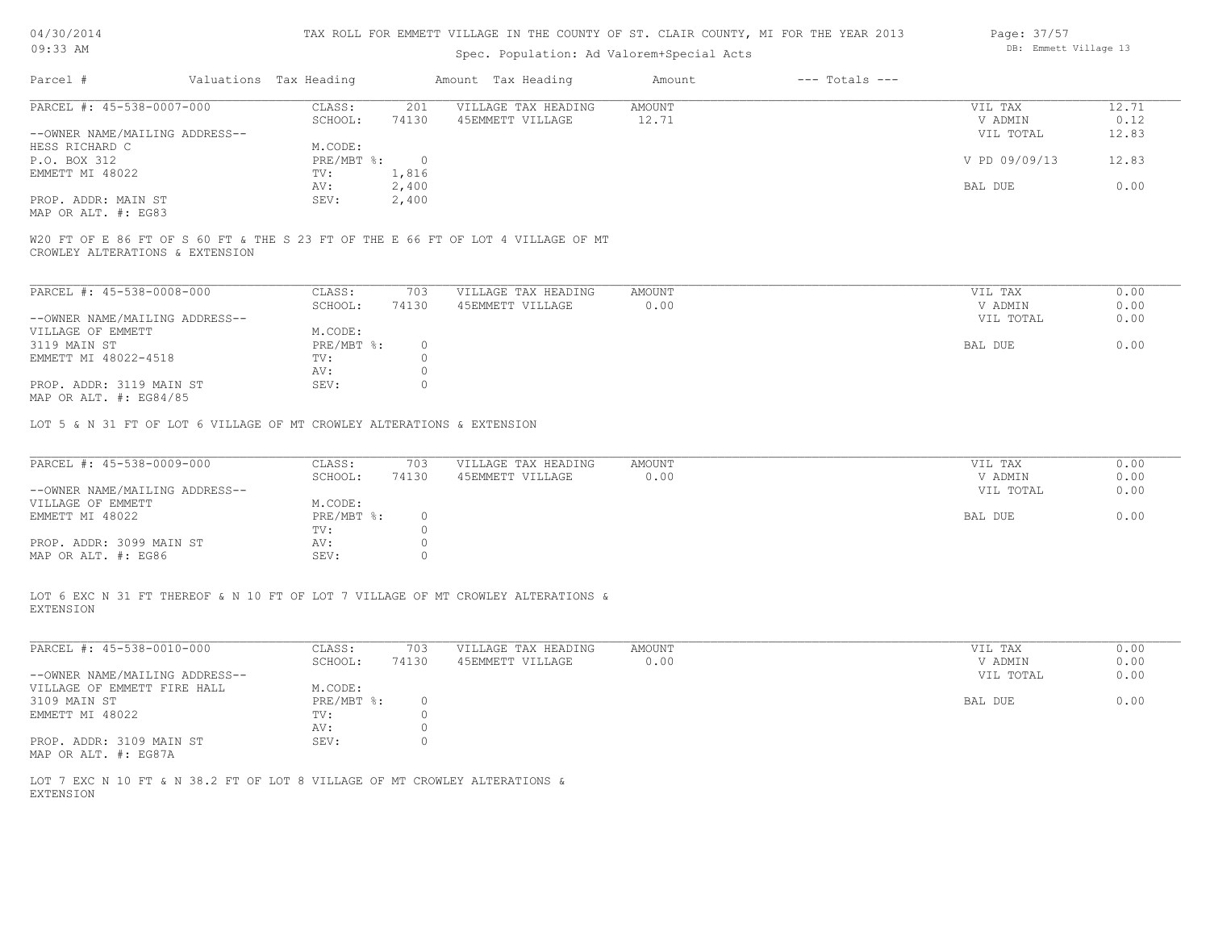| 04/30/2014 |  |
|------------|--|
| $09:33$ AM |  |

Spec. Population: Ad Val

| ST. CLAIR COUNTY, MI FOR THE YEAR 2013 |                    |  | Page: 37/57           |  |
|----------------------------------------|--------------------|--|-----------------------|--|
| lorem+Special Acts                     |                    |  | DB: Emmett Village 13 |  |
| Amount                                 | $---$ Totals $---$ |  |                       |  |

| PARCEL #: 45-538-0007-000      | CLASS:       | 201   | VILLAGE TAX HEADING | AMOUNT | VIL TAX       | 12.71 |
|--------------------------------|--------------|-------|---------------------|--------|---------------|-------|
|                                | SCHOOL:      | 74130 | 45EMMETT VILLAGE    | 12.71  | V ADMIN       | 0.12  |
| --OWNER NAME/MAILING ADDRESS-- |              |       |                     |        | VIL TOTAL     | 12.83 |
| HESS RICHARD C                 | M.CODE:      |       |                     |        |               |       |
| P.O. BOX 312                   | $PRE/MBT$ %: |       |                     |        | V PD 09/09/13 | 12.83 |
| EMMETT MI 48022                | TV:          | 1,816 |                     |        |               |       |
|                                | AV:          | 2,400 |                     |        | BAL DUE       | 0.00  |
| PROP. ADDR: MAIN ST            | SEV:         | 2,400 |                     |        |               |       |
| $\frac{1}{2}$                  |              |       |                     |        |               |       |

MAP OR ALT. #: EG83

CROWLEY ALTERATIONS & EXTENSION W20 FT OF E 86 FT OF S 60 FT & THE S 23 FT OF THE E 66 FT OF LOT 4 VILLAGE OF MT

Parcel # Valuations Tax Heading Amount Tax Heading

| PARCEL #: 45-538-0008-000                                    | CLASS:     | 703   | VILLAGE TAX HEADING | AMOUNT | 0.00<br>VIL TAX   |
|--------------------------------------------------------------|------------|-------|---------------------|--------|-------------------|
|                                                              | SCHOOL:    | 74130 | 45EMMETT VILLAGE    | 0.00   | 0.00<br>V ADMIN   |
| --OWNER NAME/MAILING ADDRESS--                               |            |       |                     |        | 0.00<br>VIL TOTAL |
| VILLAGE OF EMMETT                                            | M.CODE:    |       |                     |        |                   |
| 3119 MAIN ST                                                 | PRE/MBT %: |       |                     |        | 0.00<br>BAL DUE   |
| EMMETT MI 48022-4518                                         | TV:        |       |                     |        |                   |
|                                                              | AV:        |       |                     |        |                   |
| PROP. ADDR: 3119 MAIN ST<br>$MAD$ $CD$ $ATM$ $H$ , $DCOA/OC$ | SEV:       |       |                     |        |                   |

MAP OR ALT. #: EG84/85

LOT 5 & N 31 FT OF LOT 6 VILLAGE OF MT CROWLEY ALTERATIONS & EXTENSION

| PARCEL #: 45-538-0009-000      | CLASS:     | 703   | VILLAGE TAX HEADING | AMOUNT | VIL TAX   | 0.00 |
|--------------------------------|------------|-------|---------------------|--------|-----------|------|
|                                | SCHOOL:    | 74130 | 45EMMETT VILLAGE    | 0.00   | V ADMIN   | 0.00 |
| --OWNER NAME/MAILING ADDRESS-- |            |       |                     |        | VIL TOTAL | 0.00 |
| VILLAGE OF EMMETT              | M.CODE:    |       |                     |        |           |      |
| EMMETT MI 48022                | PRE/MBT %: |       |                     |        | BAL DUE   | 0.00 |
|                                | TV:        |       |                     |        |           |      |
| PROP. ADDR: 3099 MAIN ST       | AV:        |       |                     |        |           |      |
| MAP OR ALT. #: EG86            | SEV:       |       |                     |        |           |      |

EXTENSION LOT 6 EXC N 31 FT THEREOF & N 10 FT OF LOT 7 VILLAGE OF MT CROWLEY ALTERATIONS &

| PARCEL #: 45-538-0010-000      | CLASS:     | 703    | VILLAGE TAX HEADING | AMOUNT | VIL TAX<br>0.00   |
|--------------------------------|------------|--------|---------------------|--------|-------------------|
|                                | SCHOOL:    | 74130  | 45EMMETT VILLAGE    | 0.00   | 0.00<br>V ADMIN   |
| --OWNER NAME/MAILING ADDRESS-- |            |        |                     |        | 0.00<br>VIL TOTAL |
| VILLAGE OF EMMETT FIRE HALL    | M.CODE:    |        |                     |        |                   |
| 3109 MAIN ST                   | PRE/MBT %: | $\cap$ |                     |        | 0.00<br>BAL DUE   |
| EMMETT MI 48022                | TV:        |        |                     |        |                   |
|                                | AV:        |        |                     |        |                   |
| PROP. ADDR: 3109 MAIN ST       | SEV:       |        |                     |        |                   |
| MAP OR ALT. #: EG87A           |            |        |                     |        |                   |

EXTENSION LOT 7 EXC N 10 FT & N 38.2 FT OF LOT 8 VILLAGE OF MT CROWLEY ALTERATIONS &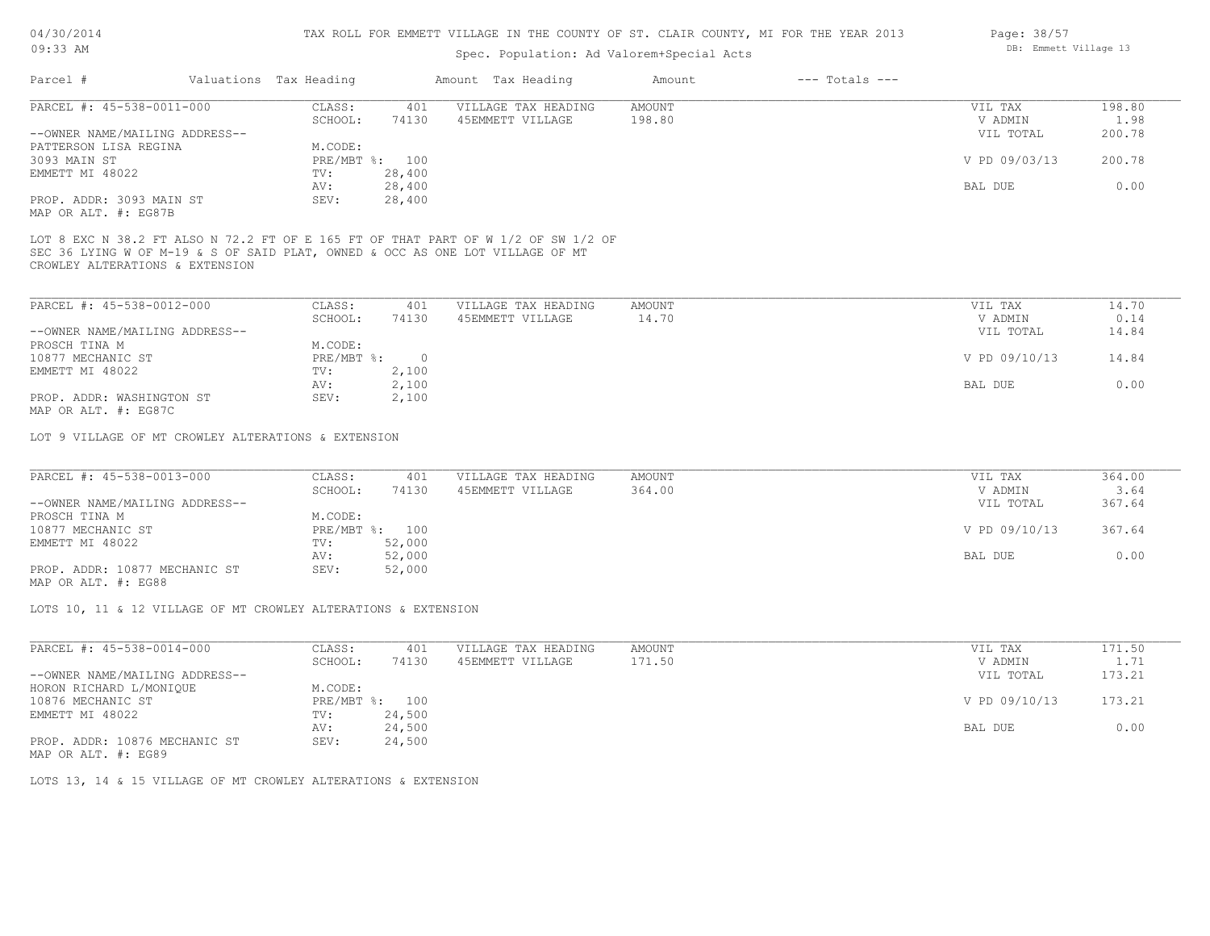## Spec. Population: Ad Valorem+Special Acts

| Parcel #                       | Valuations Tax Heading |                | Amount Tax Heading  | Amount | $---$ Totals $---$ |               |        |
|--------------------------------|------------------------|----------------|---------------------|--------|--------------------|---------------|--------|
| PARCEL #: 45-538-0011-000      | CLASS:                 | 401            | VILLAGE TAX HEADING | AMOUNT |                    | VIL TAX       | 198.80 |
|                                | SCHOOL:                | 74130          | 45EMMETT VILLAGE    | 198.80 |                    | V ADMIN       | 1.98   |
| --OWNER NAME/MAILING ADDRESS-- |                        |                |                     |        |                    | VIL TOTAL     | 200.78 |
| PATTERSON LISA REGINA          | M.CODE:                |                |                     |        |                    |               |        |
| 3093 MAIN ST                   |                        | PRE/MBT %: 100 |                     |        |                    | V PD 09/03/13 | 200.78 |
| EMMETT MI 48022                | TV:                    | 28,400         |                     |        |                    |               |        |
|                                | AV:                    | 28,400         |                     |        |                    | BAL DUE       | 0.00   |
| PROP. ADDR: 3093 MAIN ST       | SEV:                   | 28,400         |                     |        |                    |               |        |
|                                |                        |                |                     |        |                    |               |        |

MAP OR ALT. #: EG87B

CROWLEY ALTERATIONS & EXTENSION SEC 36 LYING W OF M-19 & S OF SAID PLAT, OWNED & OCC AS ONE LOT VILLAGE OF MT LOT 8 EXC N 38.2 FT ALSO N 72.2 FT OF E 165 FT OF THAT PART OF W 1/2 OF SW 1/2 OF

| PARCEL #: 45-538-0012-000      | CLASS:     | 401   | VILLAGE TAX HEADING | AMOUNT | VIL TAX       | 14.70 |
|--------------------------------|------------|-------|---------------------|--------|---------------|-------|
|                                | SCHOOL:    | 74130 | 45EMMETT VILLAGE    | 14.70  | V ADMIN       | 0.14  |
| --OWNER NAME/MAILING ADDRESS-- |            |       |                     |        | VIL TOTAL     | 14.84 |
| PROSCH TINA M                  | M.CODE:    |       |                     |        |               |       |
| 10877 MECHANIC ST              | PRE/MBT %: |       |                     |        | V PD 09/10/13 | 14.84 |
| EMMETT MI 48022                | TV:        | 2,100 |                     |        |               |       |
|                                | AV:        | 2,100 |                     |        | BAL DUE       | 0.00  |
| PROP. ADDR: WASHINGTON ST      | SEV:       | 2,100 |                     |        |               |       |
| $\cdots$                       |            |       |                     |        |               |       |

MAP OR ALT. #: EG87C

LOT 9 VILLAGE OF MT CROWLEY ALTERATIONS & EXTENSION

| PARCEL #: 45-538-0013-000      | CLASS:  | 401            | VILLAGE TAX HEADING | AMOUNT | VIL TAX       | 364.00 |
|--------------------------------|---------|----------------|---------------------|--------|---------------|--------|
|                                | SCHOOL: | 74130          | 45EMMETT VILLAGE    | 364.00 | V ADMIN       | 3.64   |
| --OWNER NAME/MAILING ADDRESS-- |         |                |                     |        | VIL TOTAL     | 367.64 |
| PROSCH TINA M                  | M.CODE: |                |                     |        |               |        |
| 10877 MECHANIC ST              |         | PRE/MBT %: 100 |                     |        | V PD 09/10/13 | 367.64 |
| EMMETT MI 48022                | TV:     | 52,000         |                     |        |               |        |
|                                | AV:     | 52,000         |                     |        | BAL DUE       | 0.00   |
| PROP. ADDR: 10877 MECHANIC ST  | SEV:    | 52,000         |                     |        |               |        |
|                                |         |                |                     |        |               |        |

MAP OR ALT. #: EG88

LOTS 10, 11 & 12 VILLAGE OF MT CROWLEY ALTERATIONS & EXTENSION

| PARCEL #: 45-538-0014-000      | CLASS:       | 401    | VILLAGE TAX HEADING | AMOUNT | VIL TAX       | 171.50 |
|--------------------------------|--------------|--------|---------------------|--------|---------------|--------|
|                                | SCHOOL:      | 74130  | 45EMMETT VILLAGE    | 171.50 | V ADMIN       | 1.71   |
| --OWNER NAME/MAILING ADDRESS-- |              |        |                     |        | VIL TOTAL     | 173.21 |
| HORON RICHARD L/MONIQUE        | M.CODE:      |        |                     |        |               |        |
| 10876 MECHANIC ST              | $PRE/MBT$ %: | 100    |                     |        | V PD 09/10/13 | 173.21 |
| EMMETT MI 48022                | TV:          | 24,500 |                     |        |               |        |
|                                | AV:          | 24,500 |                     |        | BAL DUE       | 0.00   |
| PROP. ADDR: 10876 MECHANIC ST  | SEV:         | 24,500 |                     |        |               |        |
|                                |              |        |                     |        |               |        |

MAP OR ALT. #: EG89

LOTS 13, 14 & 15 VILLAGE OF MT CROWLEY ALTERATIONS & EXTENSION

Page: 38/57 DB: Emmett Village 13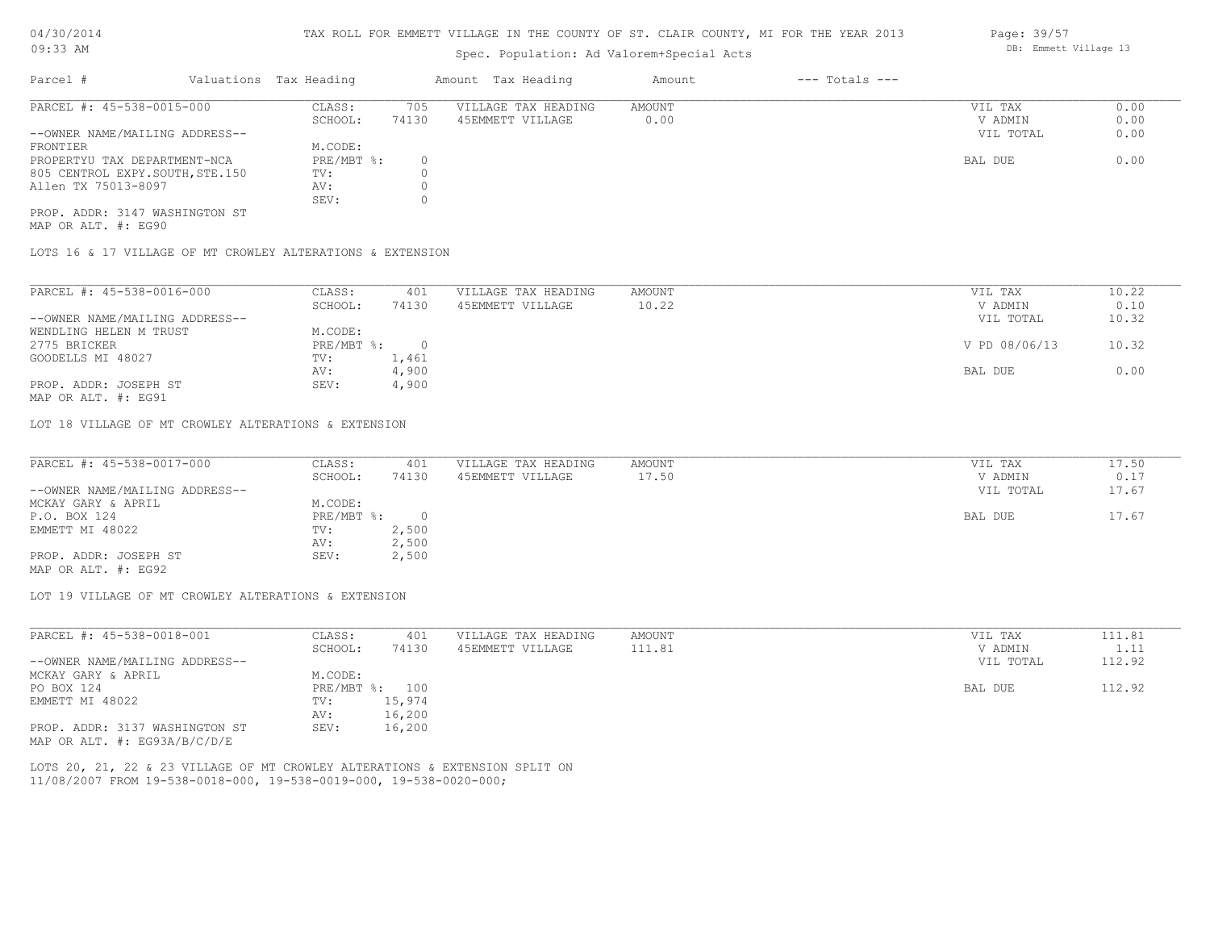### TAX ROLL FOR EMMETT VILLAGE IN THE COUNTY OF ST. CLAIR COUNTY, MI FOR THE YEAR 2013

# Spec. Population: Ad Valorem+Special Acts

| Parcel #                        | Valuations Tax Heading |       | Amount Tax Heading  | Amount | $---$ Totals $---$ |           |      |
|---------------------------------|------------------------|-------|---------------------|--------|--------------------|-----------|------|
| PARCEL #: 45-538-0015-000       | CLASS:                 | 705   | VILLAGE TAX HEADING | AMOUNT |                    | VIL TAX   | 0.00 |
|                                 | SCHOOL:                | 74130 | 45EMMETT VILLAGE    | 0.00   |                    | V ADMIN   | 0.00 |
| --OWNER NAME/MAILING ADDRESS--  |                        |       |                     |        |                    | VIL TOTAL | 0.00 |
| FRONTIER                        | M.CODE:                |       |                     |        |                    |           |      |
| PROPERTYU TAX DEPARTMENT-NCA    | PRE/MBT %:             |       |                     |        |                    | BAL DUE   | 0.00 |
| 805 CENTROL EXPY.SOUTH, STE.150 | TV:                    |       |                     |        |                    |           |      |
| Allen TX 75013-8097             | AV:                    |       |                     |        |                    |           |      |
|                                 | SEV:                   |       |                     |        |                    |           |      |
| PROP. ADDR: 3147 WASHINGTON ST  |                        |       |                     |        |                    |           |      |

MAP OR ALT. #: EG90

LOTS 16 & 17 VILLAGE OF MT CROWLEY ALTERATIONS & EXTENSION

| PARCEL #: 45-538-0016-000      | CLASS:     | 401           | VILLAGE TAX HEADING | AMOUNT | VIL TAX       | 10.22 |
|--------------------------------|------------|---------------|---------------------|--------|---------------|-------|
|                                | SCHOOL:    | 74130         | 45EMMETT VILLAGE    | 10.22  | V ADMIN       | 0.10  |
| --OWNER NAME/MAILING ADDRESS-- |            |               |                     |        | VIL TOTAL     | 10.32 |
| WENDLING HELEN M TRUST         | M.CODE:    |               |                     |        |               |       |
| 2775 BRICKER                   | PRE/MBT %: |               |                     |        | V PD 08/06/13 | 10.32 |
| GOODELLS MI 48027              | TV:        | $\perp$ , 461 |                     |        |               |       |
|                                | AV:        | 4,900         |                     |        | BAL DUE       | 0.00  |
| PROP. ADDR: JOSEPH ST          | SEV:       | 4,900         |                     |        |               |       |
|                                |            |               |                     |        |               |       |

MAP OR ALT. #: EG91

LOT 18 VILLAGE OF MT CROWLEY ALTERATIONS & EXTENSION

| PARCEL #: 45-538-0017-000      | CLASS:       | 401   | VILLAGE TAX HEADING | AMOUNT | VIL TAX   | 17.50 |
|--------------------------------|--------------|-------|---------------------|--------|-----------|-------|
|                                | SCHOOL:      | 74130 | 45EMMETT VILLAGE    | 17.50  | V ADMIN   | 0.17  |
| --OWNER NAME/MAILING ADDRESS-- |              |       |                     |        | VIL TOTAL | 17.67 |
| MCKAY GARY & APRIL             | M.CODE:      |       |                     |        |           |       |
| P.O. BOX 124                   | $PRE/MBT$ %: |       |                     |        | BAL DUE   | 17.67 |
| EMMETT MI 48022                | TV:          | 2,500 |                     |        |           |       |
|                                | AV:          | 2,500 |                     |        |           |       |
| PROP. ADDR: JOSEPH ST          | SEV:         | 2,500 |                     |        |           |       |
| MAP OR ALT. #: EG92            |              |       |                     |        |           |       |

LOT 19 VILLAGE OF MT CROWLEY ALTERATIONS & EXTENSION

| PARCEL #: 45-538-0018-001        | CLASS:  | 401            | VILLAGE TAX HEADING | AMOUNT | VIL TAX   | 111.81 |
|----------------------------------|---------|----------------|---------------------|--------|-----------|--------|
|                                  | SCHOOL: | 74130          | 45EMMETT VILLAGE    | 111.81 | V ADMIN   |        |
| --OWNER NAME/MAILING ADDRESS--   |         |                |                     |        | VIL TOTAL | 112.92 |
| MCKAY GARY & APRIL               | M.CODE: |                |                     |        |           |        |
| PO BOX 124                       |         | PRE/MBT %: 100 |                     |        | BAL DUE   | 112.92 |
| EMMETT MI 48022                  | TV:     | 15,974         |                     |        |           |        |
|                                  | AV:     | 16,200         |                     |        |           |        |
| PROP. ADDR: 3137 WASHINGTON ST   | SEV:    | 16,200         |                     |        |           |        |
| MAP OR ALT. $\#$ : EG93A/B/C/D/E |         |                |                     |        |           |        |

11/08/2007 FROM 19-538-0018-000, 19-538-0019-000, 19-538-0020-000; LOTS 20, 21, 22 & 23 VILLAGE OF MT CROWLEY ALTERATIONS & EXTENSION SPLIT ON Page: 39/57 DB: Emmett Village 13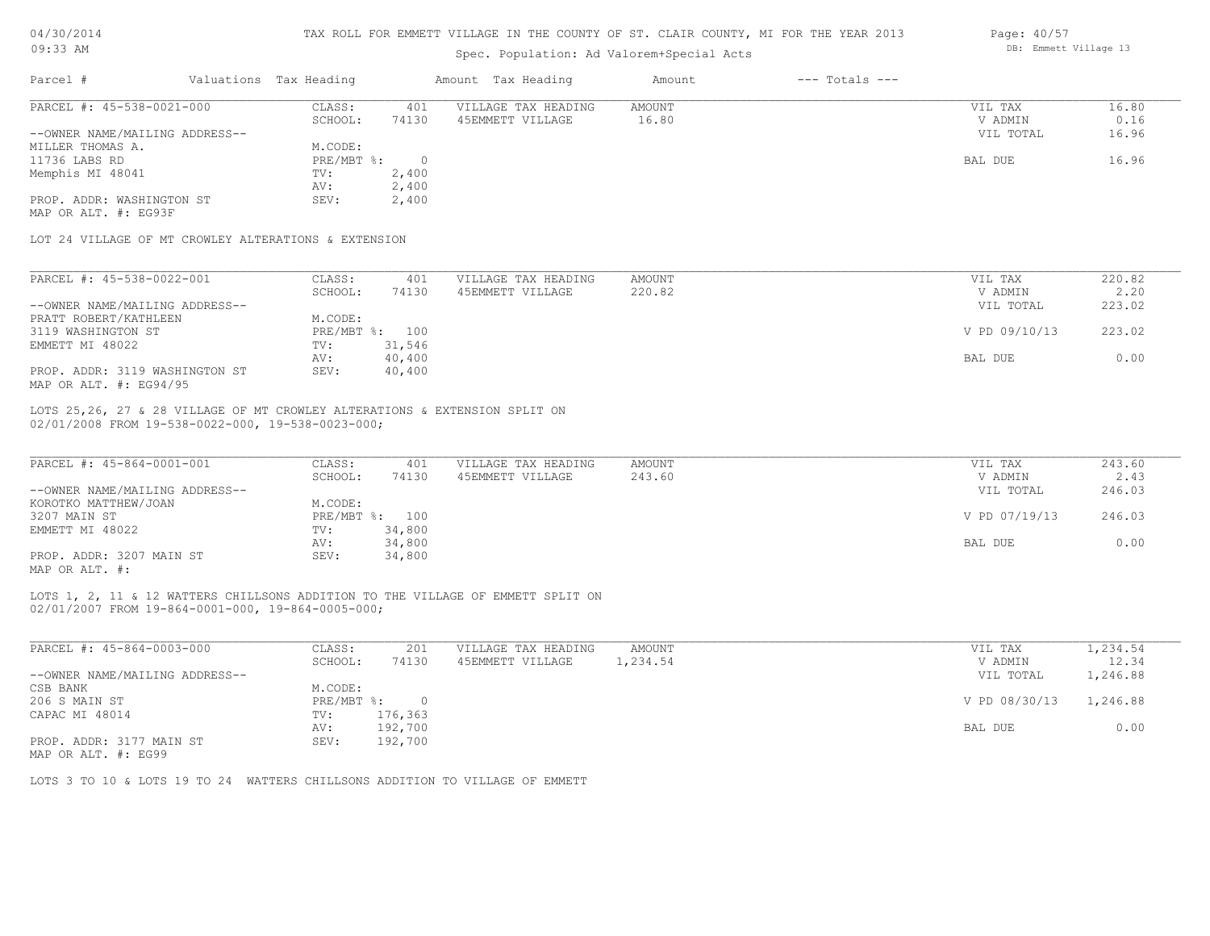# 04/30/2014

#### TAX ROLL FOR EMMETT VILLAGE IN THE COUNTY OF ST. CLAIR COUNTY, MI FOR THE YEAR 2013 Page: 40/57

| $09:33$ AM                                           |                        |                | Spec. Population: Ad Valorem+Special Acts                                       |               |                    | DB: Emmett Village 13        |                 |
|------------------------------------------------------|------------------------|----------------|---------------------------------------------------------------------------------|---------------|--------------------|------------------------------|-----------------|
| Parcel #                                             | Valuations Tax Heading |                | Amount Tax Heading                                                              | Amount        | $---$ Totals $---$ |                              |                 |
| PARCEL #: 45-538-0021-000                            | CLASS:                 | 401            | VILLAGE TAX HEADING                                                             | <b>AMOUNT</b> |                    | VIL TAX                      | 16.80           |
|                                                      | SCHOOL:                | 74130          | 45EMMETT VILLAGE                                                                | 16.80         |                    | V ADMIN                      | 0.16            |
| --OWNER NAME/MAILING ADDRESS--                       |                        |                |                                                                                 |               |                    | VIL TOTAL                    | 16.96           |
| MILLER THOMAS A.                                     | M.CODE:                |                |                                                                                 |               |                    |                              |                 |
| 11736 LABS RD                                        | PRE/MBT %:             | $\overline{0}$ |                                                                                 |               |                    | BAL DUE                      | 16.96           |
| Memphis MI 48041                                     | TV:                    | 2,400          |                                                                                 |               |                    |                              |                 |
|                                                      | AV:                    | 2,400          |                                                                                 |               |                    |                              |                 |
| PROP. ADDR: WASHINGTON ST                            | SEV:                   | 2,400          |                                                                                 |               |                    |                              |                 |
| MAP OR ALT. #: EG93F                                 |                        |                |                                                                                 |               |                    |                              |                 |
| LOT 24 VILLAGE OF MT CROWLEY ALTERATIONS & EXTENSION |                        |                |                                                                                 |               |                    |                              |                 |
| PARCEL #: 45-538-0022-001                            | CLASS:                 | 401            | VILLAGE TAX HEADING                                                             | AMOUNT        |                    | VIL TAX                      | 220.82          |
|                                                      | SCHOOL:                | 74130          | 45EMMETT VILLAGE                                                                | 220.82        |                    | V ADMIN                      | 2.20            |
| --OWNER NAME/MAILING ADDRESS--                       |                        |                |                                                                                 |               |                    | VIL TOTAL                    | 223.02          |
| PRATT ROBERT/KATHLEEN                                | M.CODE:                |                |                                                                                 |               |                    |                              |                 |
| 3119 WASHINGTON ST                                   |                        | PRE/MBT %: 100 |                                                                                 |               |                    | V PD 09/10/13                | 223.02          |
| EMMETT MI 48022                                      | TV:                    | 31,546         |                                                                                 |               |                    |                              |                 |
|                                                      | AV:                    | 40,400         |                                                                                 |               |                    | BAL DUE                      | 0.00            |
| PROP. ADDR: 3119 WASHINGTON ST                       | SEV:                   | 40,400         |                                                                                 |               |                    |                              |                 |
| MAP OR ALT. #: EG94/95                               |                        |                |                                                                                 |               |                    |                              |                 |
| 02/01/2008 FROM 19-538-0022-000, 19-538-0023-000;    |                        |                | LOTS 25,26, 27 & 28 VILLAGE OF MT CROWLEY ALTERATIONS & EXTENSION SPLIT ON      |               |                    |                              |                 |
| PARCEL #: 45-864-0001-001                            | CLASS:                 | 401            | VILLAGE TAX HEADING                                                             | <b>AMOUNT</b> |                    | VIL TAX                      | 243.60          |
|                                                      | SCHOOL:                | 74130          | 45EMMETT VILLAGE                                                                | 243.60        |                    | V ADMIN                      | 2.43            |
| --OWNER NAME/MAILING ADDRESS--                       |                        |                |                                                                                 |               |                    | VIL TOTAL                    | 246.03          |
| KOROTKO MATTHEW/JOAN                                 | M.CODE:                |                |                                                                                 |               |                    |                              |                 |
|                                                      |                        |                |                                                                                 |               |                    |                              |                 |
| 3207 MAIN ST                                         |                        | PRE/MBT %: 100 |                                                                                 |               |                    | V PD 07/19/13                | 246.03          |
| EMMETT MI 48022                                      | TV:                    | 34,800         |                                                                                 |               |                    |                              |                 |
|                                                      | AV:                    | 34,800         |                                                                                 |               |                    | BAL DUE                      | 0.00            |
| PROP. ADDR: 3207 MAIN ST<br>MAP OR ALT. #:           | SEV:                   | 34,800         |                                                                                 |               |                    |                              |                 |
| 02/01/2007 FROM 19-864-0001-000, 19-864-0005-000;    |                        |                | LOTS 1, 2, 11 & 12 WATTERS CHILLSONS ADDITION TO THE VILLAGE OF EMMETT SPLIT ON |               |                    |                              |                 |
| PARCEL #: 45-864-0003-000                            | CLASS:                 | 201            | VILLAGE TAX HEADING                                                             | <b>AMOUNT</b> |                    | VIL TAX                      | 1,234.54        |
| CLINIDD MAMP (MATTIMC ADDDROG                        | SCHOOL:                | 74130          | 45EMMETT VILLAGE                                                                | 1,234.54      |                    | V ADMIN<br><b>TITT</b> MOMAT | 12.34<br>1.2100 |
|                                                      |                        |                |                                                                                 |               |                    |                              |                 |

| --OWNER NAME/MAILING ADDRESS-- |         |              | VIL TOTAL              | 1,246.88 |
|--------------------------------|---------|--------------|------------------------|----------|
| CSB BANK                       | M.CODE: |              |                        |          |
| 206 S MAIN ST                  |         | PRE/MBT %: 0 | V PD 08/30/13 1,246.88 |          |
| CAPAC MI 48014                 | TV:     | 176,363      |                        |          |
|                                | AV:     | 192,700      | BAL DUE                | 0.00     |
| PROP. ADDR: 3177 MAIN ST       | SEV:    | 192,700      |                        |          |

MAP OR ALT. #: EG99

LOTS 3 TO 10 & LOTS 19 TO 24 WATTERS CHILLSONS ADDITION TO VILLAGE OF EMMETT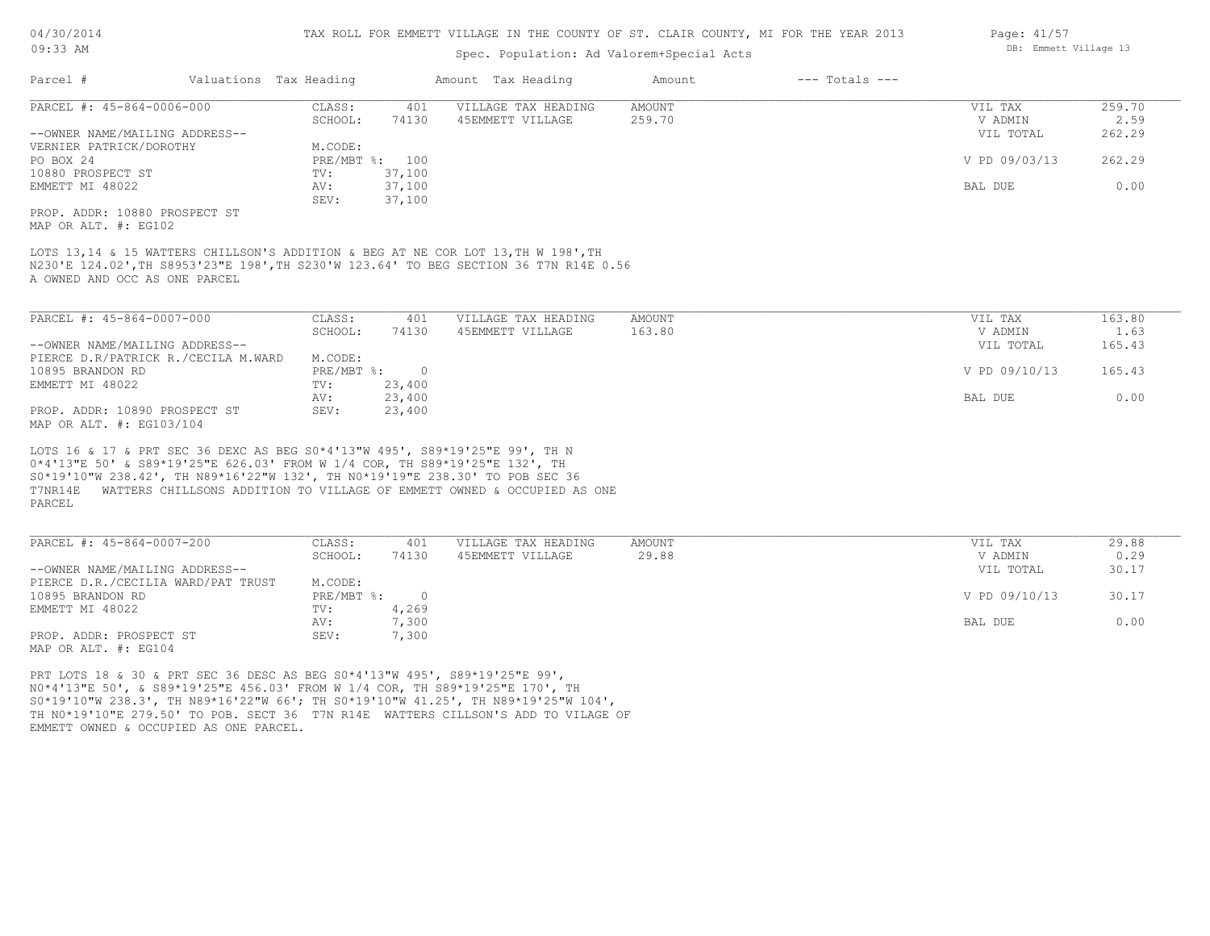| 04/30/2014 |  |
|------------|--|
| $09:33$ AM |  |

Spec. Population: Ad Valorem+Special Acts

|                                                                                                                                                                                                                                                     |                        |                             |                | spec. Population: Ad valorem special Acts                                                                                                                                  |               |                    |               |        |
|-----------------------------------------------------------------------------------------------------------------------------------------------------------------------------------------------------------------------------------------------------|------------------------|-----------------------------|----------------|----------------------------------------------------------------------------------------------------------------------------------------------------------------------------|---------------|--------------------|---------------|--------|
| Parcel #                                                                                                                                                                                                                                            | Valuations Tax Heading |                             |                | Amount Tax Heading                                                                                                                                                         | Amount        | $---$ Totals $---$ |               |        |
| PARCEL #: 45-864-0006-000                                                                                                                                                                                                                           |                        | CLASS:                      | 401            | VILLAGE TAX HEADING                                                                                                                                                        | <b>AMOUNT</b> |                    | VIL TAX       | 259.70 |
|                                                                                                                                                                                                                                                     |                        | SCHOOL:                     | 74130          | 45EMMETT VILLAGE                                                                                                                                                           | 259.70        |                    | V ADMIN       | 2.59   |
| --OWNER NAME/MAILING ADDRESS--                                                                                                                                                                                                                      |                        |                             |                |                                                                                                                                                                            |               |                    | VIL TOTAL     | 262.29 |
| VERNIER PATRICK/DOROTHY                                                                                                                                                                                                                             |                        | M.CODE:                     |                |                                                                                                                                                                            |               |                    |               |        |
| PO BOX 24                                                                                                                                                                                                                                           |                        |                             | PRE/MBT %: 100 |                                                                                                                                                                            |               |                    | V PD 09/03/13 | 262.29 |
| 10880 PROSPECT ST                                                                                                                                                                                                                                   |                        | TV:                         | 37,100         |                                                                                                                                                                            |               |                    |               |        |
| EMMETT MI 48022                                                                                                                                                                                                                                     |                        | AV:                         | 37,100         |                                                                                                                                                                            |               |                    | BAL DUE       | 0.00   |
|                                                                                                                                                                                                                                                     |                        | SEV:                        | 37,100         |                                                                                                                                                                            |               |                    |               |        |
| PROP. ADDR: 10880 PROSPECT ST                                                                                                                                                                                                                       |                        |                             |                |                                                                                                                                                                            |               |                    |               |        |
| MAP OR ALT. #: EG102                                                                                                                                                                                                                                |                        |                             |                |                                                                                                                                                                            |               |                    |               |        |
| A OWNED AND OCC AS ONE PARCEL                                                                                                                                                                                                                       |                        |                             |                | LOTS 13,14 & 15 WATTERS CHILLSON'S ADDITION & BEG AT NE COR LOT 13, TH W 198', TH<br>N230'E 124.02', TH S8953'23"E 198', TH S230'W 123.64' TO BEG SECTION 36 T7N R14E 0.56 |               |                    |               |        |
| PARCEL #: 45-864-0007-000                                                                                                                                                                                                                           |                        | CLASS:                      | 401            | VILLAGE TAX HEADING                                                                                                                                                        | <b>AMOUNT</b> |                    | VIL TAX       | 163.80 |
|                                                                                                                                                                                                                                                     |                        | SCHOOL:                     | 74130          | 45EMMETT VILLAGE                                                                                                                                                           | 163.80        |                    | V ADMIN       | 1.63   |
| --OWNER NAME/MAILING ADDRESS--                                                                                                                                                                                                                      |                        |                             |                |                                                                                                                                                                            |               |                    | VIL TOTAL     | 165.43 |
| PIERCE D.R/PATRICK R./CECILA M.WARD                                                                                                                                                                                                                 |                        | M.CODE:                     |                |                                                                                                                                                                            |               |                    |               |        |
| 10895 BRANDON RD                                                                                                                                                                                                                                    |                        | $PRE/MBT$ $\div$            | $\overline{0}$ |                                                                                                                                                                            |               |                    | V PD 09/10/13 | 165.43 |
| EMMETT MI 48022                                                                                                                                                                                                                                     |                        | TV:                         | 23,400         |                                                                                                                                                                            |               |                    |               |        |
|                                                                                                                                                                                                                                                     |                        | AV:                         | 23,400         |                                                                                                                                                                            |               |                    | BAL DUE       | 0.00   |
| PROP. ADDR: 10890 PROSPECT ST                                                                                                                                                                                                                       |                        | SEV:                        | 23,400         |                                                                                                                                                                            |               |                    |               |        |
| MAP OR ALT. #: EG103/104                                                                                                                                                                                                                            |                        |                             |                |                                                                                                                                                                            |               |                    |               |        |
| LOTS 16 & 17 & PRT SEC 36 DEXC AS BEG S0*4'13"W 495', S89*19'25"E 99', TH N<br>0*4'13"E 50' & S89*19'25"E 626.03' FROM W 1/4 COR, TH S89*19'25"E 132', TH<br>S0*19'10"W 238.42', TH N89*16'22"W 132', TH N0*19'19"E 238.30' TO POB SEC 36<br>PARCEL |                        |                             |                | T7NR14E WATTERS CHILLSONS ADDITION TO VILLAGE OF EMMETT OWNED & OCCUPIED AS ONE                                                                                            |               |                    |               |        |
| PARCEL #: 45-864-0007-200                                                                                                                                                                                                                           |                        | CLASS:                      | 401            | VILLAGE TAX HEADING                                                                                                                                                        | <b>AMOUNT</b> |                    | VIL TAX       | 29.88  |
|                                                                                                                                                                                                                                                     |                        | SCHOOL:                     | 74130          | 45EMMETT VILLAGE                                                                                                                                                           | 29.88         |                    | V ADMIN       | 0.29   |
| --OWNER NAME/MAILING ADDRESS--                                                                                                                                                                                                                      |                        |                             |                |                                                                                                                                                                            |               |                    | VIL TOTAL     | 30.17  |
| PIERCE D.R./CECILIA WARD/PAT TRUST<br>10895 BRANDON RD                                                                                                                                                                                              |                        | M.CODE:<br>$PRE/MBT$ $\div$ | $\overline{0}$ |                                                                                                                                                                            |               |                    | V PD 09/10/13 | 30.17  |
| EMMETT MI 48022                                                                                                                                                                                                                                     |                        | TV:                         | 4,269          |                                                                                                                                                                            |               |                    |               |        |
|                                                                                                                                                                                                                                                     |                        | AV:                         | 7,300          |                                                                                                                                                                            |               |                    | BAL DUE       | 0.00   |
| PROP. ADDR: PROSPECT ST                                                                                                                                                                                                                             |                        | SEV:                        | 7,300          |                                                                                                                                                                            |               |                    |               |        |
| MAP OR ALT. #: EG104                                                                                                                                                                                                                                |                        |                             |                |                                                                                                                                                                            |               |                    |               |        |
| PRT LOTS 18 & 30 & PRT SEC 36 DESC AS BEG S0*4'13"W 495', S89*19'25"E 99',<br>NO*4'13"E 50', & S89*19'25"E 456.03' FROM W 1/4 COR, TH S89*19'25"E 170', TH<br>EMMETT OWNED & OCCUPIED AS ONE PARCEL.                                                |                        |                             |                | S0*19'10"W 238.3', TH N89*16'22"W 66'; TH S0*19'10"W 41.25', TH N89*19'25"W 104',<br>TH NO*19'10"E 279.50' TO POB. SECT 36 T7N R14E WATTERS CILLSON'S ADD TO VILAGE OF     |               |                    |               |        |

Page: 41/57 DB: Emmett Village 13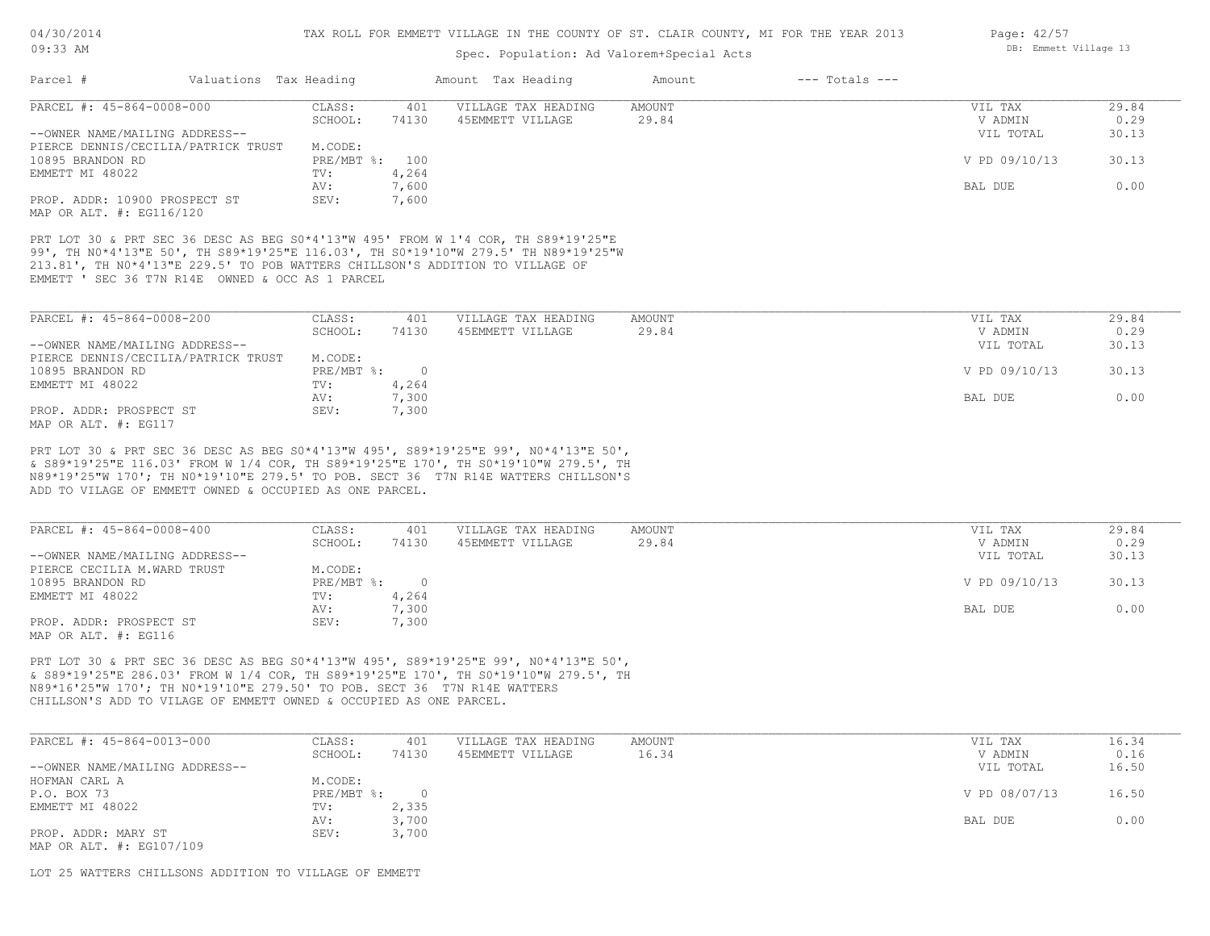# Spec. Population: Ad Valorem+Special Acts

| PARCEL #: 45-864-0008-000<br>VILLAGE TAX HEADING<br><b>AMOUNT</b><br>CLASS:<br>401<br>VIL TAX<br>29.84<br>74130<br>29.84<br>SCHOOL:<br>45EMMETT VILLAGE<br>V ADMIN<br>VIL TOTAL<br>30.13<br>--OWNER NAME/MAILING ADDRESS--<br>PIERCE DENNIS/CECILIA/PATRICK TRUST<br>M.CODE:<br>30.13<br>10895 BRANDON RD<br>PRE/MBT %: 100<br>V PD 09/10/13<br>4,264<br>TV:<br>7,600<br>0.00<br>AV:<br>BAL DUE<br>PROP. ADDR: 10900 PROSPECT ST<br>SEV:<br>7,600<br>PRT LOT 30 & PRT SEC 36 DESC AS BEG S0*4'13"W 495' FROM W 1'4 COR, TH S89*19'25"E<br>99', TH NO*4'13"E 50', TH S89*19'25"E 116.03', TH SO*19'10"W 279.5' TH N89*19'25"W<br>213.81', TH NO*4'13"E 229.5' TO POB WATTERS CHILLSON'S ADDITION TO VILLAGE OF<br>EMMETT ' SEC 36 T7N R14E OWNED & OCC AS 1 PARCEL<br>PARCEL #: 45-864-0008-200<br>CLASS:<br>29.84<br>401<br>VILLAGE TAX HEADING<br>AMOUNT<br>VIL TAX<br>29.84<br>SCHOOL:<br>74130<br>45EMMETT VILLAGE<br>V ADMIN<br>0.29<br>--OWNER NAME/MAILING ADDRESS--<br>30.13<br>VIL TOTAL<br>PIERCE DENNIS/CECILIA/PATRICK TRUST<br>M.CODE:<br>$\overline{0}$<br>10895 BRANDON RD<br>$PRE/MBT$ %:<br>V PD 09/10/13<br>30.13<br>EMMETT MI 48022<br>4,264<br>TV:<br>7,300<br>0.00<br>AV:<br>BAL DUE<br>PROP. ADDR: PROSPECT ST<br>SEV:<br>7,300<br>PRT LOT 30 & PRT SEC 36 DESC AS BEG S0*4'13"W 495', S89*19'25"E 99', N0*4'13"E 50',<br>& S89*19'25"E 116.03' FROM W 1/4 COR, TH S89*19'25"E 170', TH S0*19'10"W 279.5', TH<br>N89*19'25"W 170'; TH N0*19'10"E 279.5' TO POB. SECT 36 T7N R14E WATTERS CHILLSON'S<br>ADD TO VILAGE OF EMMETT OWNED & OCCUPIED AS ONE PARCEL.<br>PARCEL #: 45-864-0008-400<br>VILLAGE TAX HEADING<br>CLASS:<br>401<br>AMOUNT<br>VIL TAX<br>29.84<br>SCHOOL:<br>74130<br>45EMMETT VILLAGE<br>29.84<br>V ADMIN<br>0.29<br>--OWNER NAME/MAILING ADDRESS--<br>VIL TOTAL<br>30.13<br>PIERCE CECILIA M.WARD TRUST<br>M.CODE:<br>$\circ$<br>30.13<br>$PRE/MBT$ %:<br>V PD 09/10/13<br>4,264<br>TV:<br>0.00<br>7,300<br>AV:<br>BAL DUE<br>SEV:<br>7,300<br>PRT LOT 30 & PRT SEC 36 DESC AS BEG S0*4'13"W 495', S89*19'25"E 99', N0*4'13"E 50', | Parcel #                 | Valuations Tax Heading |  | Amount Tax Heading | Amount | $---$ Totals $---$ |  |
|------------------------------------------------------------------------------------------------------------------------------------------------------------------------------------------------------------------------------------------------------------------------------------------------------------------------------------------------------------------------------------------------------------------------------------------------------------------------------------------------------------------------------------------------------------------------------------------------------------------------------------------------------------------------------------------------------------------------------------------------------------------------------------------------------------------------------------------------------------------------------------------------------------------------------------------------------------------------------------------------------------------------------------------------------------------------------------------------------------------------------------------------------------------------------------------------------------------------------------------------------------------------------------------------------------------------------------------------------------------------------------------------------------------------------------------------------------------------------------------------------------------------------------------------------------------------------------------------------------------------------------------------------------------------------------------------------------------------------------------------------------------------------------------------------------------------------------------------------------------------------------------------------------------------------------------------------------------------------------------------------------------------------------------------------------------------------|--------------------------|------------------------|--|--------------------|--------|--------------------|--|
| 0.29                                                                                                                                                                                                                                                                                                                                                                                                                                                                                                                                                                                                                                                                                                                                                                                                                                                                                                                                                                                                                                                                                                                                                                                                                                                                                                                                                                                                                                                                                                                                                                                                                                                                                                                                                                                                                                                                                                                                                                                                                                                                         |                          |                        |  |                    |        |                    |  |
|                                                                                                                                                                                                                                                                                                                                                                                                                                                                                                                                                                                                                                                                                                                                                                                                                                                                                                                                                                                                                                                                                                                                                                                                                                                                                                                                                                                                                                                                                                                                                                                                                                                                                                                                                                                                                                                                                                                                                                                                                                                                              |                          |                        |  |                    |        |                    |  |
|                                                                                                                                                                                                                                                                                                                                                                                                                                                                                                                                                                                                                                                                                                                                                                                                                                                                                                                                                                                                                                                                                                                                                                                                                                                                                                                                                                                                                                                                                                                                                                                                                                                                                                                                                                                                                                                                                                                                                                                                                                                                              |                          |                        |  |                    |        |                    |  |
|                                                                                                                                                                                                                                                                                                                                                                                                                                                                                                                                                                                                                                                                                                                                                                                                                                                                                                                                                                                                                                                                                                                                                                                                                                                                                                                                                                                                                                                                                                                                                                                                                                                                                                                                                                                                                                                                                                                                                                                                                                                                              |                          |                        |  |                    |        |                    |  |
|                                                                                                                                                                                                                                                                                                                                                                                                                                                                                                                                                                                                                                                                                                                                                                                                                                                                                                                                                                                                                                                                                                                                                                                                                                                                                                                                                                                                                                                                                                                                                                                                                                                                                                                                                                                                                                                                                                                                                                                                                                                                              |                          |                        |  |                    |        |                    |  |
|                                                                                                                                                                                                                                                                                                                                                                                                                                                                                                                                                                                                                                                                                                                                                                                                                                                                                                                                                                                                                                                                                                                                                                                                                                                                                                                                                                                                                                                                                                                                                                                                                                                                                                                                                                                                                                                                                                                                                                                                                                                                              |                          |                        |  |                    |        |                    |  |
|                                                                                                                                                                                                                                                                                                                                                                                                                                                                                                                                                                                                                                                                                                                                                                                                                                                                                                                                                                                                                                                                                                                                                                                                                                                                                                                                                                                                                                                                                                                                                                                                                                                                                                                                                                                                                                                                                                                                                                                                                                                                              | EMMETT MI 48022          |                        |  |                    |        |                    |  |
|                                                                                                                                                                                                                                                                                                                                                                                                                                                                                                                                                                                                                                                                                                                                                                                                                                                                                                                                                                                                                                                                                                                                                                                                                                                                                                                                                                                                                                                                                                                                                                                                                                                                                                                                                                                                                                                                                                                                                                                                                                                                              |                          |                        |  |                    |        |                    |  |
|                                                                                                                                                                                                                                                                                                                                                                                                                                                                                                                                                                                                                                                                                                                                                                                                                                                                                                                                                                                                                                                                                                                                                                                                                                                                                                                                                                                                                                                                                                                                                                                                                                                                                                                                                                                                                                                                                                                                                                                                                                                                              | MAP OR ALT. #: EG116/120 |                        |  |                    |        |                    |  |
|                                                                                                                                                                                                                                                                                                                                                                                                                                                                                                                                                                                                                                                                                                                                                                                                                                                                                                                                                                                                                                                                                                                                                                                                                                                                                                                                                                                                                                                                                                                                                                                                                                                                                                                                                                                                                                                                                                                                                                                                                                                                              |                          |                        |  |                    |        |                    |  |
|                                                                                                                                                                                                                                                                                                                                                                                                                                                                                                                                                                                                                                                                                                                                                                                                                                                                                                                                                                                                                                                                                                                                                                                                                                                                                                                                                                                                                                                                                                                                                                                                                                                                                                                                                                                                                                                                                                                                                                                                                                                                              |                          |                        |  |                    |        |                    |  |
|                                                                                                                                                                                                                                                                                                                                                                                                                                                                                                                                                                                                                                                                                                                                                                                                                                                                                                                                                                                                                                                                                                                                                                                                                                                                                                                                                                                                                                                                                                                                                                                                                                                                                                                                                                                                                                                                                                                                                                                                                                                                              |                          |                        |  |                    |        |                    |  |
|                                                                                                                                                                                                                                                                                                                                                                                                                                                                                                                                                                                                                                                                                                                                                                                                                                                                                                                                                                                                                                                                                                                                                                                                                                                                                                                                                                                                                                                                                                                                                                                                                                                                                                                                                                                                                                                                                                                                                                                                                                                                              |                          |                        |  |                    |        |                    |  |
|                                                                                                                                                                                                                                                                                                                                                                                                                                                                                                                                                                                                                                                                                                                                                                                                                                                                                                                                                                                                                                                                                                                                                                                                                                                                                                                                                                                                                                                                                                                                                                                                                                                                                                                                                                                                                                                                                                                                                                                                                                                                              |                          |                        |  |                    |        |                    |  |
|                                                                                                                                                                                                                                                                                                                                                                                                                                                                                                                                                                                                                                                                                                                                                                                                                                                                                                                                                                                                                                                                                                                                                                                                                                                                                                                                                                                                                                                                                                                                                                                                                                                                                                                                                                                                                                                                                                                                                                                                                                                                              |                          |                        |  |                    |        |                    |  |
|                                                                                                                                                                                                                                                                                                                                                                                                                                                                                                                                                                                                                                                                                                                                                                                                                                                                                                                                                                                                                                                                                                                                                                                                                                                                                                                                                                                                                                                                                                                                                                                                                                                                                                                                                                                                                                                                                                                                                                                                                                                                              |                          |                        |  |                    |        |                    |  |
|                                                                                                                                                                                                                                                                                                                                                                                                                                                                                                                                                                                                                                                                                                                                                                                                                                                                                                                                                                                                                                                                                                                                                                                                                                                                                                                                                                                                                                                                                                                                                                                                                                                                                                                                                                                                                                                                                                                                                                                                                                                                              |                          |                        |  |                    |        |                    |  |
|                                                                                                                                                                                                                                                                                                                                                                                                                                                                                                                                                                                                                                                                                                                                                                                                                                                                                                                                                                                                                                                                                                                                                                                                                                                                                                                                                                                                                                                                                                                                                                                                                                                                                                                                                                                                                                                                                                                                                                                                                                                                              |                          |                        |  |                    |        |                    |  |
|                                                                                                                                                                                                                                                                                                                                                                                                                                                                                                                                                                                                                                                                                                                                                                                                                                                                                                                                                                                                                                                                                                                                                                                                                                                                                                                                                                                                                                                                                                                                                                                                                                                                                                                                                                                                                                                                                                                                                                                                                                                                              |                          |                        |  |                    |        |                    |  |
|                                                                                                                                                                                                                                                                                                                                                                                                                                                                                                                                                                                                                                                                                                                                                                                                                                                                                                                                                                                                                                                                                                                                                                                                                                                                                                                                                                                                                                                                                                                                                                                                                                                                                                                                                                                                                                                                                                                                                                                                                                                                              | MAP OR ALT. #: EG117     |                        |  |                    |        |                    |  |
|                                                                                                                                                                                                                                                                                                                                                                                                                                                                                                                                                                                                                                                                                                                                                                                                                                                                                                                                                                                                                                                                                                                                                                                                                                                                                                                                                                                                                                                                                                                                                                                                                                                                                                                                                                                                                                                                                                                                                                                                                                                                              |                          |                        |  |                    |        |                    |  |
|                                                                                                                                                                                                                                                                                                                                                                                                                                                                                                                                                                                                                                                                                                                                                                                                                                                                                                                                                                                                                                                                                                                                                                                                                                                                                                                                                                                                                                                                                                                                                                                                                                                                                                                                                                                                                                                                                                                                                                                                                                                                              |                          |                        |  |                    |        |                    |  |
|                                                                                                                                                                                                                                                                                                                                                                                                                                                                                                                                                                                                                                                                                                                                                                                                                                                                                                                                                                                                                                                                                                                                                                                                                                                                                                                                                                                                                                                                                                                                                                                                                                                                                                                                                                                                                                                                                                                                                                                                                                                                              |                          |                        |  |                    |        |                    |  |
|                                                                                                                                                                                                                                                                                                                                                                                                                                                                                                                                                                                                                                                                                                                                                                                                                                                                                                                                                                                                                                                                                                                                                                                                                                                                                                                                                                                                                                                                                                                                                                                                                                                                                                                                                                                                                                                                                                                                                                                                                                                                              |                          |                        |  |                    |        |                    |  |
|                                                                                                                                                                                                                                                                                                                                                                                                                                                                                                                                                                                                                                                                                                                                                                                                                                                                                                                                                                                                                                                                                                                                                                                                                                                                                                                                                                                                                                                                                                                                                                                                                                                                                                                                                                                                                                                                                                                                                                                                                                                                              |                          |                        |  |                    |        |                    |  |
|                                                                                                                                                                                                                                                                                                                                                                                                                                                                                                                                                                                                                                                                                                                                                                                                                                                                                                                                                                                                                                                                                                                                                                                                                                                                                                                                                                                                                                                                                                                                                                                                                                                                                                                                                                                                                                                                                                                                                                                                                                                                              | 10895 BRANDON RD         |                        |  |                    |        |                    |  |
|                                                                                                                                                                                                                                                                                                                                                                                                                                                                                                                                                                                                                                                                                                                                                                                                                                                                                                                                                                                                                                                                                                                                                                                                                                                                                                                                                                                                                                                                                                                                                                                                                                                                                                                                                                                                                                                                                                                                                                                                                                                                              | EMMETT MI 48022          |                        |  |                    |        |                    |  |
|                                                                                                                                                                                                                                                                                                                                                                                                                                                                                                                                                                                                                                                                                                                                                                                                                                                                                                                                                                                                                                                                                                                                                                                                                                                                                                                                                                                                                                                                                                                                                                                                                                                                                                                                                                                                                                                                                                                                                                                                                                                                              |                          |                        |  |                    |        |                    |  |
|                                                                                                                                                                                                                                                                                                                                                                                                                                                                                                                                                                                                                                                                                                                                                                                                                                                                                                                                                                                                                                                                                                                                                                                                                                                                                                                                                                                                                                                                                                                                                                                                                                                                                                                                                                                                                                                                                                                                                                                                                                                                              | PROP. ADDR: PROSPECT ST  |                        |  |                    |        |                    |  |
|                                                                                                                                                                                                                                                                                                                                                                                                                                                                                                                                                                                                                                                                                                                                                                                                                                                                                                                                                                                                                                                                                                                                                                                                                                                                                                                                                                                                                                                                                                                                                                                                                                                                                                                                                                                                                                                                                                                                                                                                                                                                              | MAP OR ALT. #: EG116     |                        |  |                    |        |                    |  |
|                                                                                                                                                                                                                                                                                                                                                                                                                                                                                                                                                                                                                                                                                                                                                                                                                                                                                                                                                                                                                                                                                                                                                                                                                                                                                                                                                                                                                                                                                                                                                                                                                                                                                                                                                                                                                                                                                                                                                                                                                                                                              |                          |                        |  |                    |        |                    |  |
|                                                                                                                                                                                                                                                                                                                                                                                                                                                                                                                                                                                                                                                                                                                                                                                                                                                                                                                                                                                                                                                                                                                                                                                                                                                                                                                                                                                                                                                                                                                                                                                                                                                                                                                                                                                                                                                                                                                                                                                                                                                                              |                          |                        |  |                    |        |                    |  |
| & S89*19'25"E 286.03' FROM W 1/4 COR, TH S89*19'25"E 170', TH S0*19'10"W 279.5', TH                                                                                                                                                                                                                                                                                                                                                                                                                                                                                                                                                                                                                                                                                                                                                                                                                                                                                                                                                                                                                                                                                                                                                                                                                                                                                                                                                                                                                                                                                                                                                                                                                                                                                                                                                                                                                                                                                                                                                                                          |                          |                        |  |                    |        |                    |  |

CHILLSON'S ADD TO VILAGE OF EMMETT OWNED & OCCUPIED AS ONE PARCEL. N89\*16'25"W 170'; TH N0\*19'10"E 279.50' TO POB. SECT 36 T7N R14E WATTERS

| PARCEL #: 45-864-0013-000      | CLASS:     | 401   | VILLAGE TAX HEADING | AMOUNT | VIL TAX       | 16.34 |
|--------------------------------|------------|-------|---------------------|--------|---------------|-------|
|                                | SCHOOL:    | 74130 | 45EMMETT VILLAGE    | 16.34  | V ADMIN       | 0.16  |
| --OWNER NAME/MAILING ADDRESS-- |            |       |                     |        | VIL TOTAL     | 16.50 |
| HOFMAN CARL A                  | M.CODE:    |       |                     |        |               |       |
| P.O. BOX 73                    | PRE/MBT %: |       |                     |        | V PD 08/07/13 | 16.50 |
| EMMETT MI 48022                | TV:        | 2,335 |                     |        |               |       |
|                                | AV:        | 3,700 |                     |        | BAL DUE       | 0.00  |
| PROP. ADDR: MARY ST            | SEV:       | 3,700 |                     |        |               |       |
| MAP OR ALT. #: EG107/109       |            |       |                     |        |               |       |

LOT 25 WATTERS CHILLSONS ADDITION TO VILLAGE OF EMMETT

Page: 42/57 DB: Emmett Village 13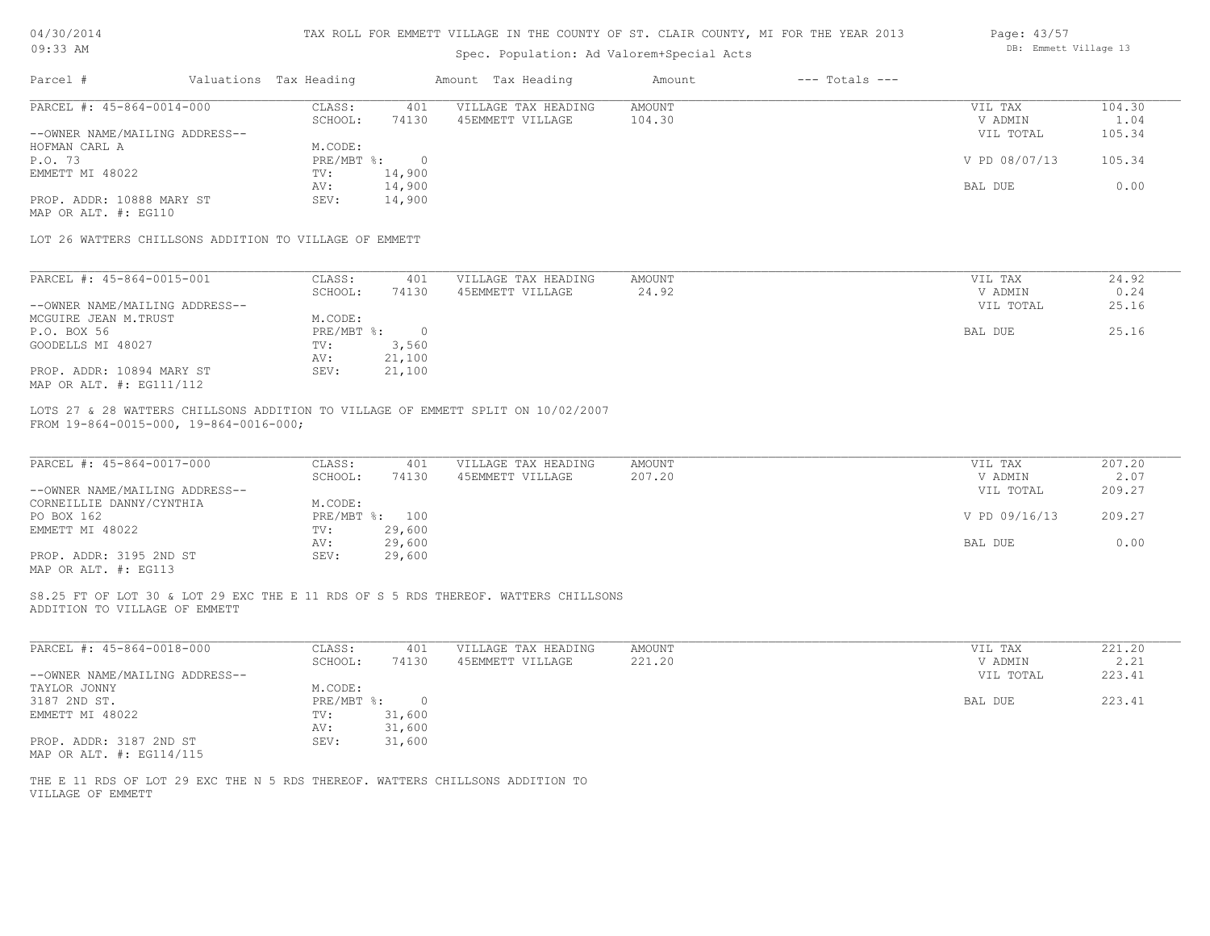| 04/30/2014 |  |
|------------|--|
| 09:33 AM   |  |

# Spec. Population: Ad Valorem+Special Acts

| Page: 43/57 |                       |  |
|-------------|-----------------------|--|
|             | DB: Emmett Village 13 |  |

| Parcel #                                                                      | Valuations Tax Heading |        | Amount Tax Heading                                                                 | Amount | $---$ Totals $---$ |               |        |
|-------------------------------------------------------------------------------|------------------------|--------|------------------------------------------------------------------------------------|--------|--------------------|---------------|--------|
| PARCEL #: 45-864-0014-000                                                     | CLASS:                 | 401    | VILLAGE TAX HEADING                                                                | AMOUNT |                    | VIL TAX       | 104.30 |
|                                                                               | SCHOOL:                | 74130  | 45EMMETT VILLAGE                                                                   | 104.30 |                    | V ADMIN       | 1.04   |
| --OWNER NAME/MAILING ADDRESS--                                                |                        |        |                                                                                    |        |                    | VIL TOTAL     | 105.34 |
| HOFMAN CARL A                                                                 | M.CODE:                |        |                                                                                    |        |                    |               |        |
| P.O. 73                                                                       | PRE/MBT %: 0           |        |                                                                                    |        |                    | V PD 08/07/13 | 105.34 |
| EMMETT MI 48022                                                               | TV:                    | 14,900 |                                                                                    |        |                    |               |        |
|                                                                               | AV:                    | 14,900 |                                                                                    |        |                    | BAL DUE       | 0.00   |
| PROP. ADDR: 10888 MARY ST                                                     | SEV:                   | 14,900 |                                                                                    |        |                    |               |        |
| MAP OR ALT. #: EG110                                                          |                        |        |                                                                                    |        |                    |               |        |
|                                                                               |                        |        |                                                                                    |        |                    |               |        |
| LOT 26 WATTERS CHILLSONS ADDITION TO VILLAGE OF EMMETT                        |                        |        |                                                                                    |        |                    |               |        |
|                                                                               |                        |        |                                                                                    |        |                    |               |        |
| PARCEL #: 45-864-0015-001                                                     | CLASS:                 | 401    | VILLAGE TAX HEADING                                                                | AMOUNT |                    | VIL TAX       | 24.92  |
|                                                                               | SCHOOL:                | 74130  | 45EMMETT VILLAGE                                                                   | 24.92  |                    | V ADMIN       | 0.24   |
| --OWNER NAME/MAILING ADDRESS--                                                |                        |        |                                                                                    |        |                    | VIL TOTAL     | 25.16  |
| MCGUIRE JEAN M.TRUST                                                          | M.CODE:                |        |                                                                                    |        |                    |               |        |
| P.O. BOX 56                                                                   | $PRE/MBT$ $\div$ 0     |        |                                                                                    |        |                    | BAL DUE       | 25.16  |
| GOODELLS MI 48027                                                             | TV:                    | 3,560  |                                                                                    |        |                    |               |        |
|                                                                               | AV:                    | 21,100 |                                                                                    |        |                    |               |        |
| PROP. ADDR: 10894 MARY ST                                                     | SEV:                   | 21,100 |                                                                                    |        |                    |               |        |
| MAP OR ALT. #: EG111/112                                                      |                        |        |                                                                                    |        |                    |               |        |
|                                                                               |                        |        |                                                                                    |        |                    |               |        |
| FROM 19-864-0015-000, 19-864-0016-000;                                        |                        |        | LOTS 27 & 28 WATTERS CHILLSONS ADDITION TO VILLAGE OF EMMETT SPLIT ON 10/02/2007   |        |                    |               |        |
|                                                                               |                        |        |                                                                                    |        |                    |               |        |
| PARCEL #: 45-864-0017-000                                                     | CLASS:                 | 401    | VILLAGE TAX HEADING                                                                | AMOUNT |                    | VIL TAX       | 207.20 |
|                                                                               |                        |        |                                                                                    |        |                    | V ADMIN       |        |
|                                                                               | SCHOOL:                | 74130  | 45EMMETT VILLAGE                                                                   | 207.20 |                    |               | 2.07   |
| --OWNER NAME/MAILING ADDRESS--                                                |                        |        |                                                                                    |        |                    | VIL TOTAL     | 209.27 |
| CORNEILLIE DANNY/CYNTHIA                                                      | M.CODE:                |        |                                                                                    |        |                    |               |        |
| PO BOX 162                                                                    | PRE/MBT %: 100         |        |                                                                                    |        |                    | V PD 09/16/13 | 209.27 |
| EMMETT MI 48022                                                               | TV:                    | 29,600 |                                                                                    |        |                    |               |        |
|                                                                               | AV:                    | 29,600 |                                                                                    |        |                    | BAL DUE       | 0.00   |
| PROP. ADDR: 3195 2ND ST                                                       | SEV:                   | 29,600 |                                                                                    |        |                    |               |        |
| MAP OR ALT. #: EG113                                                          |                        |        |                                                                                    |        |                    |               |        |
|                                                                               |                        |        | S8.25 FT OF LOT 30 & LOT 29 EXC THE E 11 RDS OF S 5 RDS THEREOF. WATTERS CHILLSONS |        |                    |               |        |
| ADDITION TO VILLAGE OF EMMETT                                                 |                        |        |                                                                                    |        |                    |               |        |
|                                                                               |                        |        |                                                                                    |        |                    |               |        |
| PARCEL #: 45-864-0018-000                                                     | CLASS:                 | 401    | VILLAGE TAX HEADING                                                                | AMOUNT |                    | VIL TAX       | 221.20 |
|                                                                               | SCHOOL:                | 74130  | 45EMMETT VILLAGE                                                                   | 221.20 |                    | V ADMIN       | 2.21   |
| --OWNER NAME/MAILING ADDRESS--                                                |                        |        |                                                                                    |        |                    | VIL TOTAL     | 223.41 |
| TAYLOR JONNY                                                                  | M.CODE:                |        |                                                                                    |        |                    |               |        |
| 3187 2ND ST.                                                                  | $PRE/MBT$ $\div$ 0     |        |                                                                                    |        |                    | BAL DUE       | 223.41 |
| EMMETT MI 48022                                                               | TV:                    | 31,600 |                                                                                    |        |                    |               |        |
|                                                                               | AV:                    | 31,600 |                                                                                    |        |                    |               |        |
| PROP. ADDR: 3187 2ND ST                                                       | SEV:                   | 31,600 |                                                                                    |        |                    |               |        |
| MAP OR ALT. #: EG114/115                                                      |                        |        |                                                                                    |        |                    |               |        |
|                                                                               |                        |        |                                                                                    |        |                    |               |        |
| THE E 11 RDS OF LOT 29 EXC THE N 5 RDS THEREOF. WATTERS CHILLSONS ADDITION TO |                        |        |                                                                                    |        |                    |               |        |
| VILLAGE OF EMMETT                                                             |                        |        |                                                                                    |        |                    |               |        |
|                                                                               |                        |        |                                                                                    |        |                    |               |        |
|                                                                               |                        |        |                                                                                    |        |                    |               |        |
|                                                                               |                        |        |                                                                                    |        |                    |               |        |
|                                                                               |                        |        |                                                                                    |        |                    |               |        |
|                                                                               |                        |        |                                                                                    |        |                    |               |        |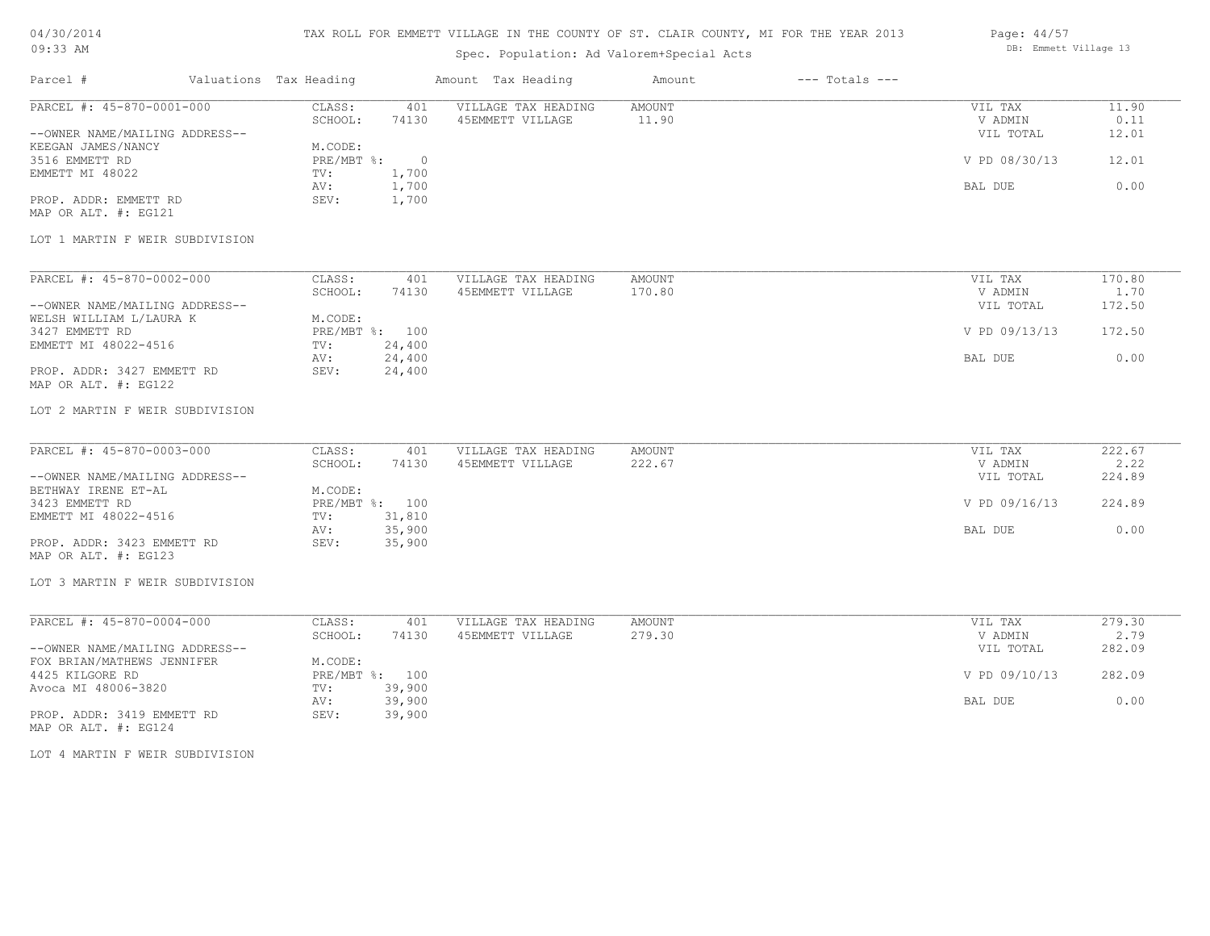# TAX ROLL FOR EMMETT VILLAGE IN THE COUNTY OF ST. CLAIR COUNTY, MI FOR THE YEAR 2013

# Spec. Population: Ad Valorem+Special Acts

| Page: 44/57 |                       |  |
|-------------|-----------------------|--|
|             | DB: Emmett Village 13 |  |

| Parcel #                                                  | Valuations Tax Heading |                           |              | Amount Tax Heading                      | Amount          | $---$ Totals $---$ |                    |               |
|-----------------------------------------------------------|------------------------|---------------------------|--------------|-----------------------------------------|-----------------|--------------------|--------------------|---------------|
| PARCEL #: 45-870-0001-000                                 |                        | CLASS:<br>SCHOOL:         | 401<br>74130 | VILLAGE TAX HEADING<br>45EMMETT VILLAGE | AMOUNT<br>11.90 |                    | VIL TAX<br>V ADMIN | 11.90<br>0.11 |
| --OWNER NAME/MAILING ADDRESS--                            |                        |                           |              |                                         |                 |                    | VIL TOTAL          | 12.01         |
| KEEGAN JAMES/NANCY<br>3516 EMMETT RD                      |                        | M.CODE:<br>PRE/MBT %: 0   |              |                                         |                 |                    | V PD 08/30/13      | 12.01         |
| EMMETT MI 48022                                           |                        | TV:                       | 1,700        |                                         |                 |                    |                    |               |
|                                                           |                        | AV:                       | 1,700        |                                         |                 |                    | BAL DUE            | 0.00          |
| PROP. ADDR: EMMETT RD<br>MAP OR ALT. #: EG121             |                        | SEV:                      | 1,700        |                                         |                 |                    |                    |               |
| LOT 1 MARTIN F WEIR SUBDIVISION                           |                        |                           |              |                                         |                 |                    |                    |               |
| PARCEL #: 45-870-0002-000                                 |                        | CLASS:                    | 401          | VILLAGE TAX HEADING                     | <b>AMOUNT</b>   |                    | VIL TAX            | 170.80        |
|                                                           |                        | SCHOOL:                   | 74130        | 45EMMETT VILLAGE                        | 170.80          |                    | V ADMIN            | 1.70          |
| --OWNER NAME/MAILING ADDRESS--<br>WELSH WILLIAM L/LAURA K |                        | M.CODE:                   |              |                                         |                 |                    | VIL TOTAL          | 172.50        |
| 3427 EMMETT RD                                            |                        | PRE/MBT %: 100            |              |                                         |                 |                    | V PD 09/13/13      | 172.50        |
| EMMETT MI 48022-4516                                      |                        | TV:                       | 24,400       |                                         |                 |                    |                    |               |
|                                                           |                        | AV:                       | 24,400       |                                         |                 |                    | BAL DUE            | 0.00          |
| PROP. ADDR: 3427 EMMETT RD<br>MAP OR ALT. #: EG122        |                        | SEV:                      | 24,400       |                                         |                 |                    |                    |               |
| LOT 2 MARTIN F WEIR SUBDIVISION                           |                        |                           |              |                                         |                 |                    |                    |               |
| PARCEL #: 45-870-0003-000                                 |                        | CLASS:                    | 401          | VILLAGE TAX HEADING                     | <b>AMOUNT</b>   |                    | VIL TAX            | 222.67        |
|                                                           |                        | SCHOOL:                   | 74130        | 45EMMETT VILLAGE                        | 222.67          |                    | V ADMIN            | 2.22          |
| --OWNER NAME/MAILING ADDRESS--                            |                        |                           |              |                                         |                 |                    | VIL TOTAL          | 224.89        |
| BETHWAY IRENE ET-AL                                       |                        | M.CODE:                   |              |                                         |                 |                    |                    |               |
| 3423 EMMETT RD                                            |                        | PRE/MBT %: 100<br>TV:     | 31,810       |                                         |                 |                    | V PD 09/16/13      | 224.89        |
| EMMETT MI 48022-4516                                      |                        | AV:                       | 35,900       |                                         |                 |                    | BAL DUE            | 0.00          |
| PROP. ADDR: 3423 EMMETT RD<br>MAP OR ALT. #: EG123        |                        | SEV:                      | 35,900       |                                         |                 |                    |                    |               |
| LOT 3 MARTIN F WEIR SUBDIVISION                           |                        |                           |              |                                         |                 |                    |                    |               |
| PARCEL #: 45-870-0004-000                                 |                        | CLASS:                    | 401          | VILLAGE TAX HEADING                     | AMOUNT          |                    | VIL TAX            | 279.30        |
|                                                           |                        | SCHOOL:                   | 74130        | 45EMMETT VILLAGE                        | 279.30          |                    | V ADMIN            | 2.79          |
| --OWNER NAME/MAILING ADDRESS--                            |                        |                           |              |                                         |                 |                    | VIL TOTAL          | 282.09        |
| FOX BRIAN/MATHEWS JENNIFER<br>4425 KILGORE RD             |                        | M.CODE:<br>PRE/MBT %: 100 |              |                                         |                 |                    | V PD 09/10/13      | 282.09        |
| Avoca MI 48006-3820                                       |                        | TV:                       | 39,900       |                                         |                 |                    |                    |               |
|                                                           |                        | AV:                       | 39,900       |                                         |                 |                    | BAL DUE            | 0.00          |
| PROP. ADDR: 3419 EMMETT RD<br>MAP OR ALT. #: EG124        |                        | SEV:                      | 39,900       |                                         |                 |                    |                    |               |
| LOT 4 MARTIN F WEIR SUBDIVISION                           |                        |                           |              |                                         |                 |                    |                    |               |
|                                                           |                        |                           |              |                                         |                 |                    |                    |               |
|                                                           |                        |                           |              |                                         |                 |                    |                    |               |
|                                                           |                        |                           |              |                                         |                 |                    |                    |               |
|                                                           |                        |                           |              |                                         |                 |                    |                    |               |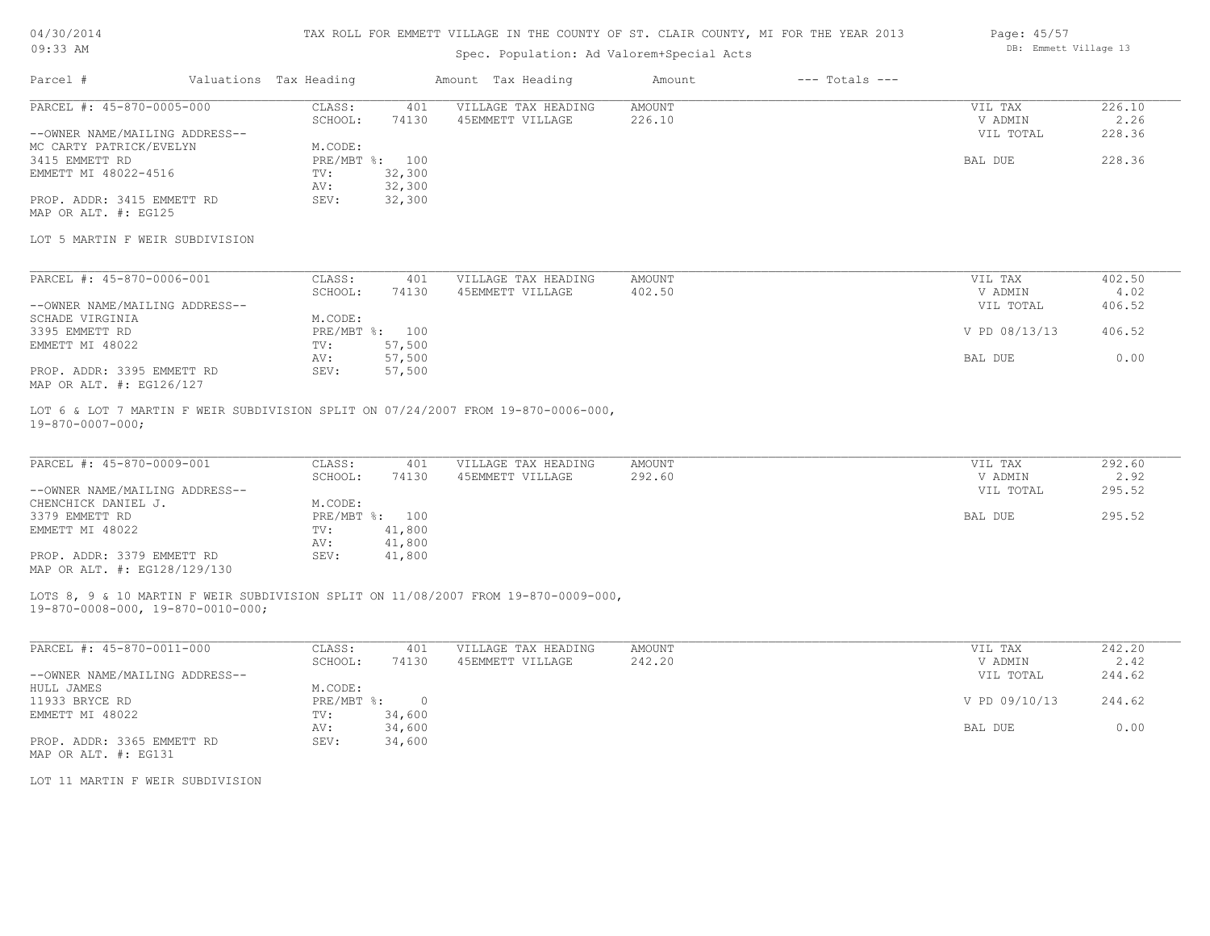# TAX ROLL FOR EMMETT VILLAGE IN THE COUNTY OF ST. CLAIR COUNTY, MI FOR THE YEAR 2013

# Spec. Population: Ad Valorem+Special Acts

| Parcel #                       | Valuations Tax Heading |                | Amount Tax Heading  | Amount | $---$ Totals $---$ |           |        |
|--------------------------------|------------------------|----------------|---------------------|--------|--------------------|-----------|--------|
| PARCEL #: 45-870-0005-000      | CLASS:                 | 401            | VILLAGE TAX HEADING | AMOUNT |                    | VIL TAX   | 226.10 |
|                                | SCHOOL:                | 74130          | 45EMMETT VILLAGE    | 226.10 |                    | V ADMIN   | 2.26   |
| --OWNER NAME/MAILING ADDRESS-- |                        |                |                     |        |                    | VIL TOTAL | 228.36 |
| MC CARTY PATRICK/EVELYN        | M.CODE:                |                |                     |        |                    |           |        |
| 3415 EMMETT RD                 |                        | PRE/MBT %: 100 |                     |        |                    | BAL DUE   | 228.36 |
| EMMETT MI 48022-4516           | TV:                    | 32,300         |                     |        |                    |           |        |
|                                | AV:                    | 32,300         |                     |        |                    |           |        |
| PROP. ADDR: 3415 EMMETT RD     | SEV:                   | 32,300         |                     |        |                    |           |        |
|                                |                        |                |                     |        |                    |           |        |

MAP OR ALT. #: EG125

#### LOT 5 MARTIN F WEIR SUBDIVISION

| PARCEL #: 45-870-0006-001      | CLASS:  | 401            | VILLAGE TAX HEADING | AMOUNT | VIL TAX       | 402.50 |
|--------------------------------|---------|----------------|---------------------|--------|---------------|--------|
|                                | SCHOOL: | 74130          | 45EMMETT VILLAGE    | 402.50 | V ADMIN       | 4.02   |
| --OWNER NAME/MAILING ADDRESS-- |         |                |                     |        | VIL TOTAL     | 406.52 |
| SCHADE VIRGINIA                | M.CODE: |                |                     |        |               |        |
| 3395 EMMETT RD                 |         | PRE/MBT %: 100 |                     |        | V PD 08/13/13 | 406.52 |
| EMMETT MI 48022                | TV:     | 57,500         |                     |        |               |        |
|                                | AV:     | 57,500         |                     |        | BAL DUE       | 0.00   |
| PROP. ADDR: 3395 EMMETT RD     | SEV:    | 57,500         |                     |        |               |        |
| MAP OR ALT. #: EG126/127       |         |                |                     |        |               |        |

19-870-0007-000; LOT 6 & LOT 7 MARTIN F WEIR SUBDIVISION SPLIT ON 07/24/2007 FROM 19-870-0006-000,

| PARCEL #: 45-870-0009-001      | CLASS:  | 401            | VILLAGE TAX HEADING | AMOUNT | VIL TAX   | 292.60 |
|--------------------------------|---------|----------------|---------------------|--------|-----------|--------|
|                                | SCHOOL: | 74130          | 45EMMETT VILLAGE    | 292.60 | V ADMIN   | 2.92   |
| --OWNER NAME/MAILING ADDRESS-- |         |                |                     |        | VIL TOTAL | 295.52 |
| CHENCHICK DANIEL J.            | M.CODE: |                |                     |        |           |        |
| 3379 EMMETT RD                 |         | PRE/MBT %: 100 |                     |        | BAL DUE   | 295.52 |
| EMMETT MI 48022                | TV:     | 41,800         |                     |        |           |        |
|                                | AV:     | 41,800         |                     |        |           |        |
| PROP. ADDR: 3379 EMMETT RD     | SEV:    | 41,800         |                     |        |           |        |
| MAP OR ALT. #: EG128/129/130   |         |                |                     |        |           |        |

19-870-0008-000, 19-870-0010-000; LOTS 8, 9 & 10 MARTIN F WEIR SUBDIVISION SPLIT ON 11/08/2007 FROM 19-870-0009-000,

| PARCEL #: 45-870-0011-000      | CLASS:     | 401    | VILLAGE TAX HEADING | AMOUNT | VIL TAX       | 242.20 |
|--------------------------------|------------|--------|---------------------|--------|---------------|--------|
|                                | SCHOOL:    | 74130  | 45EMMETT VILLAGE    | 242.20 | V ADMIN       | 2.42   |
| --OWNER NAME/MAILING ADDRESS-- |            |        |                     |        | VIL TOTAL     | 244.62 |
| HULL JAMES                     | M.CODE:    |        |                     |        |               |        |
| 11933 BRYCE RD                 | PRE/MBT %: |        |                     |        | V PD 09/10/13 | 244.62 |
| EMMETT MI 48022                | TV:        | 34,600 |                     |        |               |        |
|                                | AV:        | 34,600 |                     |        | BAL DUE       | 0.00   |
| PROP. ADDR: 3365 EMMETT RD     | SEV:       | 34,600 |                     |        |               |        |
| MAP OR ALT. #: EG131           |            |        |                     |        |               |        |

LOT 11 MARTIN F WEIR SUBDIVISION

Page: 45/57 DB: Emmett Village 13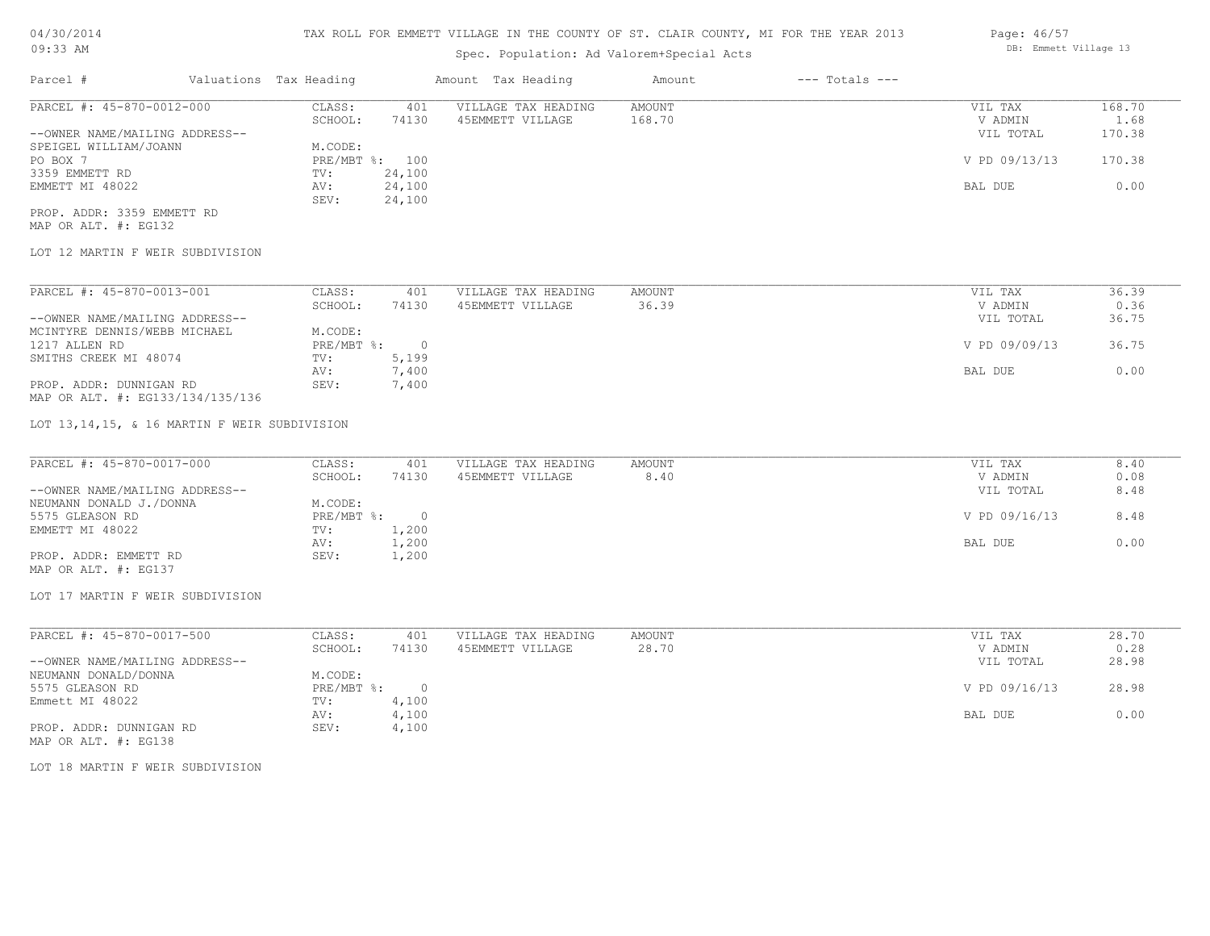# TAX ROLL FOR EMMETT VILLAGE IN THE COUNTY OF ST. CLAIR COUNTY, MI FOR THE YEAR 2013

# Spec. Population: Ad Valorem+Special Acts

| Parcel #                       | Valuations Tax Heading |        | Amount Tax Heading  | Amount | $---$ Totals $---$ |               |        |
|--------------------------------|------------------------|--------|---------------------|--------|--------------------|---------------|--------|
| PARCEL #: 45-870-0012-000      | CLASS:                 | 401    | VILLAGE TAX HEADING | AMOUNT |                    | VIL TAX       | 168.70 |
|                                | SCHOOL:                | 74130  | 45EMMETT VILLAGE    | 168.70 |                    | V ADMIN       | 1.68   |
| --OWNER NAME/MAILING ADDRESS-- |                        |        |                     |        |                    | VIL TOTAL     | 170.38 |
| SPEIGEL WILLIAM/JOANN          | M.CODE:                |        |                     |        |                    |               |        |
| PO BOX 7                       | PRE/MBT %: 100         |        |                     |        |                    | V PD 09/13/13 | 170.38 |
| 3359 EMMETT RD                 | TV:                    | 24,100 |                     |        |                    |               |        |
| EMMETT MI 48022                | AV:                    | 24,100 |                     |        |                    | BAL DUE       | 0.00   |
|                                | SEV:                   | 24,100 |                     |        |                    |               |        |
| PROP. ADDR: 3359 EMMETT RD     |                        |        |                     |        |                    |               |        |

MAP OR ALT. #: EG132

### LOT 12 MARTIN F WEIR SUBDIVISION

| PARCEL #: 45-870-0013-001        | CLASS:     | 401    | VILLAGE TAX HEADING | AMOUNT | VIL TAX       | 36.39 |
|----------------------------------|------------|--------|---------------------|--------|---------------|-------|
|                                  | SCHOOL:    | 74130  | 45EMMETT VILLAGE    | 36.39  | V ADMIN       | 0.36  |
| --OWNER NAME/MAILING ADDRESS--   |            |        |                     |        | VIL TOTAL     | 36.75 |
| MCINTYRE DENNIS/WEBB MICHAEL     | M.CODE:    |        |                     |        |               |       |
| 1217 ALLEN RD                    | PRE/MBT %: | $\cap$ |                     |        | V PD 09/09/13 | 36.75 |
| SMITHS CREEK MI 48074            | TV:        | 5,199  |                     |        |               |       |
|                                  | AV:        | 7,400  |                     |        | BAL DUE       | 0.00  |
| PROP. ADDR: DUNNIGAN RD          | SEV:       | 7,400  |                     |        |               |       |
| MAP OR ALT. #: EG133/134/135/136 |            |        |                     |        |               |       |

LOT 13,14,15, & 16 MARTIN F WEIR SUBDIVISION

| PARCEL #: 45-870-0017-000      | CLASS:       | 401   | VILLAGE TAX HEADING | AMOUNT | VIL TAX       | 8.40 |
|--------------------------------|--------------|-------|---------------------|--------|---------------|------|
|                                | SCHOOL:      | 74130 | 45EMMETT VILLAGE    | 8.40   | V ADMIN       | 0.08 |
| --OWNER NAME/MAILING ADDRESS-- |              |       |                     |        | VIL TOTAL     | 8.48 |
| NEUMANN DONALD J./DONNA        | M.CODE:      |       |                     |        |               |      |
| 5575 GLEASON RD                | $PRE/MBT$ %: |       |                     |        | V PD 09/16/13 | 8.48 |
| EMMETT MI 48022                | TV:          | 1,200 |                     |        |               |      |
|                                | AV:          | 1,200 |                     |        | BAL DUE       | 0.00 |
| PROP. ADDR: EMMETT RD          | SEV:         | 1,200 |                     |        |               |      |
| MAP OR ALT. #: EG137           |              |       |                     |        |               |      |

# LOT 17 MARTIN F WEIR SUBDIVISION

| PARCEL #: 45-870-0017-500      | CLASS:     | 401   | VILLAGE TAX HEADING | AMOUNT | VIL TAX       | 28.70 |
|--------------------------------|------------|-------|---------------------|--------|---------------|-------|
|                                | SCHOOL:    | 74130 | 45EMMETT VILLAGE    | 28.70  | V ADMIN       | 0.28  |
| --OWNER NAME/MAILING ADDRESS-- |            |       |                     |        | VIL TOTAL     | 28.98 |
| NEUMANN DONALD/DONNA           | M.CODE:    |       |                     |        |               |       |
| 5575 GLEASON RD                | PRE/MBT %: |       |                     |        | V PD 09/16/13 | 28.98 |
| Emmett MI 48022                | TV:        | 4,100 |                     |        |               |       |
|                                | AV:        | 4,100 |                     |        | BAL DUE       | 0.00  |
| PROP. ADDR: DUNNIGAN RD        | SEV:       | 4,100 |                     |        |               |       |
|                                |            |       |                     |        |               |       |

MAP OR ALT. #: EG138

LOT 18 MARTIN F WEIR SUBDIVISION

Page: 46/57 DB: Emmett Village 13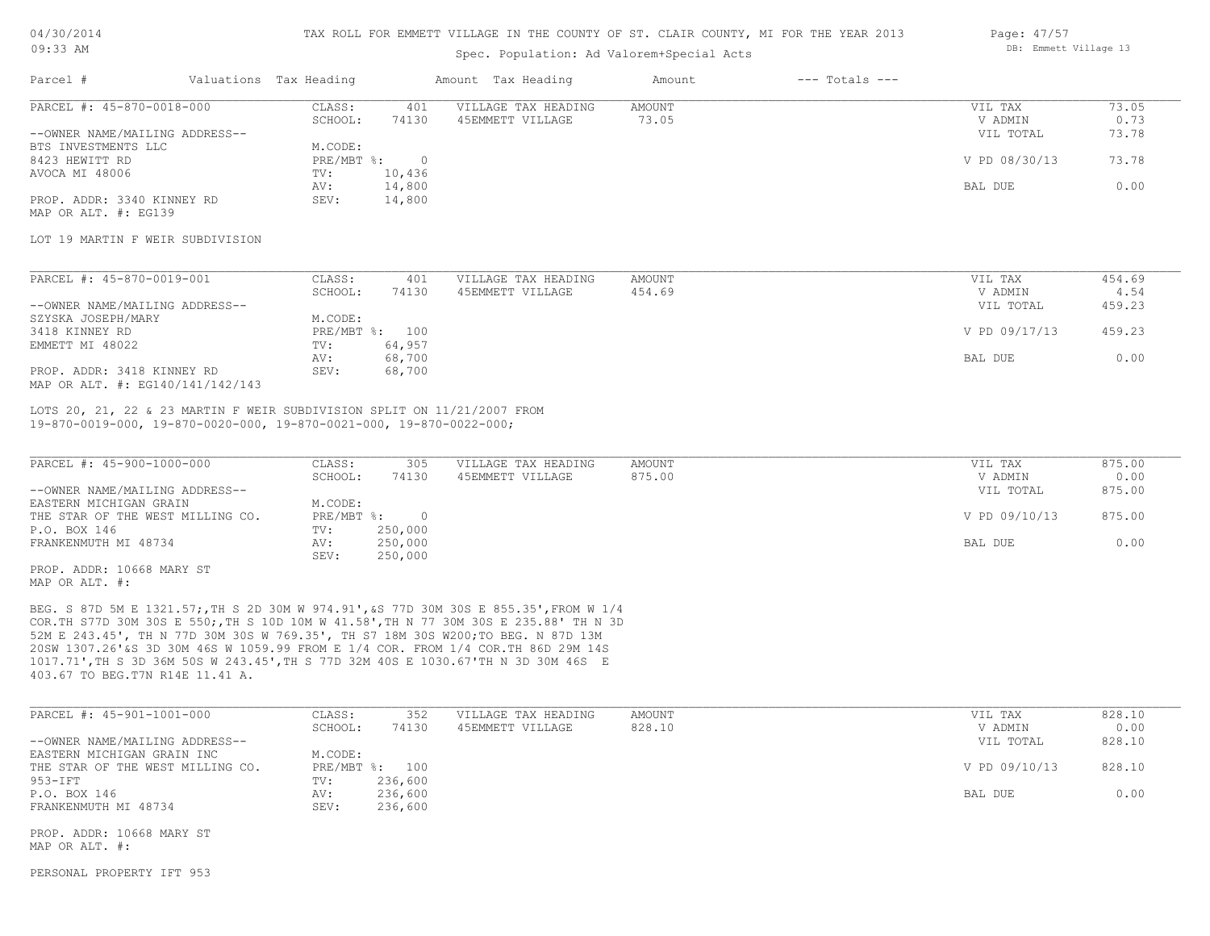#### TAX ROLL FOR EMMETT VILLAGE IN THE COUNTY OF ST. CLAIR COUNTY, MI FOR THE YEAR 2013

## Spec. Population: Ad Valorem+Special Acts

| Page: 47/57 |                       |  |
|-------------|-----------------------|--|
|             | DB: Emmett Village 13 |  |

| Parcel #                         | Valuations Tax Heading |        | Amount Tax Heading  | Amount | $---$ Totals $---$ |               |       |
|----------------------------------|------------------------|--------|---------------------|--------|--------------------|---------------|-------|
| PARCEL #: 45-870-0018-000        | CLASS:                 | 401    | VILLAGE TAX HEADING | AMOUNT |                    | VIL TAX       | 73.05 |
|                                  | SCHOOL:                | 74130  | 45EMMETT VILLAGE    | 73.05  |                    | V ADMIN       | 0.73  |
| --OWNER NAME/MAILING ADDRESS--   |                        |        |                     |        |                    | VIL TOTAL     | 73.78 |
| BTS INVESTMENTS LLC              | M.CODE:                |        |                     |        |                    |               |       |
| 8423 HEWITT RD                   | PRE/MBT %:             | - 0    |                     |        |                    | V PD 08/30/13 | 73.78 |
| AVOCA MI 48006                   | TV:                    | 10,436 |                     |        |                    |               |       |
|                                  | AV:                    | 14,800 |                     |        |                    | BAL DUE       | 0.00  |
| PROP. ADDR: 3340 KINNEY RD       | SEV:                   | 14,800 |                     |        |                    |               |       |
| MAP OR ALT. #: EG139             |                        |        |                     |        |                    |               |       |
|                                  |                        |        |                     |        |                    |               |       |
| LOT 19 MARTIN F WEIR SUBDIVISION |                        |        |                     |        |                    |               |       |

| PARCEL #: 45-870-0019-001        | CLASS:  | 401            | VILLAGE TAX HEADING | AMOUNT | VIL TAX       | 454.69 |
|----------------------------------|---------|----------------|---------------------|--------|---------------|--------|
|                                  | SCHOOL: | 74130          | 45EMMETT VILLAGE    | 454.69 | V ADMIN       | 4.54   |
| --OWNER NAME/MAILING ADDRESS--   |         |                |                     |        | VIL TOTAL     | 459.23 |
| SZYSKA JOSEPH/MARY               | M.CODE: |                |                     |        |               |        |
| 3418 KINNEY RD                   |         | PRE/MBT %: 100 |                     |        | V PD 09/17/13 | 459.23 |
| EMMETT MI 48022                  | TV:     | 64,957         |                     |        |               |        |
|                                  | AV:     | 68,700         |                     |        | BAL DUE       | 0.00   |
| PROP. ADDR: 3418 KINNEY RD       | SEV:    | 68,700         |                     |        |               |        |
| MAP OR ALT. #: EG140/141/142/143 |         |                |                     |        |               |        |

19-870-0019-000, 19-870-0020-000, 19-870-0021-000, 19-870-0022-000; LOTS 20, 21, 22 & 23 MARTIN F WEIR SUBDIVISION SPLIT ON 11/21/2007 FROM

| PARCEL #: 45-900-1000-000        | CLASS:       | 305     | VILLAGE TAX HEADING | AMOUNT | VIL TAX       | 875.00 |
|----------------------------------|--------------|---------|---------------------|--------|---------------|--------|
|                                  | SCHOOL:      | 74130   | 45EMMETT VILLAGE    | 875.00 | V ADMIN       | 0.00   |
| --OWNER NAME/MAILING ADDRESS--   |              |         |                     |        | VIL TOTAL     | 875.00 |
| EASTERN MICHIGAN GRAIN           | M.CODE:      |         |                     |        |               |        |
| THE STAR OF THE WEST MILLING CO. | $PRE/MBT$ %: |         |                     |        | V PD 09/10/13 | 875.00 |
| P.O. BOX 146                     | TV:          | 250,000 |                     |        |               |        |
| FRANKENMUTH MI 48734             | AV:          | 250,000 |                     |        | BAL DUE       | 0.00   |
|                                  | SEV:         | 250,000 |                     |        |               |        |
| PROP. ADDR: 10668 MARY ST        |              |         |                     |        |               |        |

MAP OR ALT. #:

403.67 TO BEG.T7N R14E 11.41 A. 1017.71',TH S 3D 36M 50S W 243.45',TH S 77D 32M 40S E 1030.67'TH N 3D 30M 46S E 20SW 1307.26'&S 3D 30M 46S W 1059.99 FROM E 1/4 COR. FROM 1/4 COR.TH 86D 29M 14S 52M E 243.45', TH N 77D 30M 30S W 769.35', TH S7 18M 30S W200;TO BEG. N 87D 13M COR.TH S77D 30M 30S E 550;,TH S 10D 10M W 41.58',TH N 77 30M 30S E 235.88' TH N 3D BEG. S 87D 5M E 1321.57;,TH S 2D 30M W 974.91',&S 77D 30M 30S E 855.35',FROM W 1/4

| PARCEL #: 45-901-1001-000        | CLASS:  | 352            | VILLAGE TAX HEADING | AMOUNT | VIL TAX       | 828.10 |
|----------------------------------|---------|----------------|---------------------|--------|---------------|--------|
|                                  | SCHOOL: | 74130          | 45EMMETT VILLAGE    | 828.10 | V ADMIN       | 0.00   |
| --OWNER NAME/MAILING ADDRESS--   |         |                |                     |        | VIL TOTAL     | 828.10 |
| EASTERN MICHIGAN GRAIN INC       | M.CODE: |                |                     |        |               |        |
| THE STAR OF THE WEST MILLING CO. |         | PRE/MBT %: 100 |                     |        | V PD 09/10/13 | 828.10 |
| $953 - IFT$                      | TV:     | 236,600        |                     |        |               |        |
| P.O. BOX 146                     | AV:     | 236,600        |                     |        | BAL DUE       | 0.00   |
| FRANKENMUTH MI 48734             | SEV:    | 236,600        |                     |        |               |        |

MAP OR ALT. #: PROP. ADDR: 10668 MARY ST

PERSONAL PROPERTY IFT 953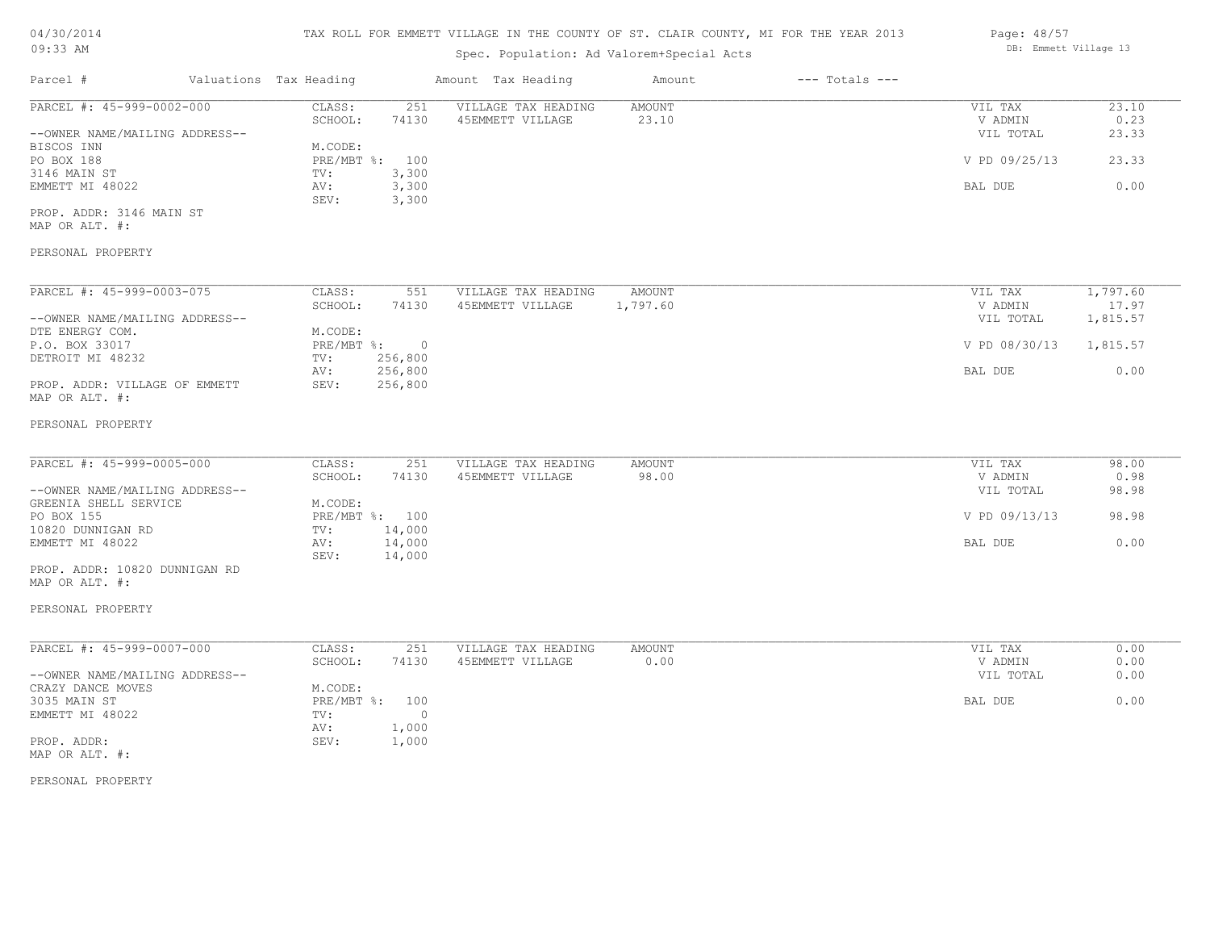# $04/30/20$  $09:33$  A

| 04/30/2014                                          |                        |                | TAX ROLL FOR EMMETT VILLAGE IN THE COUNTY OF ST. CLAIR COUNTY, MI FOR THE YEAR 2013 |               |                    | Page: 48/57           |          |
|-----------------------------------------------------|------------------------|----------------|-------------------------------------------------------------------------------------|---------------|--------------------|-----------------------|----------|
| $09:33$ AM                                          |                        |                | Spec. Population: Ad Valorem+Special Acts                                           |               |                    | DB: Emmett Village 13 |          |
| Parcel #                                            | Valuations Tax Heading |                | Amount Tax Heading                                                                  | Amount        | $---$ Totals $---$ |                       |          |
| PARCEL #: 45-999-0002-000                           | CLASS:                 | 251            | VILLAGE TAX HEADING                                                                 | <b>AMOUNT</b> |                    | VIL TAX               | 23.10    |
|                                                     | SCHOOL:                | 74130          | 45EMMETT VILLAGE                                                                    | 23.10         |                    | V ADMIN               | 0.23     |
| --OWNER NAME/MAILING ADDRESS--                      |                        |                |                                                                                     |               |                    | VIL TOTAL             | 23.33    |
| BISCOS INN                                          | M.CODE:                |                |                                                                                     |               |                    |                       |          |
| PO BOX 188                                          | PRE/MBT %:             | 100            |                                                                                     |               |                    | V PD 09/25/13         | 23.33    |
| 3146 MAIN ST                                        | TV:                    | 3,300          |                                                                                     |               |                    |                       |          |
| EMMETT MI 48022                                     | AV:<br>SEV:            | 3,300<br>3,300 |                                                                                     |               |                    | BAL DUE               | 0.00     |
| PROP. ADDR: 3146 MAIN ST                            |                        |                |                                                                                     |               |                    |                       |          |
| MAP OR ALT. #:                                      |                        |                |                                                                                     |               |                    |                       |          |
|                                                     |                        |                |                                                                                     |               |                    |                       |          |
| PERSONAL PROPERTY                                   |                        |                |                                                                                     |               |                    |                       |          |
| PARCEL #: 45-999-0003-075                           | CLASS:                 | 551            | VILLAGE TAX HEADING                                                                 | <b>AMOUNT</b> |                    | VIL TAX               | 1,797.60 |
|                                                     | SCHOOL:                | 74130          | 45EMMETT VILLAGE                                                                    | 1,797.60      |                    | V ADMIN               | 17.97    |
| --OWNER NAME/MAILING ADDRESS--                      |                        |                |                                                                                     |               |                    | VIL TOTAL             | 1,815.57 |
| DTE ENERGY COM.                                     | M.CODE:                |                |                                                                                     |               |                    |                       |          |
| P.O. BOX 33017                                      | PRE/MBT %:             | $\circ$        |                                                                                     |               |                    | V PD 08/30/13         | 1,815.57 |
| DETROIT MI 48232                                    | TV:                    | 256,800        |                                                                                     |               |                    |                       |          |
|                                                     | AV:                    | 256,800        |                                                                                     |               |                    | BAL DUE               | 0.00     |
| PROP. ADDR: VILLAGE OF EMMETT<br>MAP OR ALT. #:     | SEV:                   | 256,800        |                                                                                     |               |                    |                       |          |
| PERSONAL PROPERTY                                   |                        |                |                                                                                     |               |                    |                       |          |
| PARCEL #: 45-999-0005-000                           | CLASS:                 | 251            | VILLAGE TAX HEADING                                                                 | <b>AMOUNT</b> |                    | VIL TAX               | 98.00    |
|                                                     | SCHOOL:                | 74130          | 45EMMETT VILLAGE                                                                    | 98.00         |                    | V ADMIN               | 0.98     |
| --OWNER NAME/MAILING ADDRESS--                      |                        |                |                                                                                     |               |                    | VIL TOTAL             | 98.98    |
| GREENIA SHELL SERVICE                               | M.CODE:                |                |                                                                                     |               |                    |                       |          |
| PO BOX 155<br>10820 DUNNIGAN RD                     | PRE/MBT %: 100<br>TV:  | 14,000         |                                                                                     |               |                    | V PD 09/13/13         | 98.98    |
| EMMETT MI 48022                                     | AV:                    | 14,000         |                                                                                     |               |                    | BAL DUE               | 0.00     |
|                                                     | SEV:                   | 14,000         |                                                                                     |               |                    |                       |          |
| PROP. ADDR: 10820 DUNNIGAN RD                       |                        |                |                                                                                     |               |                    |                       |          |
| MAP OR ALT. #:                                      |                        |                |                                                                                     |               |                    |                       |          |
| PERSONAL PROPERTY                                   |                        |                |                                                                                     |               |                    |                       |          |
|                                                     |                        |                |                                                                                     |               |                    |                       |          |
| PARCEL #: 45-999-0007-000                           | CLASS:                 | 251            | VILLAGE TAX HEADING                                                                 | <b>AMOUNT</b> |                    | VIL TAX               | 0.00     |
|                                                     | SCHOOL:                | 74130          | 45EMMETT VILLAGE                                                                    | 0.00          |                    | V ADMIN               | 0.00     |
| --OWNER NAME/MAILING ADDRESS--<br>CRAZY DANCE MOVES | M.CODE:                |                |                                                                                     |               |                    | VIL TOTAL             | 0.00     |
| 3035 MAIN ST                                        | PRE/MBT %:             | 100            |                                                                                     |               |                    | BAL DUE               | 0.00     |
| EMMETT MI 48022                                     | TV:                    | $\circ$        |                                                                                     |               |                    |                       |          |
|                                                     | AV:                    | 1,000          |                                                                                     |               |                    |                       |          |
|                                                     |                        |                |                                                                                     |               |                    |                       |          |

MAP OR ALT. #:

PERSONAL PROPERTY

PROP. ADDR: SEV: 1,000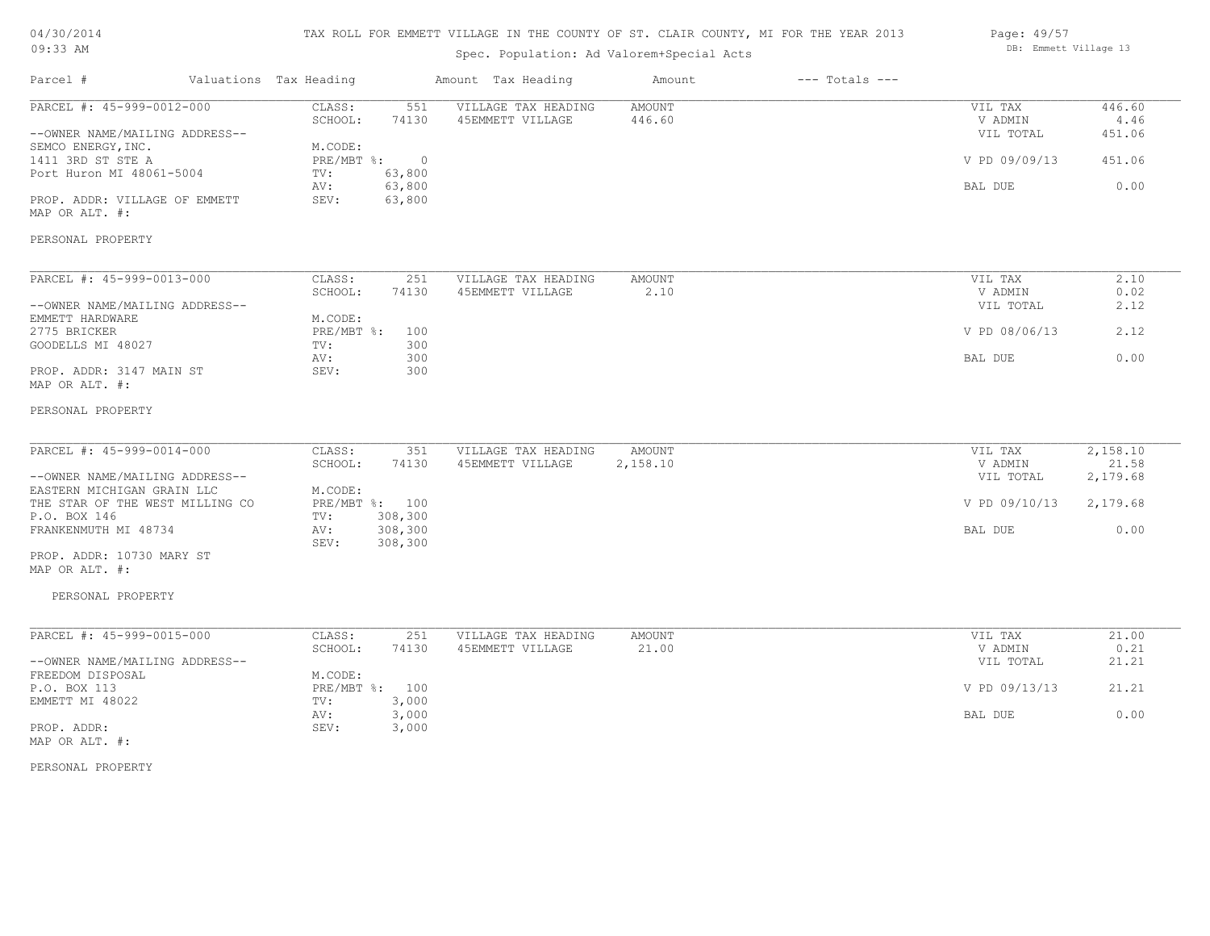# 04/30/2014  $09:33$

### TAX ROLL FOR EMMETT VILLAGE IN THE COUNTY OF ST. CLAIR COUNTY, MI FOR THE YEAR 2013

| $09:33$ AM                                      |                                   | Spec. Population: Ad Valorem+Special Acts |                       |                    |                    | DB: Emmett Village 13 |
|-------------------------------------------------|-----------------------------------|-------------------------------------------|-----------------------|--------------------|--------------------|-----------------------|
| Parcel #                                        | Valuations Tax Heading            | Amount Tax Heading                        | Amount                | $---$ Totals $---$ |                    |                       |
| PARCEL #: 45-999-0012-000                       | CLASS:<br>551                     | VILLAGE TAX HEADING                       | AMOUNT                |                    | VIL TAX            | 446.60                |
|                                                 | SCHOOL:<br>74130                  | 45EMMETT VILLAGE                          | 446.60                |                    | V ADMIN            | 4.46                  |
| --OWNER NAME/MAILING ADDRESS--                  |                                   |                                           |                       |                    | VIL TOTAL          | 451.06                |
| SEMCO ENERGY, INC.                              | M.CODE:                           |                                           |                       |                    |                    |                       |
| 1411 3RD ST STE A                               | PRE/MBT %:<br>$\circ$             |                                           |                       |                    | V PD 09/09/13      | 451.06                |
| Port Huron MI 48061-5004                        | 63,800<br>TV:                     |                                           |                       |                    |                    |                       |
|                                                 | 63,800<br>AV:                     |                                           |                       |                    | BAL DUE            | 0.00                  |
| PROP. ADDR: VILLAGE OF EMMETT<br>MAP OR ALT. #: | SEV:<br>63,800                    |                                           |                       |                    |                    |                       |
| PERSONAL PROPERTY                               |                                   |                                           |                       |                    |                    |                       |
| PARCEL #: 45-999-0013-000                       |                                   |                                           |                       |                    |                    |                       |
|                                                 | CLASS:<br>251<br>SCHOOL:<br>74130 | VILLAGE TAX HEADING<br>45EMMETT VILLAGE   | <b>AMOUNT</b><br>2.10 |                    | VIL TAX<br>V ADMIN | 2.10<br>0.02          |
|                                                 |                                   |                                           |                       |                    |                    |                       |
| --OWNER NAME/MAILING ADDRESS--                  | M.CODE:                           |                                           |                       |                    | VIL TOTAL          | 2.12                  |
| EMMETT HARDWARE<br>2775 BRICKER                 | PRE/MBT %:<br>100                 |                                           |                       |                    | V PD 08/06/13      | 2.12                  |
| GOODELLS MI 48027                               | 300<br>TV:                        |                                           |                       |                    |                    |                       |
|                                                 | 300<br>AV:                        |                                           |                       |                    | BAL DUE            | 0.00                  |
| PROP. ADDR: 3147 MAIN ST                        | 300<br>SEV:                       |                                           |                       |                    |                    |                       |
| MAP OR ALT. #:                                  |                                   |                                           |                       |                    |                    |                       |
|                                                 |                                   |                                           |                       |                    |                    |                       |
| PERSONAL PROPERTY                               |                                   |                                           |                       |                    |                    |                       |
| PARCEL #: 45-999-0014-000                       | CLASS:<br>351                     | VILLAGE TAX HEADING                       | <b>AMOUNT</b>         |                    | VIL TAX            | 2,158.10              |
|                                                 | SCHOOL:<br>74130                  | 45EMMETT VILLAGE                          | 2,158.10              |                    | V ADMIN            | 21.58                 |
| --OWNER NAME/MAILING ADDRESS--                  |                                   |                                           |                       |                    | VIL TOTAL          | 2,179.68              |
| EASTERN MICHIGAN GRAIN LLC                      | M.CODE:                           |                                           |                       |                    |                    |                       |
| THE STAR OF THE WEST MILLING CO                 | PRE/MBT %: 100                    |                                           |                       |                    | V PD 09/10/13      | 2,179.68              |
| P.O. BOX 146                                    | 308,300<br>TV:                    |                                           |                       |                    |                    |                       |
| FRANKENMUTH MI 48734                            | 308,300<br>AV:                    |                                           |                       |                    | BAL DUE            | 0.00                  |
|                                                 | SEV:<br>308,300                   |                                           |                       |                    |                    |                       |
| PROP. ADDR: 10730 MARY ST<br>MAP OR ALT. #:     |                                   |                                           |                       |                    |                    |                       |
| PERSONAL PROPERTY                               |                                   |                                           |                       |                    |                    |                       |
| PARCEL #: 45-999-0015-000                       | CLASS:<br>251                     | VILLAGE TAX HEADING                       | <b>AMOUNT</b>         |                    | VIL TAX            | 21.00                 |
|                                                 | SCHOOL:<br>74130                  | 45EMMETT VILLAGE                          | 21.00                 |                    | V ADMIN            | 0.21                  |
| --OWNER NAME/MAILING ADDRESS--                  |                                   |                                           |                       |                    | VIL TOTAL          | 21.21                 |
| FREEDOM DISPOSAL                                | M.CODE:                           |                                           |                       |                    |                    |                       |
| P.O. BOX 113                                    | PRE/MBT %: 100                    |                                           |                       |                    | V PD 09/13/13      | 21.21                 |
| EMMETT MI 48022                                 | 3,000<br>TV:                      |                                           |                       |                    |                    |                       |
|                                                 | 3,000<br>AV:                      |                                           |                       |                    | BAL DUE            | 0.00                  |
| PROP. ADDR:                                     | 3,000<br>SEV:                     |                                           |                       |                    |                    |                       |
| MAP OR ALT. #:                                  |                                   |                                           |                       |                    |                    |                       |
|                                                 |                                   |                                           |                       |                    |                    |                       |

PERSONAL PROPERTY

Page: 49/57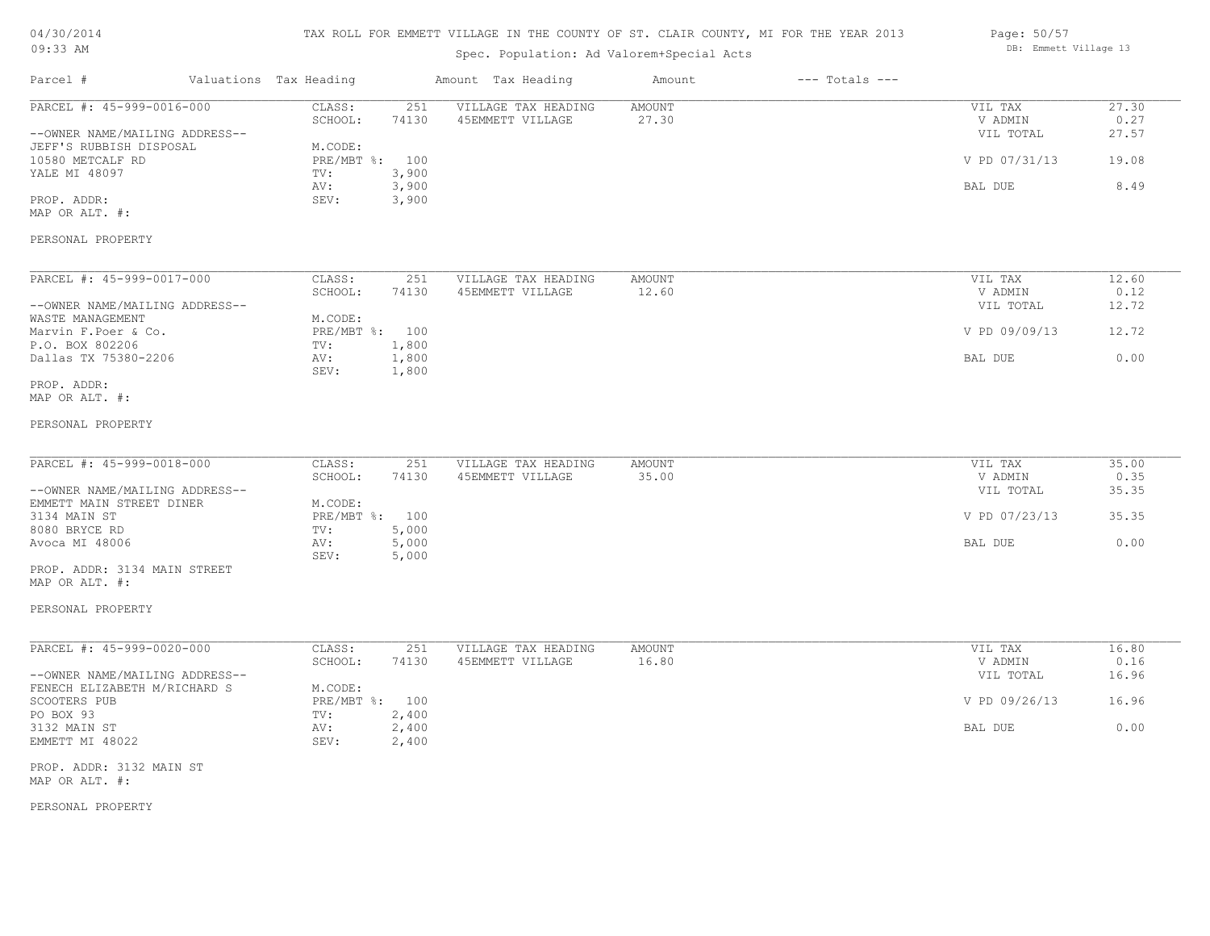| 04/30/2014 |  |
|------------|--|
| $09:33$ AM |  |

Spec. Population: Ad Valorem+Special Acts

| Page: 50/57 |                       |  |
|-------------|-----------------------|--|
|             | DB: Emmett Village 13 |  |

| PARCEL #: 45-999-0016-000<br>VILLAGE TAX HEADING<br>27.30<br>CLASS:<br>251<br>AMOUNT<br>VIL TAX<br>0.27<br>SCHOOL:<br>74130<br>45EMMETT VILLAGE<br>27.30<br>V ADMIN<br>VIL TOTAL<br>27.57<br>--OWNER NAME/MAILING ADDRESS--<br>JEFF'S RUBBISH DISPOSAL<br>M.CODE:<br>19.08<br>10580 METCALF RD<br>PRE/MBT %: 100<br>V PD 07/31/13<br>YALE MI 48097<br>3,900<br>TV:<br>3,900<br>8.49<br>BAL DUE<br>AV:<br>SEV:<br>3,900<br>PROP. ADDR:<br>MAP OR ALT. #:<br>PERSONAL PROPERTY<br>PARCEL #: 45-999-0017-000<br>CLASS:<br>251<br>VILLAGE TAX HEADING<br>AMOUNT<br>VIL TAX<br>12.60<br>V ADMIN<br>SCHOOL:<br>74130<br>45EMMETT VILLAGE<br>12.60<br>0.12<br>--OWNER NAME/MAILING ADDRESS--<br>VIL TOTAL<br>12.72<br>WASTE MANAGEMENT<br>M.CODE:<br>Marvin F.Poer & Co.<br>PRE/MBT %: 100<br>V PD 09/09/13<br>12.72<br>P.O. BOX 802206<br>1,800<br>TV:<br>Dallas TX 75380-2206<br>1,800<br>0.00<br>AV:<br>BAL DUE<br>SEV:<br>1,800<br>PROP. ADDR:<br>MAP OR ALT. #:<br>PERSONAL PROPERTY<br>PARCEL #: 45-999-0018-000<br>CLASS:<br>251<br>VILLAGE TAX HEADING<br>AMOUNT<br>VIL TAX<br>35.00<br>35.00<br>SCHOOL:<br>74130<br>45EMMETT VILLAGE<br>V ADMIN<br>0.35<br>35.35<br>--OWNER NAME/MAILING ADDRESS--<br>VIL TOTAL<br>EMMETT MAIN STREET DINER<br>M.CODE:<br>PRE/MBT %: 100<br>V PD 07/23/13<br>35.35<br>3134 MAIN ST<br>8080 BRYCE RD<br>TV:<br>5,000<br>5,000<br>0.00<br>Avoca MI 48006<br>AV:<br>BAL DUE<br>5,000<br>SEV:<br>PROP. ADDR: 3134 MAIN STREET<br>MAP OR ALT. #:<br>PERSONAL PROPERTY<br>PARCEL #: 45-999-0020-000<br>16.80<br>CLASS:<br>251<br>VILLAGE TAX HEADING<br>AMOUNT<br>VIL TAX<br>SCHOOL:<br>74130<br>45EMMETT VILLAGE<br>16.80<br>V ADMIN<br>0.16<br>--OWNER NAME/MAILING ADDRESS--<br>VIL TOTAL<br>16.96<br>FENECH ELIZABETH M/RICHARD S<br>M.CODE:<br>SCOOTERS PUB<br>16.96<br>PRE/MBT %: 100<br>V PD 09/26/13<br>PO BOX 93<br>2,400<br>TV:<br>0.00<br>3132 MAIN ST<br>2,400<br>BAL DUE<br>AV:<br>EMMETT MI 48022<br>SEV:<br>2,400 | Parcel # | Valuations Tax Heading |  | Amount Tax Heading | Amount | $---$ Totals $---$ |  |
|--------------------------------------------------------------------------------------------------------------------------------------------------------------------------------------------------------------------------------------------------------------------------------------------------------------------------------------------------------------------------------------------------------------------------------------------------------------------------------------------------------------------------------------------------------------------------------------------------------------------------------------------------------------------------------------------------------------------------------------------------------------------------------------------------------------------------------------------------------------------------------------------------------------------------------------------------------------------------------------------------------------------------------------------------------------------------------------------------------------------------------------------------------------------------------------------------------------------------------------------------------------------------------------------------------------------------------------------------------------------------------------------------------------------------------------------------------------------------------------------------------------------------------------------------------------------------------------------------------------------------------------------------------------------------------------------------------------------------------------------------------------------------------------------------------------------------------------------------------------------------------------------------------------------------------------------------------------|----------|------------------------|--|--------------------|--------|--------------------|--|
|                                                                                                                                                                                                                                                                                                                                                                                                                                                                                                                                                                                                                                                                                                                                                                                                                                                                                                                                                                                                                                                                                                                                                                                                                                                                                                                                                                                                                                                                                                                                                                                                                                                                                                                                                                                                                                                                                                                                                              |          |                        |  |                    |        |                    |  |
|                                                                                                                                                                                                                                                                                                                                                                                                                                                                                                                                                                                                                                                                                                                                                                                                                                                                                                                                                                                                                                                                                                                                                                                                                                                                                                                                                                                                                                                                                                                                                                                                                                                                                                                                                                                                                                                                                                                                                              |          |                        |  |                    |        |                    |  |
|                                                                                                                                                                                                                                                                                                                                                                                                                                                                                                                                                                                                                                                                                                                                                                                                                                                                                                                                                                                                                                                                                                                                                                                                                                                                                                                                                                                                                                                                                                                                                                                                                                                                                                                                                                                                                                                                                                                                                              |          |                        |  |                    |        |                    |  |
|                                                                                                                                                                                                                                                                                                                                                                                                                                                                                                                                                                                                                                                                                                                                                                                                                                                                                                                                                                                                                                                                                                                                                                                                                                                                                                                                                                                                                                                                                                                                                                                                                                                                                                                                                                                                                                                                                                                                                              |          |                        |  |                    |        |                    |  |
|                                                                                                                                                                                                                                                                                                                                                                                                                                                                                                                                                                                                                                                                                                                                                                                                                                                                                                                                                                                                                                                                                                                                                                                                                                                                                                                                                                                                                                                                                                                                                                                                                                                                                                                                                                                                                                                                                                                                                              |          |                        |  |                    |        |                    |  |
|                                                                                                                                                                                                                                                                                                                                                                                                                                                                                                                                                                                                                                                                                                                                                                                                                                                                                                                                                                                                                                                                                                                                                                                                                                                                                                                                                                                                                                                                                                                                                                                                                                                                                                                                                                                                                                                                                                                                                              |          |                        |  |                    |        |                    |  |
|                                                                                                                                                                                                                                                                                                                                                                                                                                                                                                                                                                                                                                                                                                                                                                                                                                                                                                                                                                                                                                                                                                                                                                                                                                                                                                                                                                                                                                                                                                                                                                                                                                                                                                                                                                                                                                                                                                                                                              |          |                        |  |                    |        |                    |  |
|                                                                                                                                                                                                                                                                                                                                                                                                                                                                                                                                                                                                                                                                                                                                                                                                                                                                                                                                                                                                                                                                                                                                                                                                                                                                                                                                                                                                                                                                                                                                                                                                                                                                                                                                                                                                                                                                                                                                                              |          |                        |  |                    |        |                    |  |
|                                                                                                                                                                                                                                                                                                                                                                                                                                                                                                                                                                                                                                                                                                                                                                                                                                                                                                                                                                                                                                                                                                                                                                                                                                                                                                                                                                                                                                                                                                                                                                                                                                                                                                                                                                                                                                                                                                                                                              |          |                        |  |                    |        |                    |  |
|                                                                                                                                                                                                                                                                                                                                                                                                                                                                                                                                                                                                                                                                                                                                                                                                                                                                                                                                                                                                                                                                                                                                                                                                                                                                                                                                                                                                                                                                                                                                                                                                                                                                                                                                                                                                                                                                                                                                                              |          |                        |  |                    |        |                    |  |
|                                                                                                                                                                                                                                                                                                                                                                                                                                                                                                                                                                                                                                                                                                                                                                                                                                                                                                                                                                                                                                                                                                                                                                                                                                                                                                                                                                                                                                                                                                                                                                                                                                                                                                                                                                                                                                                                                                                                                              |          |                        |  |                    |        |                    |  |
|                                                                                                                                                                                                                                                                                                                                                                                                                                                                                                                                                                                                                                                                                                                                                                                                                                                                                                                                                                                                                                                                                                                                                                                                                                                                                                                                                                                                                                                                                                                                                                                                                                                                                                                                                                                                                                                                                                                                                              |          |                        |  |                    |        |                    |  |
|                                                                                                                                                                                                                                                                                                                                                                                                                                                                                                                                                                                                                                                                                                                                                                                                                                                                                                                                                                                                                                                                                                                                                                                                                                                                                                                                                                                                                                                                                                                                                                                                                                                                                                                                                                                                                                                                                                                                                              |          |                        |  |                    |        |                    |  |
|                                                                                                                                                                                                                                                                                                                                                                                                                                                                                                                                                                                                                                                                                                                                                                                                                                                                                                                                                                                                                                                                                                                                                                                                                                                                                                                                                                                                                                                                                                                                                                                                                                                                                                                                                                                                                                                                                                                                                              |          |                        |  |                    |        |                    |  |
|                                                                                                                                                                                                                                                                                                                                                                                                                                                                                                                                                                                                                                                                                                                                                                                                                                                                                                                                                                                                                                                                                                                                                                                                                                                                                                                                                                                                                                                                                                                                                                                                                                                                                                                                                                                                                                                                                                                                                              |          |                        |  |                    |        |                    |  |
|                                                                                                                                                                                                                                                                                                                                                                                                                                                                                                                                                                                                                                                                                                                                                                                                                                                                                                                                                                                                                                                                                                                                                                                                                                                                                                                                                                                                                                                                                                                                                                                                                                                                                                                                                                                                                                                                                                                                                              |          |                        |  |                    |        |                    |  |
|                                                                                                                                                                                                                                                                                                                                                                                                                                                                                                                                                                                                                                                                                                                                                                                                                                                                                                                                                                                                                                                                                                                                                                                                                                                                                                                                                                                                                                                                                                                                                                                                                                                                                                                                                                                                                                                                                                                                                              |          |                        |  |                    |        |                    |  |
|                                                                                                                                                                                                                                                                                                                                                                                                                                                                                                                                                                                                                                                                                                                                                                                                                                                                                                                                                                                                                                                                                                                                                                                                                                                                                                                                                                                                                                                                                                                                                                                                                                                                                                                                                                                                                                                                                                                                                              |          |                        |  |                    |        |                    |  |
|                                                                                                                                                                                                                                                                                                                                                                                                                                                                                                                                                                                                                                                                                                                                                                                                                                                                                                                                                                                                                                                                                                                                                                                                                                                                                                                                                                                                                                                                                                                                                                                                                                                                                                                                                                                                                                                                                                                                                              |          |                        |  |                    |        |                    |  |
|                                                                                                                                                                                                                                                                                                                                                                                                                                                                                                                                                                                                                                                                                                                                                                                                                                                                                                                                                                                                                                                                                                                                                                                                                                                                                                                                                                                                                                                                                                                                                                                                                                                                                                                                                                                                                                                                                                                                                              |          |                        |  |                    |        |                    |  |
|                                                                                                                                                                                                                                                                                                                                                                                                                                                                                                                                                                                                                                                                                                                                                                                                                                                                                                                                                                                                                                                                                                                                                                                                                                                                                                                                                                                                                                                                                                                                                                                                                                                                                                                                                                                                                                                                                                                                                              |          |                        |  |                    |        |                    |  |
|                                                                                                                                                                                                                                                                                                                                                                                                                                                                                                                                                                                                                                                                                                                                                                                                                                                                                                                                                                                                                                                                                                                                                                                                                                                                                                                                                                                                                                                                                                                                                                                                                                                                                                                                                                                                                                                                                                                                                              |          |                        |  |                    |        |                    |  |
|                                                                                                                                                                                                                                                                                                                                                                                                                                                                                                                                                                                                                                                                                                                                                                                                                                                                                                                                                                                                                                                                                                                                                                                                                                                                                                                                                                                                                                                                                                                                                                                                                                                                                                                                                                                                                                                                                                                                                              |          |                        |  |                    |        |                    |  |
|                                                                                                                                                                                                                                                                                                                                                                                                                                                                                                                                                                                                                                                                                                                                                                                                                                                                                                                                                                                                                                                                                                                                                                                                                                                                                                                                                                                                                                                                                                                                                                                                                                                                                                                                                                                                                                                                                                                                                              |          |                        |  |                    |        |                    |  |
|                                                                                                                                                                                                                                                                                                                                                                                                                                                                                                                                                                                                                                                                                                                                                                                                                                                                                                                                                                                                                                                                                                                                                                                                                                                                                                                                                                                                                                                                                                                                                                                                                                                                                                                                                                                                                                                                                                                                                              |          |                        |  |                    |        |                    |  |
|                                                                                                                                                                                                                                                                                                                                                                                                                                                                                                                                                                                                                                                                                                                                                                                                                                                                                                                                                                                                                                                                                                                                                                                                                                                                                                                                                                                                                                                                                                                                                                                                                                                                                                                                                                                                                                                                                                                                                              |          |                        |  |                    |        |                    |  |
|                                                                                                                                                                                                                                                                                                                                                                                                                                                                                                                                                                                                                                                                                                                                                                                                                                                                                                                                                                                                                                                                                                                                                                                                                                                                                                                                                                                                                                                                                                                                                                                                                                                                                                                                                                                                                                                                                                                                                              |          |                        |  |                    |        |                    |  |
|                                                                                                                                                                                                                                                                                                                                                                                                                                                                                                                                                                                                                                                                                                                                                                                                                                                                                                                                                                                                                                                                                                                                                                                                                                                                                                                                                                                                                                                                                                                                                                                                                                                                                                                                                                                                                                                                                                                                                              |          |                        |  |                    |        |                    |  |
|                                                                                                                                                                                                                                                                                                                                                                                                                                                                                                                                                                                                                                                                                                                                                                                                                                                                                                                                                                                                                                                                                                                                                                                                                                                                                                                                                                                                                                                                                                                                                                                                                                                                                                                                                                                                                                                                                                                                                              |          |                        |  |                    |        |                    |  |
|                                                                                                                                                                                                                                                                                                                                                                                                                                                                                                                                                                                                                                                                                                                                                                                                                                                                                                                                                                                                                                                                                                                                                                                                                                                                                                                                                                                                                                                                                                                                                                                                                                                                                                                                                                                                                                                                                                                                                              |          |                        |  |                    |        |                    |  |
|                                                                                                                                                                                                                                                                                                                                                                                                                                                                                                                                                                                                                                                                                                                                                                                                                                                                                                                                                                                                                                                                                                                                                                                                                                                                                                                                                                                                                                                                                                                                                                                                                                                                                                                                                                                                                                                                                                                                                              |          |                        |  |                    |        |                    |  |
|                                                                                                                                                                                                                                                                                                                                                                                                                                                                                                                                                                                                                                                                                                                                                                                                                                                                                                                                                                                                                                                                                                                                                                                                                                                                                                                                                                                                                                                                                                                                                                                                                                                                                                                                                                                                                                                                                                                                                              |          |                        |  |                    |        |                    |  |
|                                                                                                                                                                                                                                                                                                                                                                                                                                                                                                                                                                                                                                                                                                                                                                                                                                                                                                                                                                                                                                                                                                                                                                                                                                                                                                                                                                                                                                                                                                                                                                                                                                                                                                                                                                                                                                                                                                                                                              |          |                        |  |                    |        |                    |  |
|                                                                                                                                                                                                                                                                                                                                                                                                                                                                                                                                                                                                                                                                                                                                                                                                                                                                                                                                                                                                                                                                                                                                                                                                                                                                                                                                                                                                                                                                                                                                                                                                                                                                                                                                                                                                                                                                                                                                                              |          |                        |  |                    |        |                    |  |
|                                                                                                                                                                                                                                                                                                                                                                                                                                                                                                                                                                                                                                                                                                                                                                                                                                                                                                                                                                                                                                                                                                                                                                                                                                                                                                                                                                                                                                                                                                                                                                                                                                                                                                                                                                                                                                                                                                                                                              |          |                        |  |                    |        |                    |  |
|                                                                                                                                                                                                                                                                                                                                                                                                                                                                                                                                                                                                                                                                                                                                                                                                                                                                                                                                                                                                                                                                                                                                                                                                                                                                                                                                                                                                                                                                                                                                                                                                                                                                                                                                                                                                                                                                                                                                                              |          |                        |  |                    |        |                    |  |
|                                                                                                                                                                                                                                                                                                                                                                                                                                                                                                                                                                                                                                                                                                                                                                                                                                                                                                                                                                                                                                                                                                                                                                                                                                                                                                                                                                                                                                                                                                                                                                                                                                                                                                                                                                                                                                                                                                                                                              |          |                        |  |                    |        |                    |  |
|                                                                                                                                                                                                                                                                                                                                                                                                                                                                                                                                                                                                                                                                                                                                                                                                                                                                                                                                                                                                                                                                                                                                                                                                                                                                                                                                                                                                                                                                                                                                                                                                                                                                                                                                                                                                                                                                                                                                                              |          |                        |  |                    |        |                    |  |
|                                                                                                                                                                                                                                                                                                                                                                                                                                                                                                                                                                                                                                                                                                                                                                                                                                                                                                                                                                                                                                                                                                                                                                                                                                                                                                                                                                                                                                                                                                                                                                                                                                                                                                                                                                                                                                                                                                                                                              |          |                        |  |                    |        |                    |  |
|                                                                                                                                                                                                                                                                                                                                                                                                                                                                                                                                                                                                                                                                                                                                                                                                                                                                                                                                                                                                                                                                                                                                                                                                                                                                                                                                                                                                                                                                                                                                                                                                                                                                                                                                                                                                                                                                                                                                                              |          |                        |  |                    |        |                    |  |
| PROP. ADDR: 3132 MAIN ST<br>MAP OR ALT. #:                                                                                                                                                                                                                                                                                                                                                                                                                                                                                                                                                                                                                                                                                                                                                                                                                                                                                                                                                                                                                                                                                                                                                                                                                                                                                                                                                                                                                                                                                                                                                                                                                                                                                                                                                                                                                                                                                                                   |          |                        |  |                    |        |                    |  |

PERSONAL PROPERTY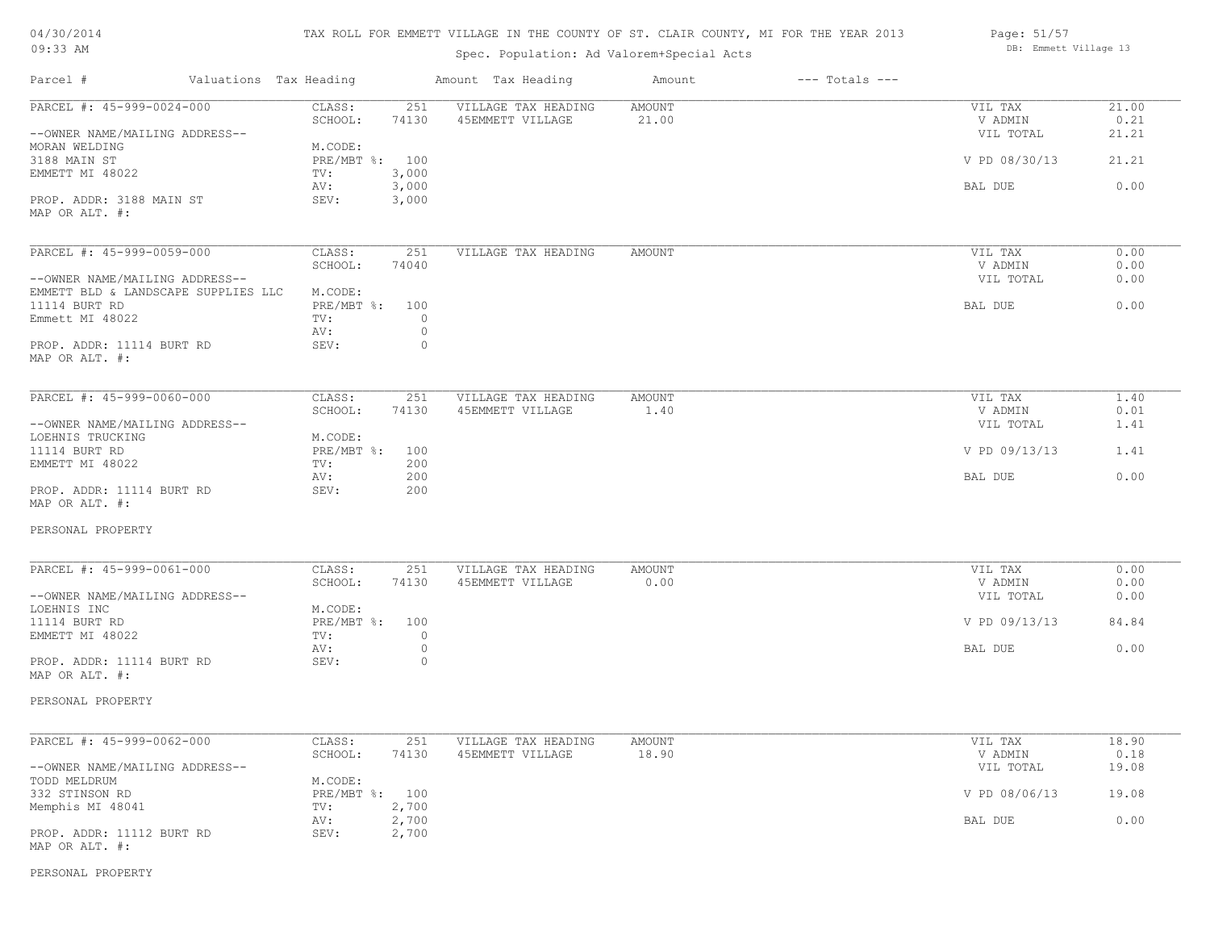| 04/30/2014 |  |
|------------|--|
| $09:33$ AM |  |

Spec. Population: Ad Valorem+Special Acts

| Page: 51/57 |                       |  |
|-------------|-----------------------|--|
|             | DB: Emmett Village 13 |  |

| Parcel #                                       | Valuations Tax Heading                   | Amount Tax Heading                      | Amount                 | $---$ Totals $---$ |                      |               |
|------------------------------------------------|------------------------------------------|-----------------------------------------|------------------------|--------------------|----------------------|---------------|
| PARCEL #: 45-999-0024-000                      | CLASS:<br>251                            | VILLAGE TAX HEADING                     | <b>AMOUNT</b>          |                    | VIL TAX              | 21.00         |
| --OWNER NAME/MAILING ADDRESS--                 | SCHOOL:<br>74130                         | 45EMMETT VILLAGE                        | 21.00                  |                    | V ADMIN<br>VIL TOTAL | 0.21<br>21.21 |
| MORAN WELDING<br>3188 MAIN ST                  | M.CODE:<br>PRE/MBT %: 100                |                                         |                        |                    | V PD 08/30/13        | 21.21         |
| EMMETT MI 48022                                | 3,000<br>TV:<br>3,000<br>AV:             |                                         |                        |                    | BAL DUE              | 0.00          |
| PROP. ADDR: 3188 MAIN ST<br>MAP OR ALT. #:     | SEV:<br>3,000                            |                                         |                        |                    |                      |               |
| PARCEL #: 45-999-0059-000                      | CLASS:<br>251                            | VILLAGE TAX HEADING                     | AMOUNT                 |                    | VIL TAX              | 0.00          |
| --OWNER NAME/MAILING ADDRESS--                 | SCHOOL:<br>74040                         |                                         |                        |                    | V ADMIN<br>VIL TOTAL | 0.00<br>0.00  |
| EMMETT BLD & LANDSCAPE SUPPLIES LLC            | M.CODE:                                  |                                         |                        |                    |                      |               |
| 11114 BURT RD<br>Emmett MI 48022               | PRE/MBT %: 100<br>$\circ$<br>TV:         |                                         |                        |                    | BAL DUE              | 0.00          |
| PROP. ADDR: 11114 BURT RD                      | $\circledcirc$<br>AV:<br>SEV:<br>$\circ$ |                                         |                        |                    |                      |               |
| MAP OR ALT. #:                                 |                                          |                                         |                        |                    |                      |               |
| PARCEL #: 45-999-0060-000                      | CLASS:<br>251                            | VILLAGE TAX HEADING                     | <b>AMOUNT</b>          |                    | VIL TAX              | 1.40          |
| --OWNER NAME/MAILING ADDRESS--                 | SCHOOL:<br>74130                         | 45EMMETT VILLAGE                        | 1.40                   |                    | V ADMIN<br>VIL TOTAL | 0.01<br>1.41  |
| LOEHNIS TRUCKING                               | M.CODE:                                  |                                         |                        |                    |                      |               |
| 11114 BURT RD<br>EMMETT MI 48022               | $PRE/MBT$ $\div$<br>100<br>TV:<br>200    |                                         |                        |                    | V PD 09/13/13        | 1.41          |
| PROP. ADDR: 11114 BURT RD                      | 200<br>AV:<br>SEV:<br>200                |                                         |                        |                    | BAL DUE              | 0.00          |
| MAP OR ALT. #:                                 |                                          |                                         |                        |                    |                      |               |
| PERSONAL PROPERTY                              |                                          |                                         |                        |                    |                      |               |
| PARCEL #: 45-999-0061-000                      | CLASS:<br>251                            | VILLAGE TAX HEADING                     | <b>AMOUNT</b>          |                    | VIL TAX              | 0.00          |
| --OWNER NAME/MAILING ADDRESS--                 | SCHOOL:<br>74130                         | 45EMMETT VILLAGE                        | 0.00                   |                    | V ADMIN<br>VIL TOTAL | 0.00<br>0.00  |
| LOEHNIS INC<br>11114 BURT RD                   | M.CODE:<br>$PRE/MBT$ $\div$<br>100       |                                         |                        |                    | V PD 09/13/13        | 84.84         |
| EMMETT MI 48022                                | $\circ$<br>TV:                           |                                         |                        |                    |                      |               |
| PROP. ADDR: 11114 BURT RD<br>MAP OR ALT. #:    | $\circ$<br>AV:<br>$\circ$<br>SEV:        |                                         |                        |                    | BAL DUE              | 0.00          |
| PERSONAL PROPERTY                              |                                          |                                         |                        |                    |                      |               |
|                                                |                                          |                                         |                        |                    |                      |               |
| PARCEL #: 45-999-0062-000                      | 251<br>CLASS:<br>SCHOOL:<br>74130        | VILLAGE TAX HEADING<br>45EMMETT VILLAGE | <b>AMOUNT</b><br>18.90 |                    | VIL TAX<br>V ADMIN   | 18.90<br>0.18 |
| --OWNER NAME/MAILING ADDRESS--<br>TODD MELDRUM |                                          |                                         |                        |                    | VIL TOTAL            | 19.08         |
| 332 STINSON RD                                 | M.CODE:<br>PRE/MBT %: 100                |                                         |                        |                    | V PD 08/06/13        | 19.08         |
| Memphis MI 48041                               | 2,700<br>TV:<br>2,700<br>AV:             |                                         |                        |                    | BAL DUE              | 0.00          |
| PROP. ADDR: 11112 BURT RD<br>MAP OR ALT. #:    | SEV:<br>2,700                            |                                         |                        |                    |                      |               |

PERSONAL PROPERTY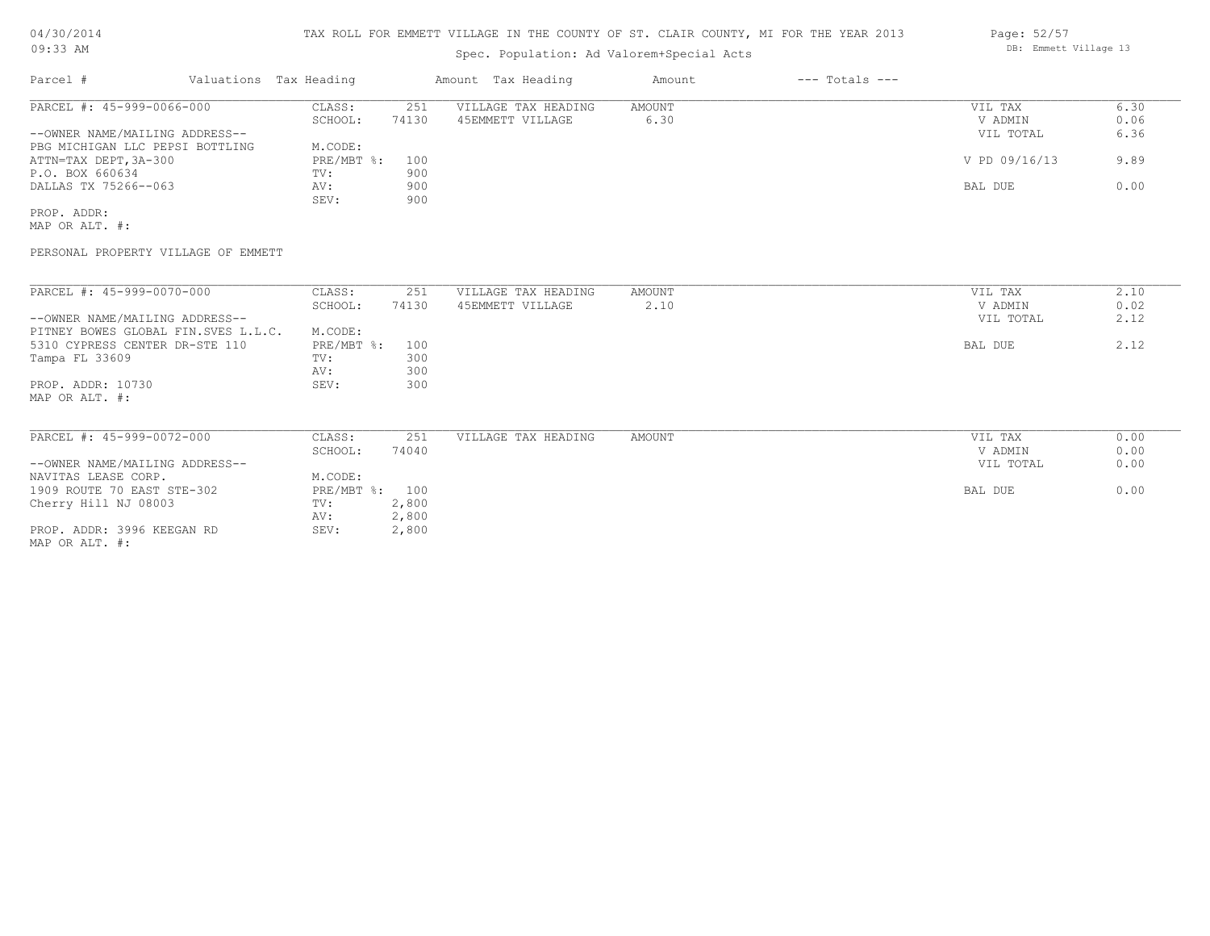Spec. Population: Ad Valorem+Special Acts

| Parcel #                        | Valuations Tax Heading |       | Amount Tax Heading  | Amount | $---$ Totals $---$ |               |      |
|---------------------------------|------------------------|-------|---------------------|--------|--------------------|---------------|------|
| PARCEL #: 45-999-0066-000       | CLASS:                 | 251   | VILLAGE TAX HEADING | AMOUNT |                    | VIL TAX       | 6.30 |
|                                 | SCHOOL:                | 74130 | 45EMMETT VILLAGE    | 6.30   |                    | V ADMIN       | 0.06 |
| --OWNER NAME/MAILING ADDRESS--  |                        |       |                     |        |                    | VIL TOTAL     | 6.36 |
| PBG MICHIGAN LLC PEPSI BOTTLING | M.CODE:                |       |                     |        |                    |               |      |
| ATTN=TAX DEPT, 3A-300           | $PRE/MBT$ %:           | 100   |                     |        |                    | V PD 09/16/13 | 9.89 |
| P.O. BOX 660634                 | TV:                    | 900   |                     |        |                    |               |      |
| DALLAS TX 75266--063            | AV:                    | 900   |                     |        |                    | BAL DUE       | 0.00 |
|                                 | SEV:                   | 900   |                     |        |                    |               |      |
| PROP. ADDR:                     |                        |       |                     |        |                    |               |      |

MAP OR ALT. #:

PERSONAL PROPERTY VILLAGE OF EMMETT

| PARCEL #: 45-999-0070-000           | CLASS:       | 251   | VILLAGE TAX HEADING | AMOUNT | VIL TAX   | 2.10 |
|-------------------------------------|--------------|-------|---------------------|--------|-----------|------|
|                                     | SCHOOL:      | 74130 | 45EMMETT VILLAGE    | 2.10   | V ADMIN   | 0.02 |
| --OWNER NAME/MAILING ADDRESS--      |              |       |                     |        | VIL TOTAL | 2.12 |
| PITNEY BOWES GLOBAL FIN.SVES L.L.C. | M.CODE:      |       |                     |        |           |      |
| 5310 CYPRESS CENTER DR-STE 110      | $PRE/MBT$ %: | 100   |                     |        | BAL DUE   | 2.12 |
| Tampa FL 33609                      | TV:          | 300   |                     |        |           |      |
|                                     | AV:          | 300   |                     |        |           |      |
| PROP. ADDR: 10730                   | SEV:         | 300   |                     |        |           |      |
| MAP OR ALT. #:                      |              |       |                     |        |           |      |
|                                     |              |       |                     |        |           |      |
|                                     |              |       |                     |        |           |      |
| PARCEL #: 45-999-0072-000           | CLASS:       | 251   | VILLAGE TAX HEADING | AMOUNT | VIL TAX   | 0.00 |
|                                     | SCHOOL:      | 74040 |                     |        | V ADMIN   | 0.00 |
| --OWNER NAME/MAILING ADDRESS--      |              |       |                     |        | VIL TOTAL | 0.00 |
| NAVITAS LEASE CORP.                 | M.CODE:      |       |                     |        |           |      |
| 1909 ROUTE 70 EAST STE-302          | $PRE/MBT$ %: | 100   |                     |        | BAL DUE   | 0.00 |
| Cherry Hill NJ 08003                | TV:          | 2,800 |                     |        |           |      |
|                                     | AV:          | 2,800 |                     |        |           |      |
| PROP. ADDR: 3996 KEEGAN RD          | SEV:         | 2,800 |                     |        |           |      |
| MAP OR ALT. #:                      |              |       |                     |        |           |      |

Page: 52/57 DB: Emmett Village 13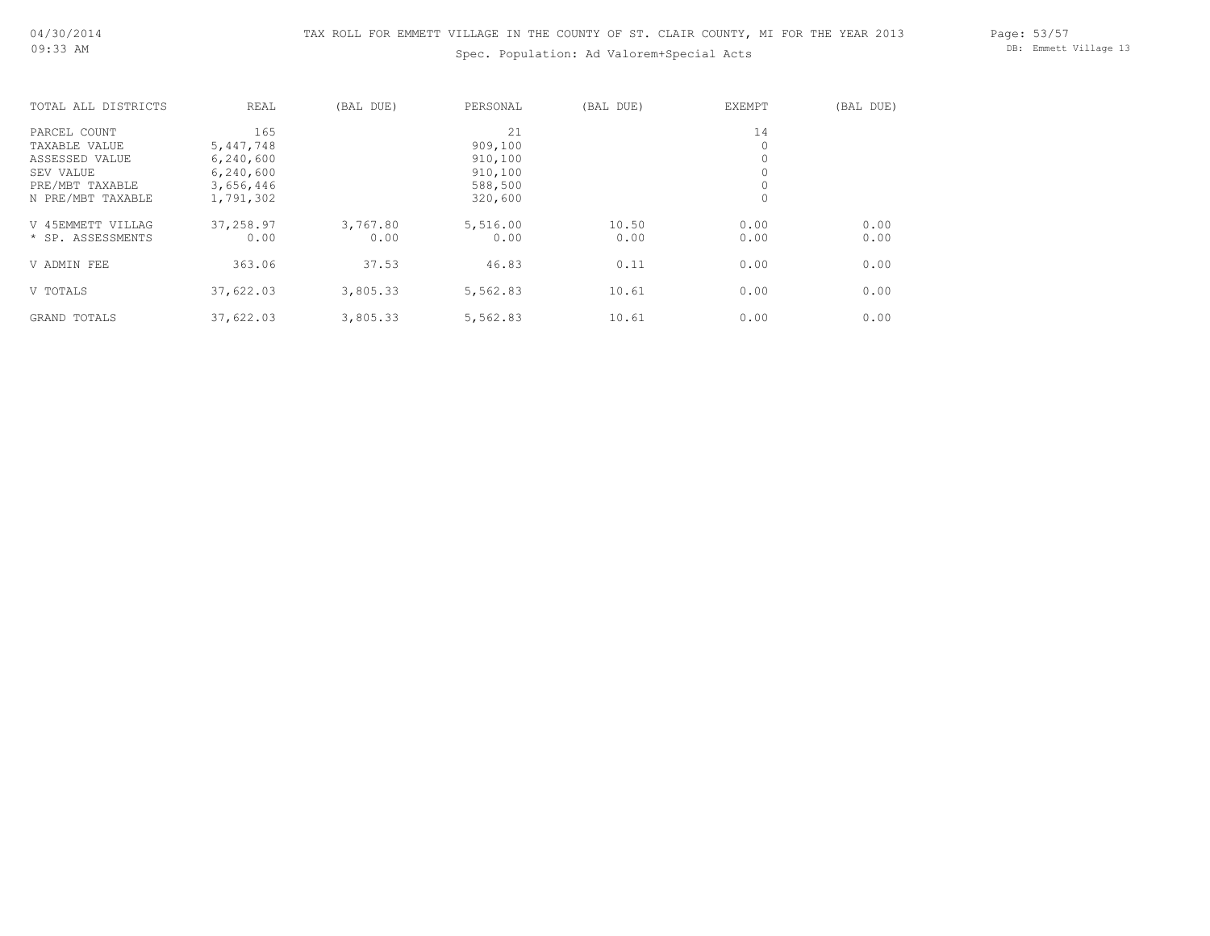Spec. Population: Ad Valorem+Special Acts

Page: 53/57 DB: Emmett Village 13

| TOTAL ALL DISTRICTS | REAL      | (BAL DUE) | PERSONAL | (BAL DUE) | <b>EXEMPT</b> | (BAL DUE) |
|---------------------|-----------|-----------|----------|-----------|---------------|-----------|
| PARCEL COUNT        | 165       |           | 21       |           | 14            |           |
| TAXABLE VALUE       | 5,447,748 |           | 909,100  |           | 0             |           |
| ASSESSED VALUE      | 6,240,600 |           | 910,100  |           | $\circ$       |           |
| SEV VALUE           | 6,240,600 |           | 910,100  |           | $\circ$       |           |
| PRE/MBT TAXABLE     | 3,656,446 |           | 588,500  |           | $\circ$       |           |
| N PRE/MBT TAXABLE   | 1,791,302 |           | 320,600  |           | 0             |           |
| V 45EMMETT VILLAG   | 37,258.97 | 3,767.80  | 5,516.00 | 10.50     | 0.00          | 0.00      |
| * SP. ASSESSMENTS   | 0.00      | 0.00      | 0.00     | 0.00      | 0.00          | 0.00      |
| V ADMIN FEE         | 363.06    | 37.53     | 46.83    | 0.11      | 0.00          | 0.00      |
| V TOTALS            | 37,622.03 | 3,805.33  | 5,562.83 | 10.61     | 0.00          | 0.00      |
| GRAND TOTALS        | 37,622.03 | 3,805.33  | 5,562.83 | 10.61     | 0.00          | 0.00      |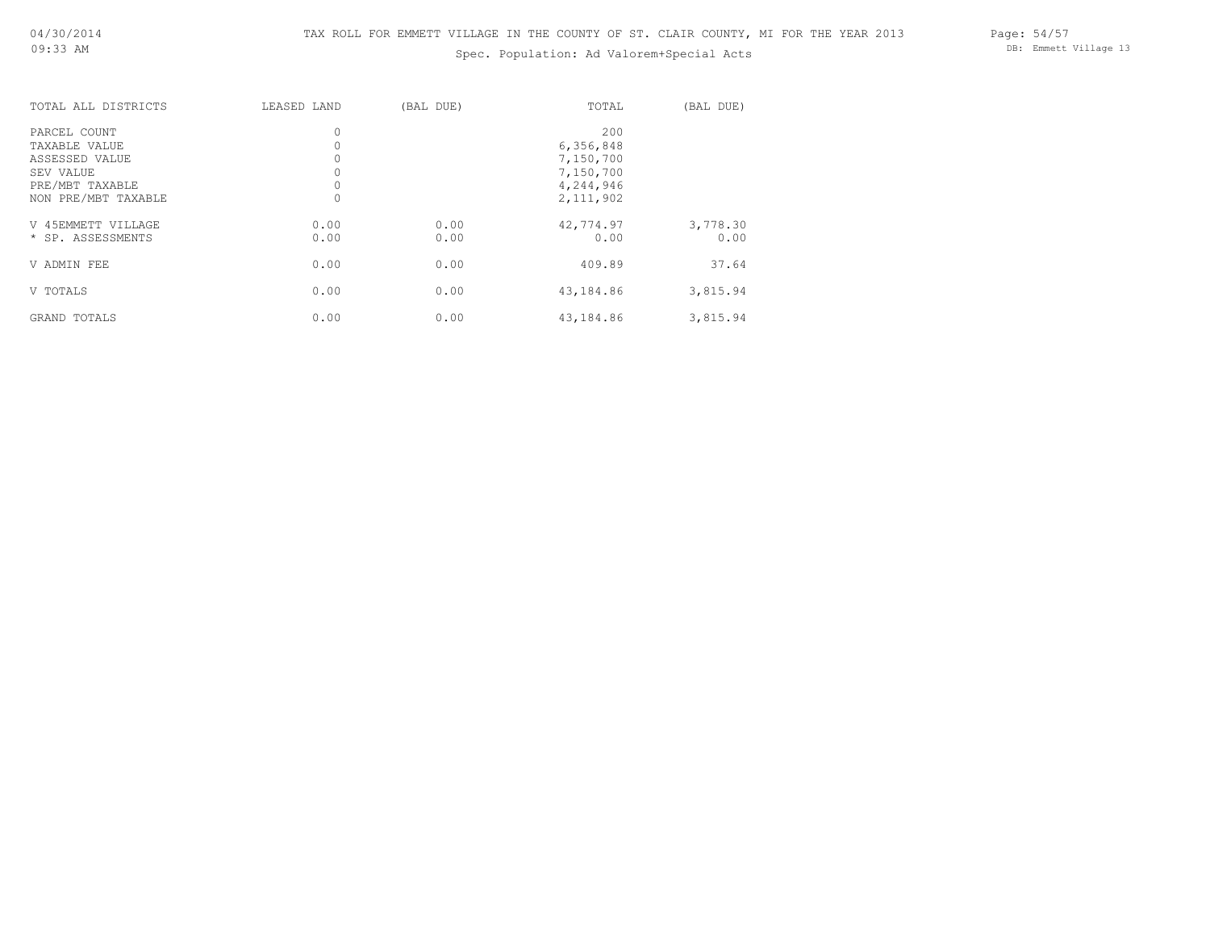# Spec. Population: Ad Valorem+Special Acts

Page: 54/57 DB: Emmett Village 13

| TOTAL ALL DISTRICTS | LEASED LAND | (BAL DUE) | TOTAL       | (BAL DUE) |
|---------------------|-------------|-----------|-------------|-----------|
| PARCEL COUNT        | $\circ$     |           | 200         |           |
| TAXABLE VALUE       |             |           | 6,356,848   |           |
| ASSESSED VALUE      |             |           | 7,150,700   |           |
| SEV VALUE           |             |           | 7,150,700   |           |
| PRE/MBT TAXABLE     |             |           | 4,244,946   |           |
| NON PRE/MBT TAXABLE |             |           | 2, 111, 902 |           |
| V 45EMMETT VILLAGE  | 0.00        | 0.00      | 42,774.97   | 3,778.30  |
| * SP. ASSESSMENTS   | 0.00        | 0.00      | 0.00        | 0.00      |
| V ADMIN FEE         | 0.00        | 0.00      | 409.89      | 37.64     |
| V TOTALS            | 0.00        | 0.00      | 43,184.86   | 3,815.94  |
| GRAND TOTALS        | 0.00        | 0.00      | 43,184.86   | 3,815.94  |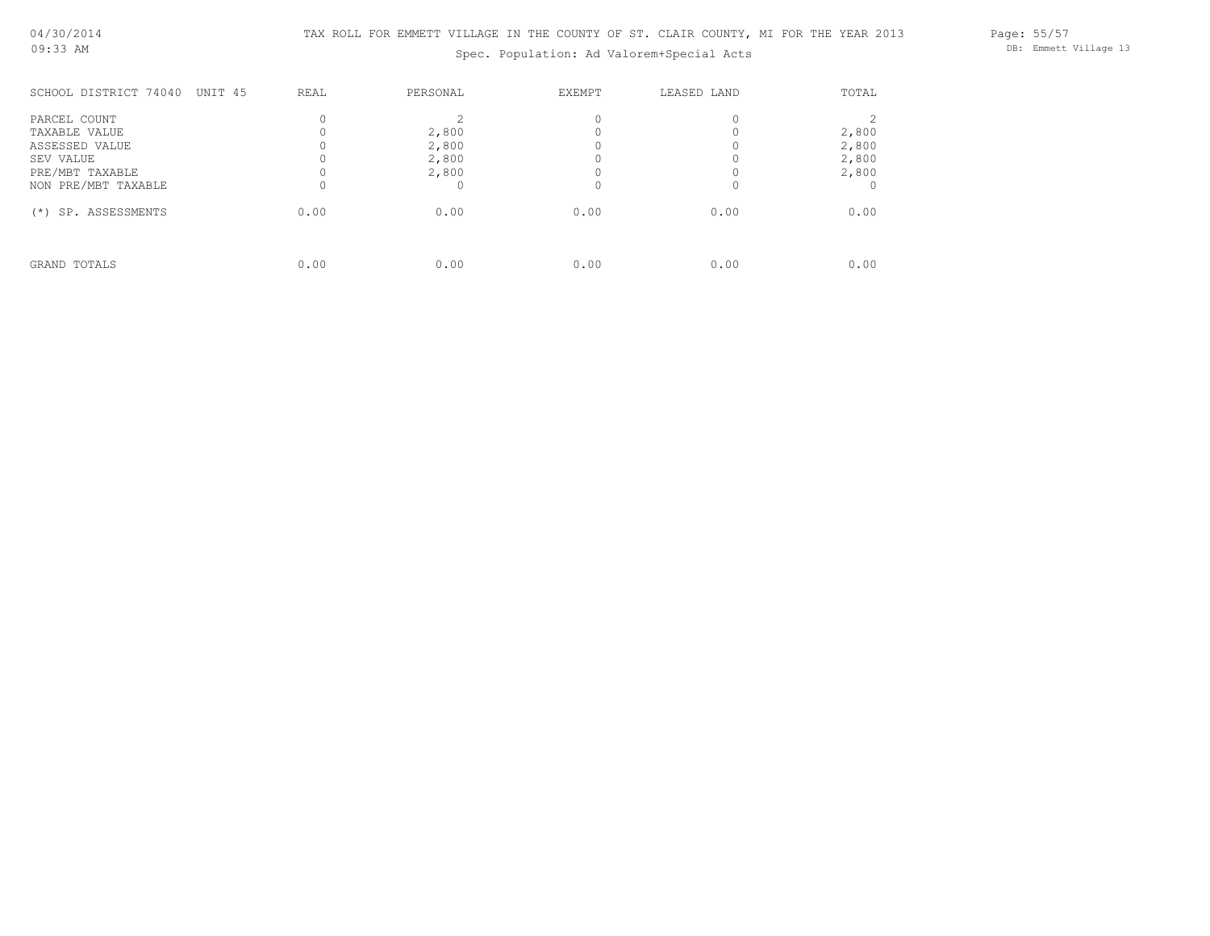Spec. Population: Ad Valorem+Special Acts

Page: 55/57 DB: Emmett Village 13

| SCHOOL DISTRICT 74040<br>UNIT 45 | REAL | PERSONAL | EXEMPT | LEASED LAND | TOTAL |
|----------------------------------|------|----------|--------|-------------|-------|
| PARCEL COUNT                     |      |          |        |             |       |
| TAXABLE VALUE                    |      | 2,800    |        |             | 2,800 |
| ASSESSED VALUE                   |      | 2,800    |        |             | 2,800 |
| SEV VALUE                        |      | 2,800    |        |             | 2,800 |
| PRE/MBT TAXABLE                  |      | 2,800    |        |             | 2,800 |
| NON PRE/MBT TAXABLE              |      |          |        |             |       |
| SP. ASSESSMENTS<br>$(*)$         | 0.00 | 0.00     | 0.00   | 0.00        | 0.00  |
|                                  |      |          |        |             |       |
| GRAND TOTALS                     | 0.00 | 0.00     | 0.00   | 0.00        | 0.00  |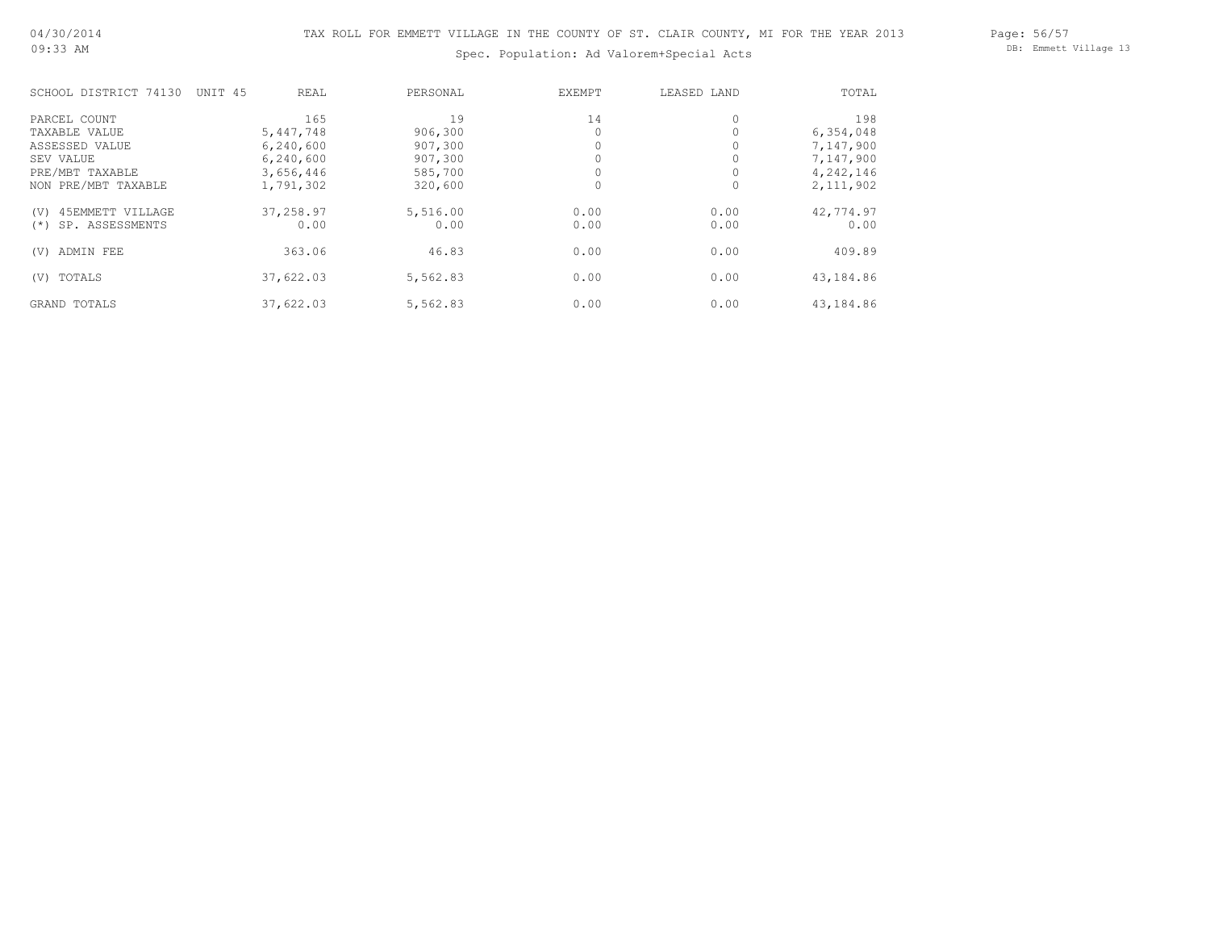Spec. Population: Ad Valorem+Special Acts

Page: 56/57 DB: Emmett Village 13

| SCHOOL DISTRICT 74130     | UNIT <sub>45</sub><br>REAL | PERSONAL | EXEMPT   | LEASED LAND | TOTAL       |
|---------------------------|----------------------------|----------|----------|-------------|-------------|
| PARCEL COUNT              | 165                        | 19       | 14       |             | 198         |
| TAXABLE VALUE             | 5,447,748                  | 906,300  | 0        |             | 6,354,048   |
| ASSESSED VALUE            | 6,240,600                  | 907,300  | 0        |             | 7,147,900   |
| SEV VALUE                 | 6,240,600                  | 907,300  |          |             | 7,147,900   |
| PRE/MBT TAXABLE           | 3,656,446                  | 585,700  | $\Omega$ |             | 4,242,146   |
| NON PRE/MBT TAXABLE       | 1,791,302                  | 320,600  | $\Omega$ |             | 2, 111, 902 |
| 45EMMETT VILLAGE<br>(V)   | 37,258.97                  | 5,516.00 | 0.00     | 0.00        | 42,774.97   |
| SP. ASSESSMENTS<br>$(* )$ | 0.00                       | 0.00     | 0.00     | 0.00        | 0.00        |
| ADMIN FEE<br>(V)          | 363.06                     | 46.83    | 0.00     | 0.00        | 409.89      |
| (V) TOTALS                | 37,622.03                  | 5,562.83 | 0.00     | 0.00        | 43,184.86   |
| <b>GRAND TOTALS</b>       | 37,622.03                  | 5,562.83 | 0.00     | 0.00        | 43,184.86   |